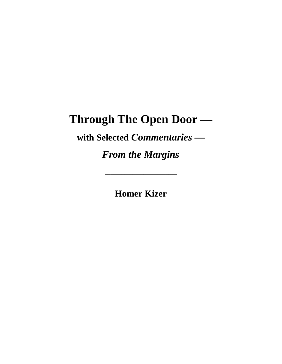# **Through The Open Door —**

**with Selected** *Commentaries* **—** 

*From the Margins* 

\_\_\_\_\_\_\_\_\_\_\_\_\_\_\_\_\_\_\_\_\_\_\_\_\_\_

**Homer Kizer**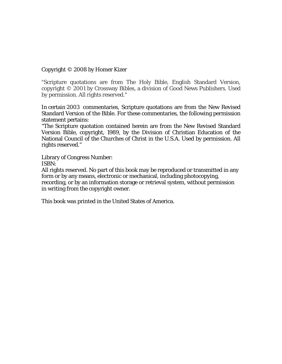#### Copyright © 2008 by Homer Kizer

"Scripture quotations are from The Holy Bible, English Standard Version, copyright © 2001 by Crossway Bibles, a division of Good News Publishers. Used by permission. All rights reserved."

In certain 2003 commentaries, Scripture quotations are from the New Revised Standard Version of the Bible. For these commentaries, the following permission statement pertains:

"The Scripture quotation contained herein are from the New Revised Standard Version Bible, copyright, 1989, by the Division of Christian Education of the National Council of the Churches of Christ in the U.S.A. Used by permission. All rights reserved."

Library of Congress Number: ISBN:

All rights reserved. No part of this book may be reproduced or transmitted in any form or by any means, electronic or mechanical, including photocopying, recording, or by an information storage or retrieval system, without permission in writing from the copyright owner.

This book was printed in the United States of America.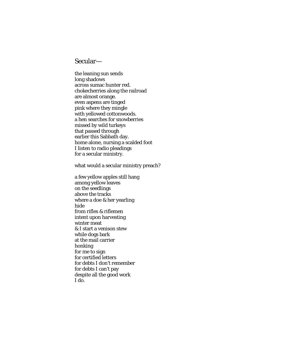#### Secular—

the leaning sun sends long shadows across sumac hunter red. chokecherries along the railroad are almost orange. even aspens are tinged pink where they mingle with yellowed cottonwoods. a hen searches for snowberries missed by wild turkeys that passed through earlier this Sabbath day. home alone, nursing a scalded foot I listen to radio pleadings for a secular ministry.

what would a secular ministry preach?

a few yellow apples still hang among yellow leaves on the seedlings above the tracks where a doe & her yearling hide from rifles & riflemen intent upon harvesting winter meat & I start a venison stew while dogs bark at the mail carrier honking for me to sign for certified letters for debts I don't remember for debts I can't pay despite all the good work I do.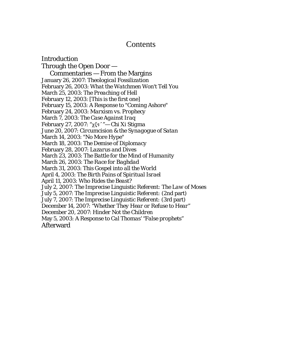### **Contents**

Introduction Through the Open Door — Commentaries — From the Margins January 26, 2007: *Theological Fossilization*  February 26, 2003: *What the Watchmen Won't Tell You*  March 25, 2003: *The Preaching of Hell*  February 12, 2003: [This is the first one] February 15, 2003: *A Response to "Coming Ashore"*  February 24, 2003: *Marxism vs. Prophecy*  March 7, 2003: *The Case Against Iraq*  February 27, 2007: " $\chi \xi$ s'"— *Chi Xi Stigma* June 20, 2007: *Circumcision & the Synagogue of Satan*  March 14, 2003: *"No More Hype"*  March 18, 2003: *The Demise of Diplomacy*  February 28, 2007: *Lazarus and Dives*  March 23, 2003: *The Battle for the Mind of Humanity*  March 26, 2003: *The Race for Baghdad*  March 31, 2003: *This Gospel into all the World*  April 4, 2003: *The Birth Pains of Spiritual Israel*  April 11, 2003: *Who Rides the Beast?*  July 2, 2007: *The Imprecise Linguistic Referent: The Law of Moses*  July 5, 2007: *The Imprecise Linguistic Referent:* (2nd part) July 7, 2007: *The Imprecise Linguistic Referent:* (3rd part) December 14, 2007: *"Whether They Hear or Refuse to Hear"*  December 20, 2007: *Hinder Not the Children*  May 5, 2003: *A Response to Cal Thomas' "False prophets"* Afterward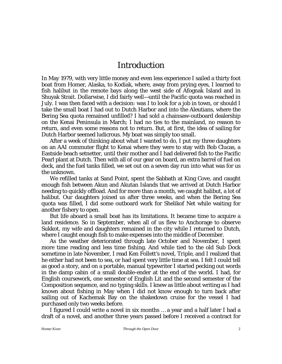## Introduction

In May 1979, with very little money and even less experience I sailed a thirty foot boat from Homer, Alaska, to Kodiak, where, away from prying eyes, I learned to fish halibut in the remote bays along the west side of Afognak Island and in Shuyak Strait. Dollarwise, I did fairly well—until the Pacific quota was reached in July. I was then faced with a decision: was I to look for a job in town, or should I take the small boat I had out to Dutch Harbor and into the Aleutians, where the Bering Sea quota remained unfilled? I had sold a chainsaw-outboard dealership on the Kenai Peninsula in March; I had no ties to the mainland, no reason to return, and even some reasons not to return. But, at first, the idea of sailing for Dutch Harbor seemed ludicrous. My boat was simply too small.

After a week of thinking about what I wanted to do, I put my three daughters on an AAI commuter flight to Kenai where they were to stay with Bob Clucas, a Eastside beach setnetter, until their mother and I had delivered fish to the Pacific Pearl plant at Dutch. Then with all of our gear on board, an extra barrel of fuel on deck, and the fuel tanks filled, we set out on a seven day run into what was for us the unknown.

We refilled tanks at Sand Point, spent the Sabbath at King Cove, and caught enough fish between Akun and Akutan Islands that we arrived at Dutch Harbor needing to quickly offload. And for more than a month, we caught halibut, a lot of halibut. Our daughters joined us after three weeks, and when the Bering Sea quota was filled, I did some outboard work for Shelikof Net while waiting for another fishery to open.

But life aboard a small boat has its limitations. It became time to acquire a land residence. So in September, when all of us flew to Anchorage to observe Sukkot, my wife and daughters remained in the city while I returned to Dutch, where I caught enough fish to make expenses into the middle of December.

As the weather deteriorated through late October and November, I spent more time reading and less time fishing. And while tied to the old Sub Dock sometime in late November, I read Ken Follett's novel, *Triple*, and I realized that he either had not been to sea, or had spent very little time at sea. I felt I could tell as good a story, and on a portable, manual typewriter I started pecking out words in the damp cabin of a small double-ender at the end of the world. I had, for English coursework, one semester of English Lit and the second semester of the Composition sequence, and no typing skills. I knew as little about writing as I had known about fishing in May when I did not know enough to turn back after sailing out of Kachemak Bay on the shakedown cruise for the vessel I had purchased only two weeks before.

I figured I could write a novel in six months … a year and a half later I had a draft of a novel, and another three years passed before I received a contract for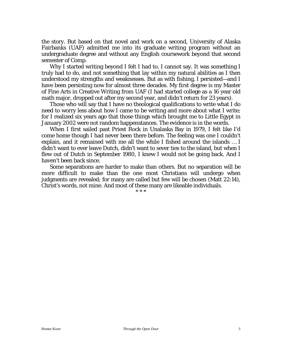the story. But based on that novel and work on a second, University of Alaska Fairbanks (UAF) admitted me into its graduate writing program without an undergraduate degree and without any English coursework beyond that second semester of Comp.

Why I started writing beyond I felt I had to, I cannot say. It was something I truly had to do, and not something that lay within my natural abilities as I then understood my strengths and weaknesses. But as with fishing, I persisted—and I have been persisting now for almost three decades. My first degree is my Master of Fine Arts in Creative Writing from UAF (I had started college as a 16 year old math major, dropped out after my second year, and didn't return for 23 years).

Those who will say that I have no theological qualifications to write what I do need to worry less about how I came to be writing and more about what I write; for I realized six years ago that those things which brought me to Little Egypt in January 2002 were not random happenstances. The evidence is in the words.

When I first sailed past Priest Rock in Unalaska Bay in 1979, I felt like I'd come home though I had never been there before. The feeling was one I couldn't explain, and it remained with me all the while I fished around the islands … I didn't want to ever leave Dutch, didn't want to sever ties to the island, but when I flew out of Dutch in September 1980, I knew I would not be going back. And I haven't been back since.

Some separations are harder to make than others. But no separation will be more difficult to make than the one most Christians will undergo when judgments are revealed; for many are called but few will be chosen (Matt 22:14), Christ's words, not mine. And most of these many are likeable individuals.

\* \* \*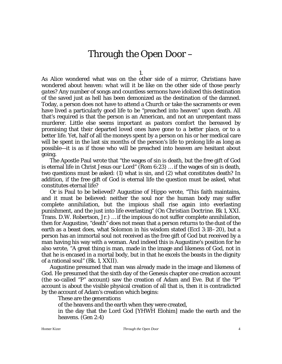## Through the Open Door –

1.

As Alice wondered what was on the other side of a mirror, Christians have wondered about heaven: *what will it be like on the other side of those pearly gates?* Any number of songs and countless sermons have idolized this destination of the saved just as hell has been demonized as the destination of the damned. Today, a person does not have to attend a Church or take the sacraments or even have lived a particularly good life to be "preached into heaven" upon death. All that's required is that the person is an American, and not an unrepentant mass murderer. Little else seems important as pastors comfort the bereaved by promising that their departed loved ones have gone *to a better place*, or *to a better life*. Yet, half of all the moneys spent by a person on his or her medical care will be spent in the last six months of the person's life to prolong life as long as possible—it is as if those who will be preached into heaven are hesitant about going.

The Apostle Paul wrote that "the wages of sin is death, but the free gift of God is eternal life in Christ Jesus our Lord" (Rom 6:23) … if the wages of sin is death, two questions must be asked: (1) what is sin, and (2) what constitutes death? In addition, if the free gift of God is eternal life the question must be asked, what constitutes eternal life?

Or is Paul to be believed? Augustine of Hippo wrote, "This faith maintains, and it must be believed: neither the soul nor the human body may suffer complete annihilation, but the impious shall rise again into everlasting punishment, and the just into life everlasting" (*On Christian Doctrine*. Bk 1, XXI. Trans. D.W. Robertson, Jr.) … if the impious do not suffer complete annihilation, then for Augustine, "death" does not mean that a person returns to the dust of the earth as a beast does, what Solomon in his wisdom stated (Eccl 3:18–20), but a person has an immortal soul not received as the free gift of God but received by a man having his way with a woman. And indeed this is Augustine's position for he also wrote, "A great thing is man, made in the image and likeness of God, not in that he is encased in a mortal body, but in that he excels the beasts in the dignity of a rational soul" (Bk. 1, XXII).

Augustine presumed that man was already made in the image and likeness of God. He presumed that the sixth day of the Genesis chapter one creation account (the so-called "P" account) saw the creation of Adam and Eve. But if the "P" account is about the visible physical creation of all that is, then it is contradicted by the account of Adam's creation which begins:

These are the generations

of the heavens and the earth when they were created,

in the day that the Lord God [*YHWH Elohim*] made the earth and the heavens. (Gen 2:4)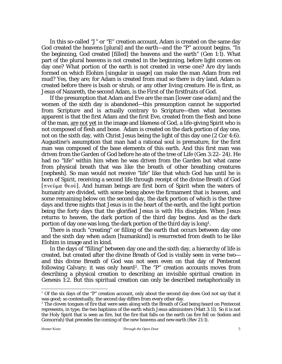In this so-called "J" or "E" creation account, Adam is created on the same day God created the heavens [plural] and the earth—and the "P" account begins, "In the beginning, God created [filled] the heavens and the earth" (Gen 1:1). What part of the plural heavens is not created in the beginning, before light comes on day one? What portion of the earth is not created in verse one? Are dry lands formed on which *Elohim* [singular in usage] can make the man Adam from red mud? Yes, they are; for Adam is created from mud so there is dry land. Adam is created before there is bush or shrub, or any other living creature. He is first, as Jesus of Nazareth, the second Adam, is the First of the firstfruits of God.

If the presumption that Adam and Eve are the man [lower case *adam*] and the women of the sixth day is abandoned—this presumption cannot be supported from Scripture and is actually contrary to Scripture—then what becomes apparent is that the first Adam and the first Eve, created from the flesh and bone of the man, are not yet in the image and likeness of God, a life-giving Spirit who is not composed of flesh and bone. Adam is created on the dark portion of day one, not on the sixth day, with Christ Jesus being the light of this day one (2 Cor 4:6). Augustine's assumption that man had a rational soul is premature, for the first man was composed of the base elements of this earth. And this first man was driven from the Garden of God before he ate of the tree of Life (Gen 3:22–24). He had no "life" within him when he was driven from the Garden but what came from physical breath that was like the breath of other breathing creatures [*nephesh*]. So man would not receive "life" like that which God has until he is born of Spirit, receiving a second life through receipt of the divine Breath of God [ $\pi$ νεῦμα θεοῦ]. And human beings are first born of Spirit when the waters of humanity are divided, with some being above the firmament that is heaven, and some remaining below on the second day, the dark portion of which is the three days and three nights that Jesus is in the heart of the earth, and the light portion being the forty days that the glorified Jesus is with His disciples. When Jesus returns to heaven, the dark portion of the third day begins. And as the dark portion of day one was long, the dark portion of the third day is long[1](#page-7-0).

There is much "creating" or filling of the earth that occurs between day one and the sixth day when *adam* [humankind] is resurrected from death to be like *Elohim* in image and in kind.

In the days of "filling" between day one and the sixth day, a hierarchy of life is created, but created after the divine Breath of God is visibly seen in verse two and this divine Breath of God was not seen even on that day of Pentecost following Calvary; it was only heard<sup>[2](#page-7-1)</sup>. The "P" creation accounts moves from describing a physical creation to describing an invisible spiritual creation in Genesis 1:2. But this spiritual creation can only be described metaphorically in

 $\overline{\phantom{a}}$ 

<span id="page-7-0"></span> $1$  Of the six days of the "P" creation account, only about the second day does God not say that it was good; so contextually, the second day differs from every other day.

<span id="page-7-1"></span> $2$  The cloven tongues of fire that were seen along with the Breath of God being heard on Pentecost represents, in type, the two baptisms of the earth which Jesus administers (Matt 3:11). So it is not the Holy Spirit that is seen as fire, but the fire that falls on the earth (as fire fell on Sodom and Gomorrah) that precedes the coming of the new heavens and new earth (Rev 21:1).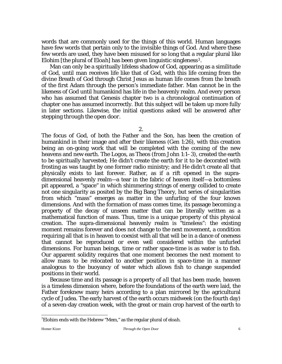words that are commonly used for the things of this world. Human languages have few words that pertain only to the invisible things of God. And where these few words are used, they have been misused for so long that a regular plural like *Elohim* [the plural of *Eloah*] has been given linguistic singleness<sup>[3](#page-8-0)</sup>.

Man can only be a spiritually lifeless shadow of God, appearing as a similitude of God, until man receives life like that of God, with this life coming from the divine Breath of God through Christ Jesus as human life comes from the breath of the first Adam through the person's immediate father. Man cannot be in the likeness of God until humankind has life in the heavenly realm. And every person who has assumed that Genesis chapter two is a chronological continuation of chapter one has assumed incorrectly. But this subject will be taken up more fully in later sections. Likewise, the initial questions asked will be answered after stepping *through the open door*.

2.

The focus of God, of both the Father and the Son, has been the creation of humankind in their image and after their likeness (Gen 1:26), with this creation being an on-going work that will be completed with the coming of the new heavens and new earth. The *Logos*, as *Theos* (from John 1:1–3), created the earth to be spiritually harvested; He didn't create the earth for it to be decorated with frosting as was taught by one former radio ministry; and He didn't create all that physically exists to last forever. Rather, as if a rift opened in the supradimensional heavenly realm—a tear in the fabric of heaven itself—a bottomless pit appeared, a "space" in which shimmering strings of energy collided to create not one singularity as posited by the Big Bang Theory, but series of singularities from which "mass" emerges as matter in the unfurling of the four known dimensions. And with the formation of mass comes time, its passage becoming a property of the decay of unseen matter that can be literally written as a mathematical function of mass. Thus, time is a unique property of this physical creation. The supra-dimensional heavenly realm is "timeless": the existing moment remains forever and does not change to the next movement, a condition requiring all that is in heaven to coexist with all that will be in a dance of *oneness* that cannot be reproduced or even well considered within the unfurled dimensions. For human beings, time or rather space-time is as water is to fish. Our apparent solidity requires that one moment becomes the next moment to allow mass to be relocated to another position in space-time in a manner analogous to the buoyancy of water which allows fish to change suspended positions in their world.

Because time and its passage is a property of *all that has been made*, heaven is a timeless dimension where, before the foundations of the earth were laid, the Father foreknew many heirs according to a plan mirrored by the agricultural cycle of Judea. The early harvest of the earth occurs midweek (on the fourth day) of a seven-day creation week, with the great or main crop harvest of the earth to

 $\overline{\phantom{a}}$ 

<span id="page-8-0"></span><sup>3</sup> *Elohim* ends with the Hebrew "Mem," as the regular plural of *eloah.*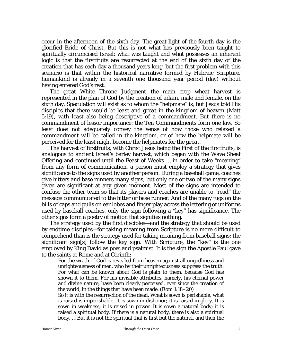occur in the afternoon of the sixth day. The great light of the fourth day is the glorified Bride of Christ. But this is not what has previously been taught to spiritually circumcised Israel: what was taught and what possesses an inherent logic is that the firstfruits are resurrected at the end of the sixth day of the creation that has each day a thousand years long, but the first problem with this scenario is that within the historical narrative formed by Hebraic Scripture, humankind is already in a seventh one thousand year period (day) without having entered God's rest.

The great White Throne Judgment—the main crop wheat harvest—is represented in the plan of God by the creation of *adam*, male and female, on the sixth day. Speculation will exist as to whom the "helpmate" is, but Jesus told His disciples that there would be *least* and *great* in the kingdom of heaven (Matt 5:19), with *least* also being descriptive of a commandment. But there is no commandment of lessor importance: the Ten Commandments form one law. So *least* does not adequately convey the sense of how those who relaxed a commandment will be called in the kingdom, or of how the helpmate will be perceived for the *least* might become the helpmates for the *great*.

The harvest of firstfruits, with Christ Jesus being the First of the firstfruits, is analogous to ancient Israel's barley harvest, which began with the Wave Sheaf Offering and continued until the Feast of Weeks … in order to take "meaning" from any form of communication, a person must employ a strategy that gives significance to the signs used by another person. During a baseball game, coaches give hitters and base runners many signs, but only one or two of the many signs given are significant at any given moment. Most of the signs are intended to confuse the other team so that its players and coaches are unable to "read" the message communicated to the hitter or base runner. And of the many tugs on the bills of caps and pulls on ear lobes and finger play across the lettering of uniforms used by baseball coaches, only the sign following a "key" has significance. The other signs form a poetry of motion that signifies nothing.

The strategy used by the first disciples—and the strategy that should be used by endtime disciples—for taking meaning from Scripture is no more difficult to comprehend than is the strategy used for taking meaning from baseball signs: the significant sign[s] follow the key sign. With Scripture, the "key" is the one employed by King David as poet and psalmist. It is the sign the Apostle Paul gave to the saints at Rome and at Corinth:

For the wrath of God is revealed from heaven against all ungodliness and unrighteousness of men, who by their unrighteousness suppress the truth. For what can be known about God is plain to them, because God has shown it to them. For his invisible attributes, namely, his eternal power and divine nature, have been clearly perceived, ever since the creation of the world, in the things that have been made. (Rom 1:18–20)

So it is with the resurrection of the dead. What is sown is perishable; what is raised is imperishable. It is sown in dishonor; it is raised in glory. It is sown in weakness; it is raised in power. It is sown a natural body; it is raised a spiritual body. If there is a natural body, there is also a spiritual body. … But it is not the spiritual that is first but the natural, and then the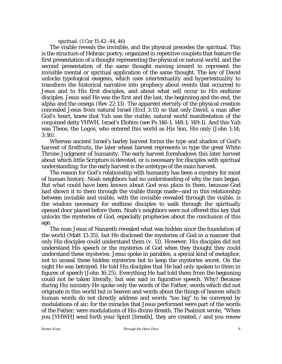spiritual. (1 Cor 15:42–44, 46)

The visible reveals the invisible, and the physical precedes the spiritual. This is the structure of Hebraic poetry, organized in repetitive couplets that feature the first presentation of a thought representing the physical or natural world, and the second presentation of the same thought moving inward to represent the invisible mental or spiritual application of the same thought. The key of David unlocks typological exegesis, which uses *intertextuality* and *hypertextuality* to transform the historical narrative into prophecy about events that occurred to Jesus and to His first disciples, and about what will occur to His endtime disciples. Jesus said He was the first and the last, the beginning and the end, the *alpha* and the *omega* (Rev 22:13). The apparent *eternity* of the physical creation concealed Jesus from natural Israel (Eccl 3:11) so that only David, a man after God's heart, knew that *Yah* was the visible, natural world manifestation of the conjoined deity *YHWH*, Israel's *Elohim* (see Ps 146:1, 148:1; 149:1). And this *Yah* was *Theos*, the *Logos*, who entered this world as His Son, His only (John 1:14; 3:16).

Whereas ancient Israel's barley harvest forms the type and shadow of God's harvest of firstfruits, the later wheat harvest represents in type the great White Throne Judgment of humanity. The early harvest foreshadows this later harvest about which little Scripture is devoted, or is necessary for disciples with spiritual understanding; for the early harvest is the *antetype* of the main harvest.

The reason for God's relationship with humanity has been a mystery for most of human history. Noah neighbors had no understanding of why the rain began. But *what could have been known about God was plain to them, because God had shown it to them* through the visible things made—and in this relationship between invisible and visible, with the invisible revealed through the visible, is the wisdom necessary for endtime disciples to walk through the spiritually opened door placed before them. Noah's neighbors were not offered this key that unlocks the mysteries of God, especially prophecies about the conclusion of this age.

The man Jesus of Nazareth revealed what was hidden since the foundation of the world (Matt 13:35), but He disclosed the mysteries of God in a manner that only His disciples could understand them (*v.* 11). However, His disciples did not understand His speech or the mysteries of God when they thought they could understand these mysteries. Jesus spoke in parables, a special kind of metaphor, not to unseal these hidden mysteries but to keep the mysteries secret. On the night He was betrayed, He told His disciples that He had only spoken to them in figures of speech (John 16:25). Everything He had told them from the beginning could not be taken literally, but was said in figurative speech. Why? Because during His ministry He spoke only the words of the Father, words which did not originate in this world but in heaven and words about the things of heaven which human words do not directly address and words "too big" to be conveyed by modulations of air; for the miracles that Jesus performed were part of the words of the Father; were modulations of His divine Breath. The Psalmist wrote, "When you [*YHWH*] send forth your Spirit [breath], they are created, / and you renew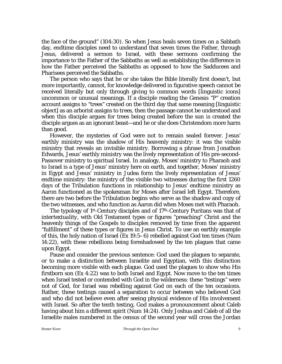the face of the ground" (104:30). So when Jesus heals seven times on a Sabbath day, endtime disciples need to understand that seven times the Father, through Jesus, delivered a sermon to Israel, with these sermons confirming the importance to the Father of the Sabbaths as well as establishing the difference in how the Father perceived the Sabbaths as opposed to how the Sadducees and Pharisees perceived the Sabbaths.

The person who says that he or she takes the Bible literally first doesn't, but more importantly, cannot, for knowledge delivered in figurative speech cannot be received literally but only through giving to common words [linguistic icons] uncommon or unusual meanings. If a disciple reading the Genesis "P" creation account assigns to "trees" created on the third day that same meaning [linguistic object] as an arborist assigns to *trees*, then the passage cannot be understood and when this disciple argues for trees being created before the sun is created the disciple argues as an ignorant beast—and he or she does Christendom more harm than good.

However, the mysteries of God were not to remain sealed forever. Jesus' earthly ministry was the shadow of His heavenly ministry: it was the visible ministry that reveals an invisible ministry. Borrowing a phrase from Jonathon Edwards, Jesus' earthly ministry was the lively representation of His pre-second-Passover ministry to spiritual Israel. In analogy, Moses' ministry to Pharaoh and to Israel is a type of Jesus' ministry here on earth, and together, Moses' ministry in Egypt and Jesus' ministry in Judea form the lively representation of Jesus' endtime ministry: the ministry of the visible two witnesses during the first 1260 days of the Tribulation functions in relationship to Jesus' endtime ministry as Aaron functioned as the spokesman for Moses after Israel left Egypt. Therefore, there are two before the Tribulation begins who serve as the shadow and copy of the two witnesses, and who function as Aaron did when Moses met with Pharaoh.

The typology of 1st-Century disciples and of 17th-Century Puritans was that of *intertextuality*, with Old Testament types or figures "preaching" Christ and the heavenly things of the Gospels to disciples removed by time from the apparent "fulfillment" of these types or figures in Jesus Christ. To use an earthly example of this, the holy nation of Israel (Ex 19:5–6) rebelled against God ten times (Num 14:22), with these rebellions being foreshadowed by the ten plagues that came upon Egypt.

Pause and consider the previous sentence: God used the plagues to separate, or to make a distinction between Israelite and Egyptian, with this distinction becoming more visible with each plague. God used the plagues to show who His firstborn son (Ex 4:22) was to both Israel and Egypt. Now move to the ten times when Israel tested or contended with God in the wilderness: these "testings" were not of God, for Israel was rebelling against God on each of the ten occasions. Rather, these *testings* caused a separation to occur between who believed God and who did not believe even after seeing physical evidence of His involvement with Israel. So after the tenth *testing*, God makes a pronouncement about Caleb having about him a different spirit (Num 14:24). Only Joshua and Caleb of all the Israelite males numbered in the census of the second year will cross the Jordan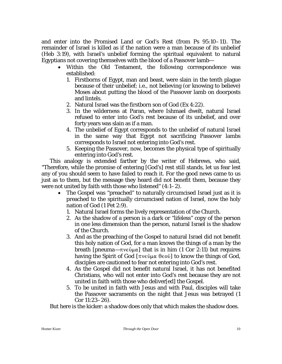and enter into the Promised Land or God's Rest (from Ps 95:10–11). The remainder of Israel is killed as if the nation were a man because of its unbelief (Heb 3:19), with Israel's unbelief forming the spiritual equivalent to natural Egyptians not covering themselves with the blood of a Passover lamb—

- Within the Old Testament, the following correspondence was established:
	- 1. Firstborns of Egypt, man and beast, were slain in the tenth plague because of their unbelief; i.e., not believing (or knowing to believe) Moses about putting the blood of the Passover lamb on doorposts and lintels.
	- 2. Natural Israel was the firstborn son of God (Ex 4:22).
	- 3. In the wilderness at Paran, where Ishmael dwelt, natural Israel refused to enter into God's rest because of its unbelief, and over forty years was slain as if a man.
	- 4. The unbelief of Egypt corresponds to the unbelief of natural Israel in the same way that Egypt not sacrificing Passover lambs corresponds to Israel not entering into God's rest.
	- 5. Keeping the Passover, now, becomes the physical type of spiritually entering into God's rest.

This analogy is extended farther by the writer of Hebrews, who said, "Therefore, while the promise of entering [God's] rest still stands, let us fear lest any of you should seem to have failed to reach it. For the good news came to us just as to them, but the message they heard did not benefit them, because they were not united by faith with those who listened" (4:1–2).

- The Gospel was "preached" to naturally circumcised Israel just as it is preached to the spiritually circumcised nation of Israel, now the holy nation of God (1 Pet 2:9).
	- 1. Natural Israel forms the lively representation of the Church.
	- 2. As the shadow of a person is a dark or "lifeless" copy of the person in one less dimension than the person, natural Israel is the shadow of the Church.
	- 3. And as the preaching of the Gospel to natural Israel did not benefit this holy nation of God, for a man knows the things of a man by the breath [*pneuma*— $\pi$ v $\epsilon$  $\hat{\upsilon}$ µ $\alpha$ ] that is in him (1 Cor 2:11) but requires having the Spirit of God  $[\pi v \in \hat{\theta} \cup \theta \in \hat{\theta}]$  to know the things of God, disciples are cautioned to fear not entering into God's rest.
	- 4. As the Gospel did not benefit natural Israel, it has not benefited Christians, who will not enter into God's rest because they are not united in faith with those who deliver[ed] the Gospel.
	- 5. To be united in faith with Jesus and with Paul, disciples will take the Passover sacraments on the night that Jesus was betrayed (1 Cor 11:23–26).

But here is the kicker: a shadow does only that which makes the shadow does.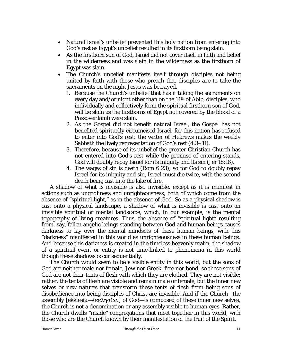- Natural Israel's unbelief prevented this holy nation from entering into God's rest as Egypt's unbelief resulted in its firstborn being slain.
- As the firstborn son of God, Israel did not cover itself in faith and belief in the wilderness and was slain in the wilderness as the firstborn of Egypt was slain.
- The Church's unbelief manifests itself through disciples not being united by faith with those who preach that *disciples are to take the sacraments on the night Jesus was betrayed*.
	- 1. Because the Church's unbelief that has it taking the sacraments on every day and/or night other than on the 14th of Abib, disciples, who individually and collectively form the spiritual firstborn son of God, will be slain as the firstborns of Egypt not covered by the blood of a Passover lamb were slain.
	- 2. As the Gospel did not benefit natural Israel, the Gospel has not benefited spiritually circumcised Israel, for this nation has refused to enter into God's rest: the writer of Hebrews makes the weekly Sabbath the lively representation of God's rest (4:3–11).
	- 3. Therefore, because of its unbelief the greater Christian Church has not entered into God's rest while the promise of entering stands, God will doubly repay Israel for its iniquity and its sin (Jer 16:18).
	- 4. The wages of sin is death (Rom 6:23); so for God to doubly repay Israel for its iniquity and sin, Israel must die twice, with the second death being cast into the lake of fire.

A shadow of what is invisible is also invisible, except as it is manifest in actions such as ungodliness and unrighteousness, both of which come from the absence of "spiritual light," as in the absence of God. So as a physical shadow is cast onto a physical landscape, a shadow of what is invisible is cast onto an invisible spiritual or mental landscape, which, in our example, is the mental topography of living creatures. Thus, the absence of "spiritual light" resulting from, say, fallen angelic beings standing between God and human beings causes darkness to lay over the mental mindsets of these human beings, with this "darkness" manifested in this world as unrighteousness in these human beings. And because this darkness is created in the timeless heavenly realm, the shadow of a spiritual event or entity is not time-linked to phenomena in this world though these shadows occur sequentially.

The Church would seem to be a visible entity in this world, but the sons of God are neither male nor female, Jew nor Greek, free nor bond, so these sons of God are not their tents of flesh with which they are clothed. They are not visible; rather, the tents of flesh are visible and remain male or female, but the inner new selves or new natures that transform these tents of flesh from being sons of disobedience into being disciples of Christ are invisible. And if the Church—the assembly [*ekklesia*—*έ*κκλησίαν] of God—is composed of these inner new selves, the Church is not a denomination or any assembly visible to human eyes. Rather, the Church dwells "inside" congregations that meet together in this world, with those who are the Church known by their manifestation of the fruit of the Spirit.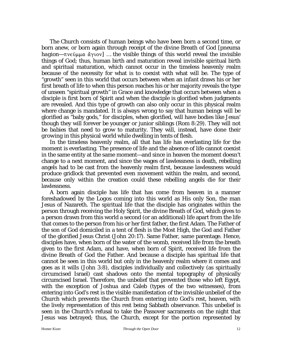The Church consists of human beings who have been born a second time, or born anew, or born again through receipt of the divine Breath of God [*pneuma hagion—* $\pi v \in \partial \mu \mu \alpha \, \dot{\alpha} \gamma v \, v$  ... the visible things of this world reveal the invisible things of God; thus, human birth and maturation reveal invisible spiritual birth and spiritual maturation, which cannot occur in the timeless heavenly realm because of the necessity for what is to coexist with what will be. The type of "growth" seen in this world that occurs between when an infant draws his or her first breath of life to when this person reaches his or her majority reveals the type of unseen "spiritual growth" in Grace and knowledge that occurs between when a disciple is first born of Spirit and when the disciple is glorified when judgments are revealed. And this type of growth can also only occur in this physical realm where change is mandated. It is always wrong to say that human beings will be glorified as "baby gods," for disciples, when glorified, will have bodies like Jesus' though they will forever be younger or junior siblings (Rom 8:29). They will not be *babies* that need to grow to maturity. They will, instead, have done their *growing* in this physical world while dwelling in tents of flesh.

In the timeless heavenly realm, all that has life has everlasting life for the moment is everlasting. The presence of life and the absence of life cannot coexist in the same entity at the same moment—and since in heaven the moment doesn't change to a next moment, and since the wages of lawlessness is death, rebelling angels had to be cast from the heavenly realm first, because lawlessness would produce gridlock that prevented even movement within the realm, and second, because only within the creation could these rebelling angels die for their lawlessness.

A born again disciple has life that has come from heaven in a manner foreshadowed by the *Logos* coming into this world as His only Son, the man Jesus of Nazareth. The spiritual life that the disciple has originates within the person through receiving the Holy Spirit, the divine Breath of God, which gives to a person drawn from this world a second (or an additional) life apart from the life that comes to the person from his or her first father, the first Adam. The Father of the son of God domiciled in a tent of flesh is the Most High, the God and Father of the glorified Jesus Christ (John 20:17). Same Father, same parentage. Hence, disciples have, when born of the water of the womb, received life from the breath given to the first Adam, and have, when born of Spirit, received life from the divine Breath of God the Father. And because a disciple has spiritual life that cannot be seen in this world but only in the heavenly realm where it comes and goes as it wills (John 3:8), disciples individually and collectively (as spiritually circumcised Israel) cast shadows onto the mental topography of physically circumcised Israel. Therefore, the unbelief that prevented those who left Egypt, with the exception of Joshua and Caleb (types of the two witnesses), from entering into God's rest is the visible manifestation of the invisible unbelief of the Church which prevents the Church from entering into God's rest, heaven, with the lively representation of this rest being Sabbath observance. This unbelief is seen in the Church's refusal to take the Passover sacraments on the night that Jesus was betrayed; thus, the Church, except for the portion represented by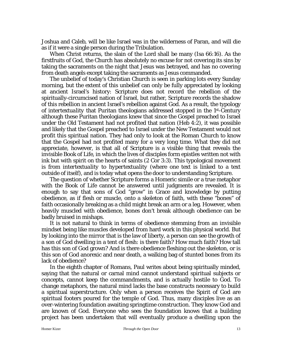Joshua and Caleb, will be like Israel was in the wilderness of Paran, and will die as if it were a single person during the Tribulation.

When Christ returns, the slain of the Lord shall be many (Isa 66:16). As the firstfruits of God, the Church has absolutely no excuse for not covering its sins by taking the sacraments on the night that Jesus was betrayed, and has no covering from death angels except taking the sacraments as Jesus commanded.

The unbelief of today's Christian Church is seen in parking lots every Sunday morning, but the extent of this unbelief can only be fully appreciated by looking at ancient Israel's history: Scripture does not record the rebellion of the spiritually-circumcised nation of Israel, but rather, Scripture records the shadow of this rebellion in ancient Israel's rebellion against God. As a result, the typology of *intertextuality* that Puritan theologians addressed stopped in the 1st-Century although these Puritan theologians knew that since the Gospel preached to Israel under the Old Testament had not profited that nation (Heb 4:2), it was possible and likely that the Gospel preached to Israel under the New Testament would not profit this spiritual nation. They had only to look at the Roman Church to know that the Gospel had not profited many for a very long time. What they did not appreciate, however, is that all of Scripture is a visible thing that reveals the invisible *Book of Life*, in which the lives of disciples form epistles written not with ink but with spirit on the hearts of saints (2 Cor 3:3). This typological movement is from *intertextuality* to *hypertextuality* (where one text is linked to a text outside of itself), and is today what opens the door to understanding Scripture.

The question of whether Scripture forms a Homeric simile or a true metaphor with the *Book of Life* cannot be answered until judgments are revealed. It is enough to say that sons of God "grow" in Grace and knowledge by putting obedience, as if flesh or muscle, onto a skeleton of faith, with these "bones" of faith occasionally breaking as a child might break an arm or a leg. However, when heavily muscled with obedience, bones don't break although obedience can be badly bruised in mishaps.

It is not natural to think in terms of obedience stemming from an invisible mindset being like muscles developed from hard work in this physical world. But by looking into the mirror that is the law of liberty, a person can see the growth of a son of God dwelling in a tent of flesh: is there faith? How much faith? How tall has this son of God grown? And is there obedience fleshing out the skeleton, or is this son of God anorexic and near death, a walking bag of stunted bones from its lack of obedience?

In the eighth chapter of Romans, Paul writes about being spiritually minded, saying that the natural or carnal mind cannot understand spiritual subjects or concepts, cannot keep the commandments, and is actually hostile to God. To change metaphors, the natural mind lacks the base constructs necessary to build a spiritual superstructure. Only when a person receives the Spirit of God are spiritual footers poured for the temple of God. Thus, many disciples live as an over-wintering foundation awaiting springtime construction. They know God and are known of God. Everyone who sees the foundation knows that a building project has been undertaken that will eventually produce a dwelling upon the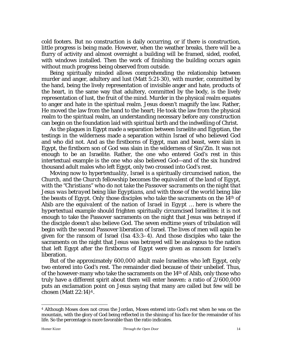cold footers. But no construction is daily occurring, or if there is construction, little progress is being made. However, when the weather breaks, there will be a flurry of activity and almost overnight a building will be framed, sided, roofed, with windows installed. Then the work of finishing the building occurs again without much progress being observed from outside.

Being spiritually minded allows comprehending the relationship between murder and anger, adultery and lust (Matt 5:21-30), with murder, committed by the hand, being the lively representation of invisible anger and hate, products of the heart, in the same way that adultery, committed by the body, is the lively representation of lust, the fruit of the mind. Murder in the physical realm equates to anger and hate in the spiritual realm. Jesus doesn't magnify the law. Rather, He moved the law from the hand to the heart; He took the law from the physical realm to the spiritual realm, an understanding necessary before any construction can begin on the foundation laid with spiritual birth and the indwelling of Christ.

As the plagues in Egypt made a separation between Israelite and Egyptian, the testings in the wilderness made a separation within Israel of who believed God and who did not. And as the firstborns of Egypt, man and beast, were slain in Egypt, the firstborn son of God was slain in the wilderness of Sin/Zin. It was not enough to be an Israelite. Rather, the one who entered God's rest in this *intertextual* example is the one who also believed God—and of the six hundred thousand adult males who left Egypt, only two crossed into God's rest.

Moving now to *hypertextuality*, Israel is a spiritually circumcised nation, the Church, and *the Church fellowship becomes the equivalent of the land of Egypt, with the "Christians" who do not take the Passover sacraments on the night that Jesus was betrayed being like Egyptians, and with those of the world being like the beasts of Egypt. Only those disciples who take the sacraments on the 14th of Abib are the equivalent of the nation of Israel in Egypt* … here is where the *hypertextual* example should frighten spiritually circumcised Israelites: it is not enough to take the Passover sacraments on the night that Jesus was betrayed if the disciple doesn't also believe God. The seven endtime years of tribulation will begin with the second Passover liberation of Israel. The lives of men will again be given for the ransom of Israel (Isa 43:3–4). And those disciples who take the sacraments on the night that Jesus was betrayed will be analogous to the nation that left Egypt after the firstborns of Egypt were given as ransom for Israel's liberation.

But of the approximately 600,000 adult male Israelites who left Egypt, only two entered into God's rest. The remainder died because of their unbelief. Thus, of the however-many who take the sacraments on the 14th of Abib, only those who truly have a different spirit about them will enter heaven: a ratio of 2/600,000 puts an exclamation point on Jesus saying that many are called but few will be chosen (Matt 22:14)[4](#page-16-0).

 $\overline{\phantom{a}}$ 

<span id="page-16-0"></span><sup>4</sup> Although Moses does not cross the Jordan, Moses entered into God's rest when he was on the mountain, with the glory of God being reflected in the shining of his face for the remainder of his life. So the percentage is more favorable than the ratio indicates.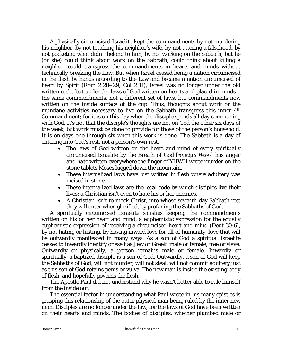A physically circumcised Israelite kept the commandments by not murdering his neighbor, by not touching his neighbor's wife, by not uttering a falsehood, by not pocketing what didn't belong to him, by not working on the Sabbath, but he (or she) could think about work on the Sabbath, could think about killing a neighbor, could transgress the commandments in hearts and minds without technically breaking the Law. But when Israel ceased being a nation circumcised in the flesh by hands according to the Law and became a nation circumcised of heart by Spirit (Rom 2:28–29; Col 2:11), Israel was no longer under the old written code, but under the laws of God written on hearts and placed in minds the same commandments, not a different set of laws, but commandments now written on the inside surface of the cup. Thus, thoughts about work or the mundane activities necessary to live on the Sabbath transgress this inner  $4<sup>th</sup>$ Commandment; for it is on this day when the disciple spends all day communing with God. It's not that the disciple's thoughts are not on God the other six days of the week, but work must be done to provide for those of the person's household. It is on days one through six when this work is done. The Sabbath is a day of entering into God's rest, not a person's own rest.

- The laws of God written on the heart and mind of every spiritually circumcised Israelite by the Breath of God [πνεῦμα θεοῦ] has *anger* and *hate* written everywhere the finger of *YHWH* wrote *murder* on the stone tablets Moses lugged down the mountain.
- These internalized laws have *lust* written in flesh where *adultery* was incised in stone.
- These internalized laws are the legal code by which disciples live their lives: a Christian isn't even to hate his or her enemies.
- A Christian isn't to mock Christ, into whose seventh-day Sabbath rest they will enter when glorified, by profaning the Sabbaths of God.

A spiritually circumcised Israelite satisfies keeping the commandments written on his or her heart and mind, a euphemistic expression for the equally euphemistic expression of receiving a circumcised heart and mind (Deut 30:6), by not hating or lusting, by having inward love for all of humanity, love that will be outwardly manifested in many ways. As a son of God a spiritual Israelite ceases to inwardly identify oneself as Jew or Greek, male or female, free or slave. Outwardly or physically, a person remains male or female. Inwardly or spiritually, a baptized disciple is a son of God. Outwardly, a son of God will keep the Sabbaths of God, will not murder, will not steal, will not commit adultery just as this son of God retains penis or vulva. The new man is inside the existing body of flesh, and hopefully governs the flesh.

The Apostle Paul did not understand why he wasn't better able to rule himself from the inside out.

The essential factor in understanding what Paul wrote in his many epistles is grasping this relationship of the outer physical man being ruled by the inner new man. Disciples are no longer under the law, for the laws of God have been written on their hearts and minds. The bodies of disciples, whether plumbed male or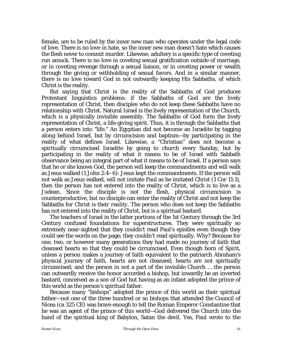female, are to be ruled by the inner new man who operates under the legal code of love. There is no love in hate, so the inner new man doesn't hate which causes the flesh never to commit murder. Likewise, adultery is a specific type of coveting run amuck. There is no love in coveting sexual gratification outside of marriage, or in coveting revenge through a sexual liaison, or in coveting power or wealth through the giving or withholding of sexual favors. And in a similar manner, there is no love toward God in not outwardly keeping His Sabbaths, of which Christ is the reality.

But saying that Christ is the reality of the Sabbaths of God produces Protestant linguistics problems: if the Sabbaths of God are the lively representation of Christ, then disciples who do not keep these Sabbaths have no relationship with Christ. Natural Israel is the lively representation of the Church, which is a physically invisible assembly. The Sabbaths of God form the lively representation of Christ, a life-giving spirit. Thus, it is through the Sabbaths that a person enters into "life." An Egyptian did not become an Israelite by tagging along behind Israel, but by circumcision and baptism—by participating in the reality of what defines Israel. Likewise, a "Christian" does not become a spiritually circumcised Israelite by going to church every Sunday, but by participating in the reality of what it means to be of Israel with Sabbath observance being an integral part of what it means to be of Israel. If a person says that he or she knows God, the person will keep the commandments and will walk as Jesus walked (1 John 2:4–6): Jesus kept the commandments. If the person will not walk as Jesus walked, will not imitate Paul as he imitated Christ (1 Cor 11:1), then the person has not entered into the reality of Christ, which is to live as a Judean. Since the disciple is not the flesh, physical circumcision is counterproductive, but no disciple can enter the reality of Christ and not keep the Sabbaths *for Christ is their reality.* The person who does not keep the Sabbaths has not entered into the reality of Christ, but is a spiritual bastard.

The teachers of Israel in the latter portions of the 1st Century through the 3rd Century confused foundations for superstructures. They were spiritually so extremely near-sighted that they couldn't read Paul's epistles even though they could see the words on the page; they couldn't read spiritually. Why? Because for one, two, or however many generations they had made no journey of faith that cleansed hearts so that they could be circumcised. Even though born of Spirit, unless a person makes a journey of faith equivalent to the patriarch Abraham's physical journey of faith, hearts are not cleansed; hearts are not spiritually circumcised; and the person in not a part of the invisible Church … the person can outwardly receive the honor accorded a bishop, but inwardly be an inverted bastard, conceived as a son of God but having as an infant adopted the prince of this world as the person's spiritual father.

Because many "bishops" adopted the prince of this world as their spiritual father—not one of the three hundred or so bishops that attended the Council of Nicea (ca 325 CE) was brave enough to tell the Roman Emperor Constantine that he was an agent of the prince of this world—God delivered the Church into the hand of the spiritual king of Babylon, Satan the devil. Yes, Paul wrote to the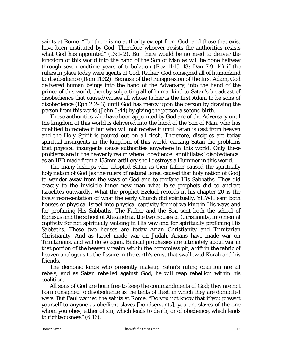saints at Rome, "For there is no authority except from God, and those that exist have been instituted by God. Therefore whoever resists the authorities resists what God has appointed" (13:1–2). But there would be no need to deliver the kingdom of this world into the hand of the Son of Man as will be done halfway through seven endtime years of tribulation (Rev 11:15–18; Dan 7:9–14) if the rulers in place today were agents of God. Rather, God consigned all of humankind to disobedience (Rom 11:32). Because of the transgression of the first Adam, God delivered human beings into the hand of the Adversary, into the hand of the prince of this world, thereby subjecting all of humankind to Satan's broadcast of disobedience that caused/causes all whose father is the first Adam to be sons of disobedience (Eph 2:2–3) until God has mercy upon the person by drawing the person from this world (John 6:44) by giving the person a second birth.

Those authorities who have been appointed by God are of the Adversary until the kingdom of this world is delivered into the hand of the Son of Man, who has qualified to receive it but who will not receive it until Satan is cast from heaven and the Holy Spirit is poured out on all flesh. Therefore, disciples are today spiritual insurgents in the kingdom of this world, causing Satan the problems that physical insurgents cause authorities anywhere in this world. Only these problems are in the heavenly realm where "obedience" annihilates "disobedience" as an IED made from a 155mm artillery shell destroys a Hummer in this world.

The many bishops who adopted Satan as their father caused the spiritually holy nation of God [as the rulers of natural Israel caused that holy nation of God] to wander away from the ways of God and to profane His Sabbaths. They did exactly to the invisible inner new man what false prophets did to ancient Israelites outwardly. What the prophet Ezekiel records in his chapter 20 is the lively representation of what the early Church did spiritually. *YHWH* sent both houses of physical Israel into physical captivity for not walking in His ways and for profaning His Sabbaths. The Father and the Son sent both the *school of Ephesus* and the *school of Alexandria*, the two houses of Christianity, into mental captivity for not spiritually walking in His way and for spiritually profaning His Sabbaths. These two houses are today Arian Christianity and Trinitarian Christianity. And as Israel made war on Judah, Arians have made war on Trinitarians, and will do so again. Biblical prophesies are ultimately about war in that portion of the heavenly realm within the bottomless pit, a rift in the fabric of heaven analogous to the fissure in the earth's crust that swallowed Korah and his friends.

The demonic kings who presently makeup Satan's ruling coalition are all rebels, and as Satan rebelled against God, he will reap rebellion within his coalition.

All sons of God are born free to keep the commandments of God; they are not born consigned to disobedience as the tents of flesh in which they are domiciled were. But Paul warned the saints at Rome: "Do you not know that if you present yourself to anyone as obedient slaves [bondservants], you are slaves of the one whom you obey, either of sin, which leads to death, or of obedience, which leads to righteousness" (6:16).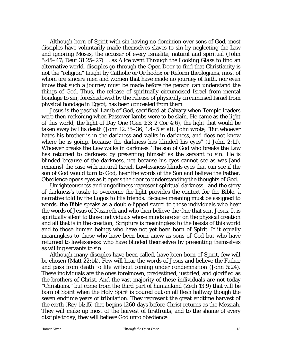Although born of Spirit with sin having no dominion over sons of God, most disciples have voluntarily made themselves slaves to sin by neglecting the Law and ignoring Moses, the accuser of every Israelite, natural and spiritual (John 5:45–47; Deut 31:25–27) … as Alice went *Through the Looking Glass* to find an alternative world, disciples go through the Open Door to find that Christianity is not the "religion" taught by Catholic or Orthodox or Reform theologians, most of whom are sincere men and women that have made no journey of faith, nor even know that such a journey must be made before the person can understand the things of God. Thus, the release of spiritually circumcised Israel from mental bondage to sin, foreshadowed by the release of physically circumcised Israel from physical bondage in Egypt, has been concealed from them.

Jesus is the paschal Lamb of God, sacrificed at Calvary when Temple leaders were then reckoning when Passover lambs were to be slain. He came as the light of this world, the light of Day One (Gen 1:3; 2 Cor 4:6), the light that would be taken away by His death (John 12:35–36; 1:4–5 *et al*). John wrote, "But whoever hates his brother is in the darkness and walks in darkness, and does not know where he is going, because the darkness has blinded his eyes" (1 John 2:11). Whoever breaks the Law walks in darkness. The son of God who breaks the Law has returned to darkness by presenting himself as the servant to sin. He is blinded *because of the darkness*, not because his eyes cannot see as was [and remains] the case with natural Israel. Lawlessness blinds eyes that can see if the son of God would turn to God, hear the words of the Son and believe the Father. Obedience opens eyes as it opens the door to understanding the thoughts of God.

Unrighteousness and ungodliness represent spiritual darkness—and the story of darkness's tussle to overcome the light provides the context for the Bible, a narrative told by the *Logos* to His friends. Because meaning must be assigned to words, the Bible speaks as a double-lipped sword to those individuals who hear the words of Jesus of Nazareth and who then believe the One that sent Jesus. It is spiritually silent to those individuals whose minds are set on the physical creation and all that is in the creation; Scripture is meaningless to the beasts of this world and to those human beings who have not yet been born of Spirit. If it equally meaningless to those who have been born anew as sons of God but who have returned to lawlessness; who have blinded themselves by presenting themselves as willing servants to sin.

Although many disciples have been called, have been born of Spirit, few will be chosen (Matt 22:14). Few will hear the words of Jesus and believe the Father and pass from death to life without coming under condemnation (John 5:24). These individuals are the ones foreknown, predestined, justified, and glorified as the brothers of Christ. And the vast majority of these individuals are not today "Christians," but come from the third part of humankind (Zech 13:9) that will be born of Spirit when the Holy Spirit is poured out on all flesh halfway though the seven endtime years of tribulation. They represent the great endtime harvest of the earth (Rev 14:15) that begins 1260 days before Christ returns as the Messiah. They will make up most of the harvest of firstfruits, and to the shame of every disciple today, they will believe God unto obedience.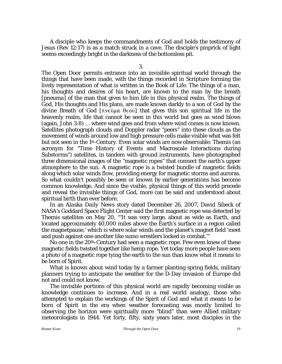A disciple who keeps the commandments of God and holds the testimony of Jesus (Rev 12:17) is as a match struck in a cave. The disciple's pinprick of light seems exceedingly bright in the darkness of the bottomless pit.

3.

The *Open Door* permits entrance into an invisible spiritual world through the things that have been made, with the things recorded in Scripture forming the lively representation of what is written in the *Book of Life*. The things of a man, his thoughts and desires of his heart, are known to the man by the breath [*pneuma*] of the man that gives to him life in this physical realm. The things of God, His thoughts and His plans, are made known darkly to a son of God by the divine Breath of God  $[\pi \nu \in \hat{\mathfrak{g}}]$  that gives this son spiritual life in the heavenly realm, life that cannot be seen in this world but goes as wind blows (again, John 3:8) … where wind goes and from where wind comes is now known. Satellites photograph clouds and Doppler radar "peers" into these clouds as the movement of winds around low and high pressure cells make visible what was felt but not seen in the 1st-Century. Even solar winds are now observable: Themis (an acronym for "Time History of Events and Macroscale Interactions during Substorms") satellites, in tandem with ground instruments, have photographed three dimensional images of the "magnetic ropes" that connect the earth's upper atmosphere to the sun. A magnetic rope is a twisted bundle of magnetic fields along which solar winds flow, providing energy for magnetic storms and auroras. So what couldn't possibly be seen or known by earlier generations has become common knowledge. And since the visible, physical things of this world precede and reveal the invisible things of God, more can be said and understood about spiritual birth than ever before.

In an *Alaska Daily News* story dated December 26, 2007, David Sibeck of NASA's Goddard Space Flight Center said the first magnetic rope was detected by Themis satellites on May 20, "'It was very large, about as wide as Earth, and located approximately 40,000 miles above the Earth's surface in a region called the magnetpause,' which is where solar winds and the planet's magnet field 'meet and push against one another like sumo wrestlers locked in combat.'"

No one in the 20th-Century had seen a magnetic rope. Few even knew of these magnetic fields twisted together like hemp rope. Yet today more people have seen a photo of a magnetic rope tying the earth to the sun than know what it means to be born of Spirit.

What is known about wind today by a farmer planting spring fields, military planners trying to anticipate the weather for the D-Day invasion of Europe did not and could not know.

The invisible portions of this physical world are rapidly becoming visible as knowledge continues to increase. And in a real world analogy, those who attempted to explain the workings of the Spirit of God and what it means to be born of Spirit in the era when weather forecasting was mostly limited to observing the horizon were spiritually more "blind" than were Allied military meteorologists in 1944. Yet forty, fifty, sixty years later, most disciples in the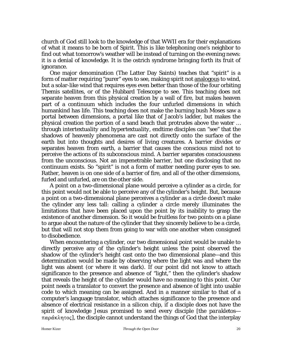church of God still look to the knowledge of that WWII era for their explanations of what it means to be born of Spirit. This is like telephoning one's neighbor to find out what tomorrow's weather will be instead of turning on the evening news: it is a denial of knowledge. It is the ostrich syndrome bringing forth its fruit of ignorance.

One major denomination (The Latter Day Saints) teaches that "spirit" is a form of matter requiring "purer" eyes to see, making spirit not analogous to wind, but a solar-like wind that requires eyes even better than those of the four orbiting Themis satellites, or of the Hubbard Telescope to see. This teaching does not separate heaven from this physical creation by a wall of fire, but makes heaven part of a continuum which includes the four unfurled dimensions in which humankind has life. This teaching does not make the burning bush Moses saw a portal between dimensions, a portal like that of Jacob's ladder, but makes the physical creation the portion of a sand beach that protrudes above the water … through *intertextuality* and *hypertextuality*, endtime disciples can "see" that the shadows of heavenly phenomena are cast not directly onto the surface of the earth but into thoughts and desires of living creatures. A barrier divides or separates heaven from earth, a barrier that causes the conscious mind not to perceive the actions of its subconscious mind. A barrier separates consciousness from the unconscious. Not an impenetrable barrier, but one disclosing that no continuum exists. So "spirit" is not a form of matter needing purer eyes to see. Rather, heaven is on one side of a barrier of fire, and all of the other dimensions, furled and unfurled, are on the other side.

A point on a two-dimensional plane would perceive a cylinder as a circle, for this point would not be able to perceive any of the cylinder's height. But, because a point on a two-dimensional plane perceives a cylinder as a circle doesn't make the cylinder any less tall: calling a cylinder a circle merely illuminates the limitations that have been placed upon the point by its inability to grasp the existence of another dimension. So it would be fruitless for two points on a plane to argue about the nature of the cylinder that they sincerely believe to be a circle, but that will not stop them from going to war with one another when consigned to disobedience.

When encountering a cylinder, our two dimensional point would be unable to directly perceive any of the cylinder's height unless the point observed the shadow of the cylinder's height cast onto the two dimensional plane—and this determination would be made by observing where the light was and where the light was absent (or where it was dark). If our point did not know to attach significance to the presence and absence of "light," then the cylinder's shadow that reveals the height of the cylinder would have no meaning to this point. Our point needs a translator to convert the presence and absence of light into usable code to which meaning can be assigned. And in a manner similar to that of a computer's language translator, which attaches significance to the presence and absence of electrical resistance in a silicon chip, if a disciple does not have the spirit of knowledge Jesus promised to send every disciple [the *parakletos*—  $\pi\alpha\rho\alpha\kappa\lambda\eta\tau$  oc), the disciple cannot understand the things of God that the interplay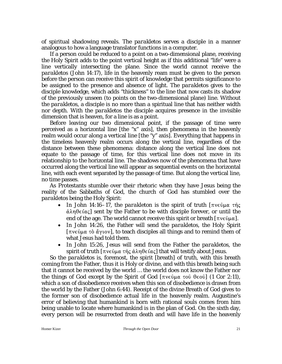of spiritual shadowing reveals. The *parakletos* serves a disciple in a manner analogous to how a language translator functions in a computer.

If a person could be reduced to a point on a two-dimensional plane, receiving the Holy Spirit adds to the point vertical height as if this additional "life" were a line vertically intersecting the plane. Since the world cannot receive the *parakletos* (John 14:17), life in the heavenly ream must be given to the person before the person can receive this spirit of knowledge that permits significance to be assigned to the presence and absence of light. The *parakletos* gives to the disciple knowledge, which adds "thickness" to the line that now casts its shadow of the previously unseen (to points on the two-dimensional plane) line. Without the *parakletos*, a disciple is no more than a spiritual line that has neither width nor depth. With the *parakletos* the disciple acquires presence in the invisible dimension that is heaven, for a line is as a point.

Before leaving our two dimensional point, if the passage of time were perceived as a horizontal line [the "x" axis], then phenomena in the heavenly realm would occur along a vertical line [the "y" axis]. Everything that happens in the timeless heavenly realm occurs along the vertical line, regardless of the distance between these phenomena: distance along the vertical line does not equate to the passage of time, for this vertical line does not move in its relationship to the horizontal line. The shadows now of the phenomena that have occurred along the vertical line will appear as sequential events on the horizontal line, with each event separated by the passage of time. But along the vertical line, no time passes.

As Protestants stumble over their rhetoric when they have Jesus being the reality of the Sabbaths of God, the church of God has stumbled over the *parakletos* being the Holy Spirit:

- In John 14:16–17, the *parakleton* is the spirit of truth [πνεῦμα τῆς  $\alpha\lambda\eta\theta\epsilon\{\alpha\zeta\}$  sent by the Father to be with disciple forever, or until the end of the age. The world cannot receive this spirit or breath  $[\pi v \in \hat{\mathfrak{g}}\mu\alpha]$ .
- In John 14:26, the Father will send the *parakletos*, the Holy Spirit [ $\pi$ νεῦμα τὸ ἄγιον], to teach disciples all things and to remind them of what Jesus had told them.
- In John 15:26, Jesus will send from the Father the *parakletos*, the spirit of truth  $[\pi v \in \hat{\omega} \mu \alpha \pi \hat{\eta} \in \hat{\alpha} \lambda \eta \theta \in \hat{\alpha} \lambda]$  that will testify about Jesus.

So the *parakletos* is, foremost, the spirit [breath] of truth, with this breath coming from the Father, thus it is Holy or divine, and with this breath being such that it cannot be received by the world … the world does not know the Father nor the things of God except by the Spirit of God [B<,Ø:" J@Ø 2,@Ø] (1 Cor 2:11), which a son of disobedience receives when this son of disobedience is drawn from the world by the Father (John 6:44). Receipt of the divine Breath of God gives to the former son of disobedience actual life in the heavenly realm. Augustine's error of believing that humankind is born with rational souls comes from him being unable to locate where humankind is in the plan of God. On the sixth day, every person will be resurrected from death and will have life in the heavenly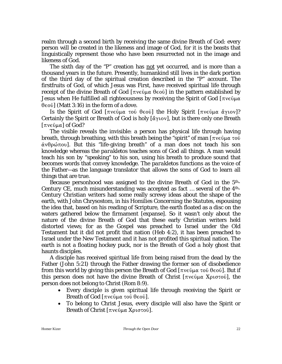realm through a second birth by receiving the same divine Breath of God: every person will be created in the likeness and image of God, for it is the beasts that linguistically represent those who have been resurrected not in the image and likeness of God.

The sixth day of the "P" creation has not yet occurred, and is more than a thousand years in the future. Presently, humankind still lives in the dark portion of the third day of the spiritual creation described in the "P" account. The firstfruits of God, of which Jesus was First, have received spiritual life through receipt of the divine Breath of God  $[\pi v \in \hat{U} \mu \alpha \theta \in \hat{U}]$  in the pattern established by Jesus when He fulfilled all righteousness by receiving the Spirit of God  $\pi v \in \partial \mu \alpha$  $\theta \in \{0\}$  (Matt 3:16) in the form of a dove.

Is the Spirit of God  $[\pi v \in \hat{\theta} \cup \theta \in \hat{\theta}]$  the Holy Spirit  $[\pi v \in \hat{\theta} \cup \theta \in \theta]^2$ Certainly the Spirit or Breath of God is holy  $\left[\alpha\right]$  ( $\alpha$ <sup>t</sup>y to v), but is there only one Breath  $[\pi v \in \hat{v} \mu \alpha]$  of God?

The visible reveals the invisible: a person has physical life through having breath, through breathing, with this breath being the "spirit" of man  $[\pi v \epsilon \hat{v}] \mu \alpha \tau \hat{v} \hat{v}$  $\dot{\alpha}$   $\gamma$  $\beta$  $\alpha$   $\beta$ . But this "life-giving breath" of a man does not teach his son knowledge whereas the *parakletos* teaches sons of God all things. A man would teach his son by "speaking" to his son, using his breath to produce sound that becomes words that convey knowledge. The *parakletos* functions as the voice of the Father—as the language translator that allows the sons of God to learn all things that are true.

Because personhood was assigned to the divine Breath of God in the 5th-Century CE, much misunderstanding was accepted as fact … several of the 4th-Century Christian writers had some really screwy ideas about the shape of the earth, with John Chrysostom, in his *Homilies Concerning the Statutes*, espousing the idea that, based on his reading of Scripture, the earth floated as a disc on the waters gathered below the firmament [expanse]. So it wasn't only about the nature of the divine Breath of God that these early Christian writers held distorted views; for as the Gospel was preached to Israel under the Old Testament but it did not profit that nation (Heb 4:2), it has been preached to Israel under the New Testament and it has not profited this spiritual nation. The earth is not a floating hockey puck, nor is the Breath of God a holy ghost that haunts disciples.

A disciple has received spiritual life from being raised from the dead by the Father (John 5:21) through the Father drawing the former son of disobedience from this world by giving this person the Breath of God [πνεῦμα τοῦ θεοῦ]. But if this person does not have the divine Breath of Christ  $[\pi v \in \hat{\mathfrak{g}} \mu \alpha]$  X $\rho_1 \sigma \sigma_0 \hat{\mathfrak{g}}$ , the person does not belong to Christ (Rom 8:9).

- Every disciple is given spiritual life through receiving the Spirit or Breath of God  $[\pi v \in \hat{\mathfrak{g}} \times \pi v \in \hat{\mathfrak{g}} \times \pi v \in \hat{\mathfrak{g}} \times \hat{\mathfrak{g}}]$ .
- To belong to Christ Jesus, every disciple will also have the Spirit or Breath of Christ  $[\pi v \in \hat{\mathfrak{g}} \times \mathfrak{g} \times \mathfrak{g} \times \mathfrak{g} \times \mathfrak{g} \times \mathfrak{g} \times \mathfrak{g} \times \mathfrak{g} \times \mathfrak{g} \times \mathfrak{g} \times \mathfrak{g} \times \mathfrak{g} \times \mathfrak{g} \times \mathfrak{g} \times \mathfrak{g} \times \mathfrak{g} \times \mathfrak{g} \times \mathfrak{g} \times \mathfrak{g} \times \mathfrak{g} \times \mathfrak{g} \times \mathfrak{g}$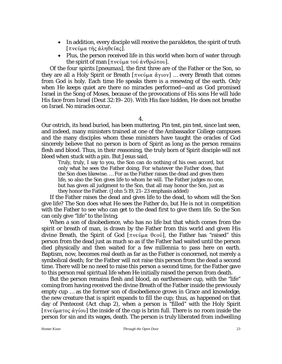- In addition, every disciple will receive the *parakletos*, the spirit of truth  $[\pi v \in \hat{v} \mu \alpha \tau \hat{\eta} \varsigma \dot{\alpha} \lambda \eta \theta \epsilon \tilde{\iota} \alpha \varsigma].$
- Plus, the person received life in this world when born of water through the spirit of man [πνεῦμα τοῦ ἀνθρώπου].

Of the four spirits [*pneumas*], the first three are of the Father or the Son, so they are all a Holy Spirit or Breath  $[\pi v \in \mathfrak{g} \times \mathfrak{g} \times \mathfrak{g} \times \mathfrak{g}]$  ... every Breath that comes from God is holy. Each time He speaks there is a renewing of the earth. Only when He keeps quiet are there no miracles performed—and as God promised Israel in the Song of Moses, because of the provocations of His sons He will hide His face from Israel (Deut 32:19–20). With His face hidden, He does not breathe on Israel. No miracles occur.

4.

Our ostrich, its head buried, has been muttering, *Pin test, pin test*, since last seen, and indeed, many ministers trained at one of the Ambassador College campuses and the many disciples whom these ministers have taught the oracles of God sincerely believe that no person is born of Spirit as long as the person remains flesh and blood. Thus, in their reasoning, the truly born of Spirit disciple will not bleed when stuck with a pin. But Jesus said,

Truly, truly, I say to you, the Son can do nothing of his own accord, but only what he sees the Father doing. *For whatever the Father does, that the Son does likewise*. … For as the Father raises the dead and gives them life, so also the Son gives life to whom he will. The Father judges no one, but has given all judgment to the Son, that all may honor the Son, just as they honor the Father. (John 5:19, 21–23 emphasis added)

If the Father raises the dead and gives life to the dead, to whom will the Son give life? The Son does what He sees the Father do, but He is not in competition with the Father to see who can get to the dead first to give them life. So the Son can only give "life" to the living.

When a son of disobedience, who has no life but that which comes from the spirit or breath of man, is drawn by the Father from this world and given His divine Breath, the Spirit of God [ $\pi$ v $\epsilon$  $\hat{\mu}$  $\alpha$   $\theta$  $\epsilon$  $\hat{\sigma}$ ], the Father has "raised" this person from the dead just as much so as if the Father had waited until the person died physically and then waited for a few millennia to pass here on earth. Baptism, now, becomes real death as far as the Father is concerned, not merely a symbolical death; for the Father will not raise this person from the dead a second time. There will be no need to raise this person a second time, for the Father gave to this person real spiritual life when He initially raised the person from death.

But the person remains flesh and blood, an earthenware cup, with the "life" coming from having received the divine Breath of the Father inside the previously empty cup … as the former son of disobedience grows in Grace and knowledge, the new creature that is spirit expands to fill the cup; thus, as happened on that day of Pentecost (Act chap 2), when a person is "filled" with the Holy Spirit [ $\pi$ νεύματος άγίου] the inside of the cup is brim full. There is no room inside the person for sin and its wages, death. The person is truly liberated from indwelling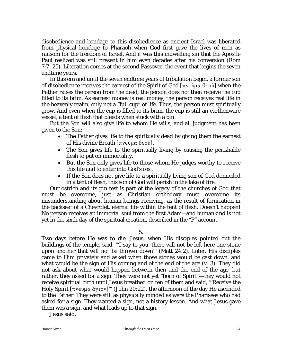disobedience and bondage to this disobedience as ancient Israel was liberated from physical bondage to Pharaoh when God first gave the lives of men as ransom for the freedom of Israel. And it was this indwelling sin that the Apostle Paul realized was still present in him even decades after his conversion (Rom 7:7–25). Liberation comes at the second Passover, the event that begins the seven endtime years.

In this era and until the seven endtime years of tribulation begin, a former son of disobedience receives the earnest of the Spirit of God  $[\pi v \in \hat{\mathfrak{g}}]$  when the Father raises the person from the dead; the person does not then receive the cup filled to its brim. As earnest money is real money, the person receives real life in the heavenly realm, only not a "full cup" of life. Thus, the person must spiritually grow. And even when the cup is filled to its brim, the cup is still an earthenware vessel, a tent of flesh that bleeds when stuck with a pin.

But the Son will also give life to whom He wills, and all judgment has been given to the Son:

- The Father gives life to the spiritually dead by giving them the earnest of His divine Breath  $[\pi v \in \hat{v} \mu \alpha \theta \in \hat{v}$ .
- The Son gives life to the spiritually living by causing the perishable flesh to put on immortality.
- But the Son only gives life to those whom He judges worthy to receive this life and to enter into God's rest.
- If the Son does not give life to a spiritually living son of God domiciled in a tent of flesh, this son of God will perish in the lake of fire.

Our ostrich and its pin test is part of the legacy of the churches of God that must be overcome, just as Christian orthodoxy must overcome its misunderstanding about human beings receiving, as the result of fornication in the backseat of a Chevrolet, eternal life within the tent of flesh. Doesn't happen! No person receives an immortal soul from the first Adam—and humankind is not yet in the sixth day of the spiritual creation, described in the "P" account.

5.

Two days before He was to die, Jesus, when His disciples pointed out the buildings of the temple, said, "'I say to you, there will not be left here one stone upon another that will not be thrown down'" (Matt 24:2). Later, His disciples came to Him privately and asked when those stones would be cast down, and what would be the sign of His coming and of the end of the age (*v.* 3). They did not ask about what would happen between then and the end of the age, but rather, they asked for a sign. They were not yet "born of Spirit"—they would not receive spiritual birth until Jesus breathed on ten of them and said, "'Receive the Holy Spirit  $[\pi v \in \hat{\omega} \mu \alpha \alpha' v \nu v]'$ " (John 20:22), the afternoon of the day He ascended to the Father. They were still as physically minded as were the Pharisees who had asked for a sign. They wanted a sign, not a history lesson. And what Jesus gave them was a sign, and what leads up to that sign.

Jesus said,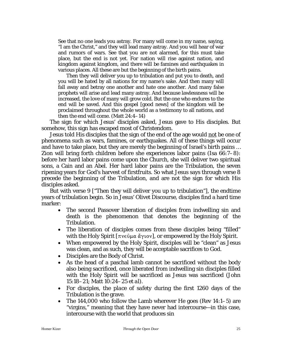See that no one leads you astray. For many will come in my name, saying, "I am the Christ," and they will lead many astray. And you will hear of war and rumors of wars. See that you are not alarmed, for this must take place, but the end is not yet. For nation will rise against nation, and kingdom against kingdom, and there will be famines and earthquakes in various places. All these are but the beginning of the birth pains.

 Then they will deliver you up to tribulation and put you to death, and you will be hated by all nations for my name's sake. And then many will fall away and betray one another and hate one another. And many false prophets will arise and lead many astray. And because lawlessness will be increased, the love of many will grow cold. But the one who endures to the end will be saved. And this gospel [good news] of the kingdom will be proclaimed throughout the whole world as a testimony to all nations, and then the end will come. (Matt 24:4–14)

The sign for which Jesus' disciples asked, Jesus gave to His disciples. But somehow, this sign has escaped most of Christendom.

Jesus told His disciples that the sign of the end of the age would not be one of phenomena such as wars, famines, or earthquakes. All of these things will occur and have to take place, but they are merely the beginning of Israel's birth pains … Zion will bring forth children before she experiences labor pains (Isa 66:7–8): before her hard labor pains come upon the Church, she will deliver two spiritual sons, a Cain and an Abel. Her hard labor pains are the Tribulation, the seven ripening years for God's harvest of firstfruits. So what Jesus says through verse 8 precede the beginning of the Tribulation, and are not the sign for which His disciples asked.

But with verse 9 ["Then they will deliver you up to tribulation"], the endtime years of tribulation begin. So in Jesus' Olivet Discourse, disciples find a hard time marker:

- The second Passover liberation of disciples from indwelling sin and death is the phenomenon that denotes the beginning of the Tribulation.
- The liberation of disciples comes from these disciples being "filled" with the Holy Spirit  $[\pi v \in \hat{\omega} \mu \alpha \ \alpha v \nu]$ , or empowered by the Holy Spirit.
- When empowered by the Holy Spirit, disciples will be "clean" as Jesus was clean, and as such, they will be acceptable sacrifices to God.
- Disciples are the Body of Christ.
- As the head of a paschal lamb cannot be sacrificed without the body also being sacrificed, once liberated from indwelling sin disciples filled with the Holy Spirit will be sacrificed as Jesus was sacrificed (John 15:18–21; Matt 10:24–25 *et al*).
- For disciples, the *place of safety* during the first 1260 days of the Tribulation is the grave.
- The 144,000 who follow the Lamb wherever He goes (Rev 14:1–5) are "virgins," meaning that they have never had intercourse—in this case, intercourse with the world that produces sin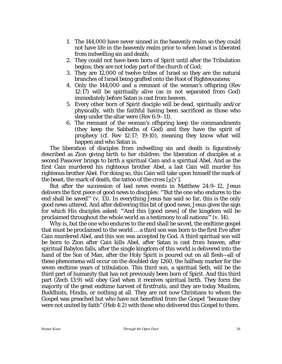- 1. The 144,000 have never sinned in the heavenly realm so they could not have life in the heavenly realm prior to when Israel is liberated from indwelling sin and death;
- 2. They could not have been born of Spirit until after the Tribulation begins; they are not today part of the church of God;
- 3. They are 12,000 of twelve tribes of Israel so they are the natural branches of Israel being grafted onto the Root of Righteousness;
- 4. Only the 144,000 and a remnant of the woman's offspring (Rev 12:17) will be spiritually alive (as in not separated from God) immediately before Satan is cast from heaven.
- 5. Every other born of Spirit disciple will be dead, spiritually and/or physically, with the faithful having been sacrificed as those who sleep under the altar were (Rev 6:9–11).
- 6. The remnant of the woman's offspring keep the commandments (they keep the Sabbaths of God) and they have the spirit of prophecy (*cf.* Rev 12:17; 19:10), meaning they know what will happen and who Satan is.

The liberation of disciples from indwelling sin and death is figuratively described as Zion giving birth to her children: the liberation of disciples at a second Passover brings to birth a spiritual Cain and a spiritual Abel. And as the first Cain murdered his righteous brother Abel, a last Cain will murder his righteous brother Abel. For doing so, this Cain will take upon himself the mark of the beast, the mark of death, the tattoo of the cross  $[\gamma \xi \gamma']$ .

But after the succession of bad news events in Matthew 24:9–12, Jesus delivers the first piece of good news to disciples: "'But the one who endures to the end shall be saved'" (*v.* 13). In everything Jesus has said so far, this is the only good news uttered. And after delivering this bit of good news, Jesus gives the sign for which His disciples asked: "'And this [good news] of the kingdom will be proclaimed throughout the whole world as a testimony to all nations'" (*v.* 14).

Why is, *but the one who endures to the end shall be saved*, the endtime gospel that must be proclaimed to the world … a third son was born to the first Eve after Cain murdered Abel, and this son was accepted by God. A third spiritual son will be born to Zion after Cain kills Abel, after Satan is cast from heaven, after spiritual Babylon falls, after the single kingdom of this world is delivered into the hand of the Son of Man, after the Holy Spirit is poured out on all flesh—all of these phenomena will occur on the doubled day 1260, the halfway marker for the seven endtime years of tribulation. This third son, a spiritual Seth, will be the third part of humanity that has not previously been born of Spirit. And this third part (Zech 13:9) will obey God when it receives spiritual birth. They form the majority of the great endtime harvest of firstfruits, and they are today Muslims, Buddhists, Hindis, or nothing at all. They are not now Christians to whom the Gospel was preached but who have not benefited from the Gospel "because they were not united by faith" (Heb 4:2) with those who delivered this Gospel to them.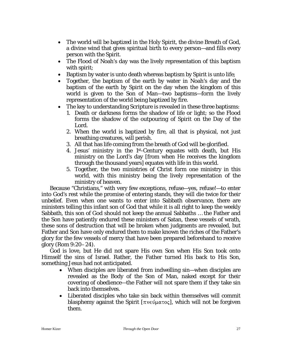- The world will be baptized in the Holy Spirit, the divine Breath of God, a divine wind that gives spiritual birth to every person—and fills every person with the Spirit.
- The Flood of Noah's day was the lively representation of this baptism with spirit;
- Baptism by water is unto death whereas baptism by Spirit is unto life;
- Together, the baptism of the earth by water in Noah's day and the baptism of the earth by Spirit on the day when the kingdom of this world is given to the Son of Man—two baptisms—form the lively representation of the world being baptized by fire.
- The key to understanding Scripture is revealed in these three baptisms:
	- 1. Death or darkness forms the shadow of life or light; so the Flood forms the shadow of the outpouring of Spirit on the Day of the Lord.
	- 2. When the world is baptized by fire, all that is physical, not just breathing creatures, will perish.
	- 3. All that has life coming from the breath of God will be glorified.
	- 4. Jesus' ministry in the 1st-Century equates with death, but His ministry on the Lord's day [from when He receives the kingdom through the thousand years] equates with life in this world.
	- 5. Together, the two ministries of Christ form one ministry in this world, with this ministry being the lively representation of the ministry of heaven.

Because "Christians," with very few exceptions, refuse—yes, refuse!—to enter into God's rest while the promise of entering stands, they will die twice for their unbelief. Even when one wants to enter into Sabbath observance, there are ministers telling this infant son of God that while it is all right to keep the weekly Sabbath, this son of God should not keep the annual Sabbaths … the Father and the Son have patiently endured these ministers of Satan, these vessels of wrath, these sons of destruction that will be broken when judgments are revealed, but Father and Son have only endured them to make known the riches of the Father's glory for the few vessels of mercy that have been prepared beforehand to receive glory (Rom 9:20–24).

God is love, but He did not spare His own Son when His Son took onto Himself the sins of Israel. Rather, the Father turned His back to His Son, something Jesus had not anticipated.

- When disciples are liberated from indwelling sin—when disciples are revealed as the Body of the Son of Man, naked except for their covering of obedience—the Father will not spare them if they take sin back into themselves.
- Liberated disciples who take sin back within themselves will commit blasphemy against the Spirit  $[\pi v \in \mathfrak{C} \cup \mathfrak{C} \times \mathfrak{C}]$ , which will not be forgiven them.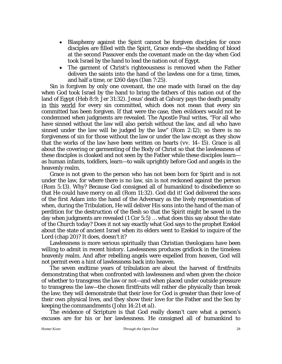- Blasphemy against the Spirit cannot be forgiven disciples for once disciples are filled with the Spirit, Grace ends—the shedding of blood at the second Passover ends the covenant made on the day when God took Israel by the hand to lead the nation out of Egypt.
- The garment of Christ's righteousness is removed when the Father delivers the saints into the hand of the lawless one for a time, times, and half a time, or 1260 days (Dan 7:25).

Sin is forgiven by only one covenant, the one made with Israel on the day when God took Israel by the hand to bring the fathers of this nation out of the land of Egypt (Heb 8:9; Jer 31:32). Jesus' death at Calvary pays the death penalty in this world for every sin committed, which does not mean that every sin committed has been forgiven. If that were the case, then evildoers would not be condemned when judgments are revealed. The Apostle Paul writes, "For all who have sinned without the law will also perish without the law, and all who have sinned under the law will be judged by the law" (Rom 2:12); so there is no forgiveness of sin for those without the law or under the law except as they show that the works of the law have been written on hearts (*vv.* 14–15). Grace is all about the covering or garmenting of the Body of Christ so that the lawlessness of these disciples is cloaked and not seen by the Father while these disciples learn as human infants, toddlers, learn—to walk uprightly before God and angels in the heavenly realm.

Grace is not given to the person who has not been born for Spirit and is not under the law, for where there is no law, sin is not reckoned against the person (Rom 5:13). Why? Because God consigned all of humankind to disobedience so that He could have mercy on all (Rom 11:32). God did it! God delivered the sons of the first Adam into the hand of the Adversary as the lively representation of when, during the Tribulation, He will deliver His sons into the hand of the man of perdition for the destruction of the flesh so that the Spirit might be saved in the day when judgments are revealed (1 Cor 5:5) … what does this say about the state of the Church today? Does it not say exactly what God says to the prophet Ezekiel about the state of ancient Israel when its elders went to Ezekiel to inquire of the Lord (chap 20)? It does, doesn't it?

Lawlessness is more serious spiritually than Christian theologians have been willing to admit in recent history. Lawlessness produces gridlock in the timeless heavenly realm. And after rebelling angels were expelled from heaven, God will not permit even a hint of lawlessness back into heaven.

The seven endtime years of tribulation are about the harvest of firstfruits demonstrating that when confronted with lawlessness and when given the choice of whether to transgress the law or not—and when placed under outside pressure to transgress the law—the chosen firstfruits will rather die physically than break the law; they will demonstrate that their love for God is greater than their love of their own physical lives, and they show their love for the Father and the Son by keeping the commandments (John 14:21 *et al*).

The evidence of Scripture is that God really doesn't care what a person's excuses are for his or her lawlessness. He consigned all of humankind to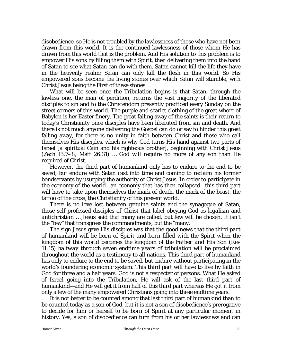disobedience, so He is not troubled by the lawlessness of those who have not been drawn from this world. It is the continued lawlessness of those whom He has drawn from this world that is the problem. And His solution to this problem is to empower His sons by filling them with Spirit, then delivering them into the hand of Satan to see what Satan can do with them. Satan cannot kill the life they have in the heavenly realm; Satan can only kill the flesh in this world. So His empowered sons become the living stones over which Satan will stumble, with Christ Jesus being the First of these stones.

What will be seen once the Tribulation begins is that Satan, through the lawless one, the man of perdition, returns the vast majority of the liberated disciples to sin and to the Christendom presently practiced every Sunday on the street corners of this world. The purple and scarlet clothing of the great whore of Babylon is her Easter finery. The great falling away of the saints is their return to today's Christianity once disciples have been liberated from sin and death. And there is not much anyone delivering the Gospel can do or say to hinder this great falling away, for there is no unity in faith between Christ and those who call themselves His disciples, which is why God turns His hand against two parts of Israel [a spiritual Cain and his righteous brother], beginning with Christ Jesus (Zech 13:7–8; Matt 26:31) … God will require no more of any son than He required of Christ.

However, the third part of humankind only has to endure to the end to be saved, but endure with Satan cast into time and coming to reclaim his former bondservants by usurping the authority of Christ Jesus. In order to participate in the economy of the world—an economy that has then collapsed—this third part will have to take upon themselves the mark of death, the mark of the beast, the tattoo of the cross, the Christianity of this present world.

There is no love lost between genuine saints and the synagogue of Satan, those self-professed disciples of Christ that label obeying God as *legalism* and *antichristian* … Jesus said that many are called, but few will be chosen. It isn't the "few" that transgress the commandments, but the "many."

The sign Jesus gave His disciples was that the *good news that the third part of humankind will be born of Spirit and born filled with the Spirit when the kingdom of this world becomes the kingdom of the Father and His Son (Rev 11:15) halfway through seven endtime years of tribulation* will be proclaimed throughout the world as a testimony to all nations. This third part of humankind has only to endure to the end to be saved, but endure without participating in the world's foundering economic system. This third part will have to live by faith in God for three and a half years. God is not a respecter of persons. What He asked of Israel going into the Tribulation, He will ask of the last third part of humankind—and He will get it from half of this third part whereas He got it from only a few of the many empowered Christians going into these endtime years.

It is not better to be counted among that last third part of humankind than to be counted today as a son of God, but it is not a son of disobedience's prerogative to decide for him or herself to be born of Spirit at any particular moment in history. Yes, a son of disobedience can turn from his or her lawlessness and can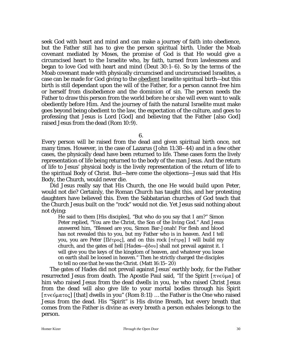seek God with heart and mind and can make a journey of faith into obedience, but the Father still has to give the person spiritual birth. Under the Moab covenant mediated by Moses, the promise of God is that He would give a circumcised heart to the Israelite who, by faith, turned from lawlessness and began to love God with heart and mind (Deut 30:1–6). So by the terms of the Moab covenant made with physically circumcised and uncircumcised Israelites, a case can be made for God giving to the obedient Israelite spiritual birth—but this birth is still dependant upon the will of the Father, for a person cannot free him or herself from disobedience and the dominion of sin. The person needs the Father to draw this person from the world before he or she will even want to walk obediently before Him. And the journey of faith the natural Israelite must make goes beyond being obedient to the law, the expectation of the culture, and goes to professing that Jesus is Lord [God] and believing that the Father [also God] raised Jesus from the dead (Rom 10:9).

6.

Every person will be raised from the dead and given spiritual birth once, not many times. However, in the case of Lazarus (John 11:38–44) and in a few other cases, the physically dead have been returned to life. These cases form the lively representation of life being returned to the body of the man Jesus. And the return of life to Jesus' physical body is the lively representation of the return of life to the spiritual Body of Christ. But—here come the objections—Jesus said that His Body, the Church, would never die.

Did Jesus really say that His Church, the one He would build upon Peter, would not die? Certainly, the Roman Church has taught this, and her protesting daughters have believed this. Even the Sabbatarian churches of God teach that the Church Jesus built on the "rock" would not die. Yet Jesus said nothing about not dying:

He said to them [His disciples], "But who do you say that I am?" Simon Peter replied, "You are the Christ, the Son of the living God." And Jesus answered him, "Blessed are you, Simon Bar-Jonah! For flesh and blood has not revealed this to you, but my Father who is in heaven. And I tell you, you are Peter [Πέτρος], and on this rock [πέτρα] I will build my church, and the gates of hell [*Hades*— $\phi$ ov] shall not prevail against it. I will give you the keys of the kingdom of heaven, and whatever you loose on earth shall be loosed in heaven." Then he strictly charged the disciples to tell no one that he was the Christ. (Matt 16:15–20)

The gates of Hades did not prevail against Jesus' earthly body, for the Father resurrected Jesus from death. The Apostle Paul said, "If the Spirit  $[\pi v \in \hat{U} \cup \alpha]$  of him who raised Jesus from the dead dwells in you, he who raised Christ Jesus from the dead will also give life to your mortal bodies through his Spirit  $[\pi v \in \mathfrak{g}][\pi v \in \mathfrak{g}]$  [that] dwells in you" (Rom 8:11) ... the Father is the One who raised Jesus from the dead. His "Spirit" is His divine Breath, but every breath that comes from the Father is divine as every breath a person exhales belongs to the person.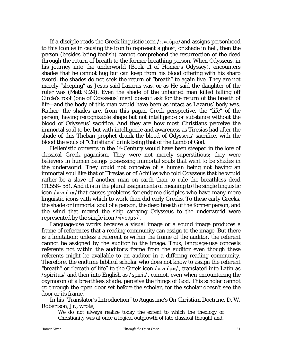If a disciple reads the Greek linguistic icon  $/\pi v \in \hat{O}(\mu\alpha)$  and assigns personhood to this icon as in causing the icon to represent a ghost, or shade in hell, then the person (besides being foolish) cannot comprehend the resurrection of the dead through the return of breath to the former breathing person. When Odysseus, in his journey into the underworld (Book 11 of Homer's *Odyssey*), encounters shades that he cannot hug but can keep from his blood offering with his sharp sword, the shades do not seek the return of "breath" to again live. They are not merely "sleeping" as Jesus said Lazarus was, or as He said the daughter of the ruler was (Matt 9:24). Even the shade of the unburied man killed falling off Circle's roof (one of Odysseus' men) doesn't ask for the return of the breath of life—and the body of this man would have been as intact as Lazarus' body was. Rather, the shades are, from this pagan Greek perspective, the "life" of the person, having recognizable shape but not intelligence or substance without the blood of Odysseus' sacrifice. And they are how most Christians perceive the immortal soul to be, but with intelligence and awareness as Tiresias had after the shade of this Theban prophet drank the blood of Odysseus' sacrifice, with the blood the souls of "Christians" drink being that of the Lamb of God.

Hellenistic converts in the 1st-Century would have been steeped in the lore of classical Greek paganism. They were not merely superstitious; they were believers in human beings possessing immortal souls that went to be shades in the underworld. They could not conceive of a human being not having an immortal soul like that of Tiresias or of Achilles who told Odysseus that he would rather be a slave of another man on earth than to rule the breathless dead (11.556–58). And it is in the plural assignments of meaning to the single linguistic icon  $/\pi v \in \hat{U} \mu \alpha$ /that causes problems for endtime disciples who have many more linguistic icons with which to work than did early Greeks. To these early Greeks, the shade or immortal soul of a person, the deep breath of the former person, and the wind that moved the ship carrying Odysseus to the underworld were represented by the single icon  $/\pi v \in \hat{U} \mu \alpha/$ .

Language-use works because a visual image or a sound image produces a frame of references that a reading community can assign to the image. But there is a limitation: unless a referent is within the frame of the auditor, the referent cannot be assigned by the auditor to the image. Thus, language-use conceals referents not within the auditor's frame from the auditor even though these referents might be available to an auditor in a differing reading community. Therefore, the endtime biblical scholar who does not know to assign the referent "breath" or "breath of life" to the Greek icon  $/\pi v \in \hat{O}(\mu \alpha)$ , translated into Latin as /*spiritus*/ and then into English as /*spirit*/, cannot, even when encountering the oxymoron of a *breathless shade*, perceive the things of God. This scholar cannot go through the open door set before the scholar, for the scholar doesn't see the door or its frame.

In his "Translator's Introduction" to Augustine's *On Christian Doctrine*, D. W. Robertson, Jr., wrote,

We do not always realize today the extent to which the theology of Christianity was at once a logical outgrowth of late classical thought and,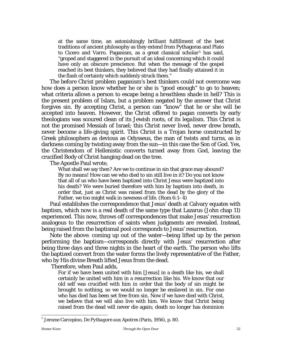at the same time, an astonishingly brilliant fulfillment of the best traditions of ancient philosophy as they extend from Pythagoras and Plato to Cicero and Varro. Paganism, as a great classical scholar<sup>[5](#page-34-0)</sup> has said, "groped and staggered in the pursuit of an ideal concerning which it could have only an obscure prescience. But when the message of the gospel reached its best thinkers, they believed that they had finally attained it in the flash of certainty which suddenly struck them."

The *before Christ* problem paganism's best thinkers could not overcome was how does a person know whether he or she is "good enough" to go to heaven; what criteria allows a person to escape being a *breathless shade* in hell? This is the present problem of Islam, but a problem negated by the answer that Christ forgives sin. By accepting Christ, a person can "know" that he or she will be accepted into heaven. However, the *Christ* offered to pagan converts by early theologians was scoured clean of its Jewish roots, of its *legalism*. This *Christ* is not the promised Messiah of Israel; this *Christ* never lived, never drew breath, never become a life-giving spirit. This *Christ* is a Trojan horse constructed by Greek philosophers as devious as Odysseus, the man of twists and turns, as in darkness coming by twisting away from the sun—in this case the Son of God. Yes, the Christendom of Hellenistic converts turned away from God, leaving the crucified Body of Christ hanging dead on the tree.

The Apostle Paul wrote,

What shall we say then? Are we to continue in sin that grace may abound? By no means! How can we who died to sin still live in it? Do you not know that all of us who have been baptized into Christ Jesus were baptized into his death? We were buried therefore with him by baptism into death, in order that, just as Christ was raised from the dead by the glory of the Father, we too might walk in newness of life. (Rom 6:1–4)

Paul establishes the correspondence that Jesus' death at Calvary equates with baptism, which now is a real death of the same type that Lazarus (John chap 11) experienced. This now, throws off correspondences that make Jesus' resurrection analogous to the resurrection of saints when judgments are revealed. Instead, being raised from the baptismal pool corresponds to Jesus' resurrection.

Note the above: coming up out of the water—being lifted up by the person performing the baptism—corresponds directly with Jesus' resurrection after being three days and three nights in the heart of the earth. The person who lifts the baptized convert from the water forms the lively representative of the Father, who by His divine Breath lifted Jesus from the dead.

Therefore, when Paul adds,

For if we have been united with him [Jesus] in a death like his, we shall certainly be united with him in a resurrection like his. We know that our old self was crucified with him in order that the body of sin might be brought to nothing, so we would no longer be enslaved in sin. For one who has died has been set free from sin. Now if we have died with Christ, we believe that we will also live with him. We know that Christ being raised from the dead will never die again; death no longer has dominion

 $\overline{\phantom{a}}$ 

<span id="page-34-0"></span><sup>5</sup> Jerome Carcopino, *De Pythagore aux Apotres* (Paris, 1956), p. 80.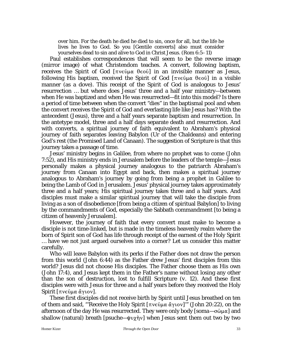over him. For the death he died he died to sin, once for all, but the life he lives he lives to God. So you [Gentile converts] also must consider yourselves dead to sin and alive to God in Christ Jesus. (Rom 6:5–11)

Paul establishes correspondences that will seem to be the reverse image (mirror image) of what Christendom teaches. A convert, following baptism, receives the Spirit of God  $[\pi v \in \mathfrak{g} \times \mathfrak{g}]$  in an invisible manner as Jesus, following His baptism, received the Spirit of God  $[\pi\nu \in \hat{\mathfrak{g}}$  and  $\theta \in \hat{\mathfrak{g}}]$  in a visible manner (as a dove). This receipt of the Spirit of God is analogous to Jesus' resurrection … but where does Jesus' three and a half year ministry—between when He was baptized and when He was resurrected—fit into this model? Is there a period of time between when the convert "dies" in the baptismal pool and when the convert receives the Spirit of God and everlasting life like Jesus has? With the antecedent (Jesus), three and a half years separate baptism and resurrection. In the antetype model, three and a half days separate death and resurrection. And with converts, a spiritual journey of faith equivalent to Abraham's physical journey of faith separates leaving Babylon (Ur of the Chaldeans) and entering God's rest (the Promised Land of Canaan). The suggestion of Scripture is that this journey takes a passage of time.

Jesus' ministry begins in Galilee, from where no prophet was to come (John 7:52), and His ministry ends in Jerusalem before the leaders of the temple—Jesus personally makes a physical journey analogous to the patriarch Abraham's journey from Canaan into Egypt and back, then makes a spiritual journey analogous to Abraham's journey by going from being a prophet in Galilee to being the Lamb of God in Jerusalem. Jesus' physical journey takes approximately three and a half years; His spiritual journey takes three and a half years. And disciples must make a similar spiritual journey that will take the disciple from living as a son of disobedience [from being a citizen of spiritual Babylon] to living by the commandments of God, especially the Sabbath commandment [to being a citizen of heavenly Jerusalem].

However, the journey of faith that every convert must make to become a disciple is not time-linked, but is made in the timeless heavenly realm where the born of Spirit son of God has life through receipt of the earnest of the Holy Spirit … have we not just argued ourselves into a corner? Let us consider this matter carefully.

Who will leave Babylon with its perks if the Father does not draw the person from this world (John 6:44) as the Father drew Jesus' first disciples from this world? Jesus did not choose His disciples. The Father choose them as His own (John 17:4), and Jesus kept them in the Father's name without losing any other than the son of destruction, lost to fulfill Scripture (*v.* 12). And these first disciples were with Jesus for three and a half years before they received the Holy Spirit  $[\pi v \in \hat{v} \mu \alpha \, \hat{\alpha} \gamma v \, o \nu].$ 

These first disciples did not receive birth by Spirit until Jesus breathed on ten of them and said, "Receive the Holy Spirit  $[\pi v \in \hat{\mathfrak{g}} \times \hat{\mathfrak{g}} \times \hat{\mathfrak{g}} \times \hat{\mathfrak{g}} \times \hat{\mathfrak{g}} \times \hat{\mathfrak{g}} \times \hat{\mathfrak{g}} \times \hat{\mathfrak{g}} \times \hat{\mathfrak{g}} \times \hat{\mathfrak{g}} \times \hat{\mathfrak{g}} \times \hat{\mathfrak{g}} \times \hat{\mathfrak{g}} \times \hat{\mathfrak{g}} \times \hat{\mathfrak{g}} \times \hat{\mathfrak{$ afternoon of the day He was resurrected. They were only body  $[soma-\sigma\hat{\omega}\mu\alpha]$  and shallow (natural) breath [*psuche*—ψυχὴν] when Jesus sent them out two by two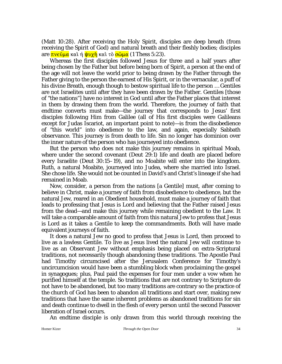(Matt 10:28). After receiving the Holy Spirit, disciples are deep breath (from receiving the Spirit of God) and natural breath and their fleshly bodies; disciples are <mark>πνεῦμα</mark> καὶ ἡ <mark>ψυχὴ</mark> καὶ τὸ <mark>σῶμα</mark> (1 Thess 5:23).

Whereas the first disciples followed Jesus for three and a half years after being chosen by the Father but before being born of Spirit, a person at the end of the age will not leave the world prior to being drawn by the Father through the Father giving to the person the earnest of His Spirit, or in the vernacular, a puff of his divine Breath, enough though to bestow spiritual life to the person … Gentiles are not Israelites until after they have been drawn by the Father. Gentiles [those of "the nations"] have no interest in God until after the Father places that interest in them by drawing them from the world. Therefore, the journey of faith that endtime converts must make—the journey that corresponds to Jesus' first disciples following Him from Galilee (all of His first disciples were Galileans except for Judas Iscariot, an important point to note)—is from the disobedience of "this world" into obedience to the law, and again, especially Sabbath observance. This journey is from death to life. Sin no longer has dominion over the inner nature of the person who has journeyed into obedience.

But the person who does not make this journey remains in spiritual Moab, where under the second covenant (Deut 29:1) life and death are placed before every Israelite (Deut 30:15–19), and no Moabite will enter into the kingdom. Ruth, a natural Moabite, journeyed into Judea, where she married into Israel. She chose life. She would not be counted in David's and Christ's lineage if she had remained in Moab.

Now, consider, a person from *the nations* [a Gentile] must, after coming to believe in Christ, make a journey of faith from disobedience to obedience, but the natural Jew, reared in an Obedient household, must make a journey of faith that leads to professing that Jesus is Lord and believing that the Father raised Jesus from the dead—and make this journey while remaining obedient to the Law. It will take a comparable amount of faith from this natural Jew to profess that Jesus is Lord as it takes a Gentile to keep the commandments. Both will have made equivalent journeys of faith.

It does a natural Jew no good to profess that Jesus is Lord, then proceed to live as a lawless Gentile. To live as Jesus lived the natural Jew will continue to live as an Observant Jew without emphasis being placed on extra-Scriptural traditions, not necessarily though abandoning these traditions. The Apostle Paul had Timothy circumcised after the Jerusalem Conference for Timothy's uncircumcision would have been a stumbling block when proclaiming the gospel in synagogues; plus, Paul paid the expenses for four men under a vow when he purified himself at the temple. So traditions that are not contrary to Scripture do not have to be abandoned, but too many traditions are contrary so the practice of the church of God has been to abandon all traditions and start over, making new traditions that have the same inherent problems as abandoned traditions for sin and death continue to dwell in the flesh of every person until the second Passover liberation of Israel occurs.

An endtime disciple is only drawn from this world through receiving the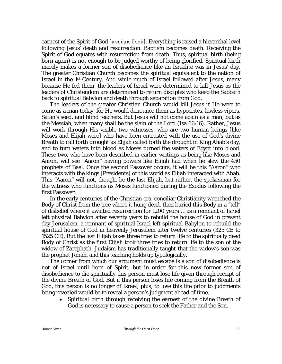earnest of the Spirit of God  $[\pi v \in \mathfrak{g} \times \mathfrak{g}]$ . Everything is raised a hierarchal level following Jesus' death and resurrection. Baptism becomes death. Receiving the Spirit of God equates with resurrection from death. Thus, spiritual birth (being born again) is not enough to be judged worthy of being glorified. Spiritual birth merely makes a former son of disobedience like an Israelite was in Jesus' day. The greater Christian Church becomes the spiritual equivalent to the nation of Israel in the 1st-Century. And while much of Israel followed after Jesus, many because He fed them, the leaders of Israel were determined to kill Jesus as the leaders of Christendom are determined to return disciples who keep the Sabbath back to spiritual Babylon and death through separation from God.

The leaders of the greater Christian Church would kill Jesus if He were to come as a man today, for He would denounce them as hypocrites, lawless vipers, Satan's seed, and blind teachers. But Jesus will not come again as a man, but as the Messiah, when many shall be the slain of the Lord (Isa 66:16). Rather, Jesus will work through His visible two witnesses, who are two human beings [like Moses and Elijah were] who have been entrusted with the use of God's divine Breath to call forth drought as Elijah called forth the drought in King Ahab's day, and to turn waters into blood as Moses turned the waters of Egypt into blood. These two, who have been described in earlier writings as being like Moses and Aaron, will see "Aaron" having powers like Elijah had when he slew the 450 prophets of Baal. Once the second Passover occurs, it will be this "Aaron" who interacts with the kings [Presidents] of this world as Elijah interacted with Ahab. This "Aaron" will not, though, be the last Elijah, but rather, the spokesman for the witness who functions as Moses functioned during the Exodus following the first Passover.

In the early centuries of the Christian era, conciliar Christianity wrenched the Body of Christ from the tree where it hung dead, then buried this Body in a "tell" of disbelief where it awaited resurrection for 1200 years … as a remnant of Israel left physical Babylon after seventy years to rebuild the house of God in present day Jerusalem, a remnant of spiritual Israel left spiritual Babylon to rebuild the spiritual house of God in heavenly Jerusalem after twelve centuries (325 CE to 1525 CE). But the last Elijah takes three tries to return life to the spiritually dead Body of Christ as the first Elijah took three tries to return life to the son of the widow of Zarephath. Judaism has traditionally taught that the widow's son was the prophet Jonah, and this teaching holds up typologically.

The corner from which our argument must escape is a son of disobedience is not of Israel until born of Spirit, but in order for this now former son of disobedience to die spiritually this person must lose life given through receipt of the divine Breath of God. But if this person loses life coming from the Breath of God, this person is no longer of Israel; plus, to lose this life prior to judgments being revealed would be to reveal a person's judgment ahead of time.

• Spiritual birth through receiving the earnest of the divine Breath of God is necessary to cause a person to seek the Father and the Son.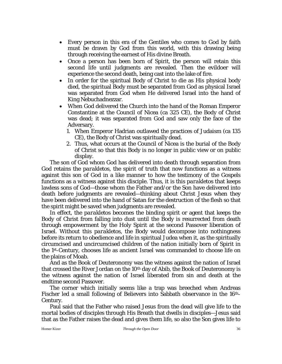- Every person in this era of the Gentiles who comes to God by faith must be drawn by God from this world, with this drawing being through receiving the earnest of His divine Breath.
- Once a person has been born of Spirit, the person will retain this second life until judgments are revealed. Then the evildoer will experience the second death, being cast into the lake of fire.
- In order for the spiritual Body of Christ to die as His physical body died, the spiritual Body must be separated from God as physical Israel was separated from God when He delivered Israel into the hand of King Nebuchadnezzar.
- When God delivered the Church into the hand of the Roman Emperor Constantine at the Council of Nicea (ca 325 CE), the Body of Christ was dead; it was separated from God and saw only the face of the Adversary.
	- 1. When Emperor Hadrian outlawed the practices of Judaism (ca 135 CE), the Body of Christ was spiritually dead.
	- 2. Thus, what occurs at the Council of Nicea is the burial of the Body of Christ so that this Body is no longer in public view or on public display.

The son of God whom God has delivered into death through separation from God retains the *parakletos*, the spirit of truth that now functions as a witness against this son of God in a like manner to how the testimony of the Gospels functions as a witness against this disciple. Thus, it is this *parakletos* that keeps lawless sons of God—those whom the Father and/or the Son have delivered into death before judgments are revealed—thinking about Christ Jesus when they have been delivered into the hand of Satan for the destruction of the flesh so that the spirit might be saved when judgments are revealed.

In effect, the *parakletos* becomes the binding spirit or agent that keeps the Body of Christ from falling into dust until the Body is resurrected from death through empowerment by the Holy Spirit at the second Passover liberation of Israel. Without this *parakletos*, the Body would decompose into nothingness before its return to obedience and life in spiritual Judea when it, as the spiritually circumcised and uncircumcised children of the nation initially born of Spirit in the 1st-Century, chooses life as ancient Israel was commanded to choose life on the plains of Moab.

And as the Book of Deuteronomy was the witness against the nation of Israel that crossed the River Jordan on the 10th day of Abib, the Book of Deuteronomy is the witness against the nation of Israel liberated from sin and death at the endtime second Passover.

The corner which initially seems like a trap was breeched when Andreas Fischer led a small following of Believers into Sabbath observance in the 16th-Century.

Paul said that the Father who raised Jesus from the dead will give life to the mortal bodies of disciples through His Breath that dwells in disciples—Jesus said that as the Father raises the dead and gives them life, so also the Son gives life to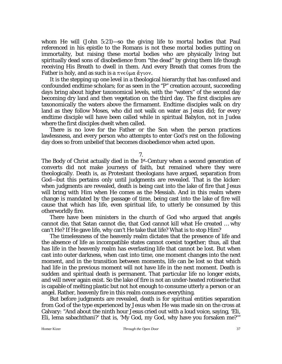whom He will (John 5:21)—so the *giving life to mortal bodies* that Paul referenced in his epistle to the Romans is not these mortal bodies putting on immortality, but raising these mortal bodies who are physically living but spiritually dead sons of disobedience from "the dead" by giving them life though receiving His Breath to dwell in them. And every Breath that comes from the Father is holy, and as such is a  $\pi v \in \hat{U} \mu \alpha \alpha \gamma v$ .

It is the stepping up one level in a theological hierarchy that has confused and confounded endtime scholars; for as seen in the "P" creation account, succeeding days bring about higher taxonomical levels, with the "waters" of the second day becoming dry land and then vegetation on the third day. The first disciples are taxonomically the waters above the firmament. Endtime disciples walk on dry land as they follow Moses, who did not walk on water as Jesus did; for every endtime disciple will have been called while in spiritual Babylon, not in Judea where the first disciples dwelt when called.

There is no love for the Father or the Son when the person practices lawlessness, and every person who attempts to enter God's rest on the following day does so from unbelief that becomes disobedience when acted upon.

7.

The Body of Christ actually died in the 1st-Century when a second generation of converts did not make journeys of faith, but remained where they were theologically. Death is, as Protestant theologians have argued, separation from God—but this pertains only until judgments are revealed. That is the kicker: when judgments are revealed, death is being cast into the lake of fire that Jesus will bring with Him when He comes as the Messiah. And in this realm where change is mandated by the passage of time, being cast into the lake of fire will cause that which has life, even spiritual life, to utterly be consumed by this otherworldly fire.

There have been ministers in the church of God who argued that angels cannot die, that Satan cannot die, that God cannot kill what He created … why can't He? If He gave life, why can't He take that life? What is to stop Him?

The timelessness of the heavenly realm dictates that the presence of life and the absence of life as incompatible states cannot coexist together; thus, all that has life in the heavenly realm has everlasting life that cannot be lost. But when cast into outer darkness, when cast into time, one moment changes into the next moment, and in the transition between moments, life can be lost so that which had life in the previous moment will not have life in the next moment. Death is sudden and spiritual death is permanent. That particular life no longer exists, and will never again exist. So the lake of fire is not an under-heated rotisserie that is capable of melting plastic but not hot enough to consume utterly a person or an angel. Rather, heavenly fire in this realm consumes everything.

But before judgments are revealed, death is for spiritual entities separation from God of the type experienced by Jesus when He was made sin on the cross at Calvary: "And about the ninth hour Jesus cried out with a loud voice, saying, 'Eli, Eli, lema sabachthani?' that is, 'My God, my God, why have you forsaken me?'"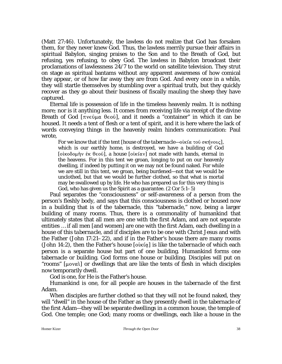(Matt 27:46). Unfortunately, the lawless do not realize that God has forsaken them, for they never knew God. Thus, the lawless merrily pursue their affairs in spiritual Babylon, singing praises to the Son and to the Breath of God, but refusing, yes refusing, to obey God. The lawless in Babylon broadcast their proclamations of lawlessness 24/7 to the world on satellite television. They strut on stage as spiritual bantams without any apparent awareness of how comical they appear, or of how far away they are from God. And every once in a while, they will startle themselves by stumbling over a spiritual truth, but they quickly recover as they go about their business of fiscally mauling the sheep they have captured.

Eternal life is possession of life in the timeless heavenly realm. It is nothing more; nor is it anything less. It comes from receiving life via receipt of the divine Breath of God  $[\pi v \in \hat{\theta} \cup \theta \in \hat{\theta}]$ , and it needs a "container" in which it can be housed. It needs a tent of flesh or a tent of spirit, and it is here where the lack of words conveying things in the heavenly realm hinders communication: Paul wrote,

For we know that if the tent [*house of the tabernacle*—οἰκία τοῦ σκήνους], which is our earthly home, is destroyed, we have a building of God [οίκοδομήν έκ θεού], a house [οίκίαν] not made with hands, eternal in the heavens. For in this tent we groan, longing to put on our heavenly dwelling, if indeed by putting it on we may not be found naked. For while we are still in this tent, we groan, being burdened—not that we would be unclothed, but that we would be further clothed, so that what is mortal may be swallowed up by life. He who has prepared us for this very thing is God, who has given us the Spirit as a guarantee. (2 Cor 5:1–5)

Paul separates the "consciousness" or self-awareness of a person from the person's fleshly body, and says that this consciousness is clothed or housed now in a building that is of the tabernacle, this "tabernacle," now, being a larger building of many rooms. Thus, there is a commonality of humankind that ultimately states that all men are one with the first Adam, and are not separate entities … if all men [and women] are one with the first Adam, each dwelling in *a house of this tabernacle*, and if disciples are to be one with Christ Jesus and with the Father (John 17:21–22), and if in the Father's house there are many rooms (John 14:2), then the Father's house  $[oik\omega]$  is like the *tabernacle* of which each person is a separate house but part of one building. Humankind forms one tabernacle or building. God forms one house or building. Disciples will put on "rooms" [μοναὶ] or dwellings that are like the tents of flesh in which disciples now temporarily dwell.

God is one, for He is the Father's house.

Humankind is one, for all people are *houses in the tabernacle* of the first Adam.

When disciples are further clothed so that they will not be found naked, they will "dwell" in the house of the Father as they presently dwell in the tabernacle of the first Adam—they will be separate dwellings in a common house, the temple of God. One temple; one God; many rooms or dwellings, each like a house in the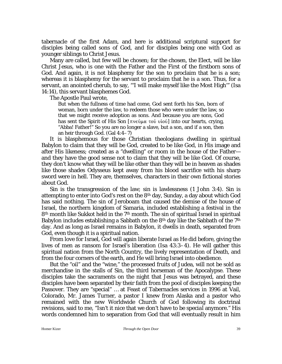tabernacle of the first Adam, and here is additional scriptural support for disciples being called sons of God, and for disciples being one with God as younger siblings to Christ Jesus.

Many are called, but few will be chosen; for *the chosen*, the Elect, will be like Christ Jesus, who is one with the Father and the First of the firstborn sons of God. And again, it is not blasphemy for the son to proclaim that he is a son; whereas it is blasphemy for the servant to proclaim that he is a son. Thus, for a servant, an anointed cherub, to say, "'I will make myself like the Most High'" (Isa 14:14), this servant blasphemes God.

The Apostle Paul wrote,

But when the fullness of time had come, God sent forth his Son, born of woman, born under the law, to redeem those who were under the law, so that we might receive adoption as sons. And because you are sons, God has sent the Spirit of His Son  $[\pi v \in \mathfrak{g} \nu]$  are viour hearts, crying, "Abba! Father!" So you are no longer a slave, but a son, and if a son, then an heir through God. (Gal 4:4–7)

It is blasphemous for those Christian theologians dwelling in spiritual Babylon to claim that they will be God, created to be like God, in His image and after His likeness; created as a "dwelling" or room in the house of the Father and they have the good sense not to claim that they will be like God. Of course, they don't know what they will be like other than they will be in heaven as shades like those shades Odysseus kept away from his blood sacrifice with his sharp sword were in hell. They are, themselves, characters in their own fictional stories about God.

Sin is the transgression of the law; sin is lawlessness (1 John 3:4). Sin is attempting to enter into God's rest on the 8th day, Sunday, a day about which God has said nothing. The sin of Jeroboam that caused the demise of the house of Israel, the northern kingdom of Samaria, included establishing a festival in the  $8<sup>th</sup>$  month like Sukkot held in the 7<sup>th</sup> month. The sin of spiritual Israel in spiritual Babylon includes establishing a Sabbath on the 8<sup>th</sup> day like the Sabbath of the 7<sup>th</sup> day. And as long as Israel remains in Babylon, it dwells in death, separated from God, even though it is a spiritual nation.

From love for Israel, God will again liberate Israel as He did before, giving the lives of men as ransom for Israel's liberation (Isa 43:3–4). He will gather this spiritual nation from the North Country, the lively representation of Death, and from the four corners of the earth, and He will bring Israel into obedience.

But the "oil" and the "wine," the processed fruits of Judea, will not be sold as merchandise in the stalls of Sin, the third horseman of the Apocalypse. These disciples take the sacraments on the night that Jesus was betrayed, and these disciples have been separated by their faith from the pool of disciples keeping the Passover. They are "special" … at Feast of Tabernacles services in 1996 at Vail, Colorado, Mr. James Turner, a pastor I knew from Alaska and a pastor who remained with the new Worldwide Church of God following its doctrinal revisions, said to me, "Isn't it nice that we don't have to be *special* anymore." His words condemned him to separation from God that will eventually result in him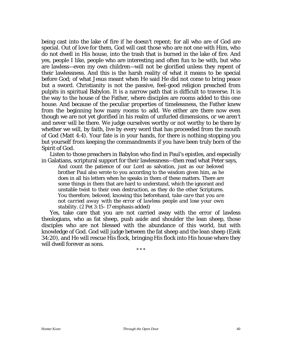being cast into the lake of fire if he doesn't repent; for all who are of God are special. Out of love for them, God will cast those who are not one with Him, who do not dwell in His house, into the trash that is burned in the lake of fire. And yes, people I like, people who are interesting and often fun to be with, but who are lawless—even my own children—will not be glorified unless they repent of their lawlessness. And this is the harsh reality of what it means to be special before God; of what Jesus meant when He said He did not come to bring peace but a sword. Christianity is not the passive, feel-good religion preached from pulpits in spiritual Babylon. It is a narrow path that is difficult to traverse. It is the way to the house of the Father, where disciples are rooms added to this one house. And because of the peculiar properties of timelessness, the Father knew from the beginning how many rooms to add. We either are there now even though we are not yet glorified in his realm of unfurled dimensions, or we aren't and never will be there. We judge ourselves worthy or not worthy to be there by whether we will, by faith, live by every word that has proceeded from the mouth of God (Matt 4:4). Your fate is in your hands, for there is nothing stopping you but yourself from keeping the commandments if you have been truly born of the Spirit of God.

Listen to those preachers in Babylon who find in Paul's epistles, and especially in Galatians, scriptural support for their lawlessness—then read what Peter says,

And count the patience of our Lord as salvation, just as our beloved brother Paul also wrote to you according to the wisdom given him, as he does in all his letters when he speaks in them of these matters. There are some things in them that are hard to understand, which the ignorant and unstable twist to their own destruction, as they do the other Scriptures. You therefore, beloved, knowing this beforehand, *take care that you are not carried away with the error of lawless people and lose your own stability*. (2 Pet 3:15–17 emphasis added)

Yes, take care that you are not carried away with the error of lawless theologians, who as fat sheep, push aside and shoulder the lean sheep, those disciples who are not blessed with the abundance of this world, but with knowledge of God. God will judge between the fat sheep and the lean sheep (Ezek 34:20), and He will rescue His flock, bringing His flock into His house where they will dwell forever as sons.

\* \* \*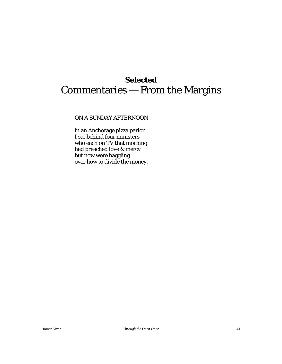# **Selected**  Commentaries — From the Margins

#### ON A SUNDAY AFTERNOON

in an Anchorage pizza parlor I sat behind four ministers who each on TV that morning had preached love & mercy but now were haggling over how to divide the money.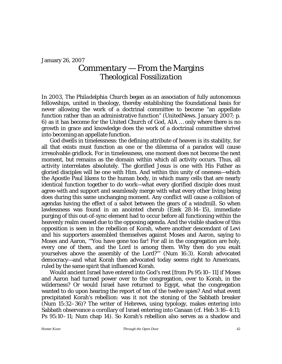January 26, 2007

### Commentary — From the Margins *Theological Fossilization*

In 2003, *The Philadelphia Church* began as an association of fully autonomous fellowships, united in theology, thereby establishing the foundational basis for never allowing the work of a doctrinal committee to become "an appellate function rather than an administrative function" (UnitedNews. January 2007; p. 6) as it has become for the United Church of God, AIA … only where there is no growth in grace and knowledge does the work of a doctrinal committee shrivel into becoming an appellate function.

God dwells in timelessness: the defining attribute of heaven is its stability, for all that exists must function as one or the dilemma of a paradox will cause irresolvable gridlock. For in timelessness, one moment does not become the next moment, but remains as the domain within which all activity occurs. Thus, all activity interrelates absolutely. The glorified Jesus is one with His Father as gloried disciples will be one with Him. And within this unity of oneness—which the Apostle Paul likens to the human body, in which many cells that are nearly identical function together to do work—what every glorified disciple does must agree-with and support and seamlessly merge with what every other living being does during this same unchanging moment. Any conflict will cause a collision of agendas having the effect of a sabot between the gears of a windmill. So when lawlessness was found in an anointed cherub (Ezek 28:14–15), immediate purging of this out-of-sync element had to occur before all functioning within the heavenly realm ceased due to the opposing agenda. And the visible shadow of this opposition is seen in the rebellion of Korah, where another descendant of Levi and his supporters assembled themselves against Moses and Aaron, saying to Moses and Aaron, '"You have gone too far! For all in the congregation are holy, every one of them, and the Lord is among them. Why then do you exalt yourselves above the assembly of the Lord?"' (Num 16:3). Korah advocated democracy—and what Korah then advocated today seems right to Americans, ruled by the same spirit that influenced Korah.

Would ancient Israel have entered into God's rest [from Ps 95:10–11] if Moses and Aaron had turned power over to the congregation, over to Korah, in the wilderness? Or would Israel have returned to Egypt, what the congregation wanted to do upon hearing the report of ten of the twelve spies? And what event precipitated Korah's rebellion: was it not the stoning of the Sabbath breaker (Num 15:32–36)? The writer of Hebrews, using typology, makes entering into Sabbath observance a corollary of Israel entering into Canaan (*cf.* Heb 3:16–4:11; Ps 95:10–11; Num chap 14). So Korah's rebellion also serves as a shadow and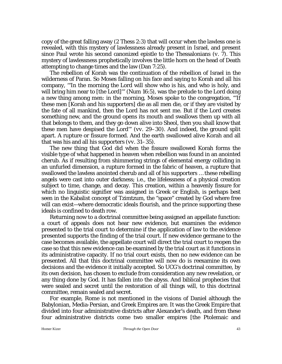copy of the great falling away (2 Thess 2:3) that will occur when the lawless one is revealed, with this mystery of lawlessness already present in Israel, and present since Paul wrote his second canonized epistle to the Thessalonians (*v.* 7). This mystery of lawlessness prophetically involves the little horn on the head of Death attempting to change times and the law (Dan 7:25).

The rebellion of Korah was the continuation of the rebellion of Israel in the wilderness of Paran. So Moses falling on his face and saying to Korah and all his company, '"In the morning the Lord will show who is his, and who is holy, and will bring him near to [the Lord]'" (Num 16:5), was the prelude to the Lord doing a new thing among men: in the morning, Moses spoke to the congregation, "'If these men [Korah and his supporters] die as all men die, or if they are visited by the fate of all mankind, then the Lord has not sent me. But if the Lord creates something new, and the ground opens its mouth and swallows them up with all that belongs to them, and they go down alive into Sheol, then you shall know that these men have despised the Lord'" (*vv.* 29*–*30). And indeed, the ground split apart. A rupture or fissure formed. And the earth swallowed alive Korah and all that was his and all his supporters (*vv.* 31*–*35).

The new thing that God did when the fissure swallowed Korah forms the visible type of what happened in heaven when rebellion was found in an anointed cherub. As if resulting from shimmering strings of elemental energy colliding in an unfurled dimension, a rupture formed in the fabric of heaven, a rupture that swallowed the lawless anointed cherub and all of his supporters … these rebelling angels were cast into outer darkness; i.e., the lifelessness of a physical creation subject to time, change, and decay. This creation, within a heavenly fissure for which no linguistic signifier was assigned in Greek or English, is perhaps best seen in the Kabalist concept of *Tzimtzum*, the "space" created by God where free will can exist—where democratic ideals flourish, and the prince supporting these ideals is confined to death row.

Returning now to a doctrinal committee being assigned an appellate function: a court of appeals does not hear new evidence, but examines the evidence presented to the trial court to determine if the application of law to the evidence presented supports the finding of the trial court. If new evidence germane to the case becomes available, the appellate court will direct the trial court to reopen the case so that this new evidence can be examined by the trial court as it functions in its administrative capacity. If no trial court exists, then no new evidence can be presented. All that this doctrinal committee will now do is reexamine its own decisions and the evidence it initially accepted. So UCG's doctrinal committee, by its own decision, has chosen to exclude from consideration any new revelation, or any thing done by God. It has fallen into the abyss. And biblical prophecies that were sealed and secret until the restoration of all things will, to this doctrinal committee, remain sealed and secret.

For example, Rome is not mentioned in the visions of Daniel although the Babylonian, Media-Persian, and Greek Empires are. It was the Greek Empire that divided into four administrative districts after Alexander's death, and from these four administrative districts come two smaller empires [the Ptolemaic and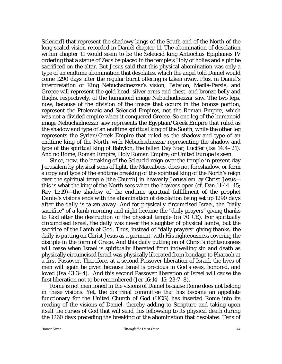Seleucid] that represent the shadowy kings of the South and of the North of the long sealed vision recorded in Daniel chapter 11. The abomination of desolation within chapter 11 would seem to be the Seleucid king Antiochus Epiphanes IV ordering that a statue of Zeus be placed in the temple's Holy of holies and a pig be sacrificed on the altar. But Jesus said that this physical abomination was only a type of an endtime abomination that desolates, which the angel told Daniel would come 1290 days after the regular burnt offering is taken away. Plus, in Daniel's interpretation of King Nebuchadnezzar's vision, Babylon, Media-Persia, and Greece will represent the gold head, silver arms and chest, and bronze belly and thighs, respectively, of the humanoid image Nebuchadnezzar saw. The two legs, now, because of the division of the image that occurs in the bronze portion, represent the Ptolemaic and Seleucid Empires, not the Roman Empire, which was not a divided empire when it conquered Greece. So one leg of the humanoid image Nebuchadnezzar saw represents the Egyptian/Greek Empire that ruled as the shadow and type of an endtime spiritual king of the South, while the other leg represents the Syrian/Greek Empire that ruled as the shadow and type of an endtime king of the North, with Nebuchadnezzar representing the shadow and type of the spiritual king of Babylon, the fallen Day Star, Lucifer (Isa 14:4*–*21). And no Rome, Roman Empire, Holy Roman Empire, or United Europe is seen.

Since, now, the breaking of the Seleucid reign over the temple in present day Jerusalem by physical sons of light, the Maccabees, does not foreshadow, or form a copy and type of the endtime breaking of the spiritual king of the North's reign over the spiritual temple [the Church] in heavenly Jerusalem by Christ Jesus this is what the king of the North sees when the heavens open (*cf.* Dan 11:44*–*45; Rev 11:19)—*the shadow of the endtime spiritual fulfillment of the prophet Daniel's visions ends with the abomination of desolation being set up 1290 days after the daily is taken away*. And for physically circumcised Israel, the "daily sacrifice" of a lamb morning and night became the "daily prayers" giving thanks to God after the destruction of the physical temple (ca 70 CE). For spiritually circumcised Israel, *the daily* was never the slaughter of physical lambs, but the sacrifice of the Lamb of God. Thus, instead of "daily prayers" giving thanks, *the daily* is putting on Christ Jesus as a garment, with His righteousness covering the disciple in the form of Grace. And this daily putting on of Christ's righteousness will cease when Israel is spiritually liberated from indwelling sin and death as physically circumcised Israel was physically liberated from bondage to Pharaoh at a first Passover. Therefore, at a second Passover liberation of Israel, the lives of men will again be given because Israel is precious in God's eyes, honored, and loved (Isa 43:3*–*4). And this second Passover liberation of Israel will cause the first liberation not to be remembered (Jer 16:14*–*15; 23:7*–*8).

Rome is not mentioned in the visions of Daniel because Rome does not belong in these visions. Yet, the doctrinal committee that has become an appellate functionary for the United Church of God (UCG) has inserted Rome into its reading of the visions of Daniel, thereby adding to Scripture and taking upon itself the curses of God that will send this fellowship to its physical death during the 1260 days preceding the breaking of the abomination that desolates. Tens of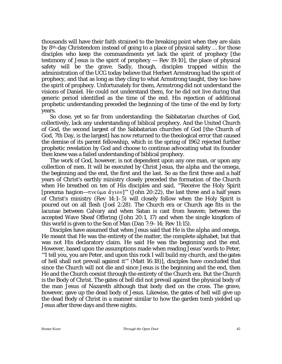thousands will have their faith strained to the breaking point when they are slain by 8th-day Christendom instead of going to a place of physical safety … for those disciples who keep the commandments yet lack the spirit of prophecy [the testimony of Jesus is the spirit of prophecy — Rev 19:10], the place of physical safety will be the grave. Sadly, though, disciples trapped within the administration of the UCG today believe that Herbert Armstrong had the spirit of prophecy, and that as long as they cling to what Armstrong taught, they too have the spirit of prophecy. Unfortunately for them, Armstrong did not understand the visions of Daniel. He could not understand them, for he did not live during that generic period identified as the time of the end. His rejection of additional prophetic understanding preceded the beginning of the time of the end by forty years.

So close, yet so far from understanding: the Sabbatarian churches of God, collectively, lack any understanding of biblical prophecy. And the United Church of God, the second largest of the Sabbatarian churches of God [the Church of God, 7th Day, is the largest] has now returned to the theological error that caused the demise of its parent fellowship, which in the spring of 1962 rejected further prophetic revelation by God and choose to continue advocating what its founder then knew was a failed understanding of biblical prophecy.

The work of God, however, is not dependent upon any one man, or upon any collection of men. It will be executed by Christ Jesus, the *alpha* and the *omega*, the beginning and the end, the first and the last. So as the first three and a half years of Christ's earthly ministry closely preceded the formation of the Church when He breathed on ten of His disciples and said, '"Receive the Holy Spirit [*pneuma hagion*— $\pi v \in \partial \mu \alpha \alpha' v \in U$ ]'" (John 20:22), the last three and a half years of Christ's ministry (Rev 14:1*–*5) will closely follow when the Holy Spirit is poured out on all flesh (Joel 2:28). The Church era or Church age fits in the lacunae between Calvary and when Satan is cast from heaven; between the accepted Wave Sheaf Offering (John 20:1, 17) and when the single kingdom of this world is given to the Son of Man (Dan 7:9–14; Rev 11:15).

Disciples have assumed that when Jesus said that He is the *alpha* and *omega*, He meant that He was the entirety of the matter, the complete alphabet, but that was not His declaratory claim. He said He was the beginning and the end. However, based upon the assumptions made when reading Jesus' words to Peter, '"I tell you, you are Peter, and upon this rock I will build my church, and the gates of hell shall not prevail against it'" (Matt 16:18)], disciples have concluded that since the Church will not die and since Jesus is the beginning and the end, then He and the Church coexist through the entirety of the Church era. But the Church is the Body of Christ. The gates of hell did not prevail against the physical body of the man Jesus of Nazareth although that body died on the cross. The grave, however, gave up the dead body of Jesus. Likewise, the gates of hell will give up the dead Body of Christ in a manner similar to how the garden tomb yielded up Jesus after three days and three nights.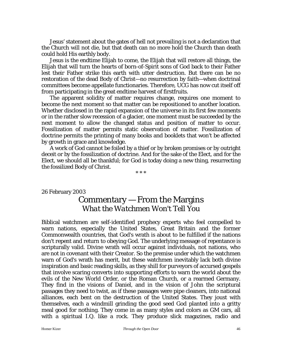Jesus' statement about the gates of hell not prevailing is not a declaration that the Church will not die, but that death can no more hold the Church than death could hold His earthly body.

Jesus is the endtime Elijah to come, the Elijah that will restore all things, the Elijah that will turn the hearts of born-of-Spirit sons of God back to their Father lest their Father strike this earth with utter destruction. But there can be no restoration of the dead Body of Christ—no resurrection by faith—when doctrinal committees become appellate functionaries. Therefore, UCG has now cut itself off from participating in the great endtime harvest of firstfruits.

The apparent solidity of matter requires change, requires one moment to become the next moment so that matter can be repositioned to another location. Whether disclosed in the rapid expansion of the universe in its first few moments or in the rather slow recession of a glacier, one moment must be succeeded by the next moment to allow the changed status and position of matter to occur. Fossilization of matter permits static observation of matter. Fossilization of doctrine permits the printing of many books and booklets that won't be affected by growth in grace and knowledge.

A work of God cannot be foiled by a thief or by broken promises or by outright deceit or by the fossilization of doctrine. And for the sake of the Elect, and for the Elect, we should all be thankful; for God is today doing a new thing, resurrecting the fossilized Body of Christ.

\* \* \*

#### 26 February 2003

### Commentary — From the Margins *What the Watchmen Won't Tell You*

Biblical watchmen are self-identified prophecy experts who feel compelled to warn nations, especially the United States, Great Britain and the former Commonwealth countries, that God's wrath is about to be fulfilled if the nations don't repent and return to obeying God. The underlying message of repentance is scripturally valid. Divine wrath will occur against individuals, not nations, who are not in covenant with their Creator. So the premise under which the watchmen warn of God's wrath has merit, but these watchmen inevitably lack both divine inspiration and basic reading skills, as they shill for purveyors of accursed gospels that involve scaring converts into supporting efforts to warn the world about the evils of the New World Order, or the Roman Church, or a rearmed Germany. They find in the visions of Daniel, and in the vision of John the scriptural passages they need to twist, as if these passages were pipe cleaners, into national alliances, each bent on the destruction of the United States. They joust with themselves, each a windmill grinding the good seed God planted into a gritty meal good for nothing. They come in as many styles and colors as GM cars, all with a spiritual I.Q. like a rock. They produce slick magazines, radio and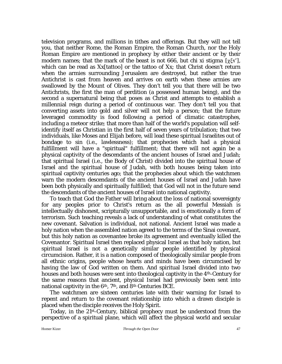television programs, and millions in tithes and offerings. But they will not tell you, that neither Rome, the Roman Empire, the Roman Church, nor the Holy Roman Empire are mentioned in prophecy by either their ancient or by their modern names; that the mark of the beast is not 666, but *chi xi stigma* [ $\gamma \xi s'$ ], which can be read as *Xx*[tattoo] or the tattoo of *Xx*; that Christ doesn't return when the armies surrounding Jerusalem are destroyed, but rather the true Antichrist is cast from heaven and arrives on earth when these armies are swallowed by the Mount of Olives. They don't tell you that there will be two Antichrists, the first the man of perdition (a possessed human being), and the second a supernatural being that poses as Christ and attempts to establish a millennial reign during a period of continuous war. They don't tell you that converting assets into gold and silver will not help a person; that the future leveraged commodity is food following a period of climatic catastrophes, including a meteor strike; that more than half of the world's population will selfidentify itself as Christian in the first half of seven years of tribulation; that two individuals, like Moses and Elijah before, will lead these spiritual Israelites out of bondage to sin (i.e., lawlessness); that prophecies which had a physical fulfillment will have a "spiritual" fulfillment; that there will not again be a physical captivity of the descendants of the ancient houses of Israel and Judah; that spiritual Israel (i.e., the Body of Christ) divided into the spiritual house of Israel and the spiritual house of Judah, with both houses being taken into spiritual captivity centuries ago; that the prophecies about which the watchmen warn the modern descendants of the ancient houses of Israel and Judah have been both physically and spiritually fulfilled; that God will not in the future send the descendants of the ancient houses of Israel into national captivity.

To teach that God the Father will bring about the loss of national sovereignty for any peoples prior to Christ's return as the all powerful Messiah is intellectually dishonest, scripturally unsupportable, and is emotionally a form of terrorism. Such teaching reveals a lack of understanding of what constitutes the new covenant. Salvation is individual, not national. Ancient Israel was made a holy nation when the assembled nation agreed to the terms of the Sinai covenant, but this holy nation as covenantee broke its agreement and eventually killed the Covenantor. Spiritual Israel then replaced physical Israel as that holy nation, but spiritual Israel is not a genetically similar people identified by physical circumcision. Rather, it is a nation composed of theologically similar people from all ethnic origins, people whose hearts and minds have been circumcised by having the law of God written on them. And spiritual Israel divided into two houses and both houses were sent into theological captivity in the 4th-Century for the same reasons that ancient, physical Israel had previously been sent into national captivity in the  $6<sup>th</sup>$ ,  $7<sup>th</sup>$ , and  $8<sup>th</sup>$  Centuries BCE.

The watchmen are sixteen centuries late with their warning for Israel to repent and return to the covenant relationship into which a drawn disciple is placed when the disciple receives the Holy Spirit.

Today, in the 21st-Century, biblical prophecy must be understood from the perspective of a spiritual plane, which will affect the physical world and secular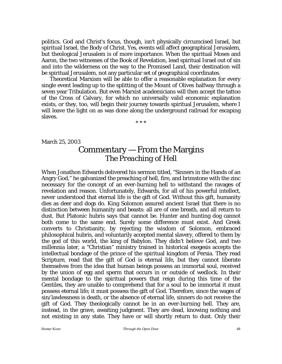politics. God and Christ's focus, though, isn't physically circumcised Israel, but spiritual Israel, the Body of Christ. Yes, events will affect geographical Jerusalem, but theological Jerusalem is of more importance. When the spiritual Moses and Aaron, the two witnesses of the Book of Revelation, lead spiritual Israel out of sin and into the wilderness on the way to the Promised Land, their destination will be spiritual Jerusalem, not any particular set of geographical coordinates.

Theoretical Marxism will be able to offer a reasonable explanation for every single event leading up to the splitting of the Mount of Olives halfway through a seven year Tribulation. But even Marxist academicians will then accept the tattoo of the Cross of Calvary, for which no universally valid economic explanation exists, or they, too, will begin their journey towards spiritual Jerusalem, where I will leave the light on as was done along the underground railroad for escaping slaves.

\* \* \*

March 25, 2003

## Commentary — From the Margins *The Preaching of Hell*

When Jonathon Edwards delivered his sermon titled, "Sinners in the Hands of an Angry God," he galvanized the preaching of hell, fire, and brimstone with the zinc necessary for the concept of an ever-burning hell to withstand the ravages of revelation and reason. Unfortunately, Edwards, for all of his powerful intellect, never understood that eternal life is the gift of God. Without this gift, humanity dies as deer and dogs do. King Solomon assured ancient Israel that there is no distinction between humanity and beasts: all are of one breath, and all return to dust. But Platonic hubris says that cannot be. Hunter and hunting dog cannot both come to the same end. Surely some difference must exist. And Greek converts to Christianity, by rejecting the wisdom of Solomon, embraced philosophical hubris, and voluntarily accepted mental slavery, offered to them by the god of this world, the king of Babylon. They didn't believe God, and two millennia later, a "Christian" ministry trained in historical exegesis accepts the intellectual bondage of the prince of the spiritual kingdom of Persia. They read Scripture, read that the gift of God is eternal life, but they cannot liberate themselves from the idea that human beings possess an immortal soul, received by the union of egg and sperm that occurs in or outside of wedlock. In their mental bondage to the spiritual powers that reign during this time of the Gentiles, they are unable to comprehend that for a soul to be immortal it must possess eternal life; it must possess the gift of God. Therefore, since the wages of sin/lawlessness is death, or the absence of eternal life, sinners do not receive the gift of God. They theologically cannot be in an ever-burning hell. They are, instead, in the grave, awaiting judgment. They are dead, knowing nothing and not existing in any state. They have or will shortly return to dust. Only their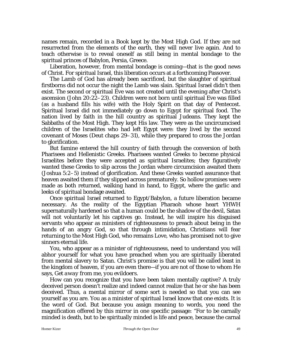names remain, recorded in a Book kept by the Most High God. If they are not resurrected from the elements of the earth, they will never live again. And to teach otherwise is to reveal oneself as still being in mental bondage to the spiritual princes of Babylon, Persia, Greece.

Liberation, however, from mental bondage is coming—that is the good news of Christ. For spiritual Israel, this liberation occurs at a forthcoming Passover.

The Lamb of God has already been sacrificed, but the slaughter of spiritual firstborns did not occur the night the Lamb was slain. Spiritual Israel didn't then exist. The second or spiritual Eve was not created until the evening after Christ's ascension (John 20:22–23). Children were not born until spiritual Eve was filled (as a husband fills his wife) with the Holy Spirit on that day of Pentecost. Spiritual Israel did not immediately go down to Egypt for spiritual food. The nation lived by faith in the hill country as spiritual Judeans. They kept the Sabbaths of the Most High. They kept His law. They were as the uncircumcised children of the Israelites who had left Egypt were: they lived by the second covenant of Moses (Deut chaps 29–31), while they prepared to cross the Jordan to glorification.

But famine entered the hill country of faith through the conversion of both Pharisees and Hellenistic Greeks. Pharisees wanted Greeks to become physical Israelites before they were accepted as spiritual Israelites; they figuratively wanted these Greeks to slip across the Jordan where circumcision awaited them (Joshua 5:2–5) instead of glorification. And these Greeks wanted assurance that heaven awaited them if they slipped across prematurely. So hollow promises were made as both returned, walking hand in hand, to Egypt, where the garlic and leeks of spiritual bondage awaited.

Once spiritual Israel returned to Egypt/Babylon, a future liberation became necessary. As the reality of the Egyptian Pharaoh whose heart *YHWH* supernaturally hardened so that a human could be the shadow of the devil, Satan will not voluntarily let his captives go. Instead, he will inspire his disguised servants who appear as ministers of righteousness to preach about being in the hands of an angry God, so that through intimidation, Christians will fear returning to the Most High God, who remains Love, who has promised not to give sinners eternal life.

You, who appear as a minister of righteousness, need to understand you will abhor yourself for what you have preached when you are spiritually liberated from mental slavery to Satan. Christ's promise is that you will be called least in the kingdom of heaven, if you are even there—if you are not of those to whom He says, *Get away from me, you evildoers*.

How can you recognize that you have been taken mentally captive? A truly deceived person doesn't realize and indeed cannot realize that he or she has been deceived. Thus, a mental mirror of some sort is needed so that you can see yourself as you are. You as a minister of spiritual Israel know that one exists. It is the word of God. But because you assign meaning to words, you need the magnification offered by this mirror in one specific passage: "For to be carnally minded is death, but to be spiritually minded is life and peace, because the carnal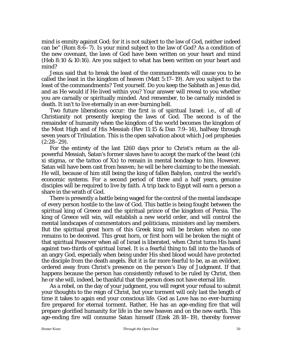mind is enmity against God; for it is not subject to the law of God, neither indeed can be" (Rom 8:6–7). Is your mind subject to the law of God? As a condition of the new covenant, the laws of God have been written on your heart and mind (Heb 8:10 & 10:16). Are you subject to what has been written on your heart and mind?

Jesus said that to break the least of the commandments will cause you to be called the least in the kingdom of heaven (Matt 5:17–19). Are you subject to the least of the commandments? Test yourself. Do you keep the Sabbath as Jesus did, and as He would if He lived within you? Your answer will reveal to you whether you are carnally or spiritually minded. And remember, to be carnally minded is death. It isn't to live eternally in an ever-burning hell.

Two future liberations occur: the first is of spiritual Israel: i.e., of all of Christianity not presently keeping the laws of God. The second is of the remainder of humanity when the kingdom of the world becomes the kingdom of the Most High and of His Messiah (Rev 11:15 & Dan 7:9–14), halfway through seven years of Tribulation. This is the open salvation about which Joel prophesies  $(2:28-29)$ .

For the entirety of the last 1260 days prior to Christ's return as the allpowerful Messiah, Satan's former slaves have to accept the mark of the beast (*chi xi stigma*, or the *tattoo* of *Xx*) to remain in mental bondage to him. However, Satan will have been cast from heaven; he will be here claiming to be the messiah. He will, because of him still being the king of fallen Babylon, control the world's economic systems. For a second period of three and a half years, genuine disciples will be required to live by faith. A trip back to Egypt will earn a person a share in the wrath of God.

There is presently a battle being waged for the control of the mental landscape of every person hostile to the law of God. This battle is being fought between the spiritual king of Greece and the spiritual prince of the kingdom of Persia. The king of Greece will win, will establish a new world order, and will control the mental landscapes of commentators and politicians, ministers and lay members. But the spiritual great horn of this Greek king will be broken when no one remains to be deceived. This great horn, or first horn will be broken the night of that spiritual Passover when all of Israel is liberated, when Christ turns His hand against two-thirds of spiritual Israel. It is a fearful thing to fall into the hands of an angry God, especially when being under His shed blood would have protected the disciple from the death angels. But it is far more fearful to be, as an evildoer, ordered away from Christ's presence on the person's Day of Judgment. If that happens because the person has consistently refused to be ruled by Christ, then he or she will, indeed, be thankful that the person does not have eternal life.

As a rebel, on the day of your judgment, you will regret your refusal to submit your thoughts to the reign of Christ, but your torment will only last the length of time it takes to again end your conscious life. God as Love has no ever-burning fire prepared for eternal torment. Rather, He has an age-ending fire that will prepare glorified humanity for life in the new heaven and on the new earth. This age-ending fire will consume Satan himself (Ezek 28:18–19), thereby forever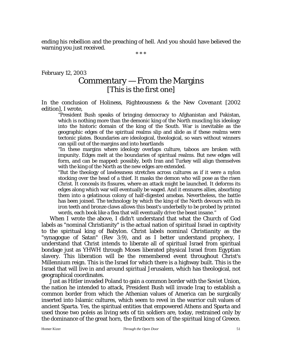ending his rebellion and the preaching of hell. And you should have believed the warning you just received.

\* \* \*

### February 12, 2003 Commentary — From the Margins [This is the first one]

In the conclusion of *Holiness, Righteousness & the New Covenant* [2002 edition], I wrote,

"President Bush speaks of bringing democracy to Afghanistan and Pakistan, which is nothing more than the demonic king of the North muscling his ideology into the historic domain of the king of the South. War is inevitable as the geographic edges of the spiritual realms slip and slide as if these realms were tectonic plates. Boundaries are ideological, theological, so wars without winners can spill out of the margins and into heartlands

"In these margins where ideology overlaps culture, taboos are broken with impunity. Edges melt at the boundaries of spiritual realms. But new edges will form, and can be mapped: possibly, both Iran and Turkey will align themselves with the king of the North as the new edges are extended.

"But the theology of lawlessness stretches across cultures as if it were a nylon stocking over the head of a thief. It masks the demon who will pose as the risen Christ. It conceals its fissures, where an attack might be launched. It deforms its edges along which war will eventually be waged. And it ensnares allies, absorbing them into a gelatinous colony of half-digested amebas. Nevertheless, the battle has been joined. The technology by which the king of the North devours with its iron teeth and bronze claws allows this beast's underbelly to be probed by printed words, each book like a flea that will eventually drive the beast insane."

When I wrote the above, I didn't understand that what the Church of God labels as "nominal Christianity" is the actual nation of spiritual Israel in captivity to the spiritual king of Babylon. Christ labels *nominal Christianity* as the "synagogue of Satan" (Rev 3:9), and as I better understand prophecy, I understand that Christ intends to liberate all of spiritual Israel from spiritual bondage just as *YHWH* through Moses liberated physical Israel from Egyptian slavery. This liberation will be the remembered event throughout Christ's Millennium reign. This is the Israel for which there is a highway built. This is the Israel that will live in and around spiritual Jerusalem, which has theological, not geographical coordinates.

Just as Hitler invaded Poland to gain a common border with the Soviet Union, the nation he intended to attack, President Bush will invade Iraq to establish a common border from which the Athenian values of America can be surgically inserted into Islamic cultures, which seem to revel in the warrior cult values of ancient Sparta. Yes, the spiritual entities that empowered Athens and Sparta and used those two poleis as living sets of tin soldiers are, today, restrained only by the dominance of the great horn, the firstborn son of the spiritual king of Greece.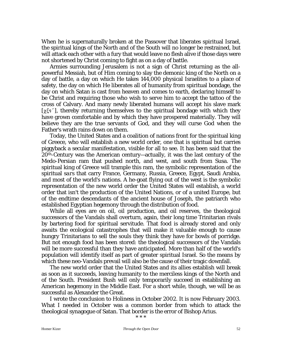When he is supernaturally broken at the Passover that liberates spiritual Israel, the spiritual kings of the North and of the South will no longer be restrained, but will attack each other with a fury that would leave no flesh alive if those days were not shortened by Christ coming to fight as on a day of battle.

Armies surrounding Jerusalem is not a sign of Christ returning as the allpowerful Messiah, but of Him coming to slay the demonic king of the North on a day of battle, a day on which He takes 144,000 physical Israelites to a place of safety, the day on which He liberates all of humanity from spiritual bondage, the day on which Satan is cast from heaven and comes to earth, declaring himself to be Christ and requiring those who wish to serve him to accept the tattoo of the cross of Calvary. And many newly liberated humans will accept his slave mark  $[\chi \xi \xi^{\prime}]$ , thereby returning themselves to the spiritual bondage with which they have grown comfortable and by which they have prospered materially. They will believe they are the true servants of God, and they will curse God when the Father's wrath rains down on them.

Today, the United States and a coalition of nations front for the spiritual king of Greece, who will establish a new world order, one that is spiritual but carries piggyback a secular manifestation, visible for all to see. It has been said that the 20th-Century was the American century—actually, it was the last century of the Medo-Persian ram that pushed north, and west, and south from Susa. The spiritual king of Greece will trample this ram, the symbolic representation of the spiritual *sars* that carry France, Germany, Russia, Greece, Egypt, Saudi Arabia, and most of the world's nations. A he-goat flying out of the west is the symbolic representation of the new world order the United States will establish, a world order that isn't the production of the United Nations, or of a united Europe, but of the endtime descendants of the ancient house of Joseph, the patriarch who established Egyptian hegemony through the distribution of food.

While all eyes are on oil, oil production, and oil reserves, the theological successors of the Vandals shall overturn, again, their long time Trinitarian rivals by bartering food for spiritual servitude. That food is already stored and only awaits the ecological catastrophes that will make it valuable enough to cause hungry Trinitarians to sell the souls they think they have for bowls of porridge. But not enough food has been stored: the theological successors of the Vandals will be more successful than they have anticipated. More than half of the world's population will identify itself as part of greater spiritual Israel. So the means by which these neo-Vandals prevail will also be the cause of their tragic downfall.

The new world order that the United States and its allies establish will break as soon as it succeeds, leaving humanity to the merciless kings of the North and of the South. President Bush will only temporarily succeed in establishing an American hegemony in the Middle East. For a short while, though, we will be as successful as Alexander the Great.

I wrote the conclusion to *Holiness* in October 2002. It is now February 2003. What I needed in October was a common border from which to attack the theological synagogue of Satan. That border is the error of Bishop Arius.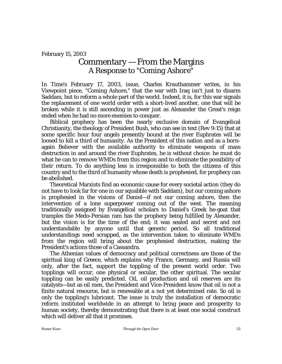February 15, 2003

## Commentary — From the Margins *A Response to "Coming Ashore"*

In *Time's* February 17, 2003, issue, Charles Krauthammer writes, in his Viewpoint piece, "Coming Ashore," that the war with Iraq isn't just to disarm Saddam, but to reform a whole part of the world. Indeed, it is, for this war signals the replacement of one world order with a short-lived another, one that will be broken while it is still ascending in power just as Alexander the Great's reign ended when he had no more enemies to conquer.

Biblical prophecy has been the nearly exclusive domain of Evangelical Christianity, the theology of President Bush, who can see in text (Rev 9:15) that at some specific hour four angels presently bound at the river Euphrates will be loosed to kill a third of humanity. As the President of this nation and as a bornagain Believer with the available authority to eliminate weapons of mass destruction in and around the river Euphrates, he is without choice: he must do what he can to remove WMDs from this region and to eliminate the possibility of their return. To do anything less is irresponsible to both the citizens of this country and to the third of humanity whose death is prophesied, for prophecy can be abolished.

Theoretical Marxists find an economic cause for every societal action (they do not have to look far for one in our squabble with Saddam), but our coming ashore is prophesied in the visions of Daniel—if not our coming ashore, then the intervention of a lone superpower coming out of the west. The meaning traditionally assigned by Evangelical scholars to Daniel's Greek he-goat that tramples the Medo-Persian ram has the prophecy being fulfilled by Alexander, but the vision is for the time of the end; it was sealed and secret and not understandable by anyone until that generic period. So all traditional understandings need scrapped, as the intervention taken to eliminate WMDs from the region will bring about the prophesied destruction, making the President's actions those of a Cassandra.

The Athenian values of democracy and political correctness are those of the spiritual king of Greece, which explains why France, Germany, and Russia will only, after the fact, support the toppling of the present world order. Two topplings will occur, one physical or secular, the other spiritual. The secular toppling can be easily predicted. Oil, oil production and oil reserves are its catalysts—but as oil men, the President and Vice-President know that oil is not a finite natural resource, but is renewable at a not yet determined rate. So oil is only the toppling's lubricant. The issue is truly the installation of democratic reform instituted worldwide in an attempt to bring peace and prosperity to human society, thereby demonstrating that there is at least one social construct which will deliver all that it promises.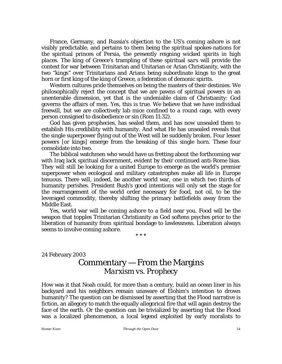France, Germany, and Russia's objection to the US's coming ashore is not visibly predictable, and pertains to them being the spiritual spokes-nations for the spiritual princes of Persia, the presently reigning *wicked spirits in high places.* The king of Greece's trampling of these spiritual *sars* will provide the context for war between Trinitarian and Unitarian or Arian Christianity, with the two "kings" over Trinitarians and Arians being subordinate kings to the great horn or first king of the king of Greece, a federation of demonic spirits.

Western cultures pride themselves on being the masters of their destinies. We philosophically reject the concept that we are pawns of spiritual powers in an unenterable dimension, yet that is the undeniable claim of Christianity: God governs the affairs of men. Yes, this is true. We believe that we have individual freewill, but we are collectively lab mice confined to a round cage, with every person consigned to disobedience or sin (Rom 11:32).

God has given prophecies, has sealed them, and has now unsealed them to establish His credibility with humanity. And what He has unsealed reveals that the single superpower flying out of the West will be suddenly broken. Four lesser powers [or kings] emerge from the breaking of this single horn. These four consolidate into two.

The biblical watchmen who would have us fretting about the forthcoming war with Iraq lack spiritual discernment, evident by their continued anti-Rome bias. They will still be looking for a united Europe to emerge as the world's premier superpower when ecological and military catastrophes make all life in Europe tenuous. There will, indeed, be another world war, one in which two thirds of humanity perishes. President Bush's good intentions will only set the stage for the rearrangement of the world order necessary for food, not oil, to be the leveraged commodity, thereby shifting the primary battlefields away from the Middle East.

Yes, world war will be *coming ashore* to a field near you. Food will be the weapon that topples Trinitarian Christianity as God softens psyches prior to the liberation of humanity from spiritual bondage to lawlessness. Liberation always seems to involve *coming ashore*.

\* \* \*

#### 24 February 2003 Commentary — From the Margins *Marxism vs. Prophecy*

How was it that Noah could, for more than a century, build an ocean liner in his backyard and his neighbors remain unaware of *Elohim's* intention to drown humanity? The question can be dismissed by asserting that the Flood narrative is fiction, an allegory to match the equally allegorical fire that will again destroy the face of the earth. Or the question can be trivialized by asserting that the Flood was a localized phenomenon, a local legend exploited by early moralists to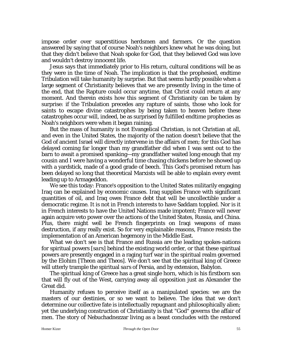impose order over superstitious herdsmen and farmers. Or the question answered by saying that of course Noah's neighbors knew what he was doing, but that they didn't believe that Noah spoke for God, that they believed God was love and wouldn't destroy innocent life.

Jesus says that immediately prior to His return, cultural conditions will be as they were in the time of Noah. The implication is that the prophesied, endtime Tribulation will take humanity by surprise. But that seems hardly possible when a large segment of Christianity believes that we are presently living in the time of the end, that the Rapture could occur anytime, that Christ could return at any moment. And therein exists how this segment of Christianity can be taken by surprise: if the Tribulation precedes any rapture of saints, those who look for saints to escape divine catastrophes by being taken to heaven before these catastrophes occur will, indeed, be as surprised by fulfilled endtime prophecies as Noah's neighbors were when it began raining.

But the mass of humanity is not Evangelical Christian, is not Christian at all, and even in the United States, the majority of the nation doesn't believe that the God of ancient Israel will directly intervene in the affairs of men; for this God has delayed coming far longer than my grandfather did when I was sent out to the barn to await a promised spanking—my grandfather waited long enough that my cousin and I were having a wonderful time chasing chickens before he showed up with a yardstick, made of a good grade of beech. This God's promised return has been delayed so long that theoretical Marxists will be able to explain every event leading up to Armageddon.

We see this today: France's opposition to the United States militarily engaging Iraq can be explained by economic causes. Iraq supplies France with significant quantities of oil, and Iraq owes France debt that will be uncollectible under a democratic regime. It is not in French interests to have Saddam toppled. Nor is it in French interests to have the United Nations made impotent; France will never again acquire veto power over the actions of the United States, Russia, and China. Plus, there might well be French fingerprints on Iraqi weapons of mass destruction, if any really exist. So for very explainable reasons, France resists the implementation of an American hegemony in the Middle East.

What we don't see is that France and Russia are the leading spokes-nations for spiritual powers [*sars*] behind the existing world order, or that these spiritual powers are presently engaged in a raging turf war in the spiritual realm governed by the *Elohim* [*Theon* and *Theos*]. We don't see that the spiritual king of Greece will utterly trample the spiritual *sars* of Persia, and by extension, Babylon.

The spiritual king of Greece has a great single horn, which is his firstborn son that will fly out of the West, carrying away all opposition just as Alexander the Great did.

Humanity refuses to perceive itself as a manipulated species: we are the masters of our destinies, or so we want to believe. The idea that we don't determine our collective fate is intellectually repugnant and philosophically alien; yet the underlying construction of Christianity is that "God" governs the affair of men. The story of Nebuchadnezzar living as a beast concludes with the restored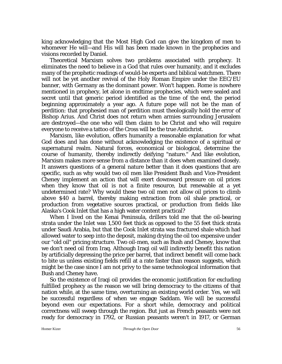king acknowledging that the Most High God can give the kingdom of men to whomever He will—and His will has been made known in the prophecies and visions recorded by Daniel.

Theoretical Marxism solves two problems associated with prophecy. It eliminates the need to believe in a God that rules over humanity, and it excludes many of the prophetic readings of would-be experts and biblical watchmen. There will not be yet another revival of the Holy Roman Empire under the EEC/EU banner, with Germany as the dominant power. Won't happen. Rome is nowhere mentioned in prophecy, let alone in endtime prophecies, which were sealed and secret until that generic period identified as the time of the end, the period beginning approximately a year ago. A future pope will not be the man of perdition: that prophesied man of perdition must theologically hold the error of Bishop Arius. And Christ does not return when armies surrounding Jerusalem are destroyed—the one who will then claim to be Christ and who will require everyone to receive a tattoo of the Cross will be the true Antichrist.

Marxism, like evolution, offers humanity a reasonable explanation for what God does and has done without acknowledging the existence of a spiritual or supernatural realm. Natural forces, economical or biological, determine the course of humanity, thereby indirectly deifying "nature." And like evolution, Marxism makes more sense from a distance than it does when examined closely. It answers questions of a general nature better than it does questions that are specific, such as why would two oil men like President Bush and Vice-President Cheney implement an action that will exert downward pressure on oil prices when they know that oil is not a finite resource, but renewable at a yet undetermined rate? Why would these two oil men not allow oil prices to climb above \$40 a barrel, thereby making extraction from oil shale practical, or production from vegetative sources practical, or production from fields like Alaska's Cook Inlet that has a high water content practical?

When I lived on the Kenai Peninsula, drillers told me that the oil-bearing strata under the Inlet was 1,500 feet thick as opposed to the 55 feet thick strata under Saudi Arabia, but that the Cook Inlet strata was fractured shale which had allowed water to seep into the deposit, making drying the oil too expensive under our "old oil" pricing structure. Two oil-men, such as Bush and Cheney, know that we don't need oil from Iraq. Although Iraqi oil will indirectly benefit this nation by artificially depressing the price per barrel, that indirect benefit will come back to bite us unless existing fields refill at a rate faster than reason suggests, which might be the case since I am not privy to the same technological information that Bush and Cheney have.

So the existence of Iraqi oil provides the economic justification for excluding fulfilled prophecy as the reason we will bring democracy to the citizens of that nation while, at the same time, overturning an existing world order. Yes, we will be successful regardless of when we engage Saddam. We will be successful beyond even our expectations. For a short while, democracy and political correctness will sweep through the region. But just as French peasants were not ready for democracy in 1792, or Russian peasants weren't in 1917, or German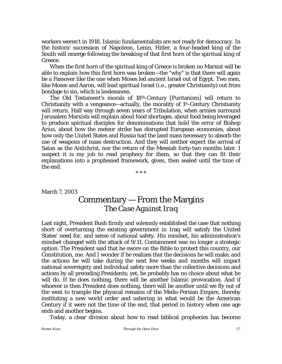workers weren't in 1918, Islamic fundamentalists are not ready for democracy. In the historic succession of Napoleon, Lenin, Hitler, a four-headed king of the South will emerge following the breaking of that first horn of the spiritual king of Greece.

When the first horn of the spiritual king of Greece is broken no Marxist will be able to explain how this first horn was broken—the "why" is that there will again be a Passover like the one when Moses led ancient Israel out of Egypt. Two men, like Moses and Aaron, will lead spiritual Israel (i.e., greater Christianity) out from bondage to sin, which is lawlessness.

The Old Testament's morals of 18th-Century [Puritanism] will return to Christianity with a vengeance—actually, the morality of 1st-Century Christianity will return. Half way through seven years of Tribulation, when armies surround Jerusalem Marxists will explain about food shortages, about food being leveraged to produce spiritual disciples for denominations that hold the error of Bishop Arius, about how the meteor strike has disrupted European economies, about how only the United States and Russia had the land mass necessary to absorb the use of weapons of mass destruction. And they will neither expect the arrival of Satan as the Antichrist, nor the return of the Messiah forty-two months later. I suspect it is my job to read prophecy for them, so that they can fit their explanations into a prophesied framework, given, then sealed until the time of the end.

\* \* \*

March 7, 2003

## Commentary — From the Margins *The Case Against Iraq*

Last night, President Bush firmly and solemnly established the case that nothing short of overturning the existing government in Iraq will satisfy the United States' need for, and sense of national safety. His mindset, his administration's mindset changed with the attack of 9/11. Containment was no longer a strategic option. The President said that he swore on the Bible to protect this country, our Constitution, me. And I wonder if he realizes that the decisions he will make, and the actions he will take during the next few weeks and months will impact national sovereignty and individual safety more than the collective decisions and actions by all preceding Presidents; yet, he probably has no choice about what he will do. If he does nothing, there will be another Islamic provocation. And if whoever is then President does nothing, there will be another until we fly out of the west to trample the physical remains of the Medo-Persian Empire, thereby instituting a new world order and ushering in what would be the American Century if it were not the time of the end, that period in history when one age ends and another begins.

Today, a clear division about how to read biblical prophecies has become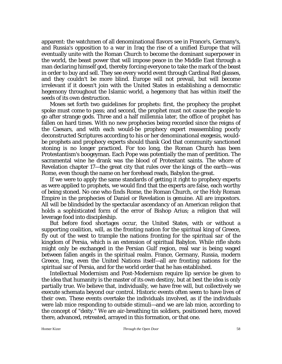apparent: the watchmen of all denominational flavors see in France's, Germany's, and Russia's opposition to a war in Iraq the rise of a unified Europe that will eventually unite with the Roman Church to become the dominant superpower in the world, the beast power that will impose peace in the Middle East through a man declaring himself god, thereby forcing everyone to take the mark of the beast in order to buy and sell. They see every world event through Cardinal Red glasses, and they couldn't be more blind. Europe will not prevail, but will become irrelevant if it doesn't join with the United States in establishing a democratic hegemony throughout the Islamic world, a hegemony that has within itself the seeds of its own destruction.

Moses set forth two guidelines for prophets: first, the prophecy the prophet spoke must come to pass; and second, the prophet must not cause the people to go after strange gods. Three and a half millennia later, the office of prophet has fallen on hard times. With no new prophecies being recorded since the reigns of the Caesars, and with each would-be prophecy expert reassembling poorly deconstructed Scriptures according to his or her denominational exegesis, wouldbe prophets and prophecy experts should thank God that community sanctioned stoning is no longer practiced. For too long, the Roman Church has been Protestantism's boogeyman. Each Pope was potentially the man of perdition. The sacramental wine he drank was the blood of Protestant saints. The whore of Revelation chapter 17—the great city that rules over the kings of the earth—was Rome, even though the name on her forehead reads, Babylon the great.

If we were to apply the same standards of getting it right to prophecy experts as were applied to prophets, we would find that the experts are false, each worthy of being stoned. No one who finds Rome, the Roman Church, or the Holy Roman Empire in the prophecies of Daniel or Revelation is genuine. All are impostors. All will be blindsided by the spectacular ascendancy of an American religion that holds a sophisticated form of the error of Bishop Arius; a religion that will leverage food into discipleship.

But before food shortages occur, the United States, with or without a supporting coalition, will, as the fronting nation for the spiritual king of Greece, fly out of the west to trample the nations fronting for the spiritual *sar* of the kingdom of Persia, which is an extension of spiritual Babylon. While rifle shots might only be exchanged in the Persian Gulf region, real war is being waged between fallen angels in the spiritual realm. France, Germany, Russia, modern Greece, Iraq, even the United Nations itself—all are fronting nations for the spiritual *sar* of Persia, and for the world order that he has established.

Intellectual Modernism and Post-Modernism require lip service be given to the idea that humanity is the master of its own destiny, but at best the idea is only partially true. We believe that, individually, we have free will, but collectively we execute schemata beyond our control. Historic events often seem to have lives of their own. These events overtake the individuals involved, as if the individuals were lab mice responding to outside stimuli—and we are lab mice, according to the concept of "deity." We are air-breathing tin soldiers, positioned here, moved there, advanced, retreated, arrayed in this formation, or that one.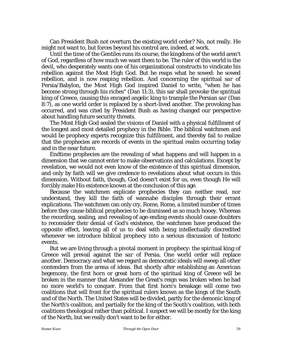Can President Bush not overturn the existing world order? No, not really. He might not want to, but forces beyond his control are, indeed, at work.

Until the time of the Gentiles runs its course, the kingdoms of the world aren't of God, regardless of how much we want them to be. The ruler of this world is the devil, who desperately wants one of his organizational constructs to vindicate his rebellion against the Most High God. But he reaps what he sowed: he sowed rebellion, and is now reaping rebellion. And concerning the spiritual *sar* of Persia/Babylon, the Most High God inspired Daniel to write, "when he has become strong through his riches" (Dan 11:3), this sar shall provoke the spiritual king of Greece, causing this enraged angelic king to trample the Persian *sar* (Dan 8:7), as one world order is replaced by a short-lived another. The provoking has occurred, and was cited by President Bush as having changed our perspective about handling future security threats.

The Most High God sealed the visions of Daniel with a physical fulfillment of the longest and most detailed prophecy in the Bible. The biblical watchmen and would be prophecy experts recognize this fulfillment, and thereby fail to realize that the prophecies are records of events in the spiritual realm occurring today and in the near future.

Endtime prophecies are the revealing of what happens and will happen in a dimension that we cannot enter to make observations and calculations. Except by revelation, we would not even know of the existence of this spiritual dimension, and only by faith will we give credence to revelations about what occurs in this dimension. Without faith, though, God doesn't exist for us, even though He will forcibly make His existence known at the conclusion of this age.

Because the watchmen explicate prophecies they can neither read, nor understand, they kill the faith of wannabe disciples through their errant explications. The watchmen can only cry, *Rome, Rome*, a limited number of times before they cause biblical prophecies to be dismissed as so much hooey. Whereas the recording, sealing, and revealing of age-ending events should cause doubters to reconsider their denial of God's existence, the watchmen have produced the opposite effect, leaving all of us to deal with being intellectually discredited whenever we introduce biblical prophecy into a serious discussion of historic events.

But we are living through a pivotal moment in prophecy: the spiritual king of Greece will prevail against the *sar* of Persia. One world order will replace another. Democracy and what we regard as democratic ideals will sweep all other contenders from the arena of ideas. But shortly after establishing an American hegemony, the first horn or great horn of the spiritual king of Greece will be broken in the manner that Alexander the Great's reign was broken when he had no more world's to conquer. From that first horn's breakage will come two coalitions that will front for the spiritual rulers known as the kings of the South and of the North. The United States will be divided, partly for the demonic king of the North's coalition, and partially for the king of the South's coalition, with both coalitions theological rather than political. I suspect we will be mostly for the king of the North, but we really don't want to be for either.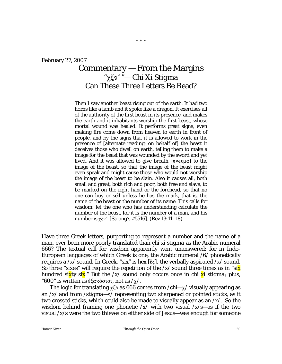February 27, 2007

### Commentary — From the Margins "χξs´"— *Chi Xi Stigma* Can These Three Letters Be Read?

\* \* \*

Then I saw another beast rising out of the earth. It had two horns like a lamb and it spoke like a dragon. It exercises all of the authority of the first beast in its presence, and makes the earth and it inhabitants worship the first beast, whose mortal wound was healed. It performs great signs, even making fire come down from heaven to earth in front of people, and by the signs that it is allowed to work in the presence of [alternate reading: on behalf of] the beast it deceives those who dwell on earth, telling them to make a image for the beast that was wounded by the sword and yet lived. And it was allowed to give breath  $[\pi v \in \mathfrak{u}_\alpha]$  to the image of the beast, so that the image of the beast might even speak and might cause those who would not worship the image of the beast to be slain. Also it causes all, both small and great, both rich and poor, both free and slave, to be marked on the right hand or the forehead, so that no one can buy or sell unless he has the mark, that is, the name of the beast or the number of its name. This calls for wisdom: let the one who has understanding calculate the number of the beast, for it is the number of a man, and his number is *χ*ζε<sup>*'*</sup> [*Strong's* #5516]. (Rev 13:11–18)

Have three Greek letters, purporting to represent a number and the name of a man, ever been more poorly translated than *chi xi stigma* as the Arabic numeral 666? The textual call for wisdom apparently went unanswered; for in Indo-European languages of which Greek is one, the Arabic numeral /6/ phonetically requires a /*x*/ sound. In Greek, "six" is *hex* [§>], the verbally aspirated /*x*/ sound. So three "sixes" will require the repetition of the /*x*/ sound three times as in "six hundred sixty six<sup>"</sup>. But the /*x*/ sound only occurs once in *chi xi stigma*; plus, "600" is written as  $\dot{\epsilon} \zeta \alpha \kappa \dot{\omega} \sigma$  as  $\eta \Delta \zeta$ .

\_\_\_\_\_\_\_\_\_\_\_\_\_

The logic for translating  $\chi \xi$ s as 666 comes from */chi*— $\chi$ / visually appearing as an  $/x$  and from */stigma*—s/ representing two sharpened or pointed sticks, as it two crossed sticks, which could also be made to visually appear as an /*x*/. So the wisdom behind framing one phonetic /*x*/ with two visual /*x*/s—as if the two visual /*x*/s were the two thieves on either side of Jesus—was enough for someone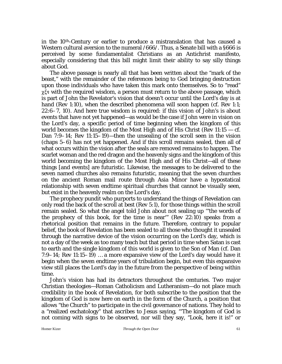in the 10th-Century or earlier to produce a mistranslation that has caused a Western cultural aversion to the numeral /666/. Thus, a Senate bill with a §666 is perceived by some fundamentalist Christians as an Antichrist manifesto, especially considering that this bill might limit their ability to say silly things about God.

The above passage is nearly all that has been written about the "mark of the beast," with the remainder of the references being to God bringing destruction upon those individuals who have taken this mark onto themselves. So to "read"  $\gamma$  cs with the required wisdom, a person must return to the above passage, which is part of John the Revelator's vision that doesn't occur until the Lord's day is at hand (Rev 1:10), when the described phenomena will soon happen (*cf.* Rev 1:1; 22:6*–*7, 10). And here true wisdom is required: if this vision of John's is about events that have not yet happened—as would be the case if John were in vision on the Lord's day, a specific period of time beginning when the kingdom of this world becomes the kingdom of the Most High and of His Christ (Rev 11:15 — *cf*. Dan 7:9*–*14; Rev 11:15*–*19)—then the unsealing of the scroll seen in the vision (chaps 5*–*6) has not yet happened. And if this scroll remains sealed, then all of what occurs within the vision after the seals are removed remains to happen. The scarlet woman and the red dragon and the heavenly signs and the kingdom of this world becoming the kingdom of the Most High and of His Christ—all of these things [and events] are futuristic. Likewise, the messages to be delivered to the seven named churches also remains futuristic, meaning that the seven churches on the ancient Roman mail route through Asia Minor have a hypostatical relationship with seven endtime spiritual churches that cannot be visually seen, but exist in the heavenly realm on the Lord's day.

The prophecy pundit who purports to understand the things of Revelation can only read the back of the scroll at best (Rev 5:1), for those things within the scroll remain sealed. So what the angel told John about not sealing up '"the words of the prophecy of this book, for the time is near'" (Rev 22:10) speaks from a rhetorical position that remains in the future. Therefore, contrary to popular belief, the book of Revelation has been sealed to all those who thought it unsealed through the narrative device of the vision occurring on the Lord's day, which is not a day of the week as too many teach but that period in time when Satan is cast to earth and the single kingdom of this world is given to the Son of Man (*cf*. Dan 7:9*–*14; Rev 11:15*–*19) … a more expansive view of the Lord's day would have it begin when the seven endtime years of tribulation begin, but even this expansive view still places the Lord's day in the future from the perspective of being within time.

John's vision has had its detractors throughout the centuries. Two major Christian theologies—Roman Catholicism and Lutheranism—do not place much credibility in the book of Revelation, for both subscribe to the position that the kingdom of God is now here on earth in the form of the Church, a position that allows "the Church" to participate in the civil governance of nations. They hold to a "realized eschatology" that ascribes to Jesus saying, "'The kingdom of God is not coming with signs to be observed, nor will they say, "Look, here it is!" or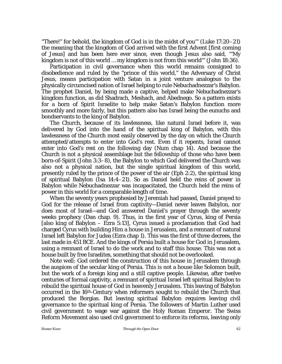"There!" for behold, the kingdom of God is in the midst of you'" (Luke 17:20*–*21) the meaning that the kingdom of God arrived with the first Advent [first coming of Jesus] and has been here ever since, even though Jesus also said, "'My kingdom is not of this world … my kingdom is not from this world'" (John 18:36).

Participation in civil governance when this world remains consigned to disobedience and ruled by the "prince of this world," the Adversary of Christ Jesus, means participation with Satan in a joint venture analogous to the physically circumcised nation of Israel helping to rule Nebuchadnezzar's Babylon. The prophet Daniel, by being made a captive, helped make Nebuchadnezzar's kingdom function, as did Shadrach, Meshach, and Abednego. So a pattern exists for a born of Spirit Israelite to help make Satan's Babylon function more smoothly and more fairly, but this pattern also has Israel being the eunuchs and bondservants to the king of Babylon.

The Church, because of its lawlessness, like natural Israel before it, was delivered by God into the hand of the spiritual king of Babylon, with this lawlessness of the Church most easily observed by the day on which the Church attempted/attempts to enter into God's rest. Even if it repents, Israel cannot enter into God's rest on the following day (Num chap 14). And because the Church is not a physical assemblage but the fellowship of those who have been born-of-Spirit (John 3:3*–*8), the Babylon to which God delivered the Church was also not a physical nation, but the single spiritual kingdom of this world, presently ruled by the prince of the power of the air (Eph 2:2), the spiritual king of spiritual Babylon (Isa 14:4*–*21). So as Daniel held the reins of power in Babylon while Nebuchadnezzar was incapacitated, the Church held the reins of power in this world for a comparable length of time.

When the seventy years prophesied by Jeremiah had passed, Daniel prayed to God for the release of Israel from captivity—Daniel never leaves Babylon, nor does most of Israel—and God answered Daniel's prayer through the seventy weeks prophecy (Dan chap. 9). Thus, in the first year of Cyrus, king of Persia [also king of Babylon – Ezra 5:13], Cyrus issued a proclamation that God had charged Cyrus with building Him a house in Jerusalem, and a remnant of natural Israel left Babylon for Judea (Ezra chap 1). This was the first of three decrees, the last made in 451 BCE. And the kings of Persia built a house for God in Jerusalem, using a remnant of Israel to do the work and to staff this house. This was not a house built by free Israelites, something that should not be overlooked.

*Note well*: God ordered the construction of this house in Jerusalem through the auspices of the secular king of Persia. This is not a house like Solomon built, but the work of a foreign king and a still captive people. Likewise, after twelve centuries of formal captivity, a remnant of spiritual Israel left spiritual Babylon to rebuild the spiritual house of God in heavenly Jerusalem. This leaving of Babylon occurred in the 16th-Century when reformers sought to rebuild the Church that produced the Borgias. But leaving spiritual Babylon requires leaving civil governance to the spiritual king of Persia. The followers of Martin Luther used civil government to wage war against the Holy Roman Emperor. The Swiss Reform Movement also used civil government to enforce its reforms, leaving only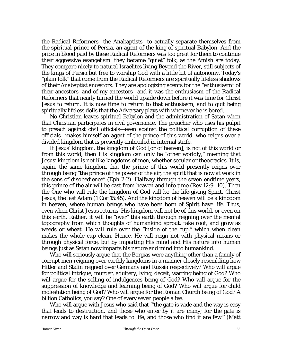the Radical Reformers—the Anabaptists—to actually separate themselves from the spiritual prince of Persia, an agent of the king of spiritual Babylon. And the price in blood paid by these Radical Reformers was too great for them to continue their aggressive evangelism: they became "quiet" folk, as the Amish are today. They compare nicely to natural Israelites living Beyond the River, still subjects of the kings of Persia but free to worship God with a little bit of autonomy. Today's "plain folk" that come from the Radical Reformers are spiritually lifeless shadows of their Anabaptist ancestors. They are apologizing agents for the "enthusiasm" of their ancestors, and of my ancestors—and it was the enthusiasm of the Radical Reformers that nearly turned the world upside down before it was time for Christ Jesus to return. It is now time to return to that enthusiasm, and to quit being spiritually lifeless dolls that the Adversary plays with whenever he is bored.

No Christian leaves spiritual Babylon and the administration of Satan when that Christian participates in civil governance. The preacher who uses his pulpit to preach against civil officials—even against the political corruption of these officials—makes himself an agent of the prince of this world, who reigns over a divided kingdom that is presently embroiled in internal strife.

If Jesus' kingdom, the kingdom of God [or of heaven], is not of this world or from this world, then His kingdom can only be "other worldly," meaning that Jesus' kingdom is not like kingdoms of men, whether secular or theocracies. It is, again, the same kingdom that the prince of this world presently reigns over through being "the prince of the power of the air, the spirit that is now at work in the sons of disobedience" (Eph 2:2). Halfway through the seven endtime years, this prince of the air will be cast from heaven and into time (Rev 12:9*–*10). Then the One who will rule the kingdom of God will be the life-giving Spirit, Christ Jesus, the last Adam (1 Cor 15:45). And the kingdom of heaven will be a kingdom in heaven, where human beings who have been born of Spirit have life. Thus, even when Christ Jesus returns, His kingdom will not be of this world, or even on this earth. Rather, it will be "over" this earth through reigning over the mental topography from which thoughts of humankind sprout, take root, and grow as weeds or wheat. He will rule over the "inside of the cup," which when clean makes the whole cup clean. Hence, He will reign not with physical means or through physical force, but by imparting His mind and His nature into human beings just as Satan now imparts his nature and mind into humankind.

Who will seriously argue that the Borgias were anything other than a family of corrupt men reigning over earthly kingdoms in a manner closely resembling how Hitler and Stalin reigned over Germany and Russia respectively? Who will argue for political intrigue, murder, adultery, lying, deceit, warring being of God? Who will argue for the selling of indulgences being of God? Who will argue for the suppression of knowledge and learning being of God? Who will argue for child molestation being of God? Who will argue for the Roman Church being of God? A billion Catholics, you say? One of every seven people alive.

Who will argue with Jesus who said that '"the gate is wide and the way is easy that leads to destruction, and those who enter by it are many; for the gate is narrow and way is hard that leads to life, and those who find it are few"' (Matt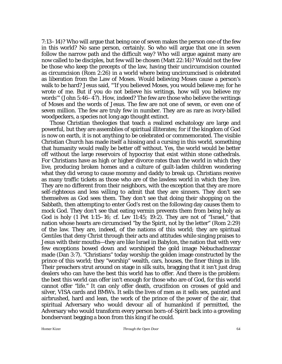7:13*–*14)? Who will argue that being one of seven makes the person one of the few in this world? No sane person, certainly. So who will argue that one in seven follow the narrow path and the difficult way? Who will argue against many are now called to be disciples, but few will be chosen (Matt 22:14)? Would not the few be those who keep the precepts of the law, having their uncircumcision counted as circumcision (Rom 2:26) in a world where being uncircumcised is celebrated as liberation from the Law of Moses. Would believing Moses cause a person's walk to be hard? Jesus said, "'If you believed Moses, you would believe me; for he wrote of me. But if you do not believe his writings, how will you believe my words'" (John 5:46*–*47). How, indeed? The few are those who believe the writings of Moses and the words of Jesus. The few are not one of seven, or even one of seven million. The few are truly few in number. They are as rare as ivory-billed woodpeckers, a species not long ago thought extinct.

Those Christian theologies that teach a realized eschatology are large and powerful, but they are assemblies of spiritual illiterates; for if the kingdom of God is now on earth, it is not anything to be celebrated or commemorated. The visible Christian Church has made itself a hissing and a cursing in this world, something that humanity would really be better off without. Yes, the world would be better off without the large reservoirs of hypocrisy that exist within stone cathedrals. For Christians have as high or higher divorce rates than the world in which they live, producing broken homes and a culture of guilt-laden children wondering what they did wrong to cause mommy and daddy to break up. Christians receive as many traffic tickets as those who are of the lawless world in which they live. They are no different from their neighbors, with the exception that they are more self-righteous and less willing to admit that they are sinners. They don't see themselves as God sees them. They don't see that doing their shopping on the Sabbath, then attempting to enter God's rest on the following day causes them to mock God. They don't see that eating vermin prevents them from being holy as God is holy (1 Pet 1:15*–*16; *cf.* Lev 11:45; 19:2). They are not of "Israel," that nation whose hearts are circumcised "by the Spirit, not by the letter" (Rom 2:29) of the law. They are, indeed, of the nations of this world; they are spiritual Gentiles that deny Christ through their acts and attitudes while singing praises to Jesus with their mouths—they are like Israel in Babylon, the nation that with very few exceptions bowed down and worshiped the gold image Nebuchadnezzar made (Dan 3:7). "Christians" today worship the golden image constructed by the prince of this world; they "worship" wealth, cars, houses, the finer things in life. Their preachers strut around on stage in silk suits, bragging that it isn't just drug dealers who can have the best this world has to offer. And there is the problem: the best this world can offer isn't enough for those who are of God, for this world cannot offer "life." It can only offer death, crucifixion on crosses of gold and silver, VISA cards and BMWs. It sells the lives of men as it sells sex, painted and airbrushed, hard and lean, the work of the prince of the power of the air, that spiritual Adversary who would devour all of humankind if permitted, the Adversary who would transform every person born-of-Spirit back into a groveling bondservant begging a boon from this king if he could.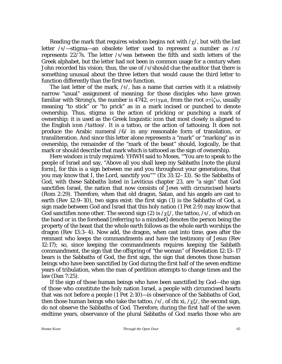Reading the mark that requires wisdom begins not with  $\gamma/\gamma$ , but with the last letter /s/ $-stigma$ —an obsolete letter used to represent a number as  $/\pi$ / represents  $22/7s$ . The letter /s/was between the fifth and sixth letters of the Greek alphabet, but the letter had not been in common usage for a century when John recorded his vision; thus, the use of /s/should clue the auditor that there is something unusual about the three letters that would cause the third letter to function differently than the first two function.

The last letter of the mark,  $\sqrt{s}$ , has a name that carries with it a relatively narrow "usual" assignment of meaning: for those disciples who have grown familiar with Strong's, the number is 4742,  $\sigma \tau \gamma \mu \alpha$ , from the root  $\sigma \tau \gamma \zeta \omega$ , usually meaning "to stick" or "to prick" as in a mark incised or punched to denote ownership. Thus, *stigma* is the action of pricking or punching a mark of ownership; it is used as the Greek linguistic icon that most closely is aligned to the English icon /*tattoo*/. It is a tattoo, or the action of tattooing. It does not produce the Arabic numeral /6/ in any reasonable form of translation, or transliteration. And since this letter alone represents a "mark" or "marking" as in ownership, the remainder of the "mark of the beast" should, logically, be that mark or should describe that mark which is tattooed as the sign of ownership.

Here wisdom is truly required: *YHWH* said to Moses, "'You are to speak to the people of Israel and say, "Above all you shall keep my Sabbaths [note the plural form], for this is a sign between me and you throughout your generations, that you may know that I, the Lord, sanctify you"'" (Ex 31:12*–*13). So the Sabbaths of God, with these Sabbaths listed in Leviticus chapter 23, are "a sign" that God sanctifies Israel, the nation that now consists of Jews with circumcised hearts (Rom 2:29). Therefore, when that old dragon, Satan, and his angels are cast to earth (Rev 12:9*–*10), two signs exist: the first sign (1) is the Sabbaths of God, a sign made between God and Israel that this holy nation (1 Pet 2:9) may know that God sanctifies none other. The second sign (2) is  $/\gamma \zeta$ , the tattoo,  $/\gamma$ , of which on the hand or in the forehead [referring to a mindset] denotes the person being the property of the beast that the whole earth follows as the whole earth worships the dragon (Rev 13:3*–*4). Now add, the dragon, when cast into time, goes after the remnant who keeps the commandments and have the testimony of Jesus (Rev 12:17); so, since keeping the commandments requires keeping the Sabbath commandment, the sign that the offspring of "the woman" of Revelation 12:13*–*17 bears is the Sabbaths of God, the first sign, the sign that denotes those human beings who have been sanctified by God during the first half of the seven endtime years of tribulation, when the man of perdition attempts to change times and the law (Dan 7:25).

If the sign of those human beings who have been sanctified by God—the sign of those who constitute the holy nation Israel, a people with circumcised hearts that was not before a people (1 Pet 2:10)—is observance of the Sabbaths of God, then those human beings who take the tattoo,  $\frac{\sin \frac{1}{x}}{\sin \frac{1}{x}}$ ,  $\frac{\sin \frac{1}{x}}{\sin \frac{1}{x}}$ , the second sign, do not observe the Sabbaths of God. Therefore, during the first half of the seven endtime years, observance of the plural Sabbaths of God marks those who are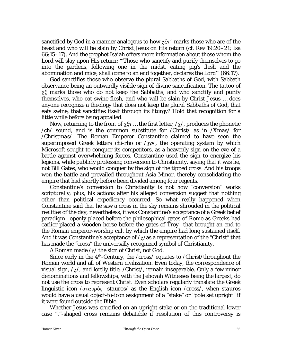sanctified by God in a manner analogous to how  $\chi \xi s^2$  marks those who are of the beast and who will be slain by Christ Jesus on His return (*cf.* Rev 19:20*–*21; Isa 66:15*–*17). And the prophet Isaiah offers more information about those whom the Lord will slay upon His return: "'Those who sanctify and purify themselves to go into the gardens, following one in the midst, eating pig's flesh and the abomination and mice, shall come to an end together, declares the Lord'" (66:17).

God sanctifies those who observe the plural Sabbaths of God, with Sabbath observance being an outwardly visible sign of divine sanctification. The tattoo of  $\chi\xi$  marks those who do not keep the Sabbaths, and who sanctify and purify themselves, who eat swine flesh, and who will be slain by Christ Jesus … does anyone recognize a theology that does not keep the plural Sabbaths of God, that eats swine, that sanctifies itself through its liturgy? Hold that recognition for a little while before being appalled.

Now, returning to the front of  $\chi \xi s$  ... the first letter,  $\chi/\chi$ , produces the phonetic /*ch*/ sound, and is the common substitute for /*Christ*/ as in /*Xmas*/ for /*Christmas*/. The Roman Emperor Constantine claimed to have seen the superimposed Greek letters *chi-rho* or  $\ell \chi \rho \ell$ , the operating system by which Microsoft sought to conquer its competitors, as a heavenly sign on the eve of a battle against overwhelming forces. Constantine used the sign to energize his legions, while publicly professing conversion to Christianity, saying that it was he, not Bill Gates, who would conquer by the sign of the tipped cross. And his troops won the battle and prevailed throughout Asia Minor, thereby consolidating the empire that had shortly before been divided among four regents.

Constantine's conversion to Christianity is not how "conversion" works scripturally; plus, his actions after his alleged conversion suggest that nothing other than political expediency occurred. So what really happened when Constantine said that he saw a cross in the sky remains shrouded in the political realities of the day; nevertheless, it was Constantine's acceptance of a Greek belief paradigm—openly placed before the philosophical gates of Rome as Greeks had earlier placed a wooden horse before the gates of Troy—that brought an end to the Roman emperor-worship cult by which the empire had long sustained itself. And it was Constantine's acceptance of  $\sqrt{\chi}/a$ s a representation of the "Christ" that has made the "cross" the universally recognized symbol of Christianity.

A Roman made  $\gamma/\gamma$  the sign of Christ, not God.

Since early in the 4th-Century, the /*cross*/ equates to /*Christ*/throughout the Roman world and all of Western civilization. Even today, the correspondence of visual sign,  $/\chi$ , and lordly title, /*Christ*/, remain inseparable. Only a few minor denominations and fellowships, with the Jehovah Witnesses being the largest, do not use the cross to represent Christ. Even scholars regularly translate the Greek linguistic icon /σταυρός—*stauros*/ as the English icon /*cross*/, when *stauros* would have a usual object-to-icon assignment of a "stake" or "pole set upright" if it were found outside the Bible.

Whether Jesus was crucified on an upright stake or on the traditional lower case "t"-shaped cross remains debatable if resolution of this controversy is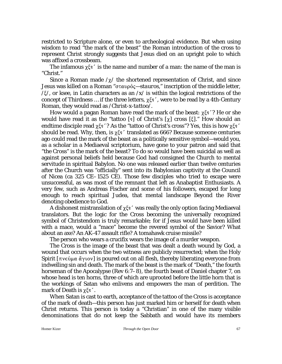restricted to Scripture alone, or even to archeological evidence. But when using wisdom to read "the mark of the beast" the Roman introduction of the cross to represent Christ strongly suggests that Jesus died on an upright pole to which was affixed a crossbeam.

The infamous  $\chi \xi s'$  is the name and number of a man: the name of the man is "Christ."

Since a Roman made  $\chi/\chi$  the shortened representation of Christ, and since Jesus was killed on a Roman "σταυρός—*stauros*," inscription of the middle letter,  $/2$ , or *ksee*, in Latin characters as an  $/x$  is within the logical restrictions of the concept of Thirdness ... if the three letters,  $\chi \xi s'$ , were to be read by a 4th-Century Roman, they would read as /*Christ-x-tattoo*/.

How would a pagan Roman have read the mark of the beast:  $\chi \xi s$ ? He or she would have read it as the "tattoo [s] of Christ's [ $\chi$ ] cross [ $\xi$ ]." How should an endtime disciple read  $\chi \xi s$ ? As the "tattoo of Christ's cross"? Yes, this is how  $\chi \xi s$ should be read. Why, then, is  $\chi \xi s^2$  translated as 666? Because someone centuries ago could read the mark of the beast as a politically sensitive symbol—would you, as a scholar in a Mediaeval scriptorium, have gone to your patron and said that "*the Cross*" is the mark of the beast? To do so would have been suicidal as well as against personal beliefs held because God had consigned the Church to mental servitude in spiritual Babylon. No one was released earlier than twelve centuries after the Church was "officially" sent into its Babylonian captivity at the Council of Nicea (ca 325 CE–1525 CE). Those few disciples who tried to escape were unsuccessful, as was most of the remnant that left as Anabaptist Enthusiasts. A very few, such as Andreas Fischer and some of his followers, escaped for long enough to reach spiritual Judea, that mental landscape Beyond the River denoting obedience to God.

A dishonest mistranslation of  $\chi \xi s'$  was really the only option facing Mediaeval translators. But the logic for the Cross becoming the universally recognized symbol of Christendom is truly remarkable; for if Jesus would have been killed with a mace, would a "mace" become the revered symbol of the Savior? What about an axe? An AK-47 assault rifle? A tomahawk cruise missile?

The person who wears a crucifix wears the image of a murder weapon.

The Cross is the image of the beast that was dealt a death wound by God, a wound that occurs when the two witness are publicly resurrected; when the Holy Spirit  $[\pi v \in \hat{\omega} \mu \alpha \alpha v]$  is poured out on all flesh, thereby liberating everyone from indwelling sin and death. The mark of the beast is the mark of "Death," the fourth horseman of the Apocalypse (Rev 6:*7–*8), the fourth beast of Daniel chapter 7, on whose head is ten horns, three of which are uprooted before the little horn that is the workings of Satan who enlivens and empowers the man of perdition. The mark of Death is  $\chi \xi$ s<sup>2</sup>.

When Satan is cast to earth, acceptance of the tattoo of the Cross is acceptance of the mark of death—this person has just marked him or herself for death when Christ returns. This person is today a "Christian" in one of the many visible denominations that do not keep the Sabbath and would have its members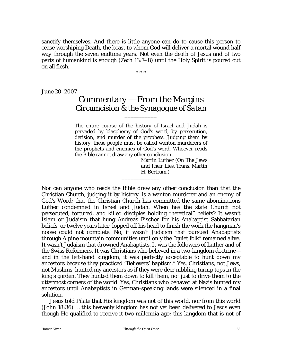sanctify themselves. And there is little anyone can do to cause this person to cease worshiping Death, the beast to whom God will deliver a mortal wound half way through the seven endtime years. Not even the death of Jesus and of two parts of humankind is enough (Zech 13:*7–*8) until the Holy Spirit is poured out on all flesh.

\* \* \*

June 20, 2007

#### Commentary — From the Margins *Circumcision & the Synagogue of Satan* \_\_\_\_\_\_\_\_\_\_\_

The entire course of the history of Israel and Judah is pervaded by blasphemy of God's word, by persecution, derision, and murder of the prophets. Judging them by history, these people must be called wanton murderers of the prophets and enemies of God's word. Whoever reads the Bible cannot draw any other conclusion.

\_\_\_\_\_\_\_\_\_\_\_\_\_

Martin Luther (*On The Jews and Their Lies*. Trans. Martin H. Bertram.)

Nor can anyone who reads the Bible draw any other conclusion than that the Christian Church, judging it by history, is a wanton murderer and an enemy of God's Word; that the Christian Church has committed the same abominations Luther condemned in Israel and Judah. When has the state Church not persecuted, tortured, and killed disciples holding "heretical" beliefs? It wasn't Islam or Judaism that hung Andreas Fischer for his Anabaptist Sabbatarian beliefs, or twelve years later, lopped off his head to finish the work the hangman's noose could not complete. No, it wasn't Judaism that pursued Anabaptists through Alpine mountain communities until only the "quiet folk" remained alive. It wasn't Judaism that drowned Anabaptists. It was the followers of Luther and of the Swiss Reformers. It was Christians who believed in a two-kingdom doctrine and in the left-hand kingdom, it was perfectly acceptable to hunt down my ancestors because they practiced "Believers' baptism." Yes, Christians, not Jews, not Muslims, hunted my ancestors as if they were deer nibbling turnip tops in the king's garden. They hunted them down to kill them, not just to drive them to the uttermost corners of the world. Yes, Christians who behaved at Nazis hunted my ancestors until Anabaptists in German-speaking lands were silenced in a final solution.

Jesus told Pilate that His kingdom was not of this world, nor from this world (John 18:36) … this heavenly kingdom has not yet been delivered to Jesus even though He qualified to receive it two millennia ago; this kingdom that is not of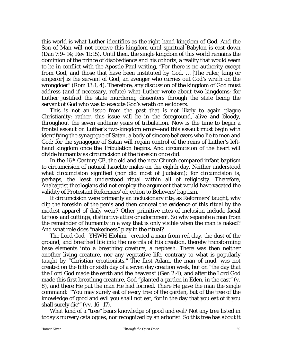this world is what Luther identifies as the right-hand kingdom of God. And the Son of Man will not receive this kingdom until spiritual Babylon is cast down (Dan 7:9*–*14; Rev 11:15). Until then, the single kingdom of this world remains the dominion of the prince of disobedience and his cohorts, a reality that would seem to be in conflict with the Apostle Paul writing, "For there is no authority except from God, and those that have been instituted by God. … [The ruler, king or emperor] is the servant of God, an avenger who carries out God's wrath on the wrongdoer" (Rom 13:1, 4). Therefore, any discussion of the kingdom of God must address (and if necessary, refute) what Luther wrote about two kingdoms; for Luther justified the state murdering dissenters through the state being the servant of God who was to execute God's wrath on evildoers.

This is not an issue from the past that is not likely to again plague Christianity; rather, this issue will be in the foreground, alive and bloody, throughout the seven endtime years of tribulation. Now is the time to begin a frontal assault on Luther's two-kingdom error—and this assault must begin with identifying the synagogue of Satan, a body of sincere believers who lie to men and God; for the synagogue of Satan will regain control of the reins of Luther's lefthand kingdom once the Tribulation begins. And circumcision of the heart will divide humanity as circumcision of the foreskin once did.

In the 16th-Century CE, the old and the new Church compared infant baptism to circumcision of natural Israelite males on the eighth day. Neither understood what circumcision signified (nor did most of Judaism); for circumcision is, perhaps, the least understood ritual within all of religiosity. Therefore, Anabaptist theologians did not employ the argument that would have vacated the validity of Protestant Reformers' objection to Believers' baptism.

If circumcision were primarily an inclusionary rite, as Reformers' taught, why clip the foreskin of the penis and then conceal the evidence of this ritual by the modest apparel of daily wear? Other primitive rites of inclusion include facial tattoos and cuttings, distinctive attire or adornment. So why separate a man from the remainder of humanity in a way that is only visible when the man is naked? And what role does "nakedness" play in the ritual?

The Lord God—*YHWH Elohim*—created a man from red clay, the dust of the ground, and breathed life into the nostrils of His creation, thereby transforming base elements into a breathing creature, a *nephesh*. There was then neither another living creature, nor any vegetative life, contrary to what is popularly taught by "Christian creationists." The first Adam, the man of mud, was not created on the fifth or sixth day of a seven day creation week, but on "the day that the Lord God made the earth and the heavens" (Gen 2:4), and after the Lord God made this first breathing creature, God "planted a garden in Eden, in the east" (*v*. 8), and there He put the man He had formed. There He gave the man the single command: "'You may surely eat of every tree of the garden, but of the tree of the knowledge of good and evil you shall not eat, for in the day that you eat of it you shall surely die'" (*vv*. 16*–*17).

What kind of a "tree" bears knowledge of good and evil? Not any tree listed in today's nursery catalogues, nor recognized by an arborist. So this tree has about it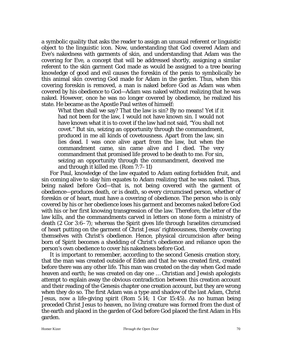a symbolic quality that asks the reader to assign an unusual referent or linguistic object to the linguistic icon. Now, understanding that God covered Adam and Eve's nakedness with garments of skin, and understanding that Adam was the covering for Eve, a concept that will be addressed shortly, assigning a similar referent to the skin garment God made as would be assigned to a tree bearing knowledge of good and evil causes the foreskin of the penis to symbolically be this animal skin covering God made for Adam in the garden. Thus, when this covering foreskin is removed, a man is naked before God as Adam was when covered by his obedience to God—Adam was naked without realizing that he was naked. However, once he was no longer covered by obedience, he realized his state. He became as the Apostle Paul writes of himself:

What then shall we say? That the law is sin? By no means! Yet if it had not been for the law, I would not have known sin. I would not have known what it is to covet if the law had not said, "You shall not covet." But sin, seizing an opportunity through the commandment, produced in me all kinds of covetousness. Apart from the law, sin lies dead. I was once alive apart from the law, but when the commandment came, sin came alive and I died. The very commandment that promised life proved to be death to me. For sin, seizing an opportunity through the commandment, deceived me and through it killed me. (Rom 7:*7–*11)

For Paul, knowledge of the law equated to Adam eating forbidden fruit, and sin coming alive to slay him equates to Adam realizing that he was naked. Thus, being naked before God—that is, not being covered with the garment of obedience—produces death, or is death, so every circumcised person, whether of foreskin or of heart, must have a covering of obedience. The person who is only covered by his or her obedience loses his garment and becomes naked before God with his or her first knowing transgression of the law. Therefore, the letter of the law kills, and the commandments carved in letters on stone form a ministry of death (2 Cor 3:6*–*7); whereas the Spirit gives life through Israelites circumcised of heart putting on the garment of Christ Jesus' righteousness, thereby covering themselves with Christ's obedience. Hence, physical circumcision after being born of Spirit becomes a shedding of Christ's obedience and reliance upon the person's own obedience to cover his nakedness before God.

It is important to remember, according to the second Genesis creation story, that the man was created outside of Eden and that he was created first, created before there was any other life. This man was created on the day when God made heaven and earth; he was created on day one … Christian and Jewish apologists attempt to explain away the obvious contradiction between this creation account and their reading of the Genesis chapter one creation account, but they are wrong when they do so. The first Adam was a type and shadow of the last Adam, Christ Jesus, now a life-giving spirit (Rom 5:14; 1 Cor 15:45). As no human being preceded Christ Jesus to heaven, no living creature was formed from the dust of the earth and placed in the garden of God before God placed the first Adam in His garden.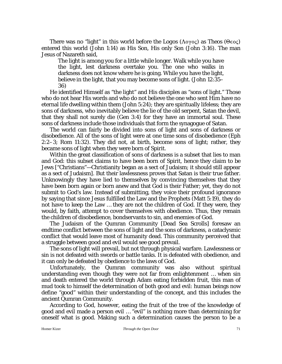There was no "light" in this world before the  $Logos (\Lambda o \gamma o \varsigma)$  as *Theos* ( $\Theta \epsilon o \varsigma$ ) entered this world (John 1:14) as His Son, His only Son (John 3:16). The man Jesus of Nazareth said,

The light is among you for a little while longer. Walk while you have the light, lest darkness overtake you. The one who walks in darkness does not know where he is going. While you have the light, believe in the light, that you may become sons of light. (John 12:35*–* 36)

He identified Himself as "the light" and His disciples as "sons of light." Those who do not hear His words and who do not believe the one who sent Him have no eternal life dwelling within them (John 5:24); they are spiritually lifeless; they are sons of darkness, who inevitably believe the lie of the old serpent, Satan the devil, that they shall not surely die (Gen 3:4) for they have an immortal soul. These sons of darkness include those individuals that form the synagogue of Satan.

The world can fairly be divided into sons of light and sons of darkness or disobedience. All of the sons of light were at one time sons of disobedience (Eph 2:2*–*3; Rom 11:32). They did not, at birth, become sons of light; rather, they became sons of light when they were born of Spirit.

Within the great classification of sons of darkness is a subset that lies to man and God: this subset claims to have been born of Spirit, hence they claim to be Jews ["Christians"—Christianity began as a sect of Judaism; it should still appear as a sect of Judaism]. But their lawlessness proves that Satan is their true father. Unknowingly they have lied to themselves by convincing themselves that they have been born again or born anew and that God is their Father; yet, they do not submit to God's law. Instead of submitting, they voice their profound ignorance by saying that since Jesus fulfilled the Law and the Prophets (Matt 5:19), they do not have to keep the Law … they are not the children of God. If they were, they would, by faith, attempt to cover themselves with obedience. Thus, they remain the children of disobedience, bondservants to sin, and enemies of God.

The Judaism of the Qumran Community [Dead Sea Scrolls] foresaw an endtime conflict between the sons of light and the sons of darkness, a cataclysmic conflict that would leave most of humanity dead. This community perceived that a struggle between *good* and *evil* would see *good* prevail.

The sons of light will prevail, but not through physical warfare. Lawlessness or sin is not defeated with swords or battle tanks. It is defeated with obedience, and it can only be defeated by obedience to the laws of God.

Unfortunately, the Qumran community was also without spiritual understanding even though they were not far from enlightenment … when sin and death entered the world through Adam eating forbidden fruit, this man of mud took to himself the determination of both good and evil: human beings now define "good" within their understanding of the concept, and this includes the ancient Qumran Community.

According to God, however, eating the fruit of the tree of the knowledge of good and evil made a person evil … "evil" is nothing more than determining for oneself what is good. Making such a determination causes the person to be a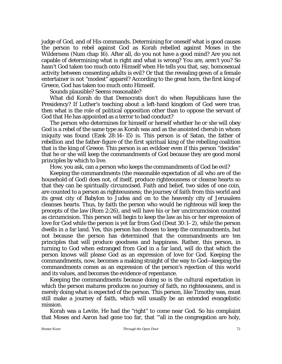judge of God, and of His commands. Determining for oneself what is good causes the person to rebel against God as Korah rebelled against Moses in the Wilderness (Num chap 16). After all, do you not have a good mind? Are you not capable of determining what is right and what is wrong? You are, aren't you? So hasn't God taken too much onto Himself when He tells you that, say, homosexual activity between consenting adults is evil? Or that the revealing gown of a female entertainer is not "modest" apparel? According to the great horn, the first king of Greece, God has taken too much onto Himself.

Sounds plausible? Seems reasonable?

What did Korah do that Democrats don't do when Republicans have the Presidency? If Luther's teaching about a left-hand kingdom of God were true, then what is the role of political opposition other than to oppose the servant of God that He has appointed as a terror to bad conduct?

The person who determines for himself or herself whether he or she will obey God is a rebel of the same type as Korah was and as the anointed cherub in whom iniquity was found (Ezek 28:14*–*15) is. This person is of Satan, the father of rebellion and the father-figure of the first spiritual king of the rebelling coalition that is the king of Greece. This person is an evildoer even if this person "decides" that he or she will keep the commandments of God because they are good moral principles by which to live.

How, you ask, can a person who keeps the commandments of God be evil?

Keeping the commandments (the reasonable expectation of all who are of the household of God) does not, of itself, produce righteousness or cleanse hearts so that they can be spiritually circumcised. Faith and belief, two sides of one coin, are counted to a person as righteousness; the journey of faith from this world and its great city of Babylon to Judea and on to the heavenly city of Jerusalem cleanses hearts. Thus, by faith the person who would be righteous will keep the precepts of the law (Rom 2:26), and will have his or her uncircumcision counted as circumcision. This person will begin to keep the law as his or her expression of love for God while the person is yet far from God (Deut 30:1*–*2), while the person dwells in a far land. Yes, this person has chosen to keep the commandments, but not because the person has determined that the commandments are ten principles that will produce goodness and happiness. Rather, this person, in turning to God when estranged from God in a far land, will do that which the person knows will please God as an expression of love for God. Keeping the commandments, now, becomes a making straight of the way to God—keeping the commandments comes as an expression of the person's rejection of this world and its values, and becomes the evidence of repentance.

Keeping the commandments because doing so is the cultural expectation in which the person matures produces no journey of faith, no righteousness, and is merely doing what is expected of the person. This person, like Timothy was, must still make a journey of faith, which will usually be an extended evangelistic mission.

Korah was a Levite. He had the "right" to come near God. So his complaint that Moses and Aaron had gone too far, that '"all in the congregation are holy,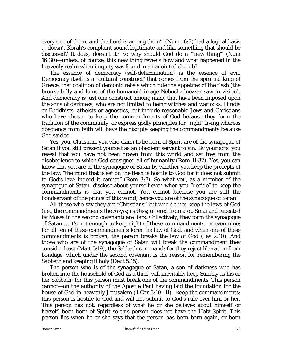every one of them, and the Lord is among them'" (Num 16:3) had a logical basis … doesn't Korah's complaint sound legitimate and like something that should be discussed? It does, doesn't it? So why should God do a '"new thing"' (Num 16:30)—unless, of course, this new thing reveals how and what happened in the heavenly realm when iniquity was found in an anointed cherub?

The essence of democracy (self-determination) is the essence of evil. Democracy itself is a "cultural construct" that comes from the spiritual king of Greece, that coalition of demonic rebels which rule the appetites of the flesh (the bronze belly and loins of the humanoid image Nebuchadnezzar saw in vision). And democracy is just one construct among many that have been imposed upon the sons of darkness, who are not limited to being witches and warlocks, Hindis or Buddhists, atheists or agnostics, but include reasonable Jews and Christians who have chosen to keep the commandments of God because they form the tradition of the community, or express godly principles for "right" living whereas obedience from faith will have the disciple keeping the commandments because God said to.

Yes, you, Christian, you who claim to be born of Spirit are of the synagogue of Satan if you still present yourself as an obedient servant to sin. By your acts, you reveal that you have not been drawn from this world and set free from the disobedience to which God consigned all of humanity (Rom 11:32). Yes, you can know that you are of the synagogue of Satan by whether you keep the precepts of the law: "the mind that is set on the flesh is hostile to God for it does not submit to God's law; indeed it cannot" (Rom 8:7). So what you, as a member of the synagogue of Satan, disclose about yourself even when you "decide" to keep the commandments is that you cannot. You cannot because you are still the bondservant of the prince of this world; hence you are of the synagogue of Satan.

All those who say they are "Christians" but who do not keep the laws of God (i.e., the commandments the  $\Lambda$ oyoc as  $\Theta$ eoc uttered from atop Sinai and repeated by Moses in the second covenant) are liars. Collectively, they form the synagogue of Satan … it's not enough to keep eight of these commandments, or even nine; for all ten of these commandments form the law of God, and when one of these commandments is broken, the person breaks the law of God (Jas 2:10). And those who are of the synagogue of Satan will break the commandment they consider least (Matt 5:19), the Sabbath command; for they reject liberation from bondage, which under the second covenant is the reason for remembering the Sabbath and keeping it holy (Deut 5:15).

The person who is of the synagogue of Satan, a son of darkness who has broken into the household of God as a thief, will inevitably keep Sunday as his or her Sabbath; for this person must break one of the commandments. This person cannot—on the authority of the Apostle Paul having laid the foundation for the house of God in heavenly Jerusalem (1 Cor 3:10*–*11)—keep the commandments; this person is hostile to God and will not submit to God's rule over him or her. This person has not, regardless of what he or she believes about himself or herself, been born of Spirit so this person does not have the Holy Spirit. This person lies when he or she says that the person has been born again, or born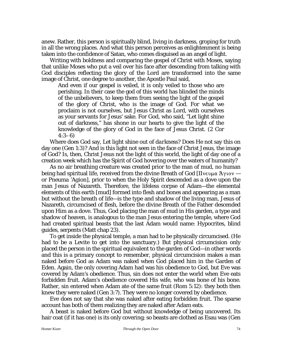anew. Rather, this person is spiritually blind, living in darkness, groping for truth in all the wrong places. And what this person perceives as enlightenment is being taken into the confidence of Satan, who comes disguised as an angel of light.

Writing with boldness and comparing the gospel of Christ with Moses, saying that unlike Moses who put a veil over his face after descending from talking with God disciples reflecting the glory of the Lord are transformed into the same image of Christ, one degree to another, the Apostle Paul said,

And even if our gospel is veiled, it is only veiled to those who are perishing. In their case the god of this world has blinded the minds of the unbelievers, to keep them from seeing the light of the gospel of the glory of Christ, who is the image of God. For what we proclaim is not ourselves, but Jesus Christ as Lord, with ourselves as your servants for Jesus' sake. For God, who said, "Let light shine out of darkness," has shone in our hearts to give the light of the knowledge of the glory of God in the face of Jesus Christ. (2 Cor 4:3*–*6)

Where does God say, *Let light shine out of darkness*? Does He not say this on day one (Gen 1:3)? And is this light not seen in the face of Christ Jesus, the image of God? Is, then, Christ Jesus not the light of this world, the light of day one of a creation week which has the Spirit of God hovering over the waters of humanity?

As no air breathing creature was created prior to the man of mud, no human being had spiritual life, received from the divine Breath of God  $\Pi$ v $\epsilon$ u $\mu$ a A $\gamma$ iov or *Pneuma 'Agion*], prior to when the Holy Spirit descended as a dove upon the man Jesus of Nazareth. Therefore, the lifeless corpse of Adam—the elemental elements of this earth [mud] formed into flesh and bones and appearing as a man but without the breath of life—is the type and shadow of the living man, Jesus of Nazareth, circumcised of flesh, before the divine Breath of the Father descended upon Him as a dove. Thus, God placing the man of mud in His garden, a type and shadow of heaven, is analogous to the man Jesus entering the temple, where God had created spiritual beasts that the last Adam would name: Hypocrites, blind guides, serpents (Matt chap 23).

To get inside the physical temple, a man had to be physically circumcised. (He had to be a Levite to get into the sanctuary.) But physical circumcision only placed the person in the spiritual equivalent to the garden of God—in other words and this is a primary concept to remember, physical circumcision makes a man naked before God as Adam was naked when God placed him in the Garden of Eden. Again, the only covering Adam had was his obedience to God, but Eve was covered by Adam's obedience. Thus, sin does not enter the world when Eve eats forbidden fruit. Adam's obedience covered His wife, who was bone of his bone. Rather, sin entered when Adam ate of the same fruit (Rom 5:12): they both then knew they were naked (Gen 3:7). They were no longer covered by obedience.

Eve does not say that she was naked after eating forbidden fruit. The sparse account has both of them realizing they are naked after Adam eats.

A beast is naked before God but without knowledge of being uncovered. Its hair coat (if it has one) is its only covering; so beasts are clothed as Esau was (Gen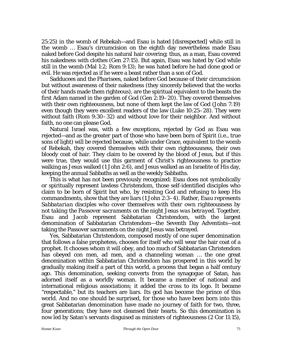25:25) in the womb of Rebekah—and Esau is hated [disrespected] while still in the womb … Esau's circumcision on the eighth day nevertheless made Esau naked before God despite his natural hair covering; thus, as a man, Esau covered his nakedness with clothes (Gen 27:15). But again, Esau was hated by God while still in the womb (Mal 1:2; Rom 9:13); he was hated before he had done good or evil. He was rejected as if he were a beast rather than a son of God.

Sadducees and the Pharisees, naked before God because of their circumcision but without awareness of their nakedness (they sincerely believed that the works of their hands made them righteous), are the spiritual equivalent to the beasts the first Adam named in the garden of God (Gen 2:19*–*20). They covered themselves with their own righteousness, but none of them kept the law of God (John 7:19) even though they were excellent readers of the law (Luke 10:25*–*28). They were without faith (Rom 9:30*–*32) and without love for their neighbor. And without faith, no one can please God.

Natural Israel was, with a few exceptions, rejected by God as Esau was rejected—and as the greater part of those who have been born of Spirit (i.e., true sons of light) will be rejected because, while under Grace, equivalent to the womb of Rebekah, they covered themselves with their own righteousness, their own bloody coat of hair. They claim to be covered by the blood of Jesus, but if this were true, they would use this garment of Christ's righteousness to practice walking as Jesus walked (1 John 2:6), and Jesus walked as an Israelite of His day, keeping the annual Sabbaths as well as the weekly Sabbaths.

This is what has not been previously recognized: Esau does not symbolically or spiritually represent lawless Christendom, those self-identified disciples who claim to be born of Spirit but who, by resisting God and refusing to keep His commandments, show that they are liars (1 John 2:3*–*4). Rather, *Esau represents Sabbatarian disciples who cover themselves with their own righteousness by not taking the Passover sacraments on the night Jesus was betrayed*. Together, Esau and Jacob represent Sabbatarian Christendom, with the largest denomination of Sabbatarian Christendom—the Seventh Day Adventists—not taking the Passover sacraments on the night Jesus was betrayed.

Yes, Sabbatarian Christendom, composed mostly of one super denomination that follows a false prophetess, chooses for itself who will wear the hair coat of a prophet. It chooses whom it will obey, and too much of Sabbatarian Christendom has obeyed con men, ad men, and a channeling woman … the one great denomination within Sabbatarian Christendom has prospered in this world by gradually making itself a part of this world, a process that began a half century ago. This denomination, seeking converts from the synagogue of Satan, has adorned itself as a worldly woman. It became a member of national and international religious associations; it added *the cross* to its logo. It became "respectable," but its teachers are liars. Its god has become the prince of this world. And no one should be surprised, for those who have been born into this great Sabbatarian denomination have made no journey of faith for two, three, four generations; they have not cleansed their hearts. So this denomination is now led by Satan's servants disguised as ministers of righteousness (2 Cor 11:15),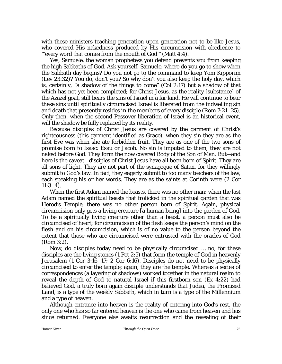with these ministers teaching generation upon generation not to be like Jesus, who covered His nakedness produced by His circumcision with obedience to '"every word that comes from the mouth of God'" (Matt 4:4).

Yes, Samuele, the woman prophetess you defend prevents you from keeping the high Sabbaths of God. Ask yourself, Samuele, where do you go to show when the Sabbath day begins? Do you not go to the command to keep Yom Kipporim (Lev 23:32)? You do, don't you? So why don't you also keep the holy day, which is, certainly, "a shadow of the things to come" (Col 2:17) but a shadow of that which has not yet been completed; for Christ Jesus, as the reality [substance] of the Azazel goat, still bears the sins of Israel in a far land. He will continue to bear these sins until spiritually circumcised Israel is liberated from the indwelling sin and death that presently resides in the members of every disciple (Rom 7:21*–*25). Only then, when the second Passover liberation of Israel is an historical event, will the shadow be fully replaced by its reality.

Because disciples of Christ Jesus are covered by the garment of Christ's righteousness (this garment identified as Grace), when they sin they are as the first Eve was when she ate forbidden fruit. They are as one of the two sons of promise born to Isaac: Esau or Jacob. No sin is imputed to them; they are not naked before God. They form the now covered Body of the Son of Man. But—and here is the caveat—disciples of Christ Jesus have all been born of Spirit. They are all sons of light. They are not part of the synagogue of Satan, for they willingly submit to God's law. In fact, they eagerly submit to too many teachers of the law, each speaking his or her words. They are as the saints at Corinth were (2 Cor 11:3*–*4).

When the first Adam named the beasts, there was no other man; when the last Adam named the spiritual beasts that frolicked in the spiritual garden that was Herod's Temple, there was no other person born of Spirit. Again, physical circumcision only gets a living creature [a human being] into the garden of God. To be a spiritually living creature other than a beast, a person must also be circumcised of heart; for circumcision of the flesh keeps the person's mind on the flesh and on his circumcision, which is of no value to the person beyond the extent that those who are circumcised were entrusted with the oracles of God (Rom 3:2).

Now, do disciples today need to be physically circumcised … no, for these disciples are the living stones (1 Pet 2:5) that form the temple of God in heavenly Jerusalem (1 Cor 3:16*–*17; 2 Cor 6:16). Disciples do not need to be physically circumcised to enter the temple; again, they are the temple. Whereas a series of correspondences (a layering of shadows) worked together in the natural realm to reveal the depth of God to natural Israel if this firstborn son (Ex 4:22) had believed God, a truly born again disciple understands that Judea, the Promised Land, is a type of the weekly Sabbath, which in turn is a type of the Millennium and a type of heaven.

Although entrance into heaven is the reality of entering into God's rest, the only one who has so far entered heaven is the one who came from heaven and has since returned. Everyone else awaits resurrection and the revealing of their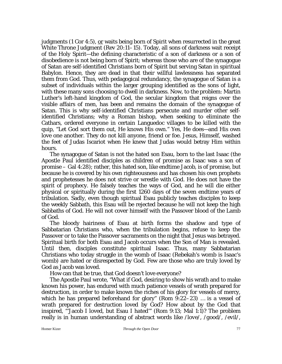judgments (1 Cor 4:5), or waits being born of Spirit when resurrected in the great White Throne Judgment (Rev 20:11*–*15). Today, all sons of darkness wait receipt of the Holy Spirit—the defining characteristic of a son of darkness or a son of disobedience is not being born of Spirit; whereas those who are of the synagogue of Satan are self-identified Christians born of Spirit but serving Satan in spiritual Babylon. Hence, they are dead in that their willful lawlessness has separated them from God. Thus, with pedagogical redundancy, the synagogue of Satan is a subset of individuals within the larger grouping identified as the sons of light, with these many sons choosing to dwell in darkness. Now, to the problem: Martin Luther's left-hand kingdom of God, the secular kingdom that reigns over the visible affairs of men, has been and remains the domain of the synagogue of Satan. This is why self-identified Christians persecute and murder other selfidentified Christians; why a Roman bishop, when seeking to eliminate the Cathars, ordered everyone in certain Languedoc villages to be killed with the quip, "Let God sort them out, He knows His own." Yes, He does—and His own love one another. They do not kill anyone, friend or foe. Jesus, Himself, washed the feet of Judas Iscariot when He knew that Judas would betray Him within hours.

The synagogue of Satan is not the hated son Esau, born to the last Isaac (the Apostle Paul identified disciples as children of promise as Isaac was a son of promise – Gal 4:28); rather, this hated son, like endtime Jacob, is of promise, but because he is covered by his own righteousness and has chosen his own prophets and prophetesses he does not strive or wrestle with God. He does not have the spirit of prophecy. He falsely teaches the ways of God, and he will die either physical or spiritually during the first 1260 days of the seven endtime years of tribulation. Sadly, even though spiritual Esau publicly teaches disciples to keep the weekly Sabbath, this Esau will be rejected because he will not keep the high Sabbaths of God. He will not cover himself with the Passover blood of the Lamb of God.

The bloody hairiness of Esau at birth forms the shadow and type of Sabbatarian Christians who, when the tribulation begins, refuse to keep the Passover or to take the Passover sacraments on the night that Jesus was betrayed. Spiritual birth for both Esau and Jacob occurs when the Son of Man is revealed. Until then, disciples constitute spiritual Isaac. Thus, many Sabbatarian Christians who today struggle in the womb of Isaac (Rebekah's womb is Isaac's womb) are hated or disrespected by God. Few are those who are truly loved by God as Jacob was loved.

How can that be true, that God doesn't love everyone?

The Apostle Paul wrote, "What if God, desiring to show his wrath and to make known his power, has endured with much patience vessels of wrath prepared for destruction, in order to make known the riches of his glory for vessels of mercy, which he has prepared beforehand for glory" (Rom 9:2*2–*23) … is a vessel of wrath prepared for destruction loved by God? How about by the God that inspired, "'Jacob I loved, but Esau I hated'" (Rom 9:13; Mal 1:1)? The problem really is in human understanding of abstract words like /*love*/, /*good*/, /*evil*/,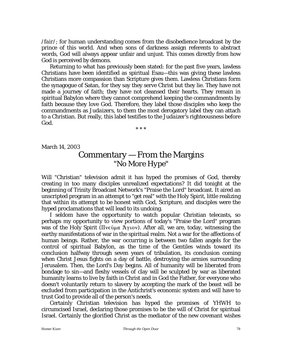/*fair*/; for human understanding comes from the disobedience broadcast by the prince of this world. And when sons of darkness assign referents to abstract words, God will always appear unfair and unjust. This comes directly from how God is perceived by demons.

Returning to what has previously been stated: for the past five years, lawless Christians have been identified as spiritual Esau—this was giving these lawless Christians more compassion than Scripture gives them. Lawless Christians form the synagogue of Satan, for they say they serve Christ but they lie. They have not made a journey of faith; they have not cleansed their hearts. They remain in spiritual Babylon where they cannot comprehend keeping the commandments by faith because they love God. Therefore, they label those disciples who keep the commandments as *Judaizers*, to them the most derogatory label they can attach to a Christian. But really, this label testifies to the *Judaizer's* righteousness before God.

\* \* \*

March 14, 2003

## Commentary — From the Margins *"No More Hype"*

Will "Christian" television admit it has hyped the promises of God, thereby creating in too many disciples unrealized expectations? It did tonight at the beginning of Trinity Broadcast Network's "Praise the Lord" broadcast. It aired an unscripted program in an attempt to "get real" with the Holy Spirit, little realizing that within its attempt to be honest with God, Scripture, and disciples were the hyped proclamations that will lead to its undoing.

I seldom have the opportunity to watch popular Christian telecasts, so perhaps my opportunity to view portions of today's "Praise the Lord" program was of the Holy Spirit ( $\pi$ <sub>V</sub>iese)  $\mu$   $\alpha$   $\Delta$ <sub>Y</sub><sup>10</sup>). After all, we are, today, witnessing the earthy manifestations of war in the spiritual realm. Not a war for the affections of human beings. Rather, the war occurring is between two fallen angels for the control of spiritual Babylon, as the time of the Gentiles winds toward its conclusion halfway through seven years of tribulation, its conclusion coming when Christ Jesus fights on a day of battle, destroying the armies surrounding Jerusalem. Then, the Lord's Day begins. All of humanity will be liberated from bondage to sin—and fleshy vessels of clay will be sculpted by war as liberated humanity learns to live by faith in Christ and in God the Father, for everyone who doesn't voluntarily return to slavery by accepting the mark of the beast will be excluded from participation in the Antichrist's economic system and will have to trust God to provide all of the person's needs.

Certainly Christian television has hyped the promises of *YHWH* to circumcised Israel, declaring those promises to be the will of Christ for spiritual Israel. Certainly the glorified Christ as the mediator of the new covenant wishes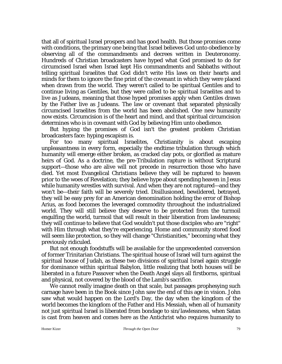that all of spiritual Israel prospers and has good health. But those promises come with conditions, the primary one being that Israel believes God unto obedience by observing all of the commandments and decrees written in Deuteronomy. Hundreds of Christian broadcasters have hyped what God promised to do for circumcised Israel when Israel kept His commandments and Sabbaths without telling spiritual Israelites that God didn't write His laws on their hearts and minds for them to ignore the fine print of the covenant in which they were placed when drawn from the world. They weren't called to be spiritual Gentiles and to continue living as Gentiles, but they were called to be spiritual Israelites and to live as Judeans, meaning that those hyped promises apply when Gentiles drawn by the Father live as Judeans. The law or covenant that separated physically circumcised Israelites from the world has been abolished. One new humanity now exists. Circumcision is of the heart and mind, and that spiritual circumcision determines who is in covenant with God by believing Him unto obedience.

But hyping the promises of God isn't the greatest problem Christian broadcasters face: hyping escapism is.

For too many spiritual Israelites, Christianity is about escaping unpleasantness in every form, especially the endtime tribulation through which humanity will emerge either broken, as cracked clay pots, or glorified as mature heirs of God. As a doctrine, the pre-Tribulation rapture is without Scriptural support—those who are alive will not precede in resurrection those who have died. Yet most Evangelical Christians believe they will be raptured to heaven prior to the woes of Revelation; they believe hype about spending heaven in Jesus while humanity wrestles with survival. And when they are not raptured—and they won't be—their faith will be severely tried. Disillusioned, bewildered, betrayed, they will be easy prey for an American denomination holding the error of Bishop Arius, as food becomes the leveraged commodity throughout the industrialized world. They will still believe they deserve to be protected from the turmoil engulfing the world, turmoil that will result in their liberation from lawlessness; they will continue to believe that God wouldn't put those disciples who are "right" with Him through what they're experiencing. Home and community stored food will seem like protection, so they will change "Christianities," becoming what they previously ridiculed.

But not enough foodstuffs will be available for the unprecedented conversion of former Trinitarian Christians. The spiritual house of Israel will turn against the spiritual house of Judah, as these two divisions of spiritual Israel again struggle for dominance within spiritual Babylon, little realizing that both houses will be liberated in a future Passover when the Death Angel slays all firstborns, spiritual and physical, not covered by the blood of the Lamb's sacrifice.

We cannot really imagine death on that scale, but passages prophesying such carnage have been in the Book since John saw the end of this age in vision. John saw what would happen on the Lord's Day, the day when the kingdom of the world becomes the kingdom of the Father and His Messiah, when all of humanity not just spiritual Israel is liberated from bondage to sin/lawlessness, when Satan is cast from heaven and comes here as the Antichrist who requires humanity to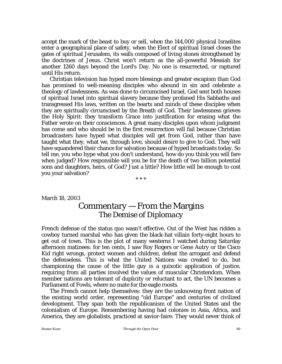accept the mark of the beast to buy or sell, when the 144,000 physical Israelites enter a geographical place of safety, when the Elect of spiritual Israel closes the gates of spiritual Jerusalem, its walls composed of living stones strengthened by the doctrines of Jesus. Christ won't return as the all-powerful Messiah for another 1260 days beyond the Lord's Day. No one is resurrected, or raptured until His return.

Christian television has hyped more blessings and greater escapism than God has promised to well-meaning disciples who abound in sin and celebrate a theology of lawlessness. As was done to circumcised Israel, God sent both houses of spiritual Israel into spiritual slavery because they profaned His Sabbaths and transgressed His laws, written on the hearts and minds of these disciples when they are spiritually circumcised by the Breath of God. Their lawlessness grieves the Holy Spirit: they transform Grace into justification for erasing what the Father wrote on their consciences. A great many disciples upon whom judgment has come and who should be in the first resurrection will fail because Christian broadcasters have hyped what disciples will get from God, rather than have taught what they, what we, through love, should desire to give to God. They will have squandered their chance for salvation because of hyped broadcasts today. So tell me, you who hype what you don't understand, how do you think you will fare when judged? How responsible will you be for the death of two billion potential sons and daughters, heirs, of God? Just a little? How little will be enough to cost you your salvation?

March 18, 2003

## Commentary — From the Margins *The Demise of Diplomacy*

\* \* \*

French defense of the status quo wasn't effective. Out of the West has ridden a cowboy turned marshal who has given the black-hat villain forty-eight hours to get out of town. This is the plot of many westerns I watched during Saturday afternoon matinees: for ten cents, I saw Roy Rogers or Gene Autry or the Cisco Kid right wrongs, protect women and children, defeat the arrogant and defend the defenseless. This is what the United Nations was created to do, but championing the cause of the little guy is a quixotic application of justice, requiring from all parties involved the values of muscular Christendom. When member nations are tolerant of duplicity or reluctant to act, the UN becomes a Parliament of Fowls, where no mate for the eagle roosts.

The French cannot help themselves: they are the unknowing front nation of the existing world order, representing "old Europe" and centuries of civilized development. They span both the republicanism of the United States and the colonialism of Europe. Remembering having had colonies in Asia, Africa, and America, they are globalists, practiced at savior-faire. They would never think of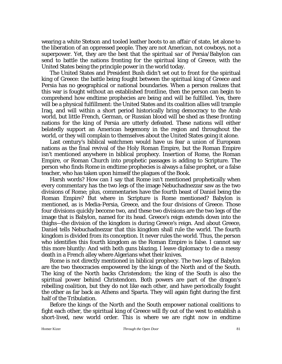wearing a white Stetson and tooled leather boots to an affair of state, let alone to the liberation of an oppressed people. They are not American, not cowboys, not a superpower. Yet, they are the best that the spiritual *sar* of Persia/Babylon can send to battle the nations fronting for the spiritual king of Greece, with the United States being the principle power in the world today.

The United States and President Bush didn't set out to front for the spiritual king of Greece: the battle being fought between the spiritual king of Greece and Persia has no geographical or national boundaries. When a person realizes that this war is fought without an established frontline, then the person can begin to comprehend how endtime prophecies are being and will be fulfilled. Yes, there will be a physical fulfillment: the United States and its coalition allies will trample Iraq, and will within a short period historically bring democracy to the Arab world, but little French, German, or Russian blood will be shed as these fronting nations for the king of Persia are utterly defeated. These nations will either belatedly support an American hegemony in the region and throughout the world, or they will complain to themselves about the United States going it alone.

Last century's biblical watchmen would have us fear a union of European nations as the final revival of the Holy Roman Empire, but the Roman Empire isn't mentioned anywhere in biblical prophecy. Insertion of Rome, the Roman Empire, or Roman Church into prophetic passages is adding to Scripture. The person who finds Rome in endtime prophecies is always a false prophet, or a false teacher, who has taken upon himself the plagues of the Book.

Harsh words? How can I say that Rome isn't mentioned prophetically when every commentary has the two legs of the image Nebuchadnezzar saw as the two divisions of Rome; plus, commentaries have the fourth beast of Daniel being the Roman Empire? But where in Scripture is Rome mentioned? Babylon is mentioned, as is Media-Persia, Greece, and the four divisions of Greece. Those four divisions quickly become two, and these two divisions are the two legs of the image that is Babylon, named for its head. Greece's reign extends down into the thighs—the division of the kingdom is during Greece's reign. And about Greece, Daniel tells Nebuchadnezzar that this kingdom shall rule the world. The fourth kingdom is divided from its conception. It never rules the world. Thus, the person who identifies this fourth kingdom as the Roman Empire is false. I cannot say this more bluntly: And with both guns blazing, I leave diplomacy to die a messy death in a French alley where Algerians whet their knives.

Rome is not directly mentioned in biblical prophecy. The two legs of Babylon are the two theocracies empowered by the kings of the North and of the South. The king of the North backs Christendom; the king of the South is also the spiritual power behind Christendom. Both powers are part of the dragon's rebelling coalition, but they do not like each other, and have periodically fought the other as far back as Athens and Sparta. They will again fight during the first half of the Tribulation.

Before the kings of the North and the South empower national coalitions to fight each other, the spiritual king of Greece will fly out of the west to establish a short-lived, new world order. This is where we are right now in endtime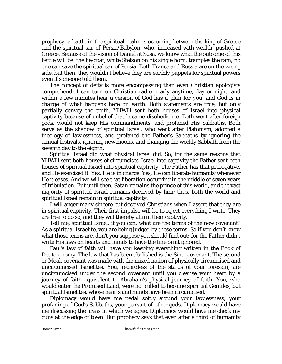prophecy: a battle in the spiritual realm is occurring between the king of Greece and the spiritual *sar* of Persia/Babylon, who, increased with wealth, pushed at Greece. Because of the vision of Daniel at Susa, we know what the outcome of this battle will be: the he-goat, white Stetson on his single horn, tramples the ram; no one can save the spiritual *sar* of Persia. Both France and Russia are on the wrong side, but then, they wouldn't believe they are earthly puppets for spiritual powers even if someone told them.

The concept of deity is more encompassing than even Christian apologists comprehend: I can turn on Christian radio nearly anytime, day or night, and within a few minutes hear a version of *God has a plan for you*, and *God is in charge of what happens here on earth*. Both statements are true, but only partially convey the truth. *YHWH* sent both houses of Israel into physical captivity because of unbelief that became disobedience. Both went after foreign gods, would not keep His commandments, and profaned His Sabbaths. Both serve as the shadow of spiritual Israel, who went after Platonism, adopted a theology of lawlessness, and profaned the Father's Sabbaths by ignoring the annual festivals, ignoring new moons, and changing the weekly Sabbath from the seventh day to the eighth.

Spiritual Israel did what physical Israel did. So, for the same reasons that *YHWH* sent both houses of circumcised Israel into captivity the Father sent both houses of spiritual Israel into spiritual captivity. The Father has that prerogative, and He exercised it. Yes, He is in charge. Yes, He can liberate humanity whenever He pleases. And we will see that liberation occurring in the middle of seven years of tribulation. But until then, Satan remains the prince of this world, and the vast majority of spiritual Israel remains deceived by him; thus, both the world and spiritual Israel remain in spiritual captivity.

I will anger many sincere but deceived Christians when I assert that they are in spiritual captivity. Their first impulse will be to reject everything I write. They are free to do so, and they will thereby affirm their captivity.

Tell me, spiritual Israel, if you can, what are the terms of the new covenant? As a spiritual Israelite, you are being judged by those terms. So if you don't know what those terms are, don't you suppose you should find out; for the Father didn't write His laws on hearts and minds to have the fine print ignored.

Paul's law of faith will have you keeping everything written in the Book of Deuteronomy. The law that has been abolished is the Sinai covenant. The second or Moab covenant was made with the mixed nation of physically circumcised and uncircumcised Israelites. You, regardless of the status of your foreskin, are uncircumcised under the second covenant until you cleanse your heart by a journey of faith equivalent to Abraham's physical journey of faith. You, who would enter the Promised Land, were not called to become spiritual Gentiles, but spiritual Israelites, whose hearts and minds have been circumcised.

Diplomacy would have me pedal softly around your lawlessness, your profaning of God's Sabbaths, your pursuit of other gods. Diplomacy would have me discussing the areas in which we agree. Diplomacy would have me check my guns at the edge of town. But prophecy says that even after a third of humanity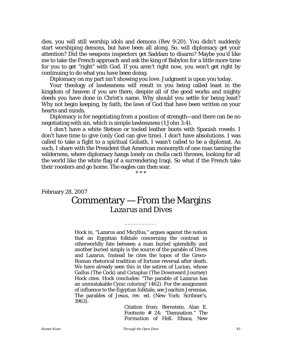dies, you will still worship idols and demons (Rev 9:20). You didn't suddenly start worshiping demons, but have been all along. So, will diplomacy get your attention? Did the weapons inspectors get Saddam to disarm? Maybe you'd like me to take the French approach and ask the king of Babylon for a little more time for you to get "right" with God. If you aren't right now, you won't get right by continuing to do what you have been doing.

Diplomacy on my part isn't showing you love. Judgment is upon you today.

Your theology of lawlessness will result in you being called least in the kingdom of heaven if you are there, despite all of the good works and mighty deeds you have done in Christ's name. Why should you settle for being least? Why not begin keeping, by faith, the laws of God that have been written on your hearts and minds.

Diplomacy is for negotiating from a position of strength—and there can be no negotiating with sin, which is simple lawlessness (1 John 3:4).

I don't have a white Stetson or tooled leather boots with Spanish rowels. I don't have time to give (only God can give time). I don't have absolutions. I was called to take a fight to a spiritual Goliath. I wasn't called to be a diplomat. As such, I share with the President that American monomyth of one man taming the wilderness, where diplomacy hangs lonely on cholla cacti thrones, looking for all the world like the white flag of a surrendering Iraqi. So what if the French take their roosters and go home. The eagles can then soar.

\* \* \*

February 28, 2007 Commentary — From the Margins *Lazarus and Dives* 

> Hock in, "Lazarus and Micyllus," argues against the notion that an Egyptian folktale concerning the contrast in otherworldly fate between a man buried splendidly and another buried simply is the source of the parable of Dives and Lazarus. Instead he cites the *topos* of the Greco-Roman rhetorical tradition of fortune reversal after death. We have already seen this in the satires of Lucian, whose *Gallus* (The Cock) and *Cataplus* (The Downward Journey) Hock cites. Hock concludes: "The parable of Lazarus has an unmistakable Cynic coloring" (462). For the assignment of influence to the Egyptian folktale, see Joachim Jeremias, The parables of Jesus, rev. ed. (New York: Scribner's, 1963).

\_\_\_\_\_\_\_\_\_\_\_

Citation from: Bernstein, Alan E. Footnote # 24; "Damnation." *The Formation of Hell*. Ithaca, New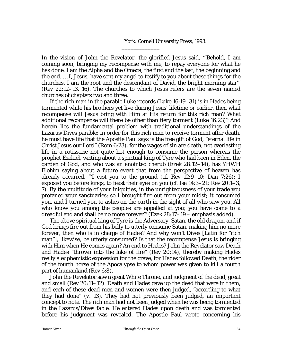In the vision of John the Revelator, the glorified Jesus said, '"Behold, I am coming soon, bringing my recompense with me, to repay everyone for what he has done. I am the Alpha and the Omega, the first and the last, the beginning and the end. … I, Jesus, have sent my angel to testify to you about these things for the churches. I am the root and the descendant of David, the bright morning star'" (Rev 22:12*–*13, 16). The churches to which Jesus refers are the seven named churches of chapters two and three.

\_\_\_\_\_\_\_\_\_\_\_\_\_

If the rich man in the parable Luke records (Luke 16:19*–*31) is in Hades being tormented while his brothers yet live during Jesus' lifetime or earlier, then what recompense will Jesus bring with Him at His return for this rich man? What additional recompense will there be other than fiery torment (Luke 16:23)? And herein lies the fundamental problem with traditional understandings of the Lazarus/Dives parable: in order for this rich man to receive torment after death, he must have life that the Apostle Paul says is the free gift of God, "eternal life in Christ Jesus our Lord" (Rom 6:23), for the wages of sin are death, not everlasting life in a rotisserie not quite hot enough to consume the person whereas the prophet Ezekiel, writing about a spiritual king of Tyre who had been in Eden, the garden of God, and who was an anointed cherub (Ezek 28:12*–*14), has *YHWH Elohim* saying about a future event that from the perspective of heaven has already occurred, "'I cast you to the ground (*cf.* Rev 12:9*–*10; Dan 7:26); I exposed you before kings, to feast their eyes on you (*cf*. Isa 14:3*–*21; Rev 20:1*–*3, 7). By the multitude of your iniquities, in the unrighteousness of your trade you profaned your sanctuaries; so *I brought fire out from your midst; it consumed you, and I turned you to ashes on the earth in the sight of all who saw you*. All who know you among the peoples are appalled at you; you have come to a dreadful end and shall be no more forever'" (Ezek 28:17*–*19 – emphasis added).

The above spiritual king of Tyre is the Adversary, Satan, the old dragon, and if God brings fire out from his belly to utterly consume Satan, making him no more forever, then who is in charge of Hades? And why won't Dives [Latin for "rich man"], likewise, be utterly consumed? Is that the recompense Jesus is bringing with Him when He comes again? An end to Hades? John the Revelator saw Death and Hades "thrown into the lake of fire" (Rev 20:14), thereby making Hades really a euphemistic expression for the grave, for Hades followed Death, the rider of the fourth horse of the Apocalypse to whom power was given to kill a fourth part of humankind (Rev 6:8).

John the Revelator saw a great White Throne, and judgment of the dead, great and small (Rev 20:11*–*12). Death and Hades gave up the dead that were in them, and each of these dead men and women were then judged, "according to what they had done" (*v.* 13). They had not previously been judged, an important concept to note. The rich man had not been judged when he was being tormented in the Lazarus/Dives fable. He entered Hades upon death and was tormented before his judgment was revealed. The Apostle Paul wrote concerning his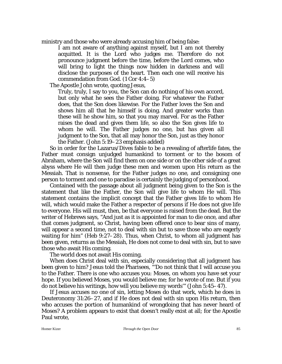ministry and those who were already accusing him of being false:

I am not aware of anything against myself, but I am not thereby acquitted. It is the Lord who judges me. Therefore do not pronounce judgment before the time, before the Lord comes, who will bring to light the things now hidden in darkness and will disclose the purposes of the heart. Then each one will receive his commendation from God. (1 Cor 4:4*–*5)

The Apostle John wrote, quoting Jesus,

Truly, truly, I say to you, the Son can do nothing of his own accord, but only what he sees the Father doing. For whatever the Father does, that the Son does likewise. For the Father loves the Son and shows him all that he himself is doing. And greater works than these will he show him, so that you may marvel. For as the Father raises the dead and gives them life, so also the Son gives life to whom he will. *The Father judges no one, but has given all judgment to the Son*, that all may honor the Son, just as they honor the Father. (John 5:19*–*23 emphasis added)

So in order for the Lazarus/Dives fable to be a revealing of afterlife fates, the Father must consign unjudged humankind to torment or to the bosom of Abraham, where the Son will find them on one side or on the other side of a great abyss where He will then judge these men and women upon His return as the Messiah. That is nonsense, for the Father judges no one, and consigning one person to torment and one to paradise is certainly the judging of personhood.

Contained with the passage about all judgment being given to the Son is the statement that like the Father, the Son will give life to whom He will. This statement contains the implicit concept that the Father gives life to whom He will, which would make the Father a respecter of persons if He does not give life to everyone. His will must, then, be that everyone is raised from the dead. But the writer of Hebrews says, "And just as it is appointed for man to die once, and after that comes judgment, so Christ, having been offered once to bear sins of many, will appear a second time, not to deal with sin but to save those who are eagerly waiting for him" (Heb 9:27*–*28). Thus, when Christ, to whom all judgment has been given, returns as the Messiah, He does not come to deal with sin, but to save those who await His coming.

The world does not await His coming.

When does Christ deal with sin, especially considering that all judgment has been given to him? Jesus told the Pharisees, "'Do not think that I will accuse you to the Father. There is one who accuses you: Moses, on whom you have set your hope. If you believed Moses, you would believe me; for he wrote of me. But if you do not believe his writings, how will you believe my words'" (John 5:45*–*47).

If Jesus accuses no one of sin, letting Moses do that work, which he does in Deuteronomy 31:26*–*27, and if He does not deal with sin upon His return, then who accuses the portion of humankind of wrongdoing that has never heard of Moses? A problem appears to exist that doesn't really exist at all; for the Apostle Paul wrote,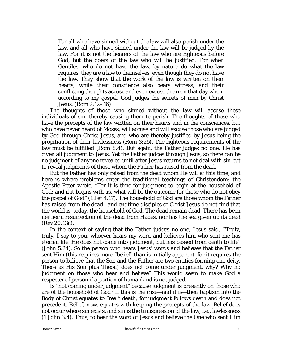For all who have sinned without the law will also perish under the law, and all who have sinned under the law will be judged by the law. For it is not the hearers of the law who are righteous before God, but the doers of the law who will be justified. For when Gentiles, who do not have the law, by nature do what the law requires, they are a law to themselves, even though they do not have the law. They show that the work of the law is written on their hearts, while their conscience also bears witness, and their conflicting thoughts accuse and even excuse them on that day when, according to my gospel, God judges the secrets of men by Christ Jesus. (Rom 2:12*–*16)

The thoughts of those who sinned without the law will accuse these individuals of sin, thereby causing them to perish. The thoughts of those who have the precepts of the law written on their hearts and in the consciences, but who have never heard of Moses, will accuse and will excuse those who are judged by God through Christ Jesus, and who are thereby justified by Jesus being the propitiation of their lawlessness (Rom 3:25). The righteous requirements of the law must be fulfilled (Rom 8:4). But again, the Father judges no one; He has given all judgment to Jesus. Yet the Father judges through Jesus, so there can be no judgment of anyone revealed until after Jesus returns to not deal with sin but to reveal judgments of those whom the Father has raised from the dead.

But the Father has only raised from the dead whom He will at this time, and here is where problems enter the traditional teachings of Christendom: the Apostle Peter wrote, "For it is time for judgment to begin at the household of God; and if it begins with us, what will be the outcome for those who do not obey the gospel of God" (1 Pet 4:17). The household of God are those whom the Father has raised from the dead—and endtime disciples of Christ Jesus do not find that the world is, today, the household of God. The dead remain dead. There has been neither a resurrection of the dead from Hades, nor has the sea given up its dead (Rev 20:13a).

In the context of saying that the Father judges no one, Jesus said, "'Truly, truly, I say to you, whoever hears my word and believes him who sent me has eternal life. He does not come into judgment, but has passed from death to life" (John 5:24). So the person who hears Jesus' words and believes that the Father sent Him (this requires more "belief" than is initially apparent, for it requires the person to believe that the Son and the Father are two entities forming one deity, *Theos* as His Son plus *Theon*) does not come under judgment, why? Why no judgment on those who hear and believe? This would seem to make God a respecter of person if a portion of humankind is not judged.

Is "not coming under judgment" because judgment is presently on those who are of the household of God? If this is the case—and it is—then baptism into the Body of Christ equates to "real" death; for judgment follows death and does not precede it. Belief, now, equates with keeping the precepts of the law. Belief does not occur where sin exists, and sin is the transgression of the law; i.e., lawlessness (1 John 3:4). Thus, to hear the word of Jesus and believe the One who sent Him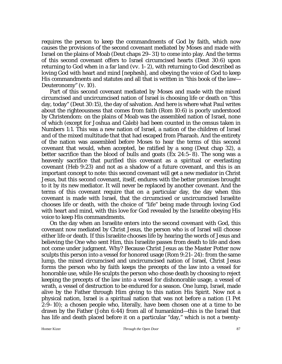requires the person to keep the commandments of God by faith, which now causes the provisions of the second covenant mediated by Moses and made with Israel on the plains of Moab (Deut chaps 29*–*31) to come into play. And the terms of this second covenant offers to Israel circumcised hearts (Deut 30:6) upon returning to God when in a far land (*vv.* 1*–*2), with returning to God described as loving God with heart and mind [*nephesh*], and obeying the voice of God to keep His commandments and statutes and all that is written in "this book of the law— Deuteronomy" (*v.* 10).

Part of this second covenant mediated by Moses and made with the mixed circumcised and uncircumcised nation of Israel is choosing life or death on "this day, today" (Deut 30:15), the day of salvation. And here is where what Paul writes about the righteousness that comes from faith (Rom 10:6) is poorly understood by Christendom: on the plains of Moab was the assembled nation of Israel, none of which (except for Joshua and Caleb) had been counted in the census taken in Numbers 1:1. This was a new nation of Israel, a nation of the children of Israel and of the mixed multitude that that had escaped from Pharaoh. And the entirety of the nation was assembled before Moses to hear the terms of this second covenant that would, when accepted, be ratified by a song (Deut chap 32), a better sacrifice than the blood of bulls and goats (Ex 24:5*–*8). The song was a heavenly sacrifice that purified this covenant as a spiritual or everlasting covenant (Heb 9:23) and not as a shadow of a future covenant, and this is an important concept to note: this second covenant will get a new mediator in Christ Jesus, but this second covenant, itself, endures with the better promises brought to it by its new mediator. It will never be replaced by another covenant. And the terms of this covenant require that on a particular day, the day when this covenant is made with Israel, that the circumcised or uncircumcised Israelite chooses life or death, with the choice of "life" being made through loving God with heart and mind, with this love for God revealed by the Israelite obeying His voice to keep His commandments.

On the day when an Israelite enters into the second covenant with God, this covenant now mediated by Christ Jesus, the person who is of Israel will choose either life or death. If this Israelite chooses life by hearing the words of Jesus and believing the One who sent Him, this Israelite passes from death to life and does not come under judgment. Why? Because Christ Jesus as the Master Potter now sculpts this person into a vessel for honored usage (Rom 9:21*–*24): from the same lump, the mixed circumcised and uncircumcised nation of Israel, Christ Jesus forms the person who by faith keeps the precepts of the law into a vessel for honorable use, while He sculpts the person who chose death by choosing to reject keeping the precepts of the law into a vessel for dishonorable usage, a vessel of wrath, a vessel of destruction to be endured for a season. One lump, Israel, made alive by the Father through Him giving to this nation His Spirit. Now not a physical nation, Israel is a spiritual nation that was not before a nation (1 Pet 2:9*–*10); a chosen people who, literally, have been chosen one at a time to be drawn by the Father (John 6:44) from all of humankind—this is the Israel that has life and death placed before it on a particular "day," which is not a twenty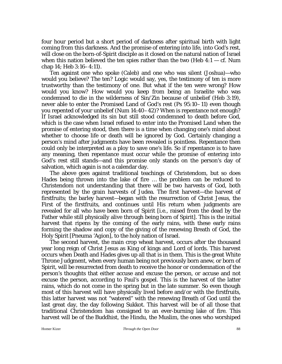four hour period but a short period of darkness after spiritual birth with light coming from this darkness. And the promise of entering into life, into God's rest, will close on the born-of-Spirit disciple as it closed on the natural nation of Israel when this nation believed the ten spies rather than the two (Heb  $4:1-cf$ . Num chap 14; Heb 3:16*–*4:11).

Ten against one who spoke (Caleb) and one who was silent (Joshua)—who would you believe? The ten? Logic would say, yes, the testimony of ten is more trustworthy than the testimony of one. But what if the ten were wrong? How would you know? How would you keep from being an Israelite who was condemned to die in the wilderness of Sin/Zin because of unbelief (Heb 3:19), never able to enter the Promised Land of God's rest (Ps 95:10*–*11) even though you repented of your unbelief (Num 14:40*–*42)? When is repentance not enough? If Israel acknowledged its sin but still stood condemned to death before God, which is the case when Israel refused to enter into the Promised Land when the promise of entering stood, then there is a time when changing one's mind about whether to choose life or death will be ignored by God. Certainly changing a person's mind after judgments have been revealed is pointless. Repentance then could only be interpreted as a ploy to save one's life. So if repentance is to have any meaning, then repentance must occur while the promise of entering into God's rest still stands—and this promise only stands on the person's day of salvation, which again is not a calendar day.

The above goes against traditional teachings of Christendom, but so does Hades being thrown into the lake of fire … the problem can be reduced to Christendom not understanding that there will be two harvests of God, both represented by the grain harvests of Judea. The first harvest—the harvest of firstfruits; the barley harvest—began with the resurrection of Christ Jesus, the First of the firstfruits, and continues until His return when judgments are revealed for all who have been born of Spirit [i.e., raised from the dead by the Father while still physically alive through being born of Spirit]. This is the initial harvest that ripens by the coming of the early rains, with these early rains forming the shadow and copy of the giving of the renewing Breath of God, the Holy Spirit [*Pneuma 'Agion*], to the holy nation of Israel.

The second harvest, the main crop wheat harvest, occurs after the thousand year long reign of Christ Jesus as King of kings and Lord of lords. This harvest occurs when Death and Hades gives up all that is in them. This is the great White Throne Judgment, when every human being not previously born anew, or born of Spirit, will be resurrected from death to receive the honor or condemnation of the person's thoughts that either accuse and excuse the person, or accuse and not excuse the person, according to Paul's gospel. This is the harvest of the latter rains, which do not come in the spring but in the late summer. So even though most of this harvest will have physically lived before and/or with the firstfruits, this latter harvest was not "watered" with the renewing Breath of God until the last great day, the day following *Sukkot*. This harvest will be of all those that traditional Christendom has consigned to an ever-burning lake of fire. This harvest will be of the Buddhist, the Hindu, the Muslim, the ones who worshiped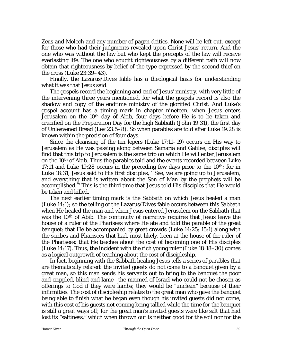Zeus and Molech and any number of pagan deities. None will be left out, except for those who had their judgments revealed upon Christ Jesus' return. And the one who was without the law but who kept the precepts of the law will receive everlasting life. The one who sought righteousness by a different path will now obtain that righteousness by belief of the type expressed by the second thief on the cross (Luke 23:39*–*43).

Finally, the Lazarus/Dives fable has a theological basis for understanding what it was that Jesus said.

The gospels record the beginning and end of Jesus' ministry, with very little of the intervening three years mentioned, for what the gospels record is also the shadow and copy of the endtime ministry of the glorified Christ. And Luke's gospel account has a timing mark in chapter nineteen, when Jesus enters Jerusalem on the 10<sup>th</sup> day of Abib, four days before He is to be taken and crucified on the Preparation Day for the high Sabbath (John 19:31), the first day of Unleavened Bread (Lev 23:5*–*8). So when parables are told after Luke 19:28 is known within the precision of four days.

Since the cleansing of the ten lepers (Luke 17:11*–*19) occurs on His way to Jerusalem as He was passing along between Samaria and Galilee, disciples will find that this trip to Jerusalem is the same trip on which He will enter Jerusalem on the  $10<sup>th</sup>$  of Abib. Thus the parables told and the events recorded between Luke 17:11 and Luke 19:28 occurs in the preceding few days prior to the  $10<sup>th</sup>$ ; for in Luke 18:31, Jesus said to His first disciples, '"See, we are going up to Jerusalem, and everything that is written about the Son of Man by the prophets will be accomplished."' This is the third time that Jesus told His disciples that He would be taken and killed.

The next earlier timing mark is the Sabbath on which Jesus healed a man (Luke 14:1); so the telling of the Lazarus/Dives fable occurs between this Sabbath when He healed the man and when Jesus entered Jerusalem on the Sabbath that was the 10<sup>th</sup> of Abib. The continuity of narrative requires that Jesus leave the house of a ruler of the Pharisees where He ate and told the parable of the great banquet; that He be accompanied by great crowds (Luke 14:25; 15:1) along with the scribes and Pharisees that had, most likely, been at the house of the ruler of the Pharisees; that He teaches about the cost of becoming one of His disciples (Luke 14:17). Thus, the incident with the rich young ruler (Luke 18:18*–*30) comes as a logical outgrowth of teaching about the cost of discipleship.

In fact, beginning with the Sabbath healing Jesus tells a series of parables that are thematically related: the invited guests do not come to a banquet given by a great man, so this man sends his servants out to bring to the banquet the poor and crippled, blind and lame—the maimed of Israel who could not be chosen as offerings to God if they were lambs; they would be "unclean" because of their infirmities. The cost of discipleship relates to the great man who gave the banquet being able to finish what he began even though his invited guests did not come, with this cost of his guests not coming being tallied while the time for the banquet is still a great ways off; for the great man's invited guests were like salt that had lost its "saltiness," which when thrown out is neither good for the soil nor for the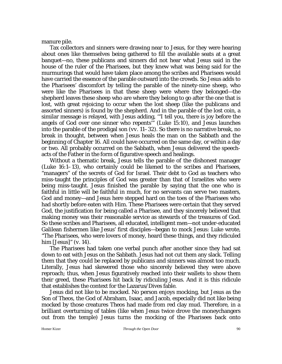manure pile.

Tax collectors and sinners were drawing near to Jesus, for they were hearing about ones like themselves being gathered to fill the available seats at a great banquet—no, these publicans and sinners did not hear what Jesus said in the house of the ruler of the Pharisees, but they knew what was being said for the murmurings that would have taken place among the scribes and Pharisees would have carried the essence of the parable outward into the crowds. So Jesus adds to the Pharisees' discomfort by telling the parable of the ninety-nine sheep, who were like the Pharisees in that these sheep were where they belonged—the shepherd leaves these sheep who are where they belong to go after the one that is lost, with great rejoicing to occur when the lost sheep (like the publicans and assorted sinners) is found by the shepherd. And in the parable of the lost coin, a similar message is relayed, with Jesus adding, '"I tell you, there is joy before the angels of God over one sinner who repents'" (Luke 15:10), and Jesus launches into the parable of the prodigal son (*vv.* 11*–*32). So there is no narrative break, no break in thought, between when Jesus heals the man on the Sabbath and the beginning of Chapter 16. All could have occurred on the same day, or within a day or two. All probably occurred on the Sabbath, when Jesus delivered the speechacts of the Father in the form of figurative speech and healings.

Without a thematic break, Jesus tells the parable of the dishonest manager (Luke 16:1*–*13), who certainly could be likened to the scribes and Pharisees, "managers" of the secrets of God for Israel. Their debt to God as teachers who miss-taught the principles of God was greater than that of Israelites who were being miss-taught. Jesus finished the parable by saying that the one who is faithful in little will be faithful in much, for no servants can serve two masters, God and money—and Jesus here stepped hard on the toes of the Pharisees who had shortly before eaten with Him. These Pharisees were certain that they served God, the justification for being called a Pharisee, and they sincerely believed that making money was their reasonable service as stewards of the treasures of God. So these scribes and Pharisees, all educated, intelligent men—not under-educated Galilean fishermen like Jesus' first disciples—began to mock Jesus: Luke wrote, "The Pharisees, who were lovers of money, heard these things, and they ridiculed him [Jesus]" (*v.* 14).

The Pharisees had taken one verbal punch after another since they had sat down to eat with Jesus on the Sabbath. Jesus had not cut them any slack. Telling them that they could be replaced by publicans and sinners was almost too much. Literally, Jesus had skewered those who sincerely believed they were above reproach; thus, when Jesus figuratively reached into their wallets to show them their greed, these Pharisees hit back by ridiculing Jesus. And it is this ridicule that establishes the context for the Lazarus/Dives fable.

Jesus did not like to be mocked. No person enjoys mocking, but Jesus as the Son of *Theos*, the God of Abraham, Isaac, and Jacob, especially did not like being mocked by those creatures *Theos* had made from red clay mud. Therefore, in a brilliant overturning of tables (like when Jesus twice drove the moneychangers out from the temple) Jesus turns the mocking of the Pharisees back onto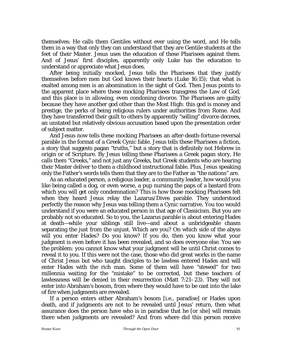themselves: He calls them Gentiles without ever using the word, and He tells them in a way that only they can understand that they are Gentile students at the feet of their Master. Jesus uses the education of these Pharisees against them. And of Jesus' first disciples, apparently only Luke has the education to understand or appreciate what Jesus does.

After being initially mocked, Jesus tells the Pharisees that they justify themselves before men but God knows their hearts (Luke 16:15); that what is exalted among men is an abomination in the sight of God. Then Jesus points to the apparent place where these mocking Pharisees transgress the Law of God, and this place is in allowing, even condoning divorce. The Pharisees are guilty because they have another god other than the Most High: this god is money and prestige, the perks of being religious rulers under authorities from Rome. And they have transferred their guilt to others by apparently "selling" divorce decrees, an unstated but relatively obvious accusation based upon the presentation order of subject matter.

And Jesus now tells these mocking Pharisees an after-death-fortune-reversal parable in the format of a Greek Cynic fable. Jesus tells these Pharisees a fiction, a story that suggests pagan "truths," but a story that is definitely not Hebrew in origin or of Scripture. By Jesus telling these Pharisees a Greek pagan story, He calls them "Greeks," and not just any Greeks, but Greek students who are hearing their Master deliver to them a childhood instructional fable. Plus, Jesus speaking only the Father's words tells them that they are to the Father as "the nations" are.

As an educated person, a religious leader, a community leader, how would you like being called a dog, or even worse, a pup nursing the paps of a bastard from which you will get only condemnation? This is how those mocking Pharisees felt when they heard Jesus relay the Lazarus/Dives parable. They understood perfectly the reason why Jesus was telling them a Cynic narrative. You too would understand if you were an educated person in that age of Classicism. But you are probably not so educated. So to you, the Lazarus parable is about entering Hades at death—while your siblings still live—and about a unbridgeable chasm separating the just from the unjust. Which are you? On which side of the abyss will you enter Hades? Do you know? If you do, then you know what your judgment is even before it has been revealed, and so does everyone else. You see the problem: you cannot know what your judgment will be until Christ comes to reveal it to you. If this were not the case, those who did great works in the name of Christ Jesus but who taught disciples to be lawless entered Hades and will enter Hades with the rich man. Some of them will have "stewed" for two millennia waiting for the "mistake" to be corrected, but these teachers of lawlessness will be denied in their resurrection (Matt 7:21*–*23). They will not enter into Abraham's bosom, from where they would have to be cast into the lake of fire when judgments are revealed.

If a person enters either Abraham's bosom [i.e., paradise] or Hades upon death, and if judgments are not to be revealed until Jesus' return, then what assurance does the person have who is in paradise that he [or she] will remain there when judgments are revealed? And from where did this person receive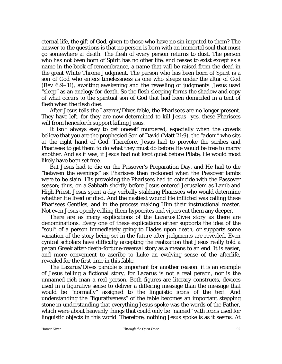eternal life, the gift of God, given to those who have no sin imputed to them? The answer to the questions is that no person is born with an immortal soul that must go somewhere at death. The flesh of every person returns to dust. The person who has not been born of Spirit has no other life, and ceases to exist except as a name in the book of remembrance, a name that will be raised from the dead in the great White Throne Judgment. The person who has been born of Spirit is a son of God who enters timelessness as one who sleeps under the altar of God (Rev 6:9*–*11), awaiting awakening and the revealing of judgments. Jesus used "sleep" as an analogy for death. So the flesh sleeping forms the shadow and copy of what occurs to the spiritual son of God that had been domiciled in a tent of flesh when the flesh dies.

After Jesus tells the Lazarus/Dives fable, the Pharisees are no longer present. They have left, for they are now determined to kill Jesus—yes, these Pharisees will from henceforth support killing Jesus.

It isn't always easy to get oneself murdered, especially when the crowds believe that you are the prophesied Son of David (Matt 21:9), the "*adoni*" who sits at the right hand of God. Therefore, Jesus had to provoke the scribes and Pharisees to get them to do what they must do before He would be free to marry another. And as it was, if Jesus had not kept quiet before Pilate, He would most likely have been set free.

But Jesus had to die on the Passover's Preparation Day, and He had to die "between the evenings" as Pharisees then reckoned when the Passover lambs were to be slain. His provoking the Pharisees had to coincide with the Passover season; thus, on a Sabbath shortly before Jesus entered Jerusalem as Lamb and High Priest, Jesus spent a day verbally stabbing Pharisees who would determine whether He lived or died. And the nastiest wound He inflicted was calling these Pharisees *Gentiles*, and in the process making Him their instructional master. Not even Jesus openly calling them hypocrites and vipers cut them any deeper.

There are as many explications of the Lazarus/Dives story as there are denominations. Every one of these explications either supports the idea of the "soul" of a person immediately going to Hades upon death, or supports some variation of the story being set in the future after judgments are revealed. Even cynical scholars have difficulty accepting the realization that Jesus really told a pagan Greek after-death-fortune-reversal story as a means to an end. It is easier, and more convenient to ascribe to Luke an evolving sense of the afterlife, revealed for the first time in this fable.

The Lazarus/Dives parable is important for another reason: it is an example of Jesus telling a fictional story, for Lazarus is not a real person, nor is the unnamed rich man a real person. Both figures are literary constructs, devices used in a figurative sense to deliver a differing message than the message that would be "normally" assigned to the linguistic icons of the text. And understanding the "figurativeness" of the fable becomes an important stepping stone in understanding that everything Jesus spoke was the words of the Father, which were about heavenly things that could only be "named" with icons used for linguistic objects in this world. Therefore, nothing Jesus spoke is as it seems. At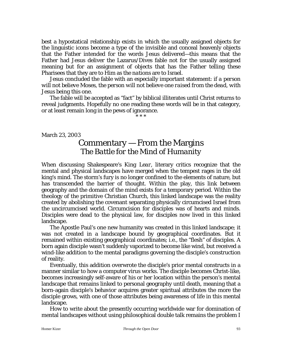best a hypostatical relationship exists in which the usually assigned objects for the linguistic icons become a type of the invisible and conceal heavenly objects that the Father intended for the words Jesus delivered—this means that the Father had Jesus deliver the Lazarus/Dives fable not for the usually assigned meaning but for an assignment of objects that has the Father telling these Pharisees that they are to Him as *the nations* are to Israel.

Jesus concluded the fable with an especially important statement: *if a person will not believe Moses, the person will not believe one raised from the dead, with Jesus being this one*.

The fable will be accepted as "fact" by biblical illiterates until Christ returns to reveal judgments. Hopefully no one reading these words will be in that category, or at least remain long in the pews of ignorance.

\* \* \*

March 23, 2003

#### Commentary — From the Margins *The Battle for the Mind of Humanity*

When discussing Shakespeare's *King Lear*, literary critics recognize that the mental and physical landscapes have merged when the tempest rages in the old king's mind. The storm's fury is no longer confined to the elements of nature, but has transcended the barrier of thought. Within the play, this link between geography and the domain of the mind exists for a temporary period. Within the theology of the primitive Christian Church, this linked landscape was the reality created by abolishing the covenant separating physically circumcised Israel from the uncircumcised world. Circumcision for disciples was of hearts and minds. Disciples were dead to the physical law, for disciples now lived in this linked landscape.

The Apostle Paul's one new humanity was created in this linked landscape; it was not created in a landscape bound by geographical coordinates. But it remained within existing geographical coordinates; i.e., the "flesh" of disciples. A born again disciple wasn't suddenly vaporized to become like wind, but received a wind-like addition to the mental paradigms governing the disciple's construction of reality.

Eventually, this addition overwrote the disciple's prior mental constructs in a manner similar to how a computer virus works. The disciple becomes Christ-like, becomes increasingly self-aware of his or her location within the person's mental landscape that remains linked to personal geography until death, meaning that a born-again disciple's behavior acquires greater spiritual attributes the more the disciple grows, with one of those attributes being awareness of life in this mental landscape.

How to write about the presently occurring worldwide war for domination of mental landscapes without using philosophical double talk remains the problem I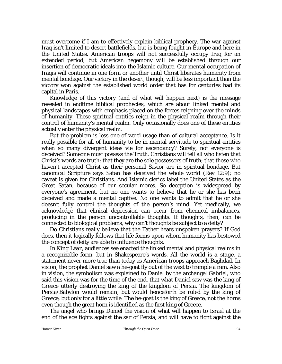must overcome if I am to effectively explain biblical prophecy. The war against Iraq isn't limited to desert battlefields, but is being fought in Europe and here in the United States. American troops will not successfully occupy Iraq for an extended period, but American hegemony will be established through our insertion of democratic ideals into the Islamic culture. Our mental occupation of Iraqis will continue in one form or another until Christ liberates humanity from mental bondage. Our victory in the desert, though, will be less important than the victory won against the established world order that has for centuries had its capital in Paris.

Knowledge of this victory (and of what will happen next) is the message revealed in endtime biblical prophecies, which are about linked mental and physical landscapes with emphasis placed on the forces reigning over the minds of humanity. These spiritual entities reign in the physical realm through their control of humanity's mental realm. Only occasionally does one of these entities actually enter the physical realm.

But the problem is less one of word usage than of cultural acceptance. Is it really possible for all of humanity to be in mental servitude to spiritual entities when so many divergent ideas vie for ascendancy? Surely, not everyone is deceived? Someone must possess the Truth. Christians will tell all who listen that Christ's words are truth; that they are the sole possessors of truth; that those who haven't accepted Christ as their personal Savior are in spiritual bondage. But canonical Scripture says Satan has deceived the whole world (Rev 12:9); no caveat is given for Christians. And Islamic clerics label the United States as the Great Satan, because of our secular mores. So deception is widespread by everyone's agreement, but no one wants to believe that he or she has been deceived and made a mental captive. No one wants to admit that he or she doesn't fully control the thoughts of the person's mind. Yet medically, we acknowledge that clinical depression can occur from chemical imbalances, producing in the person uncontrollable thoughts. If thoughts, then, can be connected to biological problems, why can't thoughts be subject to a deity?

Do Christians really believe that the Father hears unspoken prayers? If God does, then it logically follows that life forms upon whom humanity has bestowed the concept of deity are able to influence thoughts.

In *King Lear*, audiences see enacted the linked mental and physical realms in a recognizable form, but in Shakespeare's words, *All the world is a stage*, a statement never more true than today as American troops approach Baghdad. In vision, the prophet Daniel saw a he-goat fly out of the west to trample a ram. Also in vision, the symbolism was explained to Daniel by the archangel Gabriel, who said this vision was for the time of the end, that what Daniel saw was the king of Greece utterly destroying the king of the kingdom of Persia. The kingdom of Persia/Babylon would remain, but would henceforth be ruled by the king of Greece, but only for a little while. The he-goat is the king of Greece, not the horns even though the great horn is identified as the first king of Greece.

The angel who brings Daniel the vision of what will happen to Israel at the end of the age fights against the *sar* of Persia, and will have to fight against the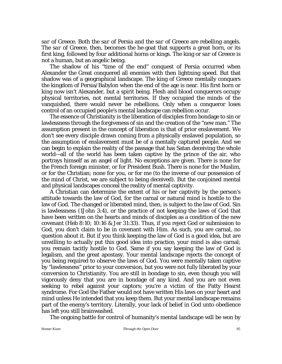*sar* of Greece. Both the *sar* of Persia and the *sar* of Greece are rebelling angels. The *sar* of Greece, then, becomes the he-goat that supports a great horn, or its first king, followed by four additional horns or kings. The king or *sar* of Greece is not a human, but an angelic being.

The shadow of his "time of the end" conquest of Persia occurred when Alexander the Great conquered all enemies with then lightning speed. But that shadow was of a geographical landscape. The king of Greece mentally conquers the kingdom of Persia/Babylon when the end of the age is near. His first horn or king now isn't Alexander, but a spirit being. Flesh and blood conquerors occupy physical territories, not mental territories. If they occupied the minds of the vanquished, there would never be rebellions. Only when a conqueror loses control of an occupied people's mental landscape can rebellion occur.

The essence of Christianity is the liberation of disciples from bondage to sin or lawlessness through the forgiveness of sin and the creation of the "new man." The assumption present in the concept of liberation is that of prior enslavement. We don't see every disciple drawn coming from a physically enslaved population, so the assumption of enslavement must be of a mentally captured people. And we can begin to explain the reality of the passage that has Satan deceiving the whole world—all of the world has been taken captive by the prince of the air, who portrays himself as an angel of light. No exceptions are given. There is none for the French foreign minister, or for President Bush. There is none for the Muslim, or for the Christian; none for you, or for me (to the inverse of our possession of the mind of Christ, we are subject to being deceived). But the conjoined mental and physical landscapes conceal the reality of mental captivity.

A Christian can determine the extent of his or her captivity by the person's attitude towards the law of God, for the carnal or natural mind is hostile to the law of God. The changed or liberated mind, then, is subject to the law of God. Sin is lawlessness (1John 3:4), or the practice of not keeping the laws of God that have been written on the hearts and minds of disciples as a condition of the new covenant (Heb 8:10; 10:16 & Jer 31:33). Thus, if you reject God or submission to God, you don't claim to be in covenant with Him. As such, you are carnal, no question about it. But if you think keeping the law of God is a good idea, but are unwilling to actually put this good idea into practice, your mind is also carnal; you remain tacitly hostile to God. Same if you say keeping the law of God is legalism, and the great apostasy. Your mental landscape rejects the concept of you being required to observe the laws of God. You were mentally taken captive by "lawlessness" prior to your conversion, but you were not fully liberated by your conversion to Christianity. You are still in bondage to sin, even though you will vigorously deny that you are in bondage of any kind. And you are not even seeking to rebel against your captors; you're a victim of the Patty Hearst syndrome. For God the Father would not have written His laws on your heart and mind unless He intended that you keep them. But your mental landscape remains part of the enemy's territory. Literally, your lack of belief in God unto obedience has left you still brainwashed.

The ongoing battle for control of humanity's mental landscape will be won by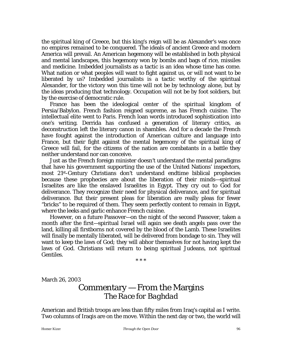the spiritual king of Greece, but this king's reign will be as Alexander's was once no empires remained to be conquered. The ideals of ancient Greece and modern America will prevail. An American hegemony will be established in both physical and mental landscapes, this hegemony won by bombs and bags of rice, missiles and medicine. Imbedded journalists as a tactic is an idea whose time has come. What nation or what peoples will want to fight against us, or will not want to be liberated by us? Imbedded journalists is a tactic worthy of the spiritual Alexander, for the victory won this time will not be by technology alone, but by the ideas producing that technology. Occupation will not be by foot soldiers, but by the exercise of democratic rule.

France has been the ideological center of the spiritual kingdom of Persia/Babylon. French fashion reigned supreme, as has French cuisine. The intellectual elite went to Paris. French loan words introduced sophistication into one's writing. Derrida has confused a generation of literary critics, as deconstruction left the literary canon in shambles. And for a decade the French have fought against the introduction of American culture and language into France, but their fight against the mental hegemony of the spiritual king of Greece will fail, for the citizens of the nation are combatants in a battle they neither understand nor can conceive.

Just as the French foreign minister doesn't understand the mental paradigms that have his government supporting the use of the United Nations' inspectors, most 21st-Century Christians don't understand endtime biblical prophecies because these prophecies are about the liberation of their minds—spiritual Israelites are like the enslaved Israelites in Egypt. They cry out to God for deliverance. They recognize their need for physical deliverance, and for spiritual deliverance. But their present pleas for liberation are really pleas for fewer "bricks" to be required of them. They seem perfectly content to remain in Egypt, where the leeks and garlic enhance French cuisine.

However, on a future Passover—on the night of the second Passover, taken a month after the first—spiritual Israel will again see death angels pass over the land, killing all firstborns not covered by the blood of the Lamb. These Israelites will finally be mentally liberated, will be delivered from bondage to sin. They will want to keep the laws of God; they will abhor themselves for not having kept the laws of God. Christians will return to being spiritual Judeans, not spiritual Gentiles.

\* \* \*

March 26, 2003

# Commentary — From the Margins *The Race for Baghdad*

American and British troops are less than fifty miles from Iraq's capital as I write. Two columns of Iraqis are on the move. Within the next day or two, the world will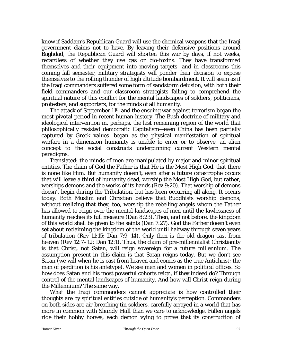know if Saddam's Republican Guard will use the chemical weapons that the Iraqi government claims not to have. By leaving their defensive positions around Baghdad, the Republican Guard will shorten this war by days, if not weeks, regardless of whether they use gas or bio-toxins. They have transformed themselves and their equipment into moving targets—and in classrooms this coming fall semester, military strategists will ponder their decision to expose themselves to the rolling thunder of high altitude bombardment. It will seem as if the Iraqi commanders suffered some form of sandstorm delusion, with both their field commanders and our classroom strategists failing to comprehend the spiritual nature of this conflict for the mental landscapes of soldiers, politicians, protesters, and supporters; for the minds of all humanity.

The attack of September 11th and the ensuing war against terrorism began the most pivotal period in recent human history. The Bush doctrine of military and ideological intervention in, perhaps, the last remaining region of the world that philosophically resisted democratic Capitalism—even China has been partially captured by Greek values—began as the physical manifestation of spiritual warfare in a dimension humanity is unable to enter or to observe, an alien concept to the social constructs underpinning current Western mental paradigms.

Translated: the minds of men are manipulated by major and minor spiritual entities. The claim of God the Father is that He is the Most High God, that there is none like Him. But humanity doesn't, even after a future catastrophe occurs that will leave a third of humanity dead, worship the Most High God, but rather, worships demons and the works of its hands (Rev 9:20). That worship of demons doesn't begin during the Tribulation, but has been occurring all along. It occurs today. Both Muslim and Christian believe that Buddhists worship demons, without realizing that they, too, worship the rebelling angels whom the Father has allowed to reign over the mental landscapes of men until the lawlessness of humanity reaches its full measure (Dan 8:23). Then, and not before, the kingdom of this world shall be given to the saints (Dan 7:27). God the Father doesn't even set about reclaiming the kingdom of the world until halfway through seven years of tribulation (Rev 11:15; Dan 7:9–14). Only then is the old dragon cast from heaven (Rev 12:7–12; Dan 12:1). Thus, the claim of pre-millennialist Christianity is that Christ, not Satan, will reign sovereign for a future millennium. The assumption present in this claim is that Satan reigns today. But we don't see Satan (we will when he is cast from heaven and comes as the true Antichrist; the man of perdition is his antetype). We see men and women in political offices. So how does Satan and his most powerful cohorts reign, if they indeed do? Through control of the mental landscapes of humanity. And how will Christ reign during the Millennium? The same way.

What the Iraqi commanders cannot appreciate is how controlled their thoughts are by spiritual entities outside of humanity's perception. Commanders on both sides are air-breathing tin soldiers, carefully arrayed in a world that has more in common with *Shandy Hall* than we care to acknowledge. Fallen angels ride their hobby horses, each demon vying to prove that its construction of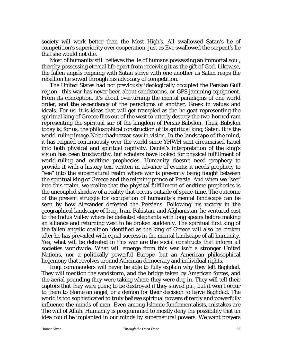society will work better than the Most High's. All swallowed Satan's lie of competition's superiority over cooperation, just as Eve swallowed the serpent's lie that she would not die.

Most of humanity still believes the lie of humans possessing an immortal soul, thereby possessing eternal life apart from receiving it as the gift of God. Likewise, the fallen angels reigning with Satan strive with one another as Satan reaps the rebellion he sowed through his advocacy of competition.

The United States had not previously ideologically occupied the Persian Gulf region—this war has never been about sandstorms, or GPS jamming equipment. From its conception, it's about overturning the mental paradigms of one world order, and the ascendancy of the paradigms of another, Greek in values and ideals. For us, it is ideas that will get trampled as the he-goat representing the spiritual king of Greece flies out of the west to utterly destroy the two-horned ram representing the spiritual *sar* of the kingdom of Persia/Babylon. Thus, Babylon today is, for us, the philosophical construction of its spiritual king, Satan. It is the world-ruling image Nebuchadnezzar saw in vision. In the landscape of the mind, it has reigned continuously over the world since *YHWH* sent circumcised Israel into both physical and spiritual captivity. Daniel's interpretation of the king's vision has been trustworthy, but scholars have looked for physical fulfillment of world-ruling and endtime prophecies. Humanity doesn't need prophecy to provide it with a history text written in advance of events; it needs prophecy to "see" into the supernatural realm where war is presently being fought between the spiritual king of Greece and the reigning prince of Persia. And when we "see" into this realm, we realize that the physical fulfillment of endtime prophecies is the uncoupled shadow of a reality that occurs outside of space-time. The outcome of the present struggle for occupation of humanity's mental landscape can be seen by how Alexander defeated the Persians. Following his victory in the geographical landscape of Iraq, Iran, Pakistan, and Afghanistan, he ventured east to the Indus Valley where he defeated elephants with long spears before making an alliance and returning west to be broken suddenly. The spiritual first king of the fallen angelic coalition identified as the king of Greece will also be broken after he has prevailed with equal success in the mental landscape of all humanity. Yes, what will be defeated in this war are the social constructs that inform all societies worldwide. What will emerge from this war isn't a stronger United Nations, nor a politically powerful Europe, but an American philosophical hegemony that revolves around Athenian democracy and individual rights.

Iraqi commanders will never be able to fully explain why they left Baghdad. They will mention the sandstorm, and the bridge taken by American forces, and the aerial pounding they were taking where they were dug in. They will tell their captors that they were going to be destroyed if they stayed put, but it won't occur to them to blame an angel, or a demon for their decision to leave Baghdad. The world is too sophisticated to truly believe spiritual powers directly and powerfully influence the minds of men. Even among Islamic fundamentalists, mistakes are *The will of Allah*. Humanity is programmed to mostly deny the possibility that an idea could be implanted in our minds by supernatural powers. We want prayers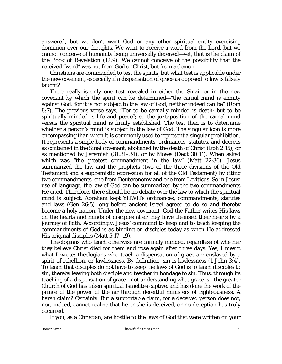answered, but we don't want God or any other spiritual entity exercising dominion over our thoughts. We want to receive a word from the Lord, but we cannot conceive of humanity being universally deceived—yet, that is the claim of the Book of Revelation (12:9). We cannot conceive of the possibility that the received "word" was not from God or Christ, but from a demon.

Christians are commanded to test the spirits, but what test is applicable under the new covenant, especially if a dispensation of grace as opposed to law is falsely taught?

There really is only one test revealed in either the Sinai, or in the new covenant by which the spirit can be determined—"the carnal mind is enmity against God: for it is not subject to the law of God, neither indeed can be" (Rom 8:7). The previous verse says, "For to be carnally minded is death; but to be spiritually minded is life and peace"; so the juxtaposition of the carnal mind versus the spiritual mind is firmly established. The test then is to determine whether a person's mind is subject to the law of God. The singular icon is more encompassing than when it is commonly used to represent a singular prohibition. It represents a single body of commandments, ordinances, statutes, and decrees as contained in the Sinai covenant, abolished by the death of Christ (Eph 2:15), or as mentioned by Jeremiah (31:31–34), or by Moses (Deut 30:11). When asked which was "the greatest commandment in the law" (Matt 22:36), Jesus summarized the law and the prophets (two of the three divisions of the Old Testament and a euphemistic expression for all of the Old Testament) by citing two commandments, one from Deuteronomy and one from Leviticus. So in Jesus' use of language, the law of God can be summarized by the two commandments He cited. Therefore, there should be no debate over the law to which the spiritual mind is subject. Abraham kept *YHWH's* ordinances, commandments, statutes and laws (Gen 26:5) long before ancient Israel agreed to do so and thereby become a holy nation. Under the new covenant, God the Father writes His laws on the hearts and minds of disciples after they have cleansed their hearts by a journey of faith. Accordingly, Jesus' command to keep and to teach keeping the commandments of God is as binding on disciples today as when He addressed His original disciples (Matt 5:17–19).

Theologians who teach otherwise are carnally minded, regardless of whether they believe Christ died for them and rose again after three days. Yes, I meant what I wrote: theologians who teach a dispensation of grace are enslaved by a spirit of rebellion, or lawlessness. By definition, sin is lawlessness (1 John 3:4). To teach that disciples do not have to keep the laws of God is to teach disciples to sin, thereby leaving both disciple and teacher in bondage to sin. Thus, through its teaching of a dispensation of grace—not understanding what grace is—the greater Church of God has taken spiritual Israelites captive, and has done the work of the prince of the power of the air through deceitful ministers of righteousness. A harsh claim? Certainly. But a supportable claim, for a deceived person does not, nor, indeed, cannot realize that he or she is deceived, or no deception has truly occurred.

If you, as a Christian, are hostile to the laws of God that were written on your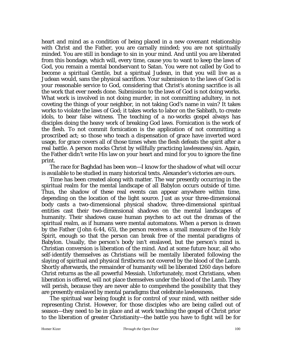heart and mind as a condition of being placed in a new covenant relationship with Christ and the Father, you are carnally minded; you are not spiritually minded. You are still in bondage to sin in your mind. And until you are liberated from this bondage, which will, every time, cause you to want to keep the laws of God, you remain a mental bondservant to Satan. You were not called by God to become a spiritual Gentile, but a spiritual Judean, in that you will live as a Judean would, sans the physical sacrifices. Your submission to the laws of God is your reasonable service to God, considering that Christ's atoning sacrifice is all the work that ever needs done. Submission to the laws of God is not doing works. What work is involved in not doing murder, in not committing adultery, in not coveting the things of your neighbor, in not taking God's name in vain? It takes works to violate the laws of God; it takes works to labor on the Sabbath, to create idols, to bear false witness. The teaching of a no-works gospel always has disciples doing the heavy work of breaking God laws. Fornication is the work of the flesh. To not commit fornication is the application of not committing a proscribed act; so those who teach a dispensation of grace have inverted word usage, for grace covers all of those times when the flesh defeats the spirit after a real battle. A person mocks Christ by willfully practicing lawlessness/sin. Again, the Father didn't write His law on your heart and mind for you to ignore the fine print.

The race for Baghdad has been won—I know for the shadow of what will occur is available to be studied in many historical texts. Alexander's victories are ours.

Time has been created along with matter. The war presently occurring in the spiritual realm for the mental landscape of all Babylon occurs outside of time. Thus, the shadow of these real events can appear anywhere within time, depending on the location of the light source. Just as your three-dimensional body casts a two-dimensional physical shadow, three-dimensional spiritual entities cast their two-dimensional shadows on the mental landscapes of humanity. Their shadows cause human psyches to act out the dramas of the spiritual realm, as if humans were mental automatons. When a person is drawn by the Father (John 6:44, 65), the person receives a small measure of the Holy Spirit, enough so that the person can break free of the mental paradigms of Babylon. Usually, the person's body isn't enslaved, but the person's mind is. Christian conversion is liberation of the mind. And at some future hour, all who self-identify themselves as Christians will be mentally liberated following the slaying of spiritual and physical firstborns not covered by the blood of the Lamb. Shortly afterwards, the remainder of humanity will be liberated 1260 days before Christ returns as the all powerful Messiah. Unfortunately, most Christians, when liberation is offered, will not place themselves under the blood of the Lamb. They will perish, because they are never able to comprehend the possibility that they are presently enslaved by mental paradigms that celebrate lawlessness.

The spiritual war being fought is for control of your mind, with neither side representing Christ. However, for those disciples who are being called out of season—they need to be in place and at work teaching the gospel of Christ prior to the liberation of greater Christianity—the battle you have to fight will be for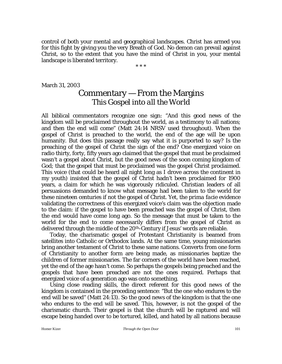control of both your mental and geographical landscapes. Christ has armed you for this fight by giving you the very Breath of God. No demon can prevail against Christ, so to the extent that you have the mind of Christ in you, your mental landscape is liberated territory.

\* \* \*

March 31, 2003

### Commentary — From the Margins *This Gospel into all the World*

All biblical commentators recognize one sign: "And this good news of the kingdom will be proclaimed throughout the world, as a testimony to all nations; and then the end will come" (Matt 24:14 NRSV used throughout). When the gospel of Christ is preached to the world, the end of the age will be upon humanity. But does this passage really say what it is purported to say? Is the preaching of the gospel of Christ the sign of the end? One energized voice on radio thirty, forty, fifty years ago claimed that the gospel that must be proclaimed wasn't a gospel about Christ, but the good news of the soon coming kingdom of God; that the gospel that must be proclaimed was the gospel Christ proclaimed. This voice (that could be heard all night long as I drove across the continent in my youth) insisted that the gospel of Christ hadn't been proclaimed for 1900 years, a claim for which he was vigorously ridiculed. Christian leaders of all persuasions demanded to know what message had been taken to the world for these nineteen centuries if not the gospel of Christ. Yet, the *prima facie* evidence validating the correctness of this energized voice's claim was the objection made to the claim: if the gospel to have been preached was the gospel of Christ, then the end would have come long ago. So the message that must be taken to the world for the end to come necessarily differs from the gospel of Christ as delivered through the middle of the 20<sup>th</sup>-Century if Jesus' words are reliable.

Today, the charismatic gospel of Protestant Christianity is beamed from satellites into Catholic or Orthodox lands. At the same time, young missionaries bring another testament of Christ to these same nations. Converts from one form of Christianity to another form are being made, as missionaries baptize the children of former missionaries. The far corners of the world have been reached, yet the end of the age hasn't come. So perhaps the gospels being preached and the gospels that have been preached are not the ones required. Perhaps that energized voice of a generation ago was onto something.

Using close reading skills, the direct referent for *this good news of the kingdom* is contained in the preceding sentence: "But the one who endures to the end will be saved" (Matt 24:13). So the *good news of the kingdom* is that the one who endures to the end will be saved. This, however, is not the gospel of the charismatic church. Their gospel is that the church will be raptured and will escape being handed over to be tortured, killed, and hated by all nations because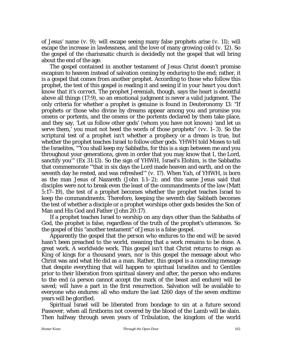of Jesus' name (*v.* 9); will escape seeing many false prophets arise (*v.* 11); will escape the increase in lawlessness, and the love of many growing cold (*v.* 12). So the gospel of the charismatic church is decidedly not the gospel that will bring about the end of the age.

The gospel contained in another testament of Jesus Christ doesn't promise escapism to heaven instead of salvation coming by enduring to the end; rather, it is a gospel that comes from another prophet. According to those who follow this prophet, the test of this gospel is reading it and seeing *if in your heart you don't know that it's correct*. The prophet Jeremiah, though, says the heart is deceitful above all things (17:9), so an emotional judgment is never a valid judgment. The only criteria for whether a prophet is genuine is found in Deuteronomy 13: "If prophets or those who divine by dreams appear among you and promise you omens or portents, and the omens or the portents declared by them take place, and they say, 'Let us follow other gods' (whom you have not known) 'and let us serve them,' you must not heed the words of those prophets" (*vv.* 1–3). So the scriptural test of a prophet isn't whether a prophecy or a dream is true, but whether the prophet teaches Israel to follow other gods. *YHWH* told Moses to tell the Israelites, "'You shall keep my Sabbaths, for this is a sign between me and you throughout your generations, given in order that you may know that I, the Lord, sanctify you'" (Ex 31:13). So the sign of *YHWH*, Israel's *Elohim*, is the Sabbaths that commemorate '"that in six days the Lord made heaven and earth, and on the seventh day he rested, and was refreshed'" (*v.* 17). When *Yah*, of *YHWH*, is born as the man Jesus of Nazareth (John 1:1–2); and this same Jesus said that disciples were not to break even the least of the commandments of the law (Matt 5:17–19), the test of a prophet becomes whether the prophet teaches Israel to keep the commandments. Therefore, keeping the seventh day Sabbath becomes the test of whether a disciple or a prophet worships other gods besides the Son of Man and His God and Father (John 20:17).

If a prophet teaches Israel to worship on any days other than the Sabbaths of God, the prophet is false, regardless of the truth of the prophet's utterances. So the gospel of this "another testament" of Jesus is a false gospel.

Apparently the gospel that *the person who endures to the end will be saved* hasn't been preached to the world, meaning that a work remains to be done. A great work. A worldwide work. This gospel isn't that Christ returns to reign as King of kings for a thousand years, nor is this gospel the message about who Christ was and what He did as a man. Rather, this gospel is a consoling message that despite everything that will happen to spiritual Israelites and to Gentiles prior to their liberation from spiritual slavery and after, the person who endures to the end (a person cannot accept the mark of the beast and endure) will be saved; will have a part in the first resurrection. Salvation will be available to everyone who endures: all who endure the last 1260 days of the seven endtime years will be glorified.

Spiritual Israel will be liberated from bondage to sin at a future second Passover, when all firstborns not covered by the blood of the Lamb will be slain. Then halfway through seven years of Tribulation, the kingdom of the world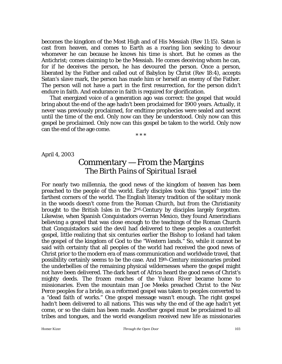becomes the kingdom of the Most High and of His Messiah (Rev 11:15). Satan is cast from heaven, and comes to Earth as a roaring lion seeking to devour whomever he can because he knows his time is short. But he comes as the Antichrist; comes claiming to be the Messiah. He comes deceiving whom he can, for if he deceives the person, he has devoured the person. Once a person, liberated by the Father and called out of Babylon by Christ (Rev 18:4), accepts Satan's slave mark, the person has made him or herself an enemy of the Father. The person will not have a part in the first resurrection, for the person didn't endure in faith. And endurance in faith is required for glorification.

That energized voice of a generation ago was correct: the gospel that would bring about the end of the age hadn't been proclaimed for 1900 years. Actually, it never was previously proclaimed, for endtime prophecies were sealed and secret until the time of the end. Only now can they be understood. Only now can this gospel be proclaimed. Only now can this gospel be taken to the world. Only now can the end of the age come.

\* \* \*

April 4, 2003

### Commentary — From the Margins *The Birth Pains of Spiritual Israel*

For nearly two millennia, the good news of the kingdom of heaven has been preached to the people of the world. Early disciples took this "gospel" into the farthest corners of the world. The English literary tradition of the solitary monk in the woods doesn't come from the Roman Church, but from the Christianity brought to the British Isles in the 2nd-Century by disciples largely forgotten. Likewise, when Spanish Conquistadors overran Mexico, they found Amerindians believing a gospel that was close enough to the teachings of the Roman Church that Conquistadors said the devil had delivered to these peoples a counterfeit gospel, little realizing that six centuries earlier the Bishop to Iceland had taken the gospel of the kingdom of God to the "Western lands." So, while it cannot be said with certainty that all peoples of the world had received the good news of Christ prior to the modern era of mass communication and worldwide travel, that possibility certainly seems to be the case. And 19th-Century missionaries probed the underbellies of the remaining physical wildernesses where the gospel might not have been delivered. The dark heart of Africa heard the good news of Christ's mighty deeds. The frozen reaches of the Yukon River became home to missionaries. Even the mountain man Joe Meeks preached Christ to the Nez Perce peoples for a bride, as a reformed gospel was taken to peoples converted to a "dead faith of works." One gospel message wasn't enough. The right gospel hadn't been delivered to all nations. This was why the end of the age hadn't yet come, or so the claim has been made. Another gospel must be proclaimed to all tribes and tongues, and the world evangelism received new life as missionaries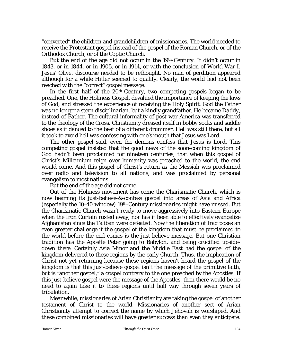"converted" the children and grandchildren of missionaries. The world needed to receive the Protestant gospel instead of the gospel of the Roman Church, or of the Orthodox Church, or of the Coptic Church.

But the end of the age did not occur in the 19<sup>th</sup>-Century. It didn't occur in 1843, or in 1844, or in 1905, or in 1914, or with the conclusion of World War I. Jesus' Olivet discourse needed to be rethought. No man of perdition appeared although for a while Hitler seemed to qualify. Clearly, the world had not been reached with the "correct" gospel message.

In the first half of the 20<sup>th</sup>-Century, two competing gospels began to be preached. One, the *Holiness Gospel*, devalued the importance of keeping the laws of God, and stressed the experience of receiving the Holy Spirit. God the Father was no longer a stern disciplinarian, but a kindly grandfather. He became *Daddy*, instead of *Father*. The cultural informality of post-war America was transferred to the theology of the Cross. Christianity dressed itself in bobby socks and saddle shoes as it danced to the beat of a different drummer. Hell was still there, but all it took to avoid hell was confessing with one's mouth that Jesus was Lord.

The other gospel said, *even the demons confess that Jesus is Lord*. This competing gospel insisted that the good news of the soon-coming kingdom of God hadn't been proclaimed for nineteen centuries, that when this gospel of Christ's Millennium reign over humanity was preached to the world, the end would come. And this gospel of Christ's return as the Messiah was proclaimed over radio and television to all nations, and was proclaimed by personal evangelism to most nations.

But the end of the age did not come.

Out of the *Holiness* movement has come the Charismatic Church, which is now beaming its *just-believe-&-confess* gospel into areas of Asia and Africa (especially the 10-40 window) 19th-Century missionaries might have missed. But the Charismatic Church wasn't ready to move aggressively into Eastern Europe when the Iron Curtain rusted away, nor has it been able to effectively evangelize Afghanistan since the Taliban were defeated. Now the liberation of Iraq poses an even greater challenge if the gospel of the kingdom that must be proclaimed to the world before the end comes is the *just-believe* message. But one Christian tradition has the Apostle Peter going to Babylon, and being crucified upsidedown there. Certainly Asia Minor and the Middle East had the gospel of the kingdom delivered to these regions by the early Church. Thus, the implication of Christ not yet returning because these regions haven't heard the gospel of the kingdom is that this *just-believe* gospel isn't the message of the primitive faith, but is "another gospel," a gospel contrary to the one preached by the Apostles. If this *just-believe* gospel were the message of the Apostles, then there would be no need to again take it to these regions until half way through seven years of tribulation.

Meanwhile, missionaries of Arian Christianity are taking the gospel of another testament of Christ to the world. Missionaries of another sect of Arian Christianity attempt to correct the name by which Jehovah is worshiped. And these combined missionaries will have greater success than even they anticipate.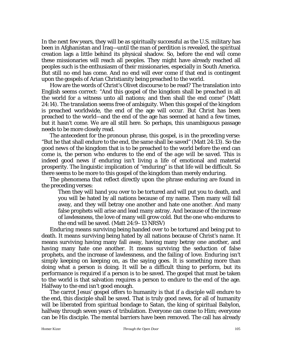In the next few years, they will be as spiritually successful as the U.S. military has been in Afghanistan and Iraq—until the man of perdition is revealed, the spiritual creation lags a little behind its physical shadow. So, before the end will come these missionaries will reach all peoples. They might have already reached all peoples such is the enthusiasm of their missionaries, especially in South America. But still no end has come. And no end will ever come if that end is contingent upon the gospels of Arian Christianity being preached to the world.

How are the words of Christ's Olivet discourse to be read? The translation into English seems correct: "And this gospel of the kingdom shall be preached in all the world for a witness unto all nations; and then shall the end come" (Matt 24:14). The translation seems free of ambiguity. When *this gospel of the kingdom*  is preached worldwide, the end of the age will occur. But *Christ* has been preached to the world—and the end of the age has seemed at hand a few times, but it hasn't come. We are all still here. So perhaps, this unambiguous passage needs to be more closely read.

The antecedent for the pronoun phrase, *this gospel*, is in the preceding verse: "But he that shall endure to the end, the same shall be saved" (Matt 24:13). So the *good news of the kingdom* that is to be preached to the world before the end can come is, *the person who endures to the end of the age will be saved*. This is indeed good news if enduring isn't living a life of emotional and material prosperity. The linguistic implication of "enduring" is that life will be difficult. So there seems to be more to *this gospel of the kingdom* than merely *enduring*.

The phenomena that reflect directly upon the phrase *enduring* are found in the preceding verses:

Then they will hand you over to be tortured and will put you to death, and you will be hated by all nations because of my name. Then many will fall away, and they will betray one another and hate one another. And many false prophets will arise and lead many astray. And because of the increase of lawlessness, the love of many will grow cold. But the one who endures to the end will be saved. (Matt 24:9–13 NRSV)

*Enduring* means surviving being handed over to be tortured and being put to death. It means surviving being hated by all nations because of Christ's name. It means surviving having many fall away, having many betray one another, and having many hate one another. It means surviving the seduction of false prophets, and the increase of lawlessness, and the failing of love. *Enduring* isn't simply keeping on keeping on, as the saying goes. It is something more than doing what a person is doing. It will be a difficult thing to perform, but its performance is required if a person is to be saved. The gospel that must be taken to the world is that salvation requires a person to endure to the end of the age. Halfway to the end isn't good enough.

The carrot Jesus' gospel offers to humanity is that if a disciple will endure to the end, this disciple shall be saved. That is truly good news, for all of humanity will be liberated from spiritual bondage to Satan, the king of spiritual Babylon, halfway through seven years of tribulation. Everyone can come to Him; everyone can be His disciple. The mental barriers have been removed. The call has already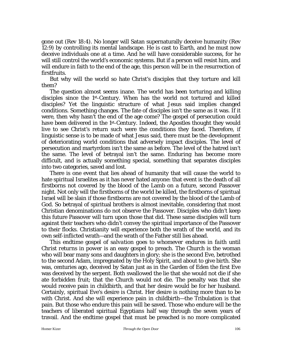gone out (Rev 18:4). No longer will Satan supernaturally deceive humanity (Rev 12:9) by controlling its mental landscape. He is cast to Earth, and he must now deceive individuals one at a time. And he will have considerable success, for he will still control the world's economic systems. But if a person will resist him, and will endure in faith to the end of the age, this person will be in the resurrection of firstfruits.

But why will the world so hate Christ's disciples that they torture and kill them?

The question almost seems inane. The world has been torturing and killing disciples since the 1st-Century. When has the world not tortured and killed disciples? Yet the linguistic structure of what Jesus said implies changed conditions. Something changes. The fate of disciples isn't the same as it was. If it were, then why hasn't the end of the age come? The gospel of persecution could have been delivered in the 1<sup>st</sup>-Century. Indeed, the Apostles thought they would live to see Christ's return such were the conditions they faced. Therefore, if linguistic sense is to be made of what Jesus said, there must be the development of deteriorating world conditions that adversely impact disciples. The level of persecution and martyrdom isn't the same as before. The level of the hatred isn't the same. The level of betrayal isn't the same. *Enduring* has become more difficult, and is actually something special, something that separates disciples into two categories, saved and lost.

There is one event that lies ahead of humanity that will cause the world to hate spiritual Israelites as it has never hated anyone: that event is the death of all firstborns not covered by the blood of the Lamb on a future, second Passover night. Not only will the firstborns of the world be killed, the firstborns of spiritual Israel will be slain if those firstborns are not covered by the blood of the Lamb of God. So betrayal of spiritual brothers is almost inevitable, considering that most Christian denominations do not observe the Passover. Disciples who didn't keep this future Passover will turn upon those that did. These same disciples will turn against their teachers who didn't convey the spiritual importance of the Passover to their flocks. Christianity will experience both the wrath of the world, and its own self-inflicted wrath—and the wrath of the Father still lies ahead.

This endtime gospel of *salvation goes to whomever endures in faith until Christ returns in power* is an easy gospel to preach. The Church is the woman who will bear many sons and daughters in glory; she is the second Eve, betrothed to the second Adam, impregnated by the Holy Spirit, and about to give birth. She was, centuries ago, deceived by Satan just as in the Garden of Eden the first Eve was deceived by the serpent. Both swallowed the lie that she would not die if she ate forbidden fruit; that the Church would not die. The penalty was that she would receive pain in childbirth, and that her desire would be for her husband. Certainly, spiritual Eve's desire is Christ. Her desire is nothing more than to be with Christ. And she will experience pain in childbirth—the Tribulation is that pain. But those who endure this pain will be saved. Those who endure will be the teachers of liberated spiritual Egyptians half way through the seven years of travail. And the endtime gospel that must be preached is no more complicated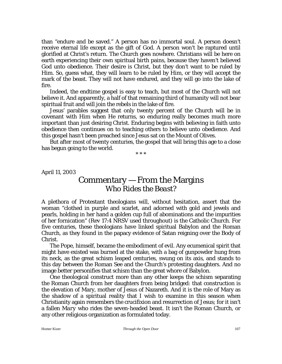than "endure and be saved." A person has no immortal soul. A person doesn't receive eternal life except as the gift of God. A person won't be raptured until glorified at Christ's return. The Church goes nowhere. Christians will be here on earth experiencing their own spiritual birth pains, because they haven't believed God unto obedience. Their desire is Christ, but they don't want to be ruled by Him. So, guess what, they will learn to be ruled by Him, or they will accept the mark of the beast. They will not have endured, and they will go into the lake of fire.

Indeed, the endtime gospel is easy to teach, but most of the Church will not believe it. And apparently, a half of that remaining third of humanity will not bear spiritual fruit and will join the rebels in the lake of fire.

Jesus' parables suggest that only twenty percent of the Church will be in covenant with Him when He returns, so enduring really becomes much more important than just desiring Christ. Enduring begins with believing in faith unto obedience then continues on to teaching others to believe unto obedience. And this gospel hasn't been preached since Jesus sat on the Mount of Olives.

But after most of twenty centuries, the gospel that will bring this age to a close has begun going to the world.

\* \* \*

April 11, 2003

#### Commentary — From the Margins *Who Rides the Beast?*

A plethora of Protestant theologians will, without hesitation, assert that the woman "clothed in purple and scarlet, and adorned with gold and jewels and pearls, holding in her hand a golden cup full of abominations and the impurities of her fornication" (Rev 17:4 NRSV used throughout) is the Catholic Church. For five centuries, these theologians have linked spiritual Babylon and the Roman Church, as they found in the papacy evidence of Satan reigning over the Body of Christ.

The Pope, himself, became the embodiment of evil. Any ecumenical spirit that might have existed was burned at the stake, with a bag of gunpowder hung from its neck, as the great schism leaped centuries, swung on its axis, and stands to this day between the Roman See and the Church's protesting daughters. And no image better personifies that schism than the great whore of Babylon.

One theological construct more than any other keeps the schism separating the Roman Church from her daughters from being bridged: that construction is the elevation of Mary, mother of Jesus of Nazareth. And it is the role of Mary as the shadow of a spiritual reality that I wish to examine in this season when Christianity again remembers the crucifixion and resurrection of Jesus; for it isn't a fallen *Mary* who rides the seven-headed beast. It isn't the Roman Church, or any other religious organization as formulated today.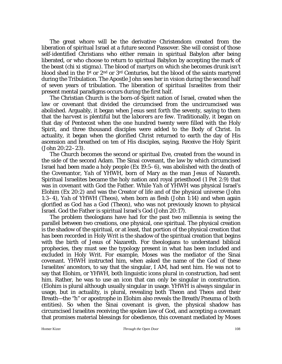The great whore will be the derivative Christendom created from the liberation of spiritual Israel at a future second Passover. She will consist of those self-identified Christians who either remain in spiritual Babylon after being liberated, or who choose to return to spiritual Babylon by accepting the mark of the beast (*chi xi stigma*). The blood of martyrs on which she becomes drunk isn't blood shed in the 1st or 2nd or 3rd Centuries, but the blood of the saints martyred during the Tribulation. The Apostle John sees her in vision during the second half of seven years of tribulation. The liberation of spiritual Israelites from their present mental paradigms occurs during the first half.

The Christian Church is the born-of-Spirit nation of Israel, created when the law or covenant that divided the circumcised from the uncircumcised was abolished. Arguably, it began when Jesus sent forth the seventy, saying to them that *the harvest is plentiful but the laborers are few*. Traditionally, it began on that day of Pentecost when the one hundred twenty were filled with the Holy Spirit, and three thousand disciples were added to the Body of Christ. In actuality, it began when the glorified Christ returned to earth the day of His ascension and breathed on ten of His disciples, saying, *Receive the Holy Spirit*  (John 20:22–23).

The Church becomes the second or spiritual Eve, created from the wound in the side of the second Adam. The Sinai covenant, the law by which circumcised Israel had been made a holy people (Ex 19:5–6), was abolished with the death of the Covenantor, *Yah* of *YHWH*, born of Mary as the man Jesus of Nazareth. Spiritual Israelites became the holy nation and royal priesthood (1 Pet 2:9) that was in covenant with God the Father. While *Yah* of *YHWH* was physical Israel's *Elohim* (Ex 20:2) and was the Creator of life and of the physical universe (John 1:3–4), *Yah* of *YHWH* (*Theos*), when born as flesh (John 1:14) and when again glorified as God has a God (*Theon*), who was not previously known to physical Israel. God the Father is spiritual Israel's God (John 20:17).

The problem theologians have had for the past two millennia is seeing the parallel between two creations, one physical, one spiritual. The physical creation is the shadow of the spiritual, or at least, that portion of the physical creation that has been recorded in Holy Writ is the shadow of the spiritual creation that begins with the birth of Jesus of Nazareth. For theologians to understand biblical prophecies, they must see the typology present in what has been included and excluded in Holy Writ. For example, Moses was the mediator of the Sinai covenant. *YHWH* instructed him, when asked the name of the God of these Israelites' ancestors, to say that the singular, *I AM*, had sent him. He was not to say that *Elohim*, or *YHWH*, both linguistic icons plural in construction, had sent him. Rather, he was to use an icon that can only be singular in construction. (*Elohim* is plural although usually singular in usage. *YHWH* is always singular in usage, but in actuality, is plural, revealing both *Theon* and *Theos* and their Breath—the "h" or apostrophe in *Elohim* also reveals the Breath/*Pneuma* of both entities). So when the Sinai covenant is given, the physical shadow has circumcised Israelites receiving the spoken law of God, and accepting a covenant that promises material blessings for obedience, this covenant mediated by Moses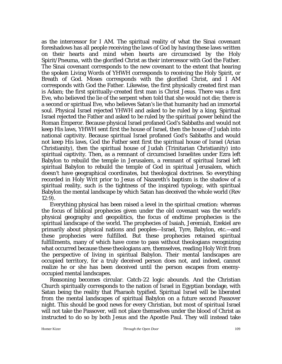as the intercessor for *I AM*. The spiritual reality of what the Sinai covenant foreshadows has all people receiving the laws of God by having these laws written on their hearts and mind when hearts are circumcised by the Holy Spirit/*Pneuma*, with the glorified Christ as their intercessor with God the Father. The Sinai covenant corresponds to the new covenant to the extent that hearing the spoken Living Words of *YHWH* corresponds to receiving the Holy Spirit, or Breath of God. Moses corresponds with the glorified Christ, and *I AM*  corresponds with God the Father. Likewise, the first physically created first man is Adam; the first spiritually-created first man is Christ Jesus. There was a first Eve, who believed the lie of the serpent when told that she would not die; there is a second or spiritual Eve, who believes Satan's lie that humanity had an immortal soul. Physical Israel rejected *YHWH* and asked to be ruled by a king. Spiritual Israel rejected the Father and asked to be ruled by the spiritual power behind the Roman Emperor. Because physical Israel profaned God's Sabbaths and would not keep His laws, *YHWH* sent first the house of Israel, then the house of Judah into national captivity. Because spiritual Israel profaned God's Sabbaths and would not keep His laws, God the Father sent first the spiritual house of Israel (Arian Christianity), then the spiritual house of Judah (Trinitarian Christianity) into spiritual captivity. Then, as a remnant of circumcised Israelites under Ezra left Babylon to rebuild the temple in Jerusalem, a remnant of spiritual Israel left spiritual Babylon to rebuild the temple of God in spiritual Jerusalem, which doesn't have geographical coordinates, but theological doctrines. So everything recorded in Holy Writ prior to Jesus of Nazareth's baptism is the shadow of a spiritual reality, such is the tightness of the inspired typology, with spiritual Babylon the mental landscape by which Satan has deceived the whole world (Rev 12:9).

Everything physical has been raised a level in the spiritual creation: whereas the focus of biblical prophecies given under the old covenant was the world's physical geography and geopolitics, the focus of endtime prophecies is the spiritual landscape of the world. The prophecies of Isaiah, Jeremiah, Ezekiel are primarily about physical nations and peoples—Israel, Tyre, Babylon, etc.—and these prophecies were fulfilled. But these prophecies retained spiritual fulfillments, many of which have come to pass without theologians recognizing what occurred because these theologians are, themselves, reading Holy Writ from the perspective of living in spiritual Babylon. Their mental landscapes are occupied territory, for a truly deceived person does not, and indeed, cannot realize he or she has been deceived until the person escapes from enemyoccupied mental landscapes.

Reasoning becomes circular. Catch-22 logic abounds. And the Christian Church spiritually corresponds to the nation of Israel in Egyptian bondage, with Satan being the reality that Pharaoh typified. Spiritual Israel will be liberated from the mental landscapes of spiritual Babylon on a future second Passover night. This should be good news for every Christian, but most of spiritual Israel will not take the Passover, will not place themselves under the blood of Christ as instructed to do so by both Jesus and the Apostle Paul. They will instead take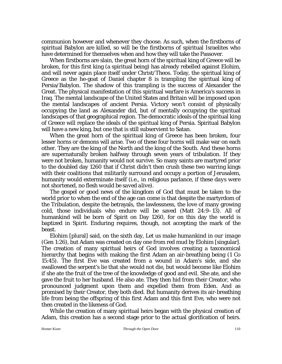communion however and whenever they choose. As such, when the firstborns of spiritual Babylon are killed, so will be the firstborns of spiritual Israelites who have determined for themselves when and how they will take the Passover.

When firstborns are slain, the great horn of the spiritual king of Greece will be broken, for this first king (a spiritual being) has already rebelled against *Elohim*, and will never again place itself under Christ/*Theos*. Today, the spiritual king of Greece as the he-goat of Daniel chapter 8 is trampling the spiritual king of Persia/Babylon. The shadow of this trampling is the success of Alexander the Great. The physical manifestation of this spiritual warfare is America's success in Iraq. The mental landscape of the United States and Britain will be imposed upon the mental landscapes of ancient Persia. Victory won't consist of physically occupying the land as Alexander did, but of mentally occupying the spiritual landscapes of that geographical region. The democratic ideals of the spiritual king of Greece will replace the ideals of the spiritual king of Persia. Spiritual Babylon will have a new king, but one that is still subservient to Satan.

When the great horn of the spiritual king of Greece has been broken, four lesser horns or demons will arise. Two of these four horns will make war on each other. They are the king of the North and the king of the South. And these horns are supernaturally broken halfway through seven years of tribulation. If they were not broken, humanity would not survive. So many saints are martyred prior to the doubled day 1260 that if Christ didn't then crush these two warring kings with their coalitions that militarily surround and occupy a portion of Jerusalem, humanity would exterminate itself (i.e., in religious parlance, *if these days were not shortened, no flesh would be saved alive*).

The gospel or good news of the kingdom of God that must be taken to the world prior to when the end of the age can come is that despite the martyrdom of the Tribulation, despite the betrayals, the lawlessness, the love of many growing cold, those individuals who endure will be saved (Matt 24:9–13). All of humankind will be born of Spirit on Day 1260, for on this day the world is baptized in Spirit. Enduring requires, though, not accepting the mark of the beast.

*Elohim* [plural] said, on the sixth day, *Let us make humankind in our image*  (Gen 1:26), but Adam was created on day one from red mud by *Elohim* [singular]. The creation of many spiritual heirs of God involves creating a taxonomical hierarchy that begins with making the first Adam an air-breathing being (1 Co 15:45). The first Eve was created from a wound in Adam's side, and she swallowed the serpent's lie that she would not die, but would become like *Elohim* if she ate the fruit of the tree of the knowledge of good and evil. She ate, and she gave the fruit to her husband. He also ate. They then hid from their Creator, who pronounced judgment upon them and expelled them from Eden. And as promised by their Creator, they both died. But humanity derives its air-breathing life from being the offspring of this first Adam and this first Eve, who were not then created in the likeness of God.

While the creation of many spiritual heirs began with the physical creation of Adam, this creation has a second stage prior to the actual glorification of heirs.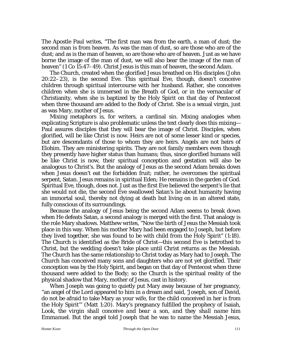The Apostle Paul writes, "The first man was from the earth, a man of dust; the second man is from heaven. As was the man of dust, so are those who are of the dust; and as is the man of heaven, so are those who are of heaven. Just as we have borne the image of the man of dust, we will also bear the image of the man of heaven" (1 Co 15:47–49). Christ Jesus is this man of heaven, the second Adam.

The Church, created when the glorified Jesus breathed on His disciples (John 20:22–23), is the second Eve. This spiritual Eve, though, doesn't conceive children through spiritual intercourse with her husband. Rather, she conceives children when she is immersed in the Breath of God, or in the vernacular of Christianity, when she is baptized by the Holy Spirit on that day of Pentecost when three thousand are added to the Body of Christ. She is a sexual virgin, just as was Mary, mother of Jesus.

Mixing metaphors is, for writers, a cardinal sin. Mixing analogies when explicating Scripture is also problematic unless the text clearly does this mixing— Paul assures disciples that they will bear the image of Christ. Disciples, when glorified, will be like Christ is now. Heirs are not of some lesser kind or species, but are descendants of those to whom they are heirs. Angels are not heirs of *Elohim*. They are ministering spirits. They are not family members even though they presently have higher status than humans; thus, since glorified humans will be like Christ is now, their spiritual conception and gestation will also be analogous to Christ's. But the analogy of Jesus as the second Adam breaks down when Jesus doesn't eat the forbidden fruit; rather, he overcomes the spiritual serpent, Satan. Jesus remains in spiritual Eden; He remains in the garden of God. Spiritual Eve, though, does not. Just as the first Eve believed the serpent's lie that she would not die, the second Eve swallowed Satan's lie about humanity having an immortal soul, thereby not dying at death but living on in an altered state, fully conscious of its surroundings.

Because the analogy of Jesus being the second Adam seems to break down when He defeats Satan, a second analogy is merged with the first. That analogy is the role Mary shadows. Matthew writes, "Now the birth of Jesus the Messiah took place in this way. When his mother Mary had been engaged to Joseph, but before they lived together, she was found to be with child from the Holy Spirit" (1:18). The Church is identified as the Bride of Christ—this second Eve is betrothed to Christ, but the wedding doesn't take place until Christ returns as the Messiah. The Church has the same relationship to Christ today as Mary had to Joseph. The Church has conceived many sons and daughters who are not yet glorified. Their conception was by the Holy Spirit, and began on that day of Pentecost when three thousand were added to the Body; so the Church is the spiritual reality of the physical shadow that Mary, mother of Jesus, cast in history.

When Joseph was going to quietly put Mary away because of her pregnancy, "an angel of the Lord appeared to him in a dream and said, 'Joseph, son of David, do not be afraid to take Mary as your wife, for the child conceived in her is from the Holy Spirit'" (Matt 1:20). Mary's pregnancy fulfilled the prophecy of Isaiah, *Look, the virgin shall conceive and bear a son, and they shall name him Emmanuel*. But the angel told Joseph that he was to name the Messiah Jesus,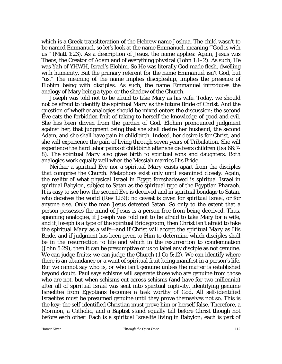which is a Greek transliteration of the Hebrew name Joshua. The child wasn't to be named Emmanuel, so let's look at the name Emmanuel, meaning "'God is with us'" (Matt 1:23). As a description of Jesus, the name applies: Again, Jesus was *Theos*, the Creator of Adam and of everything physical (John 1:1–2). As such, He was *Yah* of *YHWH*, Israel's *Elohim*. So He was literally God made flesh, dwelling with humanity. But the primary referent for the name *Emmanuel* isn't God, but "us." The meaning of the name implies discipleship, implies the presence of *Elohim* being with disciples. As such, the name *Emmanuel* introduces the analogy of Mary being a type, or the shadow of the Church.

Joseph was told not to be afraid to take Mary as his wife. Today, we should not be afraid to identify the spiritual *Mary* as the future Bride of Christ. And the question of whether analogies should be mixed enters the discussion: the second Eve eats the forbidden fruit of taking to herself the knowledge of good and evil. She has been driven from the garden of God. *Elohim* pronounced judgment against her, that judgment being that she shall desire her husband, the second Adam, and she shall have pain in childbirth. Indeed, her desire is for Christ, and she will experience the pain of living through seven years of Tribulation. She will experience the hard labor pains of childbirth after she delivers children (Isa 66:7- 8). The spiritual *Mary* also gives birth to spiritual sons and daughters. Both analogies work equally well when the Messiah marries His Bride.

Neither a spiritual Eve nor a spiritual *Mary* exists apart from the disciples that comprise the Church. Metaphors exist only until examined closely. Again, the reality of what physical Israel in Egypt foreshadowed is spiritual Israel in spiritual Babylon, subject to Satan as the spiritual type of the Egyptian Pharaoh. It is easy to see how the second Eve is deceived and in spiritual bondage to Satan, who deceives the world (Rev 12:9); no caveat is given for spiritual Israel, or for anyone else. Only the man Jesus defeated Satan. So only to the extent that a person possesses the mind of Jesus is a person free from being deceived. Thus, spanning analogies, if Joseph was told not to be afraid to take Mary for a wife, and if Joseph is a type of the spiritual Bridegroom, then Christ isn't afraid to take the spiritual *Mary* as a wife—and if Christ will accept the spiritual *Mary* as His Bride, and if judgment has been given to Him to determine which disciples shall be in the resurrection to life and which in the resurrection to condemnation (John 5:29), then it can be presumptive of us to label any disciple as not genuine. We can judge fruits; we can judge the Church (1 Co 5:12). We can identify where there is an abundance or a want of spiritual fruit being manifest in a person's life. But we cannot say who is, or who isn't genuine unless the matter is established beyond doubt. Paul says schisms will separate those who are genuine from those who are not, but when schisms cut across schisms (and have for two millennia) after all of spiritual Israel was sent into spiritual captivity, identifying genuine Israelites from Egyptians becomes a task worthy of God. All self-identified Israelites must be presumed genuine until they prove themselves not so. This is the key: the self-identified Christian must prove him or herself false. Therefore, a Mormon, a Catholic, and a Baptist stand equally tall before Christ though not before each other. Each is a spiritual Israelite living in Babylon; each is part of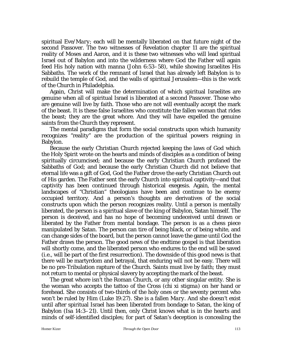spiritual Eve/*Mary*; each will be mentally liberated on that future night of the second Passover. The two witnesses of Revelation chapter 11 are the spiritual reality of Moses and Aaron, and it is these two witnesses who will lead spiritual Israel out of Babylon and into the wilderness where God the Father will again feed His holy nation with manna (John 6:53–58), while showing Israelites His Sabbaths. The work of the remnant of Israel that has already left Babylon is to rebuild the temple of God, and the walls of spiritual Jerusalem—this is the work of the Church in Philadelphia.

Again, Christ will make the determination of which spiritual Israelites are genuine when all of spiritual Israel is liberated at a second Passover. Those who are genuine will live by faith. Those who are not will eventually accept the mark of the beast. It is these false Israelites who constitute the fallen woman that rides the beast; they are the great whore. And they will have expelled the genuine saints from the Church they represent.

The mental paradigms that form the social constructs upon which humanity recognizes "reality" are the production of the spiritual powers reigning in Babylon.

Because the early Christian Church rejected keeping the laws of God which the Holy Spirit wrote on the hearts and minds of disciples as a condition of being spiritually circumcised; and because the early Christian Church profaned the Sabbaths of God; and because the early Christian Church did not believe that eternal life was a gift of God, God the Father drove the early Christian Church out of His garden. The Father sent the early Church into spiritual captivity—and that captivity has been continued through historical exegesis. Again, the mental landscapes of "Christian" theologians have been and continue to be enemy occupied territory. And a person's thoughts are derivatives of the social constructs upon which the person recognizes reality. Until a person is mentally liberated, the person is a spiritual slave of the king of Babylon, Satan himself. The person is deceived, and has no hope of becoming undeceived until drawn or liberated by the Father from mental bondage. The person is as a chess piece manipulated by Satan. The person can tire of being black, or of being white, and can change sides of the board, but the person cannot leave the game until God the Father draws the person. The good news of the endtime gospel is that liberation will shortly come, and the liberated person who endures to the end will be saved (i.e., will be part of the first resurrection). The downside of this good news is that there will be martyrdom and betrayal, that enduring will not be easy. There will be no pre-Tribulation rapture of the Church. Saints must live by faith; they must not return to mental or physical slavery by accepting the mark of the beast.

The great whore isn't the Roman Church, or any other singular entity. She is the woman who accepts the tattoo of the Cross (*chi xi stigma*) on her hand or forehead. She consists of two-thirds of the holy ones or the seventy percent who won't be ruled by Him (Luke 19:27). She is a fallen *Mary*. And she doesn't exist until after spiritual Israel has been liberated from bondage to Satan, the king of Babylon (Isa 14:3–21). Until then, only Christ knows what is in the hearts and minds of self-identified disciples; for part of Satan's deception is concealing the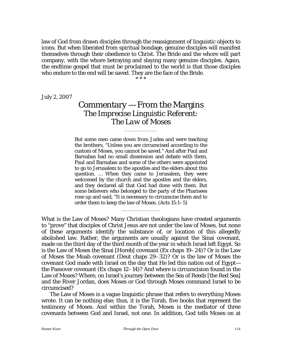law of God from drawn disciples through the reassignment of linguistic objects to icons. But when liberated from spiritual bondage, genuine disciples will manifest themselves through their obedience to Christ. The Bride and the whore will part company, with the whore betraying and slaying many genuine disciples. Again, the endtime gospel that must be proclaimed to the world is that those disciples who endure to the end will be saved. They are the face of the Bride. \* \* \*

July 2, 2007

### Commentary — From the Margins *The Imprecise Linguistic Referent: The Law of Moses*

\_\_\_\_\_\_\_\_\_\_\_

But some men came down from Judea and were teaching the brothers, "Unless you are circumcised according to the custom of Moses, you cannot be saved." And after Paul and Barnabas had no small dissension and debate with them, Paul and Barnabas and some of the others were appointed to go to Jerusalem to the apostles and the elders about this question. … When they came to Jerusalem, they were welcomed by the church and the apostles and the elders, and they declared all that God had done with them. But some believers who belonged to the party of the Pharisees rose up and said, "It is necessary to circumcise them and to order them to keep the law of Moses. (Acts 15:1*–*5) \_\_\_\_\_\_\_\_\_\_\_\_\_

What is the Law of Moses? Many Christian theologians have created arguments to "prove" that disciples of Christ Jesus are not under the law of Moses, but none of these arguments identify the substance of, or location of this allegedly abolished law. Rather, the arguments are usually against the Sinai covenant, made on the third day of the third month of the year in which Israel left Egypt. So is the Law of Moses the Sinai [Horeb] covenant (Ex chaps 19*–*24)? Or is the Law of Moses the Moab covenant (Deut chaps 29*–*32)? Or is the law of Moses the covenant God made with Israel on the day that He led this nation out of Egypt the Passover covenant (Ex chaps 12*–*14)? And where is circumcision found in the Law of Moses? Where, on Israel's journey between the Sea of Reeds [the Red Sea] and the River Jordan, does Moses or God through Moses command Israel to be circumcised?

The Law of Moses is a vague linguistic phrase that refers to everything Moses wrote. It can be nothing else; thus, it is the Torah, five books that represent the testimony of Moses. And within the Torah, Moses is the mediator of three covenants between God and Israel, not one. In addition, God tells Moses on at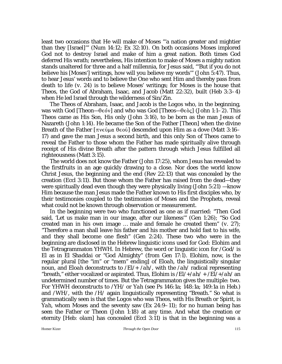least two occasions that He will make of Moses "'a nation greater and mightier than they [Israel]'" (Num 14:12; Ex 32:10). On both occasions Moses implored God not to destroy Israel and make of him a great nation. Both times God deferred His wrath; nevertheless, His intention to make of Moses a mighty nation stands unaltered for three and a half millennia, for Jesus said, "'But if you do not believe his [Moses'] writings, how will you believe my words'" (John 5:47). Thus, to hear Jesus' words and to believe the One who sent Him and thereby pass from death to life (*v.* 24) is to believe Moses' writings; for Moses is the house that *Theos*, the God of Abraham, Isaac, and Jacob (Matt 22:32), built (Heb 3:3*–*4) when He led Israel through the wilderness of Sin/Zin.

The *Theos* of Abraham, Isaac, and Jacob is the *Logos* who, in the beginning, was with God [*Theon*—θεόν] and who was God [*Theos*—θεὸς] (John 1:1–2). This *Theos* came as His Son, His only (John 3:16), to be born as the man Jesus of Nazareth (John 1:14). He became the Son of the Father [*Theon*] when the divine Breath of the Father [πνεῦμα θεοῦ] descended upon Him as a dove (Matt 3:16– 17) and gave the man Jesus a second birth, and this only Son of *Theos* came to reveal the Father to those whom the Father has made spiritually alive through receipt of His divine Breath after the pattern through which Jesus fulfilled all righteousness (Matt 3:15).

The world does not know the Father (John 17:25), whom Jesus has revealed to the firstfruits in an age quickly drawing to a close. Nor does the world know Christ Jesus, the beginning and the end (Rev 22:13) that was concealed by the creation (Eccl 3:11). But those whom the Father has raised from the dead—they were spiritually dead even though they were physically living (John 5:21) —know Him because the man Jesus made the Father known to His first disciples who, by their testimonies coupled to the testimonies of Moses and the Prophets, reveal what could not be known through observation or measurement.

In the beginning were two who functioned as one as if married: "Then God said, 'Let us make man in our image, after our likeness'" (Gen 1:26); "So God created man in his own image … male and female he created them" (*v.* 27); "Therefore a man shall leave his father and his mother and hold fast to his wife, and they shall become one flesh" (Gen 2:24). These two who were in the beginning are disclosed in the Hebrew linguistic icons used for God: *Elohim* and the Tetragrammaton *YHWH*. In Hebrew, the word or linguistic icon for /God/ is *El* as in *El Shaddai* or "God Almighty" (from Gen 17:1). *Elohim*, now, is the regular plural [the "*im*" or "mem" ending] of *Eloah*, the linguistically singular noun, and *Eloah* deconstructs to /*El*/+ /*ah*/, with the /*ah*/ radical representing "breath," either vocalized or aspirated. Thus, *Elohim* is /*El*/+/*ah*/ + /*El*/+/*ah*/ an undetermined number of times. But the Tetragrammaton gives the multiple: two. For *YHWH* deconstructs to /*YH*/ or *Yah* (see Ps 146:1a; 148:1a; 149:1a in Heb.) and /*WH*/, with the /*H*/ again linguistically representing "Breath." So what is grammatically seen is that the *Logos* who was *Theos*, with His Breath or Spirit, is *Yah*, whom Moses and the seventy saw (Ex 24:9*–*11); for no human being has seen the Father or *Theon* (John 1:18) at any time. And what the creation or eternity [Heb: *olam*] has concealed (Eccl 3:11) is that in the beginning was a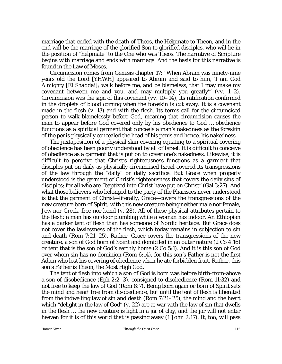marriage that ended with the death of *Theos*, the Helpmate to *Theon*, and in the end will be the marriage of the glorified Son to glorified disciples, who will be in the position of "helpmate" to the One who was *Theos*. The narrative of Scripture begins with marriage and ends with marriage. And the basis for this narrative is found in the Law of Moses.

Circumcision comes from Genesis chapter 17: "When Abram was ninety-nine years old the Lord [*YHWH*] appeared to Abram and said to him, 'I am God Almighty [*El Shaddai*]; walk before me, and be blameless, that I may make my covenant between me and you, and may multiply you greatly'" (*vv*. 1*–*2). Circumcision was the sign of this covenant (*vv*. 10*–*14), its ratification confirmed in the droplets of blood coming when the foreskin is cut away. It is a covenant made in the flesh (*v.* 13) and with the flesh. Its terms call for the circumcised person to walk blamelessly before God, meaning that circumcision causes the man to appear before God covered only by his obedience to God … obedience functions as a spiritual garment that conceals a man's nakedness as the foreskin of the penis physically concealed the head of his penis and hence, his nakedness.

The juxtaposition of a physical skin covering equating to a spiritual covering of obedience has been poorly understood by all of Israel. It is difficult to conceive of obedience as a garment that is put on to cover one's nakedness. Likewise, it is difficult to perceive that Christ's righteousness functions as a garment that disciples put on daily as physically circumcised Israel covered its transgressions of the law through the "daily" or daily sacrifice. But Grace when properly understood is the garment of Christ's righteousness that covers the daily sins of disciples; for all who are "baptized into Christ have put on Christ" (Gal 3:27). And what those believers who belonged to the party of the Pharisees never understood is that the garment of Christ—literally, Grace—covers the transgressions of the new creature born of Spirit, with this new creature being neither male nor female, Jew nor Greek, free nor bond (*v.* 28). All of these physical attributes pertain to the flesh: a man has outdoor plumbing while a woman has indoor. An Ethiopian has a darker tent of flesh than has someone of Nordic heritage. But Grace does not cover the lawlessness of the flesh, which today remains in subjection to sin and death (Rom 7:21*–*25). Rather, Grace covers the transgressions of the new creature, a son of God born of Spirit and domiciled in an outer nature (2 Co 4:16) or tent that is the son of God's earthly home (2 Co 5:1). And it is this son of God over whom sin has no dominion (Rom 6:14), for this son's Father is not the first Adam who lost his covering of obedience when he ate forbidden fruit. Rather, this son's Father is *Theon*, the Most High God.

The tent of flesh into which a son of God is born was before birth-from-above a son of disobedience (Eph 2:2*–*3), consigned to disobedience (Rom 11:32) and not free to keep the law of God (Rom 8:7). Being born again or born of Spirit sets the mind and heart free from disobedience, but until the tent of flesh is liberated from the indwelling law of sin and death (Rom 7:21*–*25), the mind and the heart which "delight in the law of God" (*v*. 22) are at war with the law of sin that dwells in the flesh … the new creature is light in a jar of clay, and the jar will not enter heaven for it is of this world that is passing away (1 John 2:17). It, too, will pass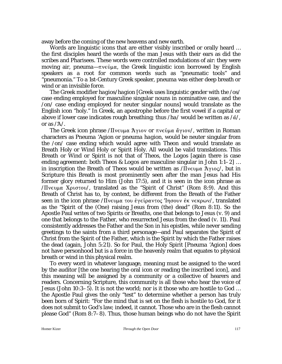away before the coming of the new heavens and new earth.

Words are linguistic icons that are either visibly inscribed or orally heard … the first disciples heard the words of the man Jesus with their ears as did the scribes and Pharisees. These words were controlled modulations of air: they were moving air, *pneuma*— $\pi v \in \partial \mu \alpha$ , the Greek linguistic icon borrowed by English speakers as a root for common words such as "pneumatic tools" and "pneumonia." To a 1st-Century Greek speaker, *pneuma* was either deep breath or wind or an invisible force.

The Greek modifier *hagios/hagion* [Greek uses linguistic gender with the /*os*/ case ending employed for masculine singular nouns in nominative case, and the /*on*/ case ending employed for neuter singular nouns] would translate as the English icon "holy." In Greek, an apostrophe before the first vowel if a capital or above if lower case indicates rough breathing; thus  $/ha/$  would be written as  $/\alpha/$ , or as  $/\text{A}/$ .

The Greek icon phrase / $\Pi$ νευμα Άγιον or πνεύμα άγιον/, written in Roman characters as *Pneuma 'Agion* or *pneuma hagion*, would be neuter singular from the /*on*/ case ending which would agree with *Theon* and would translate as Breath Holy or Wind Holy or Spirit Holy. All would be valid translations. This Breath or Wind or Spirit is not that of *Theos*, the *Logos* [again there is case ending agreement: both *Theos* & *Logos* are masculine singular in John 1:1*–*2] … in inscription the Breath of *Theos* would be written as  $/ \prod v \in \mathcal{U}(4, 4)$  but in Scripture this Breath is most prominently seen after the man Jesus had His former glory returned to Him (John 17:5), and it is seen in the icon phrase as /Πνευμα Χριστου/, translated as the "Spirit of Christ" (Rom 8:9). And this Breath of Christ has to, by context, be different from the Breath of the Father seen in the icon phrase /Πνευμα του έγειραντος 'Ιησουν έκ νεκρων/, translated as the "Spirit of the (One) raising Jesus from (the) dead" (Rom 8:11). So the Apostle Paul writes of two Spirits or Breaths, one that belongs to Jesus (*v.* 9) and one that belongs to the Father, who resurrected Jesus from the dead (*v.* 11). Paul consistently addresses the Father and the Son in his epistles, while never sending greetings to the saints from a third personage—and Paul separates the Spirit of Christ from the Spirit of the Father, which is the Spirit by which the Father raises the dead (again, John 5:21). So for Paul, the Holy Spirit [*Pneuma 'Agion*] does not have personhood but is a force in the heavenly realm that equates to physical breath or wind in this physical realm.

To every word in whatever language, meaning must be assigned to the word by the auditor [the one hearing the oral icon or reading the inscribed icon], and this meaning will be assigned by a community or a collective of hearers and readers. Concerning Scripture, this community is all those who hear the voice of Jesus (John 10:3*–*5). It is not the world; nor is it those who are hostile to God … the Apostle Paul gives the only "test" to determine whether a person has truly been born of Spirit: "For the mind that is set on the flesh is hostile to God, for it does not submit to God's law; indeed, it cannot. Those who are in the flesh cannot please God" (Rom 8:7*–*8). Thus, those human beings who do not have the Spirit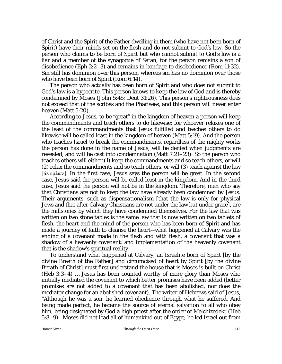of Christ and the Spirit of the Father dwelling in them (who have not been born of Spirit) have their minds set on the flesh and do not submit to God's law. So the person who claims to be born of Spirit but who cannot submit to God's law is a liar and a member of the synagogue of Satan, for the person remains a son of disobedience (Eph 2:2*–*3) and remains in bondage to disobedience (Rom 11:32). Sin still has dominion over this person, whereas sin has no dominion over those who have been born of Spirit (Rom 6:14).

The person who actually has been born of Spirit and who does not submit to God's law is a hypocrite. This person knows to keep the law of God and is thereby condemned by Moses (John 5:45; Deut 31:26). This person's righteousness does not exceed that of the scribes and the Pharisees, and this person will never enter heaven (Matt 5:20).

According to Jesus, to be "great" in the kingdom of heaven a person will keep the commandments and teach others to do likewise; for whoever relaxes one of the least of the commandments that Jesus fulfilled and teaches others to do likewise will be called least in the kingdom of heaven (Matt 5:19). And the person who teaches Israel to break the commandments, regardless of the mighty works the person has done in the name of Jesus, will be denied when judgments are revealed, and will be cast into condemnation (Matt 7:21*–*23). So the person who teaches others will either (1) keep the commandments and so teach others, or will (2) relax the commandments and so teach others, or will (3) teach against the law  $\alpha$ [άνομίαν]. In the first case, Jesus says the person will be great. In the second case, Jesus said the person will be called least in the kingdom. And in the third case, Jesus said the person will not be in the kingdom. Therefore, men who say that Christians are not to keep the law have already been condemned by Jesus. Their arguments, such as *dispensationalism* [that the law is only for physical Jews and that after Calvary Christians are not under the law but under grace], are the millstones by which they have condemned themselves. For the law that was written on two stone tables is the same law that is now written on two tablets of flesh, the heart and the mind of the person who has been born of Spirit and has made a journey of faith to cleanse the heart—what happened at Calvary was the ending of a covenant made in the flesh and with flesh, a covenant that was a shadow of a heavenly covenant, and implementation of the heavenly covenant that is the shadow's spiritual reality.

To understand what happened at Calvary, an Israelite born of Spirit [by the divine Breath of the Father] and circumcised of heart by Spirit [by the divine Breath of Christ] must first understand the house that is Moses is built on Christ (Heb 3:3*–*4) … Jesus has been counted worthy of more glory than Moses who initially mediated the covenant to which better promises have been added (better promises are not added to a covenant that has been abolished, nor does the mediator change for an abolished covenant). The writer of Hebrews said of Jesus, "Although he was a son, he learned obedience through what he suffered. And being made perfect, he became the source of eternal salvation to all who obey him, being designated by God a high priest after the order of Melchizedek" (Heb 5:8*–*9). Moses did not lead all of humankind out of Egypt; he led Israel out from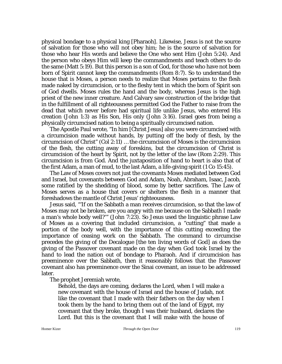physical bondage to a physical king [Pharaoh]. Likewise, Jesus is not the source of salvation for those who will not obey him; he is the source of salvation for those who hear His words and believe the One who sent Him (John 5:24). And the person who obeys Him will keep the commandments and teach others to do the same (Matt 5:19). But this person is a son of God, for those who have not been born of Spirit cannot keep the commandments (Rom 8:7). So to understand the house that is Moses, a person needs to realize that Moses pertains to the flesh made naked by circumcision, or to the fleshy tent in which the born of Spirit son of God dwells. Moses rules the hand and the body, whereas Jesus is the high priest of the new inner creature. And Calvary saw construction of the bridge that in the fulfillment of all righteousness permitted God the Father to raise from the dead that which never before had spiritual life unlike Jesus, who entered His creation (John 1:3) as His Son, His only (John 3:16). Israel goes from being a physically circumcised nation to being a spiritually circumcised nation.

The Apostle Paul wrote, "In him [Christ Jesus] also you were circumcised with a circumcision made without hands, by putting off the body of flesh, by the circumcision of Christ" (Col 2:11) … the circumcision of Moses is the circumcision of the flesh, the cutting away of foreskins, but the circumcision of Christ is circumcision of the heart by Spirit, not by the letter of the law (Rom 2:29). This circumcision is from God. And the juxtaposition of hand to heart is also that of the first Adam, a man of mud, to the last Adam, a life-giving spirit (1 Co 15:45).

The Law of Moses covers not just the covenants Moses mediated between God and Israel, but covenants between God and Adam, Noah, Abraham, Isaac, Jacob, some ratified by the shedding of blood, some by better sacrifices. The Law of Moses serves as a house that covers or shelters the flesh in a manner that foreshadows the mantle of Christ Jesus' righteousness.

Jesus said, "'If on the Sabbath a man receives circumcision, so that the law of Moses may not be broken, are you angry with me because on the Sabbath I made a man's whole body well?'" (John 7:23). So Jesus used the linguistic phrase Law of Moses as a covering that included circumcision, a "cutting" that made a portion of the body well, with the importance of this cutting exceeding the importance of ceasing work on the Sabbath. The command to circumcise precedes the giving of the Decalogue [the ten living words of God] as does the giving of the Passover covenant made on the day when God took Israel by the hand to lead the nation out of bondage to Pharaoh. And if circumcision has preeminence over the Sabbath, then it reasonably follows that the Passover covenant also has preeminence over the Sinai covenant, an issue to be addressed later.

The prophet Jeremiah wrote,

Behold, the days are coming, declares the Lord, when I will make a new covenant with the house of Israel and the house of Judah, not like the covenant that I made with their fathers on the day when I took them by the hand to bring them out of the land of Egypt, my covenant that they broke, though I was their husband, declares the Lord. But this is the covenant that I will make with the house of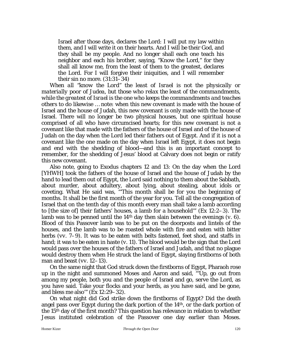Israel after those days, declares the Lord: I will put my law within them, and I will write it on their hearts. And I will be their God, and they shall be my people. And no longer shall each one teach his neighbor and each his brother, saying, "Know the Lord," for they shall all know me, from the least of them to the greatest, declares the Lord. For I will forgive their iniquities, and I will remember their sin no more. (31:31*–*34)

*When all "know the Lord" the least of Israel is not the physically or materially poor of Judea, but those who relax the least of the commandments, while the greatest of Israel is the one who keeps the commandments and teaches others to do likewise* … note: when this new covenant is made with the house of Israel and the house of Judah, this new covenant is only made with the house of Israel. There will no longer be two physical houses, but one spiritual house comprised of all who have circumcised hearts; for this new covenant is not a covenant like that made with the fathers of the house of Israel and of the house of Judah on the day when the Lord led their fathers out of Egypt. And if it is not a covenant like the one made on the day when Israel left Egypt, it does not begin and end with the shedding of blood—and this is an important concept to remember, for the shedding of Jesus' blood at Calvary does not begin or ratify this new covenant.

Also note, going to Exodus chapters 12 and 13: On the day when the Lord [*YHWH*] took the fathers of the house of Israel and the house of Judah by the hand to lead them out of Egypt, the Lord said nothing to them about the Sabbath, about murder, about adultery, about lying, about stealing, about idols or coveting. What He said was, "'This month shall be for you the beginning of months. It shall be the first month of the year for you. Tell all the congregation of Israel that on the tenth day of this month every man shall take a lamb according to [the size of] their fathers' houses, a lamb for a household'" (Ex 12:2*–*3). The lamb was to be penned until the 14th day then slain between the evenings (*v*. 6). Blood of this Passover lamb was to be put on the doorposts and lintels of the houses, and the lamb was to be roasted whole with fire and eaten with bitter herbs (*vv*. 7*–*9). It was to be eaten with belts fastened, feet shod, and staffs in hand; it was to be eaten in haste (*v*. 11). The blood would be the sign that the Lord would pass over the houses of the fathers of Israel and Judah, and that no plague would destroy them when He struck the land of Egypt, slaying firstborns of both man and beast (*vv*. 12*–*13).

On the same night that God struck down the firstborns of Egypt, Pharaoh rose up in the night and summoned Moses and Aaron and said, "'Up, go out from among my people, both you and the people of Israel and go, serve the Lord, as you have said. Take your flocks and your herds, as you have said, and be gone, and bless me also'" (Ex 12:29*–*32).

On what night did God strike down the firstborns of Egypt? Did the death angel pass over Egypt during the dark portion of the 14th, or the dark portion of the 15th day of the first month? This question has relevance in relation to whether Jesus instituted celebration of the Passover one day earlier than Moses.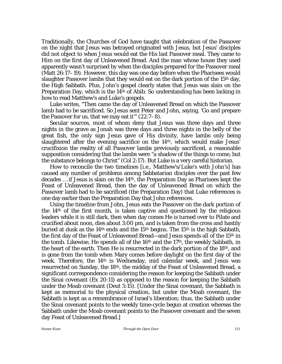Traditionally, the Churches of God have taught that celebration of the Passover on the night that Jesus was betrayed originated with Jesus, but Jesus' disciples did not object to when Jesus would eat the His last Passover meal. They came to Him on the first day of Unleavened Bread. And the man whose house they used apparently wasn't surprised by when the disciples prepared for the Passover meal (Matt 26:17*–*19). However, this day was one day before when the Pharisees would slaughter Passover lambs that they would eat on the dark portion of the 15<sup>th</sup> day, the High Sabbath. Plus, John's gospel clearly states that Jesus was slain on the Preparation Day, which is the 14<sup>th</sup> of Abib. So understanding has been lacking in how to read Matthew's and Luke's gospels.

Luke writes, "Then came the day of Unleavened Bread on which the Passover lamb had to be sacrificed. So Jesus sent Peter and John, saying, 'Go and prepare the Passover for us, that we may eat it'" (22:7*–*8).

Secular sources, most of whom deny that Jesus was three days and three nights in the grave as Jonah was three days and three nights in the belly of the great fish, the only sign Jesus gave of His divinity, have lambs only being slaughtered after the evening sacrifice on the  $14<sup>th</sup>$ , which would make Jesus' crucifixion the reality of all Passover lambs previously sacrificed, a reasonable supposition considering that the lambs were "a shadow of the things to come, but the substance belongs to Christ" (Col 2:17). But Luke is a very careful historian.

How to reconcile the two timelines [i.e., Matthew's/Luke's with John's] has caused any number of problems among Sabbatarian disciples over the past few decades … if Jesus is slain on the 14th, the Preparation Day as Pharisees kept the Feast of Unleavened Bread, then the day of Unleavened Bread on which the Passover lamb had to be sacrificed (the Preparation Day) that Luke references is one day earlier than the Preparation Day that John references.

Using the timeline from John, Jesus eats the Passover on the dark portion of the  $14<sup>th</sup>$  of the first month, is taken captive and questioned by the religious leaders while it is still dark, then when day comes He is turned over to Pilate and crucified about noon, dies about 3:00 pm, and is taken from the cross and hastily buried at dusk as the  $14<sup>th</sup>$  ends and the  $15<sup>th</sup>$  begins. The  $15<sup>th</sup>$  is the high Sabbath, the first day of the Feast of Unleavened Bread—and Jesus spends all of the 15th in the tomb. Likewise, He spends all of the 16th and the 17th, the weekly Sabbath, in the heart of the earth. Then He is resurrected in the dark portion of the  $18<sup>th</sup>$ , and is gone from the tomb when Mary comes before daylight on the first day of the week. Therefore, the 14th is Wednesday, mid calendar week, and Jesus was resurrected on Sunday, the 18th, the midday of the Feast of Unleavened Bread, a significant correspondence considering the reason for keeping the Sabbath under the Sinai covenant (Ex 20:11) as opposed to the reason for keeping the Sabbath under the Moab covenant (Deut 5:15). [Under the Sinai covenant, the Sabbath is kept as memorial to the physical creation, but under the Moab covenant, the Sabbath is kept as a remembrance of Israel's liberation; thus, the Sabbath under the Sinai covenant points to the weekly time-cycle begun at creation whereas the Sabbath under the Moab covenant points to the Passover covenant and the seven day Feast of Unleavened Bread.]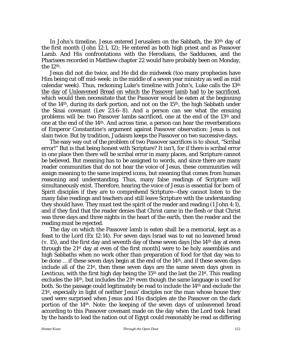In John's timeline, Jesus entered Jerusalem on the Sabbath, the 10<sup>th</sup> day of the first month (John 12:1, 12); He entered as both high priest and as Passover Lamb. And His confrontations with the Herodians, the Sadducees, and the Pharisees recorded in Matthew chapter 22 would have probably been on Monday, the 12th.

Jesus did not die twice, and He did die midweek (too many prophecies have Him being cut off mid-week: in the middle of a seven year ministry as well as mid calendar week). Thus, reckoning Luke's timeline with John's, Luke calls the 13th the day of Unleavened Bread on which the Passover lamb had to be sacrificed, which would then necessitate that the Passover would be eaten at the beginning of the 14<sup>th</sup>, during its dark portion, and not on the 15<sup>th</sup>, the high Sabbath under the Sinai covenant (Lev 23:6*–*8). And a person can see what the ensuing problems will be: two Passover lambs sacrificed, one at the end of the 13th and one at the end of the 14th. And across time, a person can hear the reverberations of Emperor Constantine's argument against Passover observation: Jesus is not slain twice. But by tradition, Judaism keeps the Passover on two successive days.

The easy way out of the problem of two Passover sacrifices is to shout, "Scribal error!" But is that being honest with Scripture? It isn't, for if there is scribal error in one place then there will be scribal error in many places, and Scripture cannot be believed. But meaning has to be assigned to words, and since there are many reader communities that do not hear the voice of Jesus, these communities will assign meaning to the same inspired icons, but meaning that comes from human reasoning and understanding. Thus, many false readings of Scripture will simultaneously exist. Therefore, hearing the voice of Jesus is essential for born of Spirit disciples if they are to comprehend Scripture—they cannot listen to the many false readings and teachers and still leave Scripture with the understanding they should have. They must test the spirit of the reader and reading (1 John 4:1), and if they find that the reader denies that Christ came in the flesh or that Christ was three days and three nights in the heart of the earth, then the reader and the reading must be rejected.

The day on which the Passover lamb is eaten shall be a memorial, kept as a feast to the Lord (Ex 12:14). For seven days Israel was to eat no leavened bread (*v.* 15), and the first day and seventh day of these seven days [the 14th day at even through the 21st day at even of the first month] were to be holy assemblies and high Sabbaths when no work other than preparation of food for that day was to be done … if these seven days begin at the end of the 14th, and if these seven days include all of the  $21^{st}$ , then these seven days are the same seven days given in Leviticus, with the first high day being the  $15<sup>th</sup>$  and the last the  $21<sup>st</sup>$ . This reading excludes the 14<sup>th</sup>, but includes the 21<sup>st</sup> even though the same language is used for both. So the passage could legitimately be read to include the 14th and exclude the 21st, especially in light of neither Jesus' disciples nor the man whose house they used were surprised when Jesus and His disciples ate the Passover on the dark portion of the 14th. Note: the keeping of the seven days of unleavened bread according to this Passover covenant made on the day when the Lord took Israel by the hands to lead the nation out of Egypt could reasonably be read as differing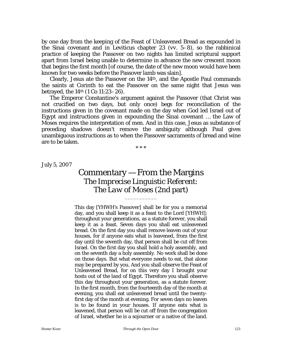by one day from the keeping of the Feast of Unleavened Bread as expounded in the Sinai covenant and in Leviticus chapter 23 (*vv.* 5*–*8), so the rabbinical practice of keeping the Passover on two nights has limited scriptural support apart from Israel being unable to determine in advance the new crescent moon that begins the first month [of course, the date of the new moon would have been known for two weeks before the Passover lamb was slain].

Clearly, Jesus ate the Passover on the  $14<sup>th</sup>$ , and the Apostle Paul commands the saints at Corinth to eat the Passover on the same night that Jesus was betrayed, the 14th (1 Co 11:23*–*26).

The Emperor Constantine's argument against the Passover (that Christ was not crucified on two days, but only once) begs for reconciliation of the instructions given in the covenant made on the day when God led Israel out of Egypt and instructions given in expounding the Sinai covenant … the Law of Moses requires the interpretation of men. And in this case, Jesus as substance of preceding shadows doesn't remove the ambiguity although Paul gives unambiguous instructions as to when the Passover sacraments of bread and wine are to be taken.

\* \* \*

July 5, 2007

### Commentary — From the Margins *The Imprecise Linguistic Referent: The Law of Moses* (2nd part)

\_\_\_\_\_\_\_\_\_\_\_

This day [*YHWH'*s Passover] shall be for you a memorial day, and you shall keep it as a feast to the Lord [*YHWH*]; throughout your generations, as a statute forever, you shall keep it as a feast. Seven days you shall eat unleavened bread. On the first day you shall remove leaven out of your houses, for if anyone eats what is leavened, from the first day until the seventh day, that person shall be cut off from Israel. On the first day you shall hold a holy assembly, and on the seventh day a holy assembly. No work shall be done on those days. But what everyone needs to eat, that alone may be prepared by you. And you shall observe the Feast of Unleavened Bread, for on this very day I brought your hosts out of the land of Egypt. Therefore you shall observe this day throughout your generation, as a statute forever. In the first month, from the fourteenth day of the month at evening, you shall eat unleavened bread until the twentyfirst day of the month at evening. For seven days no leaven is to be found in your houses. If anyone eats what is leavened, that person will be cut off from the congregation of Israel, whether he is a sojourner or a native of the land.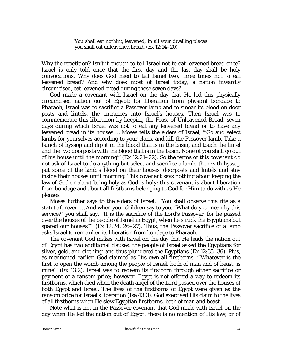You shall eat nothing leavened; in all your dwelling places you shall eat unleavened bread. (Ex 12:14*–*20) \_\_\_\_\_\_\_\_\_\_\_\_\_

Why the repetition? Isn't it enough to tell Israel not to eat leavened bread once? Israel is only told once that the first day and the last day shall be holy convocations. Why does God need to tell Israel two, three times not to eat leavened bread? And why does most of Israel today, a nation inwardly circumcised, eat leavened bread during these seven days?

God made a covenant with Israel on the day that He led this physically circumcised nation out of Egypt: for liberation from physical bondage to Pharaoh, Israel was to sacrifice a Passover lamb and to smear its blood on door posts and lintels, the entrances into Israel's houses. Then Israel was to commemorate this liberation by keeping the Feast of Unleavened Bread, seven days during which Israel was not to eat any leavened bread or to have any leavened bread in its houses … Moses tells the elders of Israel, "'Go and select lambs for yourselves according to your clans, and kill the Passover lamb. Take a bunch of hyssop and dip it in the blood that is in the basin, and touch the lintel and the two doorposts with the blood that is in the basin. None of you shall go out of his house until the morning'" (Ex 12:21*–*22). So the terms of this covenant do not ask of Israel to do anything but select and sacrifice a lamb, then with hyssop put some of the lamb's blood on their houses' doorposts and lintels and stay inside their houses until morning. This covenant says nothing about keeping the law of God or about being holy as God is holy; this covenant is about liberation from bondage and about all firstborns belonging to God for Him to do with as He pleases.

Moses further says to the elders of Israel, "'You shall observe this rite as a statute forever. … And when your children say to you, "What do you mean by this service?" you shall say, "It is the sacrifice of the Lord's Passover, for he passed over the houses of the people of Israel in Egypt, when he struck the Egyptians but spared our houses"'" (Ex 12:24, 26*–*27). Thus, the Passover sacrifice of a lamb asks Israel to remember its liberation from bondage to Pharaoh.

The covenant God makes with Israel on the day that He leads the nation out of Egypt has two additional clauses: the people of Israel asked the Egyptians for silver, gold, and clothing, and thus plundered the Egyptians (Ex 12:35*–*36). Plus, as mentioned earlier, God claimed as His own all firstborns: "'Whatever is the first to open the womb among the people of Israel, both of man and of beast, is mine'" (Ex 13:2). Israel was to redeem its firstborn through either sacrifice or payment of a ransom price; however, Egypt is not offered a way to redeem its firstborns, which died when the death angel of the Lord passed over the houses of both Egypt and Israel. The lives of the firstborns of Egypt were given as the ransom price for Israel's liberation (Isa 43:3). God exercised His claim to the lives of all firstborns when He slew Egyptian firstborns, both of man and beast.

Note what is not in the Passover covenant that God made with Israel on the day when He led the nation out of Egypt: there is no mention of His law, or of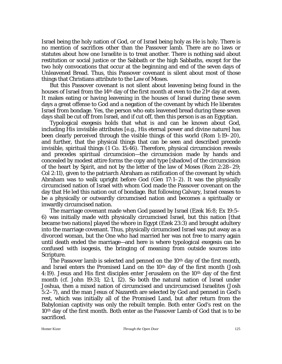Israel being the holy nation of God, or of Israel being holy as He is holy. There is no mention of sacrifices other than the Passover lamb. There are no laws or statutes about how one Israelite is to treat another. There is nothing said about restitution or social justice or the Sabbath or the high Sabbaths, except for the two holy convocations that occur at the beginning and end of the seven days of Unleavened Bread. Thus, this Passover covenant is silent about most of those things that Christians attribute to the Law of Moses.

But this Passover covenant is not silent about leavening being found in the houses of Israel from the 14<sup>th</sup> day of the first month at even to the 21<sup>st</sup> day at even. It makes eating or having leavening in the houses of Israel during these seven days a great offense to God and a negation of the covenant by which He liberates Israel from bondage. Yes, the person who eats leavened bread during these seven days shall be cut off from Israel, and if cut off, then this person is as an Egyptian.

Typological exegesis holds that what is and can be known about God, including His invisible attributes [e.g., His eternal power and divine nature] has been clearly perceived through the visible things of this world (Rom 1:19*–*20), and further, that the physical things that can be seen and described precede invisible, spiritual things (1 Co. 15:46). Therefore, physical circumcision reveals and precedes spiritual circumcision—the circumcision made by hands and concealed by modest attire forms the copy and type [shadow] of the circumcision of the heart by Spirit, and not by the letter of the law of Moses (Rom 2:28*–*29; Col 2:11), given to the patriarch Abraham as ratification of the covenant by which Abraham was to walk upright before God (Gen 17:1*–*2). It was the physically circumcised nation of Israel with whom God made the Passover covenant on the day that He led this nation out of bondage. But following Calvary, Israel ceases to be a physically or outwardly circumcised nation and becomes a spiritually or inwardly circumcised nation.

The marriage covenant made when God passed by Israel (Ezek 16:8; Ex 19:5*–* 6) was initially made with physically circumcised Israel, but this nation [that became two nations] played the whore in Egypt (Ezek 23:3) and brought adultery into the marriage covenant. Thus, physically circumcised Israel was put away as a divorced woman, but the One who had married her was not free to marry again until death ended the marriage—and here is where typological exegesis can be confused with isogesis, the bringing of meaning from outside sources into Scripture.

The Passover lamb is selected and penned on the 10<sup>th</sup> day of the first month, and Israel enters the Promised Land on the  $10<sup>th</sup>$  day of the first month (Josh 4:19). Jesus and His first disciples enter Jerusalem on the  $10<sup>th</sup>$  day of the first month (*cf.* John 19:31; 12:1, 12). So both the natural nation of Israel under Joshua, then a mixed nation of circumcised and uncircumcised Israelites (Josh 5:2*–*7), and the man Jesus of Nazareth are selected by God and penned in God's rest, which was initially all of the Promised Land, but after return from the Babylonian captivity was only the rebuilt temple. Both enter God's rest on the 10th day of the first month. Both enter as the Passover Lamb of God that is to be sacrificed.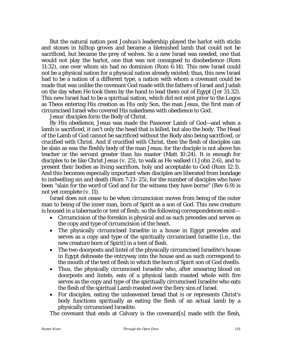But the natural nation post Joshua's leadership played the harlot with sticks and stones in hilltop groves and became a blemished lamb that could not be sacrificed, but became the prey of wolves. So a new Israel was needed, one that would not play the harlot, one that was not consigned to disobedience (Rom 11:32), one over whom sin had no dominion (Rom 6:14). This new Israel could not be a physical nation for a physical nation already existed; thus, this new Israel had to be a nation of a different type, a nation with whom a covenant could be made that was unlike the covenant God made with the fathers of Israel and Judah on the day when He took them by the hand to lead them out of Egypt (Jer 31:32). This new Israel had to be a spiritual nation, which did not exist prior to the *Logos* as *Theos* entering His creation as His only Son, the man Jesus, the first man of circumcised Israel who covered His nakedness with obedience to God.

Jesus' disciples form the Body of Christ.

By His obedience, Jesus was made the Passover Lamb of God—and when a lamb is sacrificed, it isn't only the head that is killed, but also the body. The Head of the Lamb of God cannot be sacrificed without the Body also being sacrificed, or crucified with Christ. And if crucified with Christ, then the flesh of disciples can be slain as was the fleshly body of the man Jesus; for the disciple is not above his teacher or the servant greater than his master (Matt 10:24). It is enough for disciples to be like Christ Jesus (*v.* 25), to walk as He walked (1 John 2:6), and to present their bodies as living sacrifices, holy and acceptable to God (Rom 12:1). And this becomes especially important when disciples are liberated from bondage to indwelling sin and death (Rom 7:21*–*25), for the number of disciples who have been "slain for the word of God and for the witness they have borne" (Rev 6:9) is not yet complete (*v.* 11).

Israel does not cease to be when circumcision moves from being of the outer man to being of the inner man, born of Spirit as a son of God. This new creature is housed in a tabernacle or tent of flesh; so the following correspondences exist—

- Circumcision of the foreskin is physical and as such precedes and serves as the copy and type of circumcision of the heart.
- The physically circumcised Israelite in a house in Egypt precedes and serves as a copy and type of the spiritually circumcised Israelite [i.e., the new creature born of Spirit] in a tent of flesh.
- The two doorposts and lintel of the physically circumcised Israelite's house in Egypt delineate the entryway into the house and as such correspond to the mouth of the tent of flesh in which the born of Spirit son of God dwells.
- Thus, the physically circumcised Israelite who, after smearing blood on doorposts and lintels, eats of a physical lamb roasted whole with fire serves as the copy and type of the spiritually circumcised Israelite who eats the flesh of the spiritual Lamb roasted over the fiery sins of Israel.
- For disciples, eating the unleavened bread that is or represents Christ's body functions spiritually as eating the flesh of an actual lamb by a physically circumcised Israelite.

The covenant that ends at Calvary is the covenant[s] made with the flesh,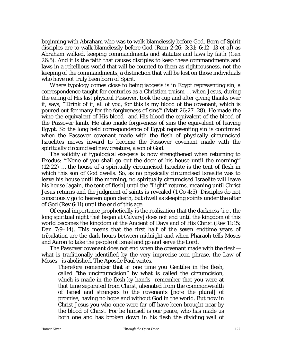beginning with Abraham who was to walk blamelessly before God. Born of Spirit disciples are to walk blamelessly before God (Rom 2:26; 3:31; 6:12*–*13 *et al*) as Abraham walked, keeping commandments and statutes and laws by faith (Gen 26:5). And it is the faith that causes disciples to keep these commandments and laws in a rebellious world that will be counted to them as righteousness, not the keeping of the commandments, a distinction that will be lost on those individuals who have not truly been born of Spirit.

Where typology comes close to being isogesis is in Egypt representing sin, a correspondence taught for centuries as a Christian truism … when Jesus, during the eating of His last physical Passover, took the cup and after giving thanks over it, says, "'Drink of it, all of you, for this is my blood of the covenant, which is poured out for many for the forgiveness of sins'" (Matt 26:27*–*28), He made the wine the equivalent of His blood—and His blood the equivalent of the blood of the Passover lamb. He also made forgiveness of sins the equivalent of leaving Egypt. So the long held correspondence of Egypt representing sin is confirmed when the Passover covenant made with the flesh of physically circumcised Israelites moves inward to become the Passover covenant made with the spiritually circumcised new creature, a son of God.

The validity of typological exegesis is now strengthened when returning to Exodus: "'None of you shall go out the door of his house until the morning'" (12:22) … the house of a spiritually circumcised Israelite is the tent of flesh in which this son of God dwells. So, as no physically circumcised Israelite was to leave his house until the morning, no spiritually circumcised Israelite will leave his house [again, the tent of flesh] until the "Light" returns, meaning until Christ Jesus returns and the judgment of saints is revealed (1 Co 4:5). Disciples do not consciously go to heaven upon death, but dwell as sleeping spirits under the altar of God (Rev 6:11) until the end of this age.

Of equal importance prophetically is the realization that the darkness [i.e., the long spiritual night that began at Calvary] does not end until the kingdom of this world becomes the kingdom of the Ancient of Days and of His Christ (Rev 11:15; Dan 7:9*–*14). This means that the first half of the seven endtime years of tribulation are the dark hours between midnight and when Pharaoh tells Moses and Aaron to take the people of Israel and go and serve the Lord.

The Passover covenant does not end when the covenant made with the flesh what is traditionally identified by the very imprecise icon phrase, the Law of Moses—is abolished. The Apostle Paul writes,

Therefore remember that at one time you Gentiles in the flesh, called "the uncircumcision" by what is called the circumcision, which is made in the flesh by hands—remember that you were at that time separated from Christ, alienated from the commonwealth of Israel and strangers to the covenants [note the plural] of promise, having no hope and without God in the world. But now in Christ Jesus you who once were far off have been brought near by the blood of Christ. For he himself is our peace, who has made us both one and has broken down in his flesh the dividing wall of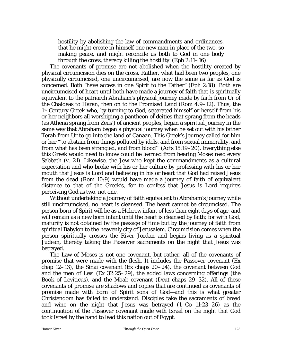hostility by abolishing the law of commandments and ordinances, that he might create in himself one new man in place of the two, so making peace, and might reconcile us both to God in one body through the cross, thereby killing the hostility. (Eph 2:11*–*16)

The covenants of promise are not abolished when the hostility created by physical circumcision dies on the cross. Rather, what had been two peoples, one physically circumcised, one uncircumcised, are now the same as far as God is concerned. Both "have access in one Spirit to the Father" (Eph 2:18). Both are uncircumcised of heart until both have made a journey of faith that is spiritually equivalent to the patriarch Abraham's physical journey made by faith from Ur of the Chaldeas to Haran, then on to the Promised Land (Rom 4:9*–*12). Thus, the 1st-Century Greek who, by turning to God, separated himself or herself from his or her neighbors all worshiping a pantheon of deities that sprang from the heads (as Athena sprang from Zeus') of ancient peoples, began a spiritual journey in the same way that Abraham began a physical journey when he set out with his father Terah from Ur to go into the land of Canaan. This Greek's journey called for him or her "'to abstain from things polluted by idols, and from sexual immorality, and from what has been strangled, and from blood'" (Acts 15:19*–*20). Everything else this Greek would need to know could be learned from hearing Moses read every Sabbath (*v*. 21). Likewise, the Jew who kept the commandments as a cultural expectation and who broke with his or her culture by professing with his or her mouth that Jesus is Lord and believing in his or heart that God had raised Jesus from the dead (Rom 10:9) would have made a journey of faith of equivalent distance to that of the Greek's, for to confess that Jesus is Lord requires perceiving God as two, not one.

Without undertaking a journey of faith equivalent to Abraham's journey while still uncircumcised, no heart is cleansed. The heart cannot be circumcised. The person born of Spirit will be as a Hebrew infant of less than eight days of age, and will remain as a new born infant until the heart is cleansed by faith; for with God, maturity is not obtained by the passage of time but by the journey of faith from spiritual Babylon to the heavenly city of Jerusalem. Circumcision comes when the person spiritually crosses the River Jordan and begins living as a spiritual Judean, thereby taking the Passover sacraments on the night that Jesus was betrayed.

The Law of Moses is not one covenant, but rather, all of the covenants of promise that were made with the flesh. It includes the Passover covenant (Ex chap 12*–*13), the Sinai covenant (Ex chaps 20*–*24), the covenant between God and the men of Levi (Ex 32:25*–*29), the added laws concerning offerings (the Book of Leviticus), and the Moab covenant (Deut chaps 29*–*32). All of these covenants of promise are shadows and copies that are continued as covenants of promise made with born of Spirit sons of God—and this is what greater Christendom has failed to understand. Disciples take the sacraments of bread and wine on the night that Jesus was betrayed (1 Co 11:23*–*26) as the continuation of the Passover covenant made with Israel on the night that God took Israel by the hand to lead this nation out of Egypt.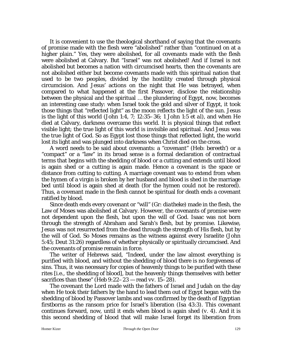It is convenient to use the theological shorthand of saying that the covenants of promise made with the flesh were "abolished" rather than "continued on at a higher plain." Yes, they were abolished, for all covenants made with the flesh were abolished at Calvary. But "Israel" was not abolished! And if Israel is not abolished but becomes a nation with circumcised hearts, then the covenants are not abolished either but become covenants made with this spiritual nation that used to be two peoples, divided by the hostility created through physical circumcision. And Jesus' actions on the night that He was betrayed, when compared to what happened at the first Passover, disclose the relationship between the physical and the spiritual … the plundering of Egypt, now, becomes an interesting case study: when Israel took the gold and silver of Egypt, it took those things that "reflected light" as the moon reflects the light of the sun. Jesus is the light of this world (John 1:4, 7; 12:35*–*36; 1 John 1:5 *et al*), and when He died at Calvary, darkness overcame this world. It is physical things that reflect visible light; the true light of this world is invisible and spiritual. And Jesus was the true light of God. So as Egypt lost those things that reflected light, the world lost its light and was plunged into darkness when Christ died on the cross.

A word needs to be said about covenants: a "covenant" (Heb: *bereeth'*) or a "compact" or a "law" in its broad sense is a formal declaration of contractual terms that begins with the shedding of blood or a cutting and extends until blood is again shed or a cutting is again made. Hence a covenant is the space or distance from cutting to cutting. A marriage covenant was to extend from when the hymen of a virgin is broken by her husband and blood is shed in the marriage bed until blood is again shed at death (for the hymen could not be restored). Thus, a covenant made in the flesh cannot be spiritual for death ends a covenant ratified by blood.

Since death ends every covenant or "will" (Gr: *diatheke*) made in the flesh, the Law of Moses was abolished at Calvary. However, the covenants of promise were not dependent upon the flesh, but upon the will of God. Isaac was not born through the strength of Abraham and Sarah's flesh, but by promise. Likewise, Jesus was not resurrected from the dead through the strength of His flesh, but by the will of God. So Moses remains as the witness against every Israelite (John 5:45; Deut 31:26) regardless of whether physically or spiritually circumcised. And the covenants of promise remain in force.

The writer of Hebrews said, "Indeed, under the law almost everything is purified with blood, and without the shedding of blood there is no forgiveness of sins. Thus, it was necessary for copies of heavenly things to be purified with these rites [i.e., the shedding of blood], but the heavenly things themselves with better sacrifices than these" (Heb 9:22*–*23 — read *vv*. 15*–*28).

The covenant the Lord made with the fathers of Israel and Judah on the day when He took their fathers by the hand to lead them out of Egypt began with the shedding of blood by Passover lambs and was confirmed by the death of Egyptian firstborns as the ransom price for Israel's liberation (Isa 43:3). This covenant continues forward, now, until it ends when blood is again shed (*v.* 4). And it is this second shedding of blood that will make Israel forget its liberation from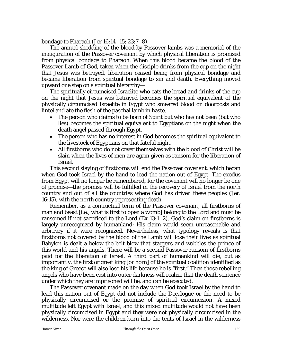bondage to Pharaoh (Jer 16:14*–*15; 23:7*–*8).

The annual shedding of the blood by Passover lambs was a memorial of the inauguration of the Passover covenant by which physical liberation is promised from physical bondage to Pharaoh. When this blood became the blood of the Passover Lamb of God, taken when the disciple drinks from the cup on the night that Jesus was betrayed, liberation ceased being from physical bondage and became liberation from spiritual bondage to sin and death. Everything moved upward one step on a spiritual hierarchy—

The spiritually circumcised Israelite who eats the bread and drinks of the cup on the night that Jesus was betrayed becomes the spiritual equivalent of the physically circumcised Israelite in Egypt who smeared blood on doorposts and lintel and ate the flesh of the paschal lamb in haste.

- The person who claims to be born of Spirit but who has not been (but who lies) becomes the spiritual equivalent to Egyptians on the night when the death angel passed through Egypt.
- The person who has no interest in God becomes the spiritual equivalent to the livestock of Egyptians on that fateful night.
- All firstborns who do not cover themselves with the blood of Christ will be slain when the lives of men are again given as ransom for the liberation of Israel.

This second slaying of firstborns will end the Passover covenant, which began when God took Israel by the hand to lead the nation out of Egypt. The exodus from Egypt will no longer be remembered, for the covenant will no longer be one of promise—the promise will be fulfilled in the recovery of Israel from the north country and out of all the countries where God has driven these peoples (Jer. 16:15), with the north country representing death.

Remember, as a contractual term of the Passover covenant, all firstborns of man and beast [i.e., what is first to open a womb] belong to the Lord and must be ransomed if not sacrificed to the Lord (Ex 13:1*–*2). God's claim on firstborns is largely unrecognized by humankind; His claim would seem unreasonable and arbitrary if it were recognized. Nevertheless, what typology reveals is that firstborns not covered by the blood of the Lamb will lose their lives as spiritual Babylon is dealt a below-the-belt blow that staggers and wobbles the prince of this world and his angels. There will be a second Passover ransom of firstborns paid for the liberation of Israel. A third part of humankind will die, but as importantly, the first or great king [or horn] of the spiritual coalition identified as the king of Greece will also lose his life because he is "first." Then those rebelling angels who have been cast into outer darkness will realize that the death sentence under which they are imprisoned will be, and can be executed.

The Passover covenant made on the day when God took Israel by the hand to lead this nation out of Egypt did not include the Decalogue or the need to be physically circumcised or the promise of spiritual circumcision. A mixed multitude left Egypt with Israel, and this mixed multitude would not have been physically circumcised in Egypt and they were not physically circumcised in the wilderness. Nor were the children born into the tents of Israel in the wilderness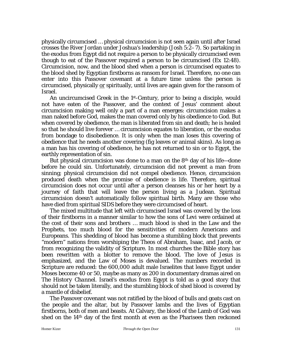physically circumcised … physical circumcision is not seen again until after Israel crosses the River Jordan under Joshua's leadership (Josh 5:2*–*7). So partaking in the exodus from Egypt did not require a person to be physically circumcised even though to eat of the Passover required a person to be circumcised (Ex 12:48). Circumcision, now, and the blood shed when a person is circumcised equates to the blood shed by Egyptian firstborns as ransom for Israel. Therefore, no one can enter into this Passover covenant at a future time unless the person is circumcised, physically or spiritually, until lives are again given for the ransom of Israel.

An uncircumcised Greek in the 1<sup>st</sup>-Century, prior to being a disciple, would not have eaten of the Passover, and the context of Jesus' comment about circumcision making well only a part of a man emerges: circumcision makes a man naked before God, makes the man covered only by his obedience to God. But when covered by obedience, the man is liberated from sin and death; he is healed so that he should live forever … circumcision equates to liberation, or the exodus from bondage to disobedience. It is only when the man loses this covering of obedience that he needs another covering (fig leaves or animal skins). As long as a man has his covering of obedience, he has not returned to sin or to Egypt, the earthly representation of sin.

But physical circumcision was done to a man on the 8th day of his life—done before he could sin. Unfortunately, circumcision did not prevent a man from sinning; physical circumcision did not compel obedience. Hence, circumcision produced death when the promise of obedience is life. Therefore, spiritual circumcision does not occur until after a person cleanses his or her heart by a journey of faith that will leave the person living as a Judean. Spiritual circumcision doesn't automatically follow spiritual birth. Many are those who have died from spiritual SIDS before they were circumcised of heart.

The mixed multitude that left with circumcised Israel was covered by the loss of their firstborns in a manner similar to how the sons of Levi were ordained at the cost of their sons and brothers … much blood is shed in the Law and the Prophets, too much blood for the sensitivities of modern Americans and Europeans. This shedding of blood has become a stumbling block that prevents "modern" nations from worshiping the *Theos* of Abraham, Isaac, and Jacob, or from recognizing the validity of Scripture. In most churches the Bible story has been rewritten with a blotter to remove the blood. The love of Jesus is emphasized, and the Law of Moses is devalued. The numbers recorded in Scripture are reduced: the 600,000 adult male Israelites that leave Egypt under Moses become 40 or 50, maybe as many as 200 in documentary dramas aired on *The History Channel*. Israel's exodus from Egypt is told as a good story that should not be taken literally, and the stumbling block of shed blood is covered by a mantle of disbelief.

The Passover covenant was not ratified by the blood of bulls and goats cast on the people and the altar, but by Passover lambs and the lives of Egyptian firstborns, both of men and beasts. At Calvary, the blood of the Lamb of God was shed on the 14th day of the first month at even as the Pharisees then reckoned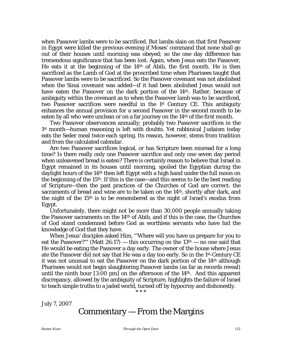when Passover lambs were to be sacrificed. But lambs slain on that first Passover in Egypt were killed the previous evening if Moses' command that none shall go out of their houses until morning was obeyed; so the one day difference has tremendous significance that has been lost. Again, when Jesus eats the Passover, He eats it at the beginning of the 14th of Abib, the first month. He is then sacrificed as the Lamb of God at the proscribed time when Pharisees taught that Passover lambs were to be sacrificed. So the Passover covenant was not abolished when the Sinai covenant was added—if it had been abolished Jesus would not have eaten the Passover on the dark portion of the 14<sup>th</sup>. Rather, because of ambiguity within the covenant as to when the Passover lamb was to be sacrificed, two Passover sacrifices were needful in the  $1<sup>st</sup>$  Century CE. This ambiguity enhances the annual provision for a second Passover in the second month to be eaten by all who were unclean or on a far journey on the  $14<sup>th</sup>$  of the first month.

Two Passover observances annually; probably two Passover sacrifices in the 1st month—human reasoning is left with doubts. Yet rabbinical Judaism today eats the Seder meal twice each spring. Its reason, however, stems from tradition and from the calculated calendar.

Are two Passover sacrifices logical, or has Scripture been misread for a long time? Is there really only one Passover sacrifice and only one seven day period when unleavened bread is eaten? There is certainly reason to believe that Israel in Egypt remained in its houses until morning, spoiled the Egyptian during the daylight hours of the 14<sup>th</sup> then left Egypt with a high hand under the full moon on the beginning of the  $15<sup>th</sup>$ . If this is the case—and this seems to be the best reading of Scripture—then the past practices of the Churches of God are correct: the sacraments of bread and wine are to be taken on the 14<sup>th</sup>, shortly after dark, and the night of the 15th is to be remembered as the night of Israel's exodus from Egypt.

Unfortunately, there might not be more than 30,000 people annually taking the Passover sacraments on the 14th of Abib, and if this is the case, the Churches of God stand condemned before God as worthless servants who have hid the knowledge of God that they have.

When Jesus' disciples asked Him, "'Where will you have us prepare for you to eat the Passover?" (Matt 26:17) — this occurring on the  $13<sup>th</sup>$  — no one said that He would be eating the Passover a day early. The owner of the house where Jesus ate the Passover did not say that He was a day too early. So in the 1st-Century CE it was not unusual to eat the Passover on the dark portion of the 14th although Pharisees would not begin slaughtering Passover lambs (as far as records reveal) until the ninth hour  $[3:00 \text{ pm}]$  on the afternoon of the  $14^{\text{th}}$ . And this apparent discrepancy, allowed by the ambiguity of Scripture, highlights the failure of Israel to teach simple truths to a jaded world, turned off by hypocrisy and dishonestly.

\* \* \*

July 7, 2007

# Commentary — From the Margins

Homer Kizer *Through the Open Door* 132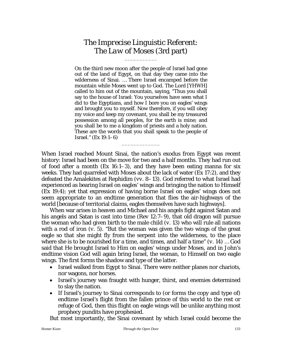## *The Imprecise Linguistic Referent: The Law of Moses* (3rd part)

On the third new moon after the people of Israel had gone out of the land of Egypt, on that day they came into the wilderness of Sinai. … There Israel encamped before the mountain while Moses went up to God. The Lord [*YHWH*] called to him out of the mountain, saying, "Thus you shall say to the house of Israel: You yourselves have seen what I did to the Egyptians, and how I bore you on eagles' wings and brought you to myself. Now therefore, if you will obey my voice and keep my covenant, you shall be my treasured possession among all peoples, for the earth is mine; and you shall be to me a kingdom of priests and a holy nation. These are the words that you shall speak to the people of Israel." (Ex 19:1*–*6)

When Israel reached Mount Sinai, the nation's exodus from Egypt was recent history: Israel had been on the move for two and a half months. They had run out of food after a month (Ex 16:1*–*3), and they have been eating manna for six weeks. They had quarreled with Moses about the lack of water (Ex 17:2), and they defeated the Amalekites at Rephidim (*vv*. 8*–*13). God referred to what Israel had experienced as bearing Israel on eagles' wings and bringing the nation to Himself (Ex 19:4); yet that expression of having borne Israel on eagles' wings does not seem appropriate to an endtime generation that flies the air-highways of the world [because of territorial claims, eagles themselves have such highways].

\_\_\_\_\_\_\_\_\_\_\_\_\_

When war arises in heaven and Michael and his angels fight against Satan and his angels and Satan is cast into time (Rev 12:7*–*9), that old dragon will pursue the woman who had given birth to the male child (*v.* 13) who will rule all nations with a rod of iron (*v.* 5). "But the woman was given the two wings of the great eagle so that she might fly from the serpent into the wilderness, to the place where she is to be nourished for a time, and times, and half a time" (*v.* 14) … God said that He brought Israel to Him on eagles' wings under Moses, and in John's endtime vision God will again bring Israel, the woman, to Himself on two eagle wings. The first forms the shadow and type of the latter.

- Israel walked from Egypt to Sinai. There were neither planes nor chariots, nor wagons, nor horses.
- Israel's journey was fraught with hunger, thirst, and enemies determined to slay the nation.
- If Israel's journey to Sinai corresponds to (or forms the copy and type of) endtime Israel's flight from the fallen prince of this world to the rest or refuge of God, then this flight on eagle wings will be unlike anything most prophecy pundits have prophesied.

But most importantly, the Sinai covenant by which Israel could become the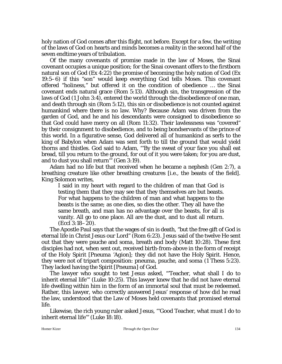holy nation of God comes after this flight, not before. Except for a few, the writing of the laws of God on hearts and minds becomes a reality in the second half of the seven endtime years of tribulation.

Of the many covenants of promise made in the law of Moses, the Sinai covenant occupies a unique position; for the Sinai covenant offers to the firstborn natural son of God (Ex 4:22) the promise of becoming the holy nation of God (Ex 19:5*–*6) if this "son" would keep everything God tells Moses. This covenant offered "holiness," but offered it on the condition of obedience … the Sinai covenant ends natural grace (Rom 5:13). Although sin, the transgression of the laws of God (1 John 3:4), entered the world through the disobedience of one man, and death through sin (Rom 5:12), this sin or disobedience is not counted against humankind where there is no law. Why? Because Adam was driven from the garden of God, and he and his descendants were consigned to disobedience so that God could have mercy on all (Rom 11:32). Their lawlessness was "covered" by their consignment to disobedience, and to being bondservants of the prince of this world. In a figurative sense, God delivered all of humankind as serfs to the king of Babylon when Adam was sent forth to till the ground that would yield thorns and thistles. God said to Adam, "'By the sweat of your face you shall eat bread, till you return to the ground, for out of it you were taken; for you are dust, and to dust you shall return'" (Gen 3:19).

Adam had no life but that received when he became a *nephesh* (Gen 2:7), a breathing creature like other breathing creatures [i.e., the beasts of the field]. King Solomon writes,

I said in my heart with regard to the children of man that God is testing them that they may see that they themselves are but beasts. For what happens to the children of man and what happens to the beasts is the same; as one dies, so dies the other. They all have the same breath, and man has no advantage over the beasts, for all is vanity. All go to one place. All are the dust, and to dust all return. (Eccl 3:18*–*20).

The Apostle Paul says that the wages of sin is death, "but the free gift of God is eternal life in Christ Jesus our Lord" (Rom 6:23). Jesus said of the twelve He sent out that they were *psuche* and *soma*, breath and body (Matt 10:28). These first disciples had not, when sent out, received birth-from-above in the form of receipt of the Holy Spirit [*Pneuma 'Agion*]; they did not have the Holy Spirit. Hence, they were not of tripart composition: *pneuma*, *psuche*, and *soma* (1 Thess 5:23). They lacked having the Spirit [*Pneuma*] of God.

The lawyer who sought to test Jesus asked, "'Teacher, what shall I do to inherit eternal life'" (Luke 10:25). This lawyer knew that he did not have eternal life dwelling within him in the form of an immortal soul that must be redeemed. Rather, this lawyer, who correctly answered Jesus' response of how did he read the law, understood that the Law of Moses held covenants that promised eternal life.

Likewise, the rich young ruler asked Jesus, "'Good Teacher, what must I do to inherit eternal life'" (Luke 18:18).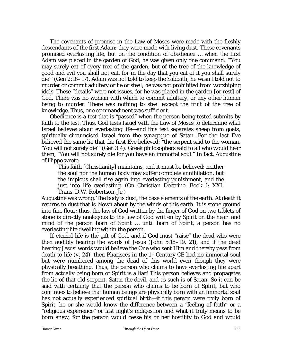The covenants of promise in the Law of Moses were made with the fleshly descendants of the first Adam; they were made with living dust. These covenants promised everlasting life, but on the condition of obedience … when the first Adam was placed in the garden of God, he was given only one command: "'You may surely eat of every tree of the garden, but of the tree of the knowledge of good and evil you shall not eat, for in the day that you eat of it you shall surely die'" (Gen 2:16*–*17). Adam was not told to keep the Sabbath; he wasn't told not to murder or commit adultery or lie or steal; he was not prohibited from worshiping idols. These "details" were not issues, for he was placed in the garden [or rest] of God. There was no woman with which to commit adultery, or any other human being to murder. There was nothing to steal except the fruit of the tree of knowledge. Thus, one commandment was sufficient.

Obedience is a test that is "passed" when the person being tested submits by faith to the test. Thus, God tests Israel with the Law of Moses to determine what Israel believes about everlasting life—and this test separates sheep from goats, spiritually circumcised Israel from the synagogue of Satan. For the last Eve believed the same lie that the first Eve believed: "the serpent said to the woman, 'You will not surely die'" (Gen 3:4). Greek philosophers said to all who would hear them, "You will not surely die for you have an immortal soul." In fact, Augustine of Hippo wrote,

This faith [Christianity] maintains, and it must be believed: neither the soul nor the human body may suffer complete annihilation, but the impious shall rise again into everlasting punishment, and the just into life everlasting. (*On Christian Doctrine*. Book 1: XXI. Trans. D.W. Robertson, Jr.)

Augustine was wrong. The body is dust, the base elements of the earth. At death it returns to dust that is blown about by the winds of this earth. It is stone ground into fine flour; thus, the law of God written by the finger of God on two tablets of stone is directly analogous to the law of God written by Spirit on the heart and mind of the person born of Spirit … until born of Spirit, a person has no everlasting life dwelling within the person.

If eternal life is the gift of God, and if God must "raise" the dead who were then audibly hearing the words of Jesus (John 5:18*–*19, 21), and if the dead hearing Jesus' words would believe the One who sent Him and thereby pass from death to life (*v.* 24), then Pharisees in the 1st-Century CE had no immortal soul but were numbered among the dead of this world even though they were physically breathing. Thus, the person who claims to have everlasting life apart from actually being born of Spirit is a liar! This person believes and propagates the lie of that old serpent, Satan the devil, and as such is of Satan. So it can be said with certainty that the person who claims to be born of Spirit, but who continues to believe that human beings are physically born with an immortal soul has not actually experienced spiritual birth—if this person were truly born of Spirit, he or she would know the difference between a "feeling of faith" or a "religious experience" or last night's indigestion and what it truly means to be born anew; for the person would cease his or her hostility to God and would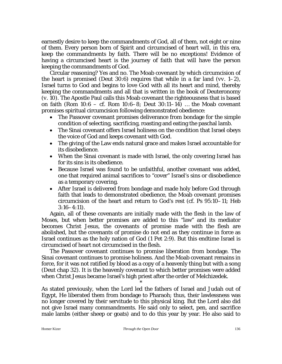earnestly desire to keep the commandments of God, all of them, not eight or nine of them. Every person born of Spirit and circumcised of heart will, in this era, keep the commandments by faith. There will be no exceptions! Evidence of having a circumcised heart is the journey of faith that will have the person keeping the commandments of God.

Circular reasoning? Yes and no. The Moab covenant by which circumcision of the heart is promised (Deut 30:6) requires that while in a far land (*vv*. 1*–*2), Israel turns to God and begins to love God with all its heart and mind, thereby keeping the commandments and all that is written in the book of Deuteronomy (*v.* 10). The Apostle Paul calls this Moab covenant the righteousness that is based on faith (Rom 10:6 – *cf*. Rom 10:6*–*8; Deut 30:11*–*14) … the Moab covenant promises spiritual circumcision following demonstrated obedience:

- The Passover covenant promises deliverance from bondage for the simple condition of selecting, sacrificing, roasting and eating the paschal lamb.
- The Sinai covenant offers Israel holiness on the condition that Israel obeys the voice of God and keeps covenant with God.
- The giving of the Law ends natural grace and makes Israel accountable for its disobedience.
- When the Sinai covenant is made with Israel, the only covering Israel has for its sins is its obedience.
- Because Israel was found to be unfaithful, another covenant was added, one that required animal sacrifices to "cover" Israel's sins or disobedience as a temporary covering.
- After Israel is delivered from bondage and made holy before God through faith that leads to demonstrated obedience, the Moab covenant promises circumcision of the heart and return to God's rest (*cf.* Ps 95:10*–*11; Heb 3:16*–*4:11).

Again, all of these covenants are initially made with the flesh in the law of Moses, but when better promises are added to this "law" and its mediator becomes Christ Jesus, the covenants of promise made with the flesh are abolished, but the covenants of promise do not end as they continue in force as Israel continues as the holy nation of God (1 Pet 2:9). But this endtime Israel is circumcised of heart not circumcised in the flesh.

The Passover covenant continues to promise liberation from bondage. The Sinai covenant continues to promise holiness. And the Moab covenant remains in force, for it was not ratified by blood as a copy of a heavenly thing but with a song (Deut chap 32). It is the heavenly covenant to which better promises were added when Christ Jesus became Israel's high priest after the order of Melchizedek.

As stated previously, when the Lord led the fathers of Israel and Judah out of Egypt, He liberated them from bondage to Pharaoh; thus, their lawlessness was no longer covered by their servitude to this physical king. But the Lord also did not give Israel many commandments. He said only to select, pen, and sacrifice male lambs (either sheep or goats) and to do this year by year. He also said to

\*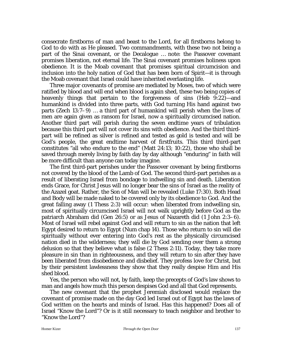consecrate firstborns of man and beast to the Lord, for all firstborns belong to God to do with as He pleased. Two commandments, with these two not being a part of the Sinai covenant, or the Decalogue … note: the Passover covenant promises liberation, not eternal life. The Sinai covenant promises holiness upon obedience. It is the Moab covenant that promises spiritual circumcision and inclusion into the holy nation of God that has been born of Spirit—it is through the Moab covenant that Israel could have inherited everlasting life.

Three major covenants of promise are mediated by Moses, two of which were ratified by blood and will end when blood is again shed, these two being copies of heavenly things that pertain to the forgiveness of sins (Heb 9:22)—and humankind is divided into three parts, with God turning His hand against two parts (Zech 13:7*–*9) … a third part of humankind will perish when the lives of men are again given as ransom for Israel, now a spiritually circumcised nation. Another third part will perish during the seven endtime years of tribulation because this third part will not cover its sins with obedience. And the third thirdpart will be refined as silver is refined and tested as gold is tested and will be God's people, the great endtime harvest of firstfruits. This third third-part constitutes "all who endure to the end" (Matt 24:13; 10:22), those who shall be saved through merely living by faith day by day although "enduring" in faith will be more difficult than anyone can today imagine.

The first third-part perishes under the Passover covenant by being firstborns not covered by the blood of the Lamb of God. The second third-part perishes as a result of liberating Israel from bondage to indwelling sin and death. Liberation ends Grace, for Christ Jesus will no longer bear the sins of Israel as the reality of the Azazel goat. Rather, the Son of Man will be revealed (Luke 17:30). Both Head and Body will be made naked to be covered only by its obedience to God. And the great falling away (1 Thess 2:3) will occur: when liberated from indwelling sin, most of spiritually circumcised Israel will not walk uprightly before God as the patriarch Abraham did (Gen 26:5) or as Jesus of Nazareth did (1 John 2:3*–*6). Most of Israel will rebel against God and will return to sin as the nation that left Egypt desired to return to Egypt (Num chap 14). Those who return to sin will die spiritually without ever entering into God's rest as the physically circumcised nation died in the wilderness; they will die by God sending over them a strong delusion so that they believe what is false (2 Thess 2:11). Today, they take more pleasure in sin than in righteousness, and they will return to sin after they have been liberated from disobedience and disbelief. They profess love for Christ, but by their persistent lawlessness they show that they really despise Him and His shed blood.

Yes, the person who will not, by faith, keep the precepts of God's law shows to man and angels how much this person despises God and all that God represents.

The new covenant that the prophet Jeremiah disclosed would replace the covenant of promise made on the day God led Israel out of Egypt has the laws of God written on the hearts and minds of Israel. Has this happened? Does all of Israel "Know the Lord"? Or is it still necessary to teach neighbor and brother to "Know the Lord"?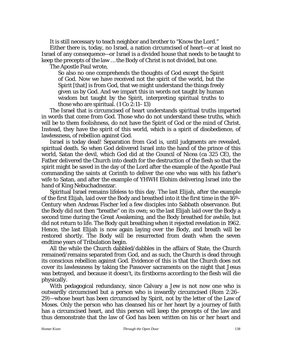It is still necessary to teach neighbor and brother to "Know the Lord."

Either there is, today, no Israel, a nation circumcised of heart—or at least no Israel of any consequence—or Israel is a divided house that needs to be taught to keep the precepts of the law … the Body of Christ is not divided, but one.

The Apostle Paul wrote,

So also no one comprehends the thoughts of God except the Spirit of God. Now we have received not the spirit of the world, but the Spirit [that] is from God, that we might understand the things freely given us by God. And we impart this in words not taught by human wisdom but taught by the Spirit, interpreting spiritual truths to those who are spiritual. (1 Co 2:11*–*13)

The Israel that is circumcised of heart understands spiritual truths imparted in words that come from God. Those who do not understand these truths, which will be to them foolishness, do not have the Spirit of God or the mind of Christ. Instead, they have the spirit of this world, which is a spirit of disobedience, of lawlessness, of rebellion against God.

Israel is today dead! Separation from God is, until judgments are revealed, spiritual death. So when God delivered Israel into the hand of the prince of this world, Satan the devil, which God did at the Council of Nicea (ca 325 CE), the Father delivered the Church into death for the destruction of the flesh so that the spirit might be saved in the day of the Lord after the example of the Apostle Paul commanding the saints at Corinth to deliver the one who was with his father's wife to Satan, and after the example of *YHWH Elohim* delivering Israel into the hand of King Nebuchadnezzar.

Spiritual Israel remains lifeless to this day. The last Elijah, after the example of the first Elijah, laid over the Body and breathed into it the first time in the  $16<sup>th</sup>$ -Century when Andreas Fischer led a few disciples into Sabbath observance. But the Body did not then "breathe" on its own; so the last Elijah laid over the Body a second time during the Great Awakening, and the Body breathed for awhile, but did not return to life. The Body quit breathing when it rejected revelation in 1962. Hence, the last Elijah is now again laying over the Body, and breath will be restored shortly. The Body will be resurrected from death when the seven endtime years of Tribulation begin.

All the while the Church dabbled/dabbles in the affairs of State, the Church remained/remains separated from God, and as such, the Church is dead through its conscious rebellion against God. Evidence of this is that the Church does not cover its lawlessness by taking the Passover sacraments on the night that Jesus was betrayed, and because it doesn't, its firstborns according to the flesh will die physically.

With pedagogical redundancy, since Calvary a Jew is not now one who is outwardly circumcised but a person who is inwardly circumcised (Rom 2:26*–* 29)—whose heart has been circumcised by Spirit, not by the letter of the Law of Moses. Only the person who has cleansed his or her heart by a journey of faith has a circumcised heart, and this person will keep the precepts of the law and thus demonstrate that the law of God has been written on his or her heart and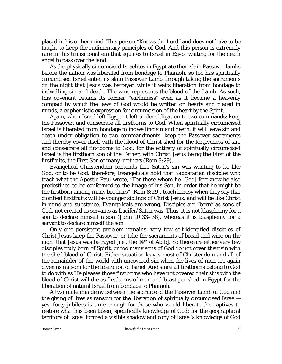placed in his or her mind. This person "Knows the Lord" and does not have to be taught to keep the rudimentary principles of God. And this person is extremely rare in this transitional era that equates to Israel in Egypt waiting for the death angel to pass over the land.

As the physically circumcised Israelites in Egypt ate their slain Passover lambs before the nation was liberated from bondage to Pharaoh, so too has spiritually circumcised Israel eaten its slain Passover Lamb through taking the sacraments on the night that Jesus was betrayed while it waits liberation from bondage to indwelling sin and death. The wine represents the blood of the Lamb. As such, this covenant retains its former "earthiness" even as it became a heavenly compact by which the laws of God would be written on hearts and placed in minds, a euphemistic expression for circumcision of the heart by the Spirit.

Again, when Israel left Egypt, it left under obligation to two commands: keep the Passover, and consecrate all firstborns to God. When spiritually circumcised Israel is liberated from bondage to indwelling sin and death, it will leave sin and death under obligation to two commandments: keep the Passover sacraments and thereby cover itself with the blood of Christ shed for the forgiveness of sin, and consecrate all firstborns to God, for the entirety of spiritually circumcised Israel is the firstborn son of the Father, with Christ Jesus being the First of the firstfruits, the First Son of many brothers (Rom 8:29).

Evangelical Christendom contends that Satan's sin was wanting to be like God, or to be God; therefore, Evangelicals hold that Sabbatarian disciples who teach what the Apostle Paul wrote, "For those whom he [God] foreknew he also predestined to be conformed to the image of his Son, in order that he might be the firstborn among many brothers" (Rom 8:29), teach heresy when they say that glorified firstfruits will be younger siblings of Christ Jesus, and will be like Christ in mind and substance. Evangelicals are wrong. Disciples are "born" as sons of God, not created as servants as Lucifer/Satan was. Thus, it is not blasphemy for a son to declare himself a son (John 10:33*–*36), whereas it is blasphemy for a servant to declare himself the son.

Only one persistent problem remains: very few self-identified disciples of Christ Jesus keep the Passover, or take the sacraments of bread and wine on the night that Jesus was betrayed [i.e., the 14th of Abib]. So there are either very few disciples truly born of Spirit, or too many sons of God do not cover their sin with the shed blood of Christ. Either situation leaves most of Christendom and all of the remainder of the world with uncovered sin when the lives of men are again given as ransom for the liberation of Israel. And since all firstborns belong to God to do with as He pleases those firstborns who have not covered their sins with the blood of Christ will die as firstborns of man and beast perished in Egypt for the liberation of natural Israel from bondage to Pharaoh.

A two millennia delay between the sacrifice of the Passover Lamb of God and the giving of lives as ransom for the liberation of spiritually circumcised Israel yes, forty jubilees is time enough for those who would liberate the captives to restore what has been taken, specifically knowledge of God; for the geographical territory of Israel formed a visible shadow and copy of Israel's knowledge of God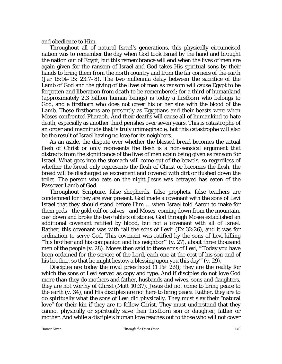and obedience to Him.

Throughout all of natural Israel's generations, this physically circumcised nation was to remember the day when God took Israel by the hand and brought the nation out of Egypt, but this remembrance will end when the lives of men are again given for the ransom of Israel and God takes His spiritual sons by their hands to bring them from the north country and from the far corners of the earth (Jer 16:14*–*15; 23:7*–*8). The two millennia delay between the sacrifice of the Lamb of God and the giving of the lives of men as ransom will cause Egypt to be forgotten and liberation from death to be remembered; for a third of humankind (approximately 2.3 billion human beings) is today a firstborn who belongs to God, and a firstborn who does not cover his or her sins with the blood of the Lamb. These firstborns are presently as Egyptians and their beasts were when Moses confronted Pharaoh. And their deaths will cause all of humankind to hate death, especially as another third perishes over seven years. This is catastrophe of an order and magnitude that is truly unimaginable, but this catastrophe will also be the result of Israel having no love for its neighbors.

As an aside, the dispute over whether the blessed bread becomes the actual flesh of Christ or only represents the flesh is a non-sensical argument that distracts from the significance of the lives of men again being given as ransom for Israel. What goes into the stomach will come out of the bowels; so regardless of whether the bread only represents the flesh of Christ or becomes the flesh, the bread will be discharged as excrement and covered with dirt or flushed down the toilet. The person who eats on the night Jesus was betrayed has eaten of the Passover Lamb of God.

Throughout Scripture, false shepherds, false prophets, false teachers are condemned for they are ever present. God made a covenant with the sons of Levi Israel that they should stand before Him … when Israel told Aaron to make for them gods—the gold calf or calves—and Moses, coming down from the mountain, cast down and broke the two tablets of stones, God through Moses established an additional covenant ratified by blood, but not a covenant with all of Israel. Rather, this covenant was with "all the sons of Levi" (Ex 32:26), and it was for ordination to serve God. This covenant was ratified by the sons of Levi killing "'his brother and his companion and his neighbor'" (*v.* 27), about three thousand men of the people (*v.* 28). Moses then said to these sons of Levi, "'Today you have been ordained for the service of the Lord, each one at the cost of his son and of his brother, so that he might bestow a blessing upon you this day'" (*v.* 29).

Disciples are today the royal priesthood (1 Pet 2:9); they are the reality for which the sons of Levi served as copy and type. And if disciples do not love God more than they do mothers and father, husbands and wives, sons and daughters, they are not worthy of Christ (Matt 10:37). Jesus did not come to bring peace to the earth (*v.* 34), and His disciples are not here to bring peace. Rather, they are to do spiritually what the sons of Levi did physically. They must slay their "natural love" for their kin if they are to follow Christ. They must understand that they cannot physically or spiritually save their firstborn son or daughter, father or mother. And while a disciple's human love reaches out to those who will not cover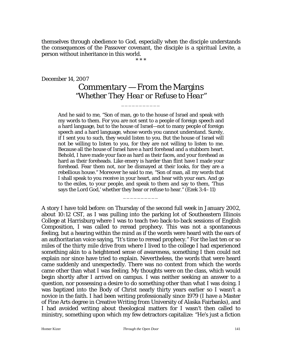themselves through obedience to God, especially when the disciple understands the consequences of the Passover covenant, the disciple is a spiritual Levite, a person without inheritance in this world.

\* \* \*

December 14, 2007

## Commentary — From the Margins *"Whether They Hear or Refuse to Hear"*

\_\_\_\_\_\_\_\_\_\_\_

And he said to me, "Son of man, go to the house of Israel and speak with my words to them. For you are not sent to a people of foreign speech and a hard language, but to the house of Israel—not to many people of foreign speech and a hard language, whose words you cannot understand. Surely, if I sent you to such, they would listen to you. But the house of Israel will not be willing to listen to you, for they are not willing to listen to me. Because all the house of Israel have a hard forehead and a stubborn heart. Behold, I have made your face as hard as their faces, and your forehead as hard as their foreheads. Like emery is harder than flint have I made your forehead. Fear them not, nor be dismayed at their looks, for they are a rebellious house." Moreover he said to me, "Son of man, all my words that I shall speak to you receive in your heart, and hear with your ears. And go to the exiles, to your people, and speak to them and say to them, 'Thus says the Lord God,' whether they hear or refuse to hear." (Ezek 3:4*–*11)

\_\_\_\_\_\_\_\_\_\_

A story I have told before: on Thursday of the second full week in January 2002, about 10:12 CST, as I was pulling into the parking lot of Southeastern Illinois College at Harrisburg where I was to teach two back-to-back sessions of English Composition, I was called to reread prophecy. This was not a spontaneous feeling, but a hearing within the mind as if the words were heard with the ears of an authoritarian voice saying, "It's time to reread prophecy." For the last ten or so miles of the thirty mile drive from where I lived to the college I had experienced something akin to a heightened sense of awareness, something I then could not explain nor since have tried to explain. Nevertheless, the words that were heard came suddenly and unexpectedly. There was no context from which the words came other than what I was feeling. My thoughts were on the class, which would begin shortly after I arrived on campus. I was neither seeking an answer to a question, nor possessing a desire to do something other than what I was doing. I was baptized into the Body of Christ nearly thirty years earlier so I wasn't a novice in the faith. I had been writing professionally since 1979 (I have a Master of Fine Arts degree in Creative Writing from University of Alaska Fairbanks), and I had avoided writing about theological matters for I wasn't then called to ministry, something upon which my few detractors capitalize: "He's just a fiction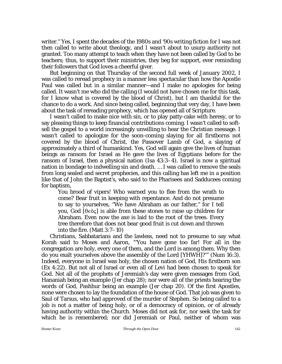writer." Yes, I spent the decades of the 1980s and '90s writing fiction for I was not then called to write about theology, and I wasn't about to usurp authority not granted. Too many attempt to teach when they have not been called by God to be teachers; thus, to support their ministries, they beg for support, ever reminding their followers that God loves a cheerful giver.

But beginning on that Thursday of the second full week of January 2002, I was called to reread prophecy in a manner less spectacular than how the Apostle Paul was called but in a similar manner—and I make no apologies for being called. It wasn't me who did the calling (I would not have chosen me for this task, for I know what is covered by the blood of Christ), but I am thankful for the chance to do a work. And since being called, beginning that very day, I have been about the task of rereading prophecy, which has opened all of Scripture.

I wasn't called to make nice with sin, or to play patty-cake with heresy, or to say pleasing things to keep financial contributions coming. I wasn't called to softsell the gospel to a world increasingly unwilling to hear the Christian message. I wasn't called to apologize for the soon-coming slaying for all firstborns not covered by the blood of Christ, the Passover Lamb of God, a slaying of approximately a third of humankind. Yes, God will again give the lives of human beings as ransom for Israel as He gave the lives of Egyptians before for the ransom of Israel, then a physical nation (Isa 43:3*–*4). Israel is now a spiritual nation in bondage to indwelling sin and death. … I was called to remove the seals from long sealed and secret prophecies, and this calling has left me in a position like that of John the Baptist's, who said to the Pharisees and Sadducees coming for baptism,

You brood of vipers! Who warned you to flee from the wrath to come? Bear fruit in keeping with repentance. And do not presume to say to yourselves, "We have Abraham as our father," for I tell you, God  $[\theta \in \delta \zeta]$  is able from these stones to raise up children for Abraham. Even now the axe is laid to the root of the trees. Every tree therefore that does not bear good fruit is cut down and thrown into the fire. (Matt 3:7*–*10)

Christians, Sabbatarians and the lawless, need not to presume to say what Korah said to Moses and Aaron, "'You have gone too far! For all in the congregation are holy, every one of them, and the Lord is among them. Why then do you exalt yourselves above the assembly of the Lord [*YHWH*]?'" (Num 16:3). Indeed, everyone in Israel was holy, the chosen nation of God, His firstborn son (Ex 4:22). But not all of Israel or even all of Levi had been chosen to speak for God. Not all of the prophets of Jeremiah's day were given messages from God, Hananiah being an example (Jer chap 28); nor were all of the priests hearing the words of God, Pashhur being an example (Jer chap 20). Of the first Apostles, none were chosen to lay the foundation of the house of God. That job was given to Saul of Tarsus, who had approved of the murder of Stephen. So being called to a job is not a matter of being holy, or of a democracy of opinion, or of already having authority within the Church. Moses did not ask for, nor seek the task for which he is remembered; nor did Jeremiah or Paul, neither of whom was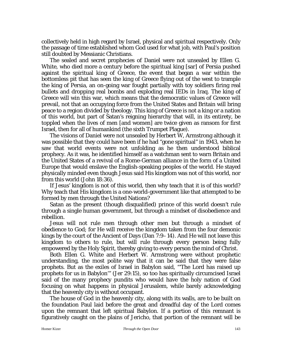collectively held in high regard by Israel, physical and spiritual respectively. Only the passage of time established whom God used for what job, with Paul's position still doubted by Messianic Christians.

The sealed and secret prophecies of Daniel were not unsealed by Ellen G. White, who died more a century before the spiritual king [sar] of Persia pushed against the spiritual king of Greece, the event that began a war within the bottomless pit that has seen the king of Greece flying out of the west to trample the king of Persia, an on-going war fought partially with toy soldiers firing real bullets and dropping real bombs and exploding real IEDs in Iraq. The king of Greece will win this war, which means that the democratic values of Greece will prevail, not that an occupying force from the United States and Britain will bring peace to a region divided by theology. This king of Greece is not a king or a nation of this world, but part of Satan's reigning hierarchy that will, in its entirety, be toppled when the lives of men [and women] are twice given as ransom for first Israel, then for all of humankind (the sixth Trumpet Plague).

The visions of Daniel were not unsealed by Herbert W, Armstrong although it was possible that they could have been if he had "gone spiritual" in 1943, when he saw that world events were not unfolding as he then understood biblical prophecy. As it was, he identified himself as a watchman sent to warn Britain and the United States of a revival of a Rome-German alliance in the form of a United Europe that would enslave the English-speaking peoples of the world. He stayed physically minded even though Jesus said His kingdom was not of this world, nor from this world (John 18:36).

If Jesus' kingdom is not of this world, then why teach that it is of this world? Why teach that His kingdom is a one-world-government like that attempted to be formed by men through the United Nations?

Satan as the present (though disqualified) prince of this world doesn't rule through a single human government, but through a mindset of disobedience and rebellion.

Jesus will not rule men through other men but through a mindset of obedience to God; for He will receive the kingdom taken from the four demonic kings by the court of the Ancient of Days (Dan 7:9*–*14). And He will not leave this kingdom to others to rule, but will rule through every person being fully empowered by the Holy Spirit, thereby giving to every person the mind of Christ.

Both Ellen G. White and Herbert W. Armstrong were without prophetic understanding, the most polite way that it can be said that they were false prophets. But as the exiles of Israel in Babylon said, "'The Lord has raised up prophets for us in Babylon'" (Jer 29:15), so too has spiritually circumcised Israel said of the many prophecy pundits who would have the holy nation of God focusing on what happens in physical Jerusalem, while barely acknowledging that the heavenly city is without occupant.

The house of God in the heavenly city, along with its walls, are to be built on the foundation Paul laid before the great and dreadful day of the Lord comes upon the remnant that left spiritual Babylon. If a portion of this remnant is figuratively caught on the plains of Jericho, that portion of the remnant will be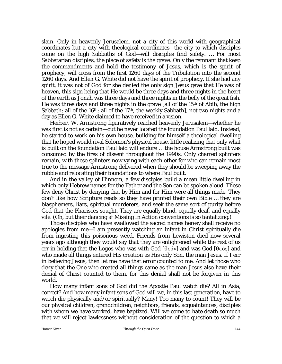slain. Only in heavenly Jerusalem, not a city of this world with geographical coordinates but a city with theological coordinates—the city to which disciples come on the high Sabbaths of God—will disciples find safety. … For most Sabbatarian disciples, the place of safety is the grave. Only the remnant that keep the commandments and hold the testimony of Jesus, which is the spirit of prophecy, will cross from the first 1260 days of the Tribulation into the second 1260 days. And Ellen G. White did not have the spirit of prophecy. If she had any spirit, it was not of God for she denied the only sign Jesus gave that He was of heaven, this sign being that He would be three days and three nights in the heart of the earth as Jonah was three days and three nights in the belly of the great fish. He was three days and three nights in the grave [all of the 15th of Abib, the high Sabbath; all of the 16<sup>th</sup>; all of the 17<sup>th</sup>, the weekly Sabbath], not two nights and a day as Ellen G. White claimed to have received in a vision.

Herbert W. Armstrong figuratively reached heavenly Jerusalem—whether he was first is not as certain—but he never located the foundation Paul laid. Instead, he started to work on his own house, building for himself a theological dwelling that he hoped would rival Solomon's physical house, little realizing that only what is built on the foundation Paul laid will endure … the house Armstrong built was consumed by the fires of dissent throughout the 1990s. Only charred splinters remain, with these splinters now vying with each other for who can remain most true to the message Armstrong delivered when they should be sweeping away the rubble and relocating their foundations to where Paul built.

And in the valley of Hinnom, a few disciples build a mean little dwelling in which only Hebrew names for the Father and the Son can be spoken aloud. These few deny Christ by denying that by Him and for Him were all things made. They don't like how Scripture reads so they have printed their own Bible … they are blasphemers, liars, spiritual murderers, and seek the same sort of purity before God that the Pharisees sought. They are equally blind, equally deaf, and equally vile. (Oh, but their dancing at Missing In Action conventions is so tantalizing.)

Those disciples who have swallowed the sacred names heresy shall receive no apologies from me—I am presently watching an infant in Christ spiritually die from ingesting this poisonous weed. Friends from Lewiston died now several years ago although they would say that they are enlightened while the rest of us err in holding that the *Logos* who was with God  $[\theta \in \delta v]$  and was God  $[\theta \in \delta c]$  and who made all things entered His creation as His only Son, the man Jesus. If I err in believing Jesus, then let me have that error counted to me. And let those who deny that the One who created all things came as the man Jesus also have their denial of Christ counted to them, for this denial shall not be forgiven in this world.

How many infant sons of God did the Apostle Paul watch die? All in Asia, correct? And how many infant sons of God will we, in this last generation, have to watch die physically and/or spiritually? Many! Too many to count! They will be our physical children, grandchildren, neighbors, friends, acquaintances, disciples with whom we have worked, have baptized. Will we come to hate death so much that we will reject lawlessness without consideration of the question to which a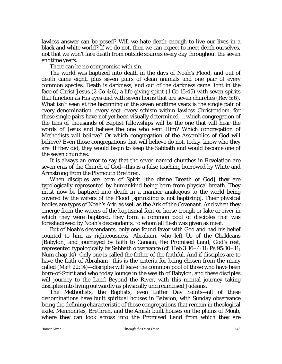lawless answer can be posed? Will we hate death enough to live our lives in a black and white world? If we do not, then we can expect to meet death ourselves, not that we won't face death from outside sources every day throughout the seven endtime years.

There can be no compromise with sin.

The world was baptized into death in the days of Noah's Flood, and out of death came eight, plus seven pairs of clean animals and one pair of every common species. Death is darkness, and out of the darkness came light in the face of Christ Jesus (2 Co 4:6), a life-giving spirit (1 Co 15:45) with seven spirits that function as His eyes and with seven horns that are seven churches (Rev 5:6). What isn't seen at the beginning of the seven endtime years is the single pair of every denomination, every sect, every schism within lawless Christendom, for these single pairs have not yet been visually determined … which congregation of the tens of thousands of Baptist fellowships will be the one that will hear the words of Jesus and believe the one who sent Him? Which congregation of Methodists will believe? Or which congregation of the Assemblies of God will believe? Even those congregations that will believe do not, today, know who they are. If they did, they would begin to keep the Sabbath and would become one of the seven churches.

It is always an error to say that the seven named churches in Revelation are seven eras of the Church of God—this is a false teaching borrowed by White and Armstrong from the Plymouth Brethren.

When disciples are born of Spirit [the divine Breath of God] they are typologically represented by humankind being born from physical breath. They must now be baptized into death in a manner analogous to the world being covered by the waters of the Flood [sprinkling is not baptizing]. Their physical bodies are types of Noah's Ark, as well as the Ark of the Covenant. And when they emerge from the waters of the baptismal font or horse trough or lake or river in which they were baptized, they form a common pool of disciples that was foreshadowed by Noah's descendants, to whom all flesh was given as meat.

But of Noah's descendants, only one found favor with God and had his belief counted to him as righteousness: Abraham, who left Ur of the Chaldeans [Babylon] and journeyed by faith to Canaan, the Promised Land, God's rest, represented typologically by Sabbath observance (*cf.* Heb 3:16*–*4:11; Ps 95:10*–*11; Num chap 14). Only one is called the father of the faithful. And if disciples are to have the faith of Abraham—this is the criteria for being chosen from the many called (Matt 22:14)—disciples will leave the common pool of those who have been born-of-Spirit and who today lounge in the wealth of Babylon, and these disciples will journey to the Land Beyond the River, with this mental journey taking disciples into living outwardly as physically uncircumcised Judeans.

The Methodists, the Baptists, even Latter Day Saints—all of these denominations have built spiritual houses in Babylon, with Sunday observance being the defining characteristic of those congregations that remain in theological exile. Mennonites, Brethren, and the Amish built houses on the plains of Moab, where they can look across into the Promised Land from which they are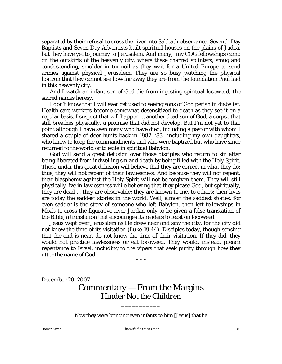separated by their refusal to cross the river into Sabbath observance. Seventh Day Baptists and Seven Day Adventists built spiritual houses on the plains of Judea, but they have yet to journey to Jerusalem. And many, tiny COG fellowships camp on the outskirts of the heavenly city, where these charred splinters, smug and condescending, smolder in turmoil as they wait for a United Europe to send armies against physical Jerusalem. They are so busy watching the physical horizon that they cannot see how far away they are from the foundation Paul laid in this heavenly city.

And I watch an infant son of God die from ingesting spiritual locoweed, the sacred names heresy.

I don't know that I will ever get used to seeing sons of God perish in disbelief. Health care workers become somewhat desensitized to death as they see it on a regular basis. I suspect that will happen … another dead son of God, a corpse that still breathes physically, a promise that did not develop. But I'm not yet to that point although I have seen many who have died, including a pastor with whom I shared a couple of deer hunts back in 1982, '83—including my own daughters, who knew to keep the commandments and who were baptized but who have since returned to the world or to exile in spiritual Babylon.

God will send a great delusion over those disciples who return to sin after being liberated from indwelling sin and death by being filled with the Holy Spirit. Those under this great delusion will believe that they are correct in what they do; thus, they will not repent of their lawlessness. And because they will not repent, their blasphemy against the Holy Spirit will not be forgiven them. They will still physically live in lawlessness while believing that they please God, but spiritually, they are dead … they are observable; they are known to me, to others; their lives are today the saddest stories in the world. Well, almost the saddest stories, for even sadder is the story of someone who left Babylon, then left fellowships in Moab to cross the figurative river Jordan only to be given a false translation of the Bible, a translation that encourages its readers to feast on locoweed.

Jesus wept over Jerusalem as He drew near and saw the city, for the city did not know the time of its visitation (Luke 19:44). Disciples today, though sensing that the end is near, do not know the time of their visitation. If they did, they would not practice lawlessness or eat locoweed. They would, instead, preach repentance to Israel, including to the vipers that seek purity through how they utter the name of God.

\* \* \*

December 20, 2007 Commentary — From the Margins *Hinder Not the Children* 

Now they were bringing even infants to him [Jesus] that he

\_\_\_\_\_\_\_\_\_\_\_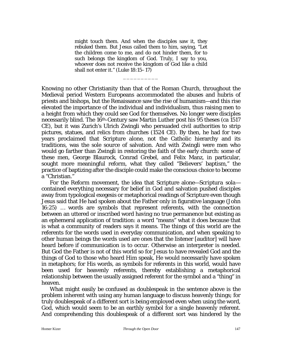might touch them. And when the disciples saw it, they rebuked them. But Jesus called them to him, saying, "Let the children come to me, and do not hinder them, for to such belongs the kingdom of God. Truly, I say to you, whoever does not receive the kingdom of God like a child shall not enter it." (Luke 18:1*5–*17)

\_\_\_\_\_\_\_\_\_\_

Knowing no other Christianity than that of the Roman Church, throughout the Medieval period Western Europeans accommodated the abuses and hubris of priests and bishops, but the Renaissance saw the rise of humanism—and this rise elevated the importance of the individual and individualism, thus raising men to a height from which they could see God for themselves. No longer were disciples necessarily blind. The 16th-Century saw Martin Luther post his 95 theses (ca 1517 CE), but it was Zurich's Ulrich Zwingli who persuaded civil authorities to strip pictures, statues, and relics from churches (1524 CE). By then, he had for two years proclaimed that Scripture alone, not the Catholic hierarchy and its traditions, was the sole source of salvation. And with Zwingli were men who would go farther than Zwingli in restoring the faith of the early church: some of these men, George Blaurock, Conrad Grebel, and Felix Manz, in particular, sought more meaningful reform, what they called "Believers' baptism," the practice of baptizing after the disciple could make the conscious choice to become a "Christian."

For the Reform movement, the idea that Scripture alone—*Scriptura sola* contained everything necessary for belief in God and salvation pushed disciples away from typological exegesis or metaphorical readings of Scripture even though Jesus said that He had spoken about the Father only in figurative language (John 16:25) … words are symbols that represent referents, with the connection between an uttered or inscribed word having no true permanence but existing as an ephemeral application of tradition: a word "means" what it does because that is what a community of readers says it means. The things of this world are the referents for the words used in everyday communication, and when speaking to other human beings the words used are ones that the listener [auditor] will have heard before if communication is to occur. Otherwise an interpreter is needed. But God the Father is not of this world so for Jesus to have revealed God and the things of God to those who heard Him speak, He would necessarily have spoken in metaphors; for His words, as symbols for referents in this world, would have been used for heavenly referents, thereby establishing a metaphorical relationship between the usually assigned referent for the symbol and a "thing" in heaven.

What might easily be confused as doublespeak in the sentence above is the problem inherent with using any human language to discuss heavenly things; for truly doublespeak of a different sort is being employed even when using the word, God, which would seem to be an earthly symbol for a single heavenly referent. And comprehending this doublespeak of a different sort was hindered by the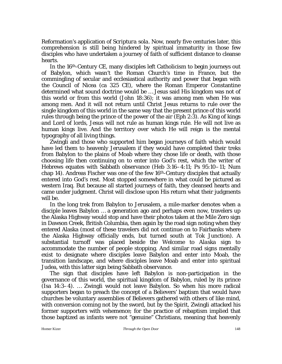Reformation's application of *Scriptura sola*. Now, nearly five centuries later, this comprehension is still being hindered by spiritual immaturity in those few disciples who have undertaken a journey of faith of sufficient distance to cleanse hearts.

In the 16th-Century CE, many disciples left Catholicism to begin journeys out of Babylon, which wasn't the Roman Church's time in France, but the commingling of secular and ecclesiastical authority and power that began with the Council of Nicea (ca 325 CE), where the Roman Emperor Constantine determined what sound doctrine would be … Jesus said His kingdom was not of this world or from this world (John 18:36); it was among men when He was among men. And it will not return until Christ Jesus returns to rule over the single kingdom of this world in the same way that the present prince of this world rules through being the prince of the power of the air (Eph 2:3). As King of kings and Lord of lords, Jesus will not rule as human kings rule. He will not live as human kings live. And the territory over which He will reign is the mental typography of all living things.

Zwingli and those who supported him began journeys of faith which would have led them to heavenly Jerusalem if they would have completed their treks from Babylon to the plains of Moab where they chose life or death, with those choosing life then continuing on to enter into God's rest, which the writer of Hebrews equates with Sabbath observance (Heb 3:16*–*4:11; Ps 95:10*–*11; Num chap 14). Andreas Fischer was one of the few  $16<sup>th</sup>$ -Century disciples that actually entered into God's rest. Most stopped somewhere in what could be pictured as western Iraq. But because all started journeys of faith, they cleansed hearts and came under judgment. Christ will disclose upon His return what their judgments will be.

In the long trek from Babylon to Jerusalem, a mile-marker denotes when a disciple leaves Babylon … a generation ago and perhaps even now, travelers up the Alaska Highway would stop and have their photos taken at the Mile Zero sign in Dawson Creek, British Columbia, then again by the road sign noting when they entered Alaska (most of these travelers did not continue on to Fairbanks where the Alaska Highway officially ends, but turned south at Tok Junction). A substantial turnoff was placed beside the *Welcome to Alaska* sign to accommodate the number of people stopping. And similar road signs mentally exist to designate where disciples leave Babylon and enter into Moab, the transition landscape, and where disciples leave Moab and enter into spiritual Judea, with this latter sign being Sabbath observance.

The sign that disciples have left Babylon is non-participation in the governance of this world, the spiritual kingdom of Babylon, ruled by its prince (Isa 14:3*–*4). … Zwingli would not leave Babylon. So when his more radical supporters began to preach the concept of a Believers' baptism that would have churches be voluntary assemblies of Believers gathered with others of like mind, with conversion coming not by the sword, but by the Spirit, Zwingli attacked his former supporters with vehemence; for the practice of rebaptism implied that those baptized as infants were not "genuine" Christians, meaning that heavenly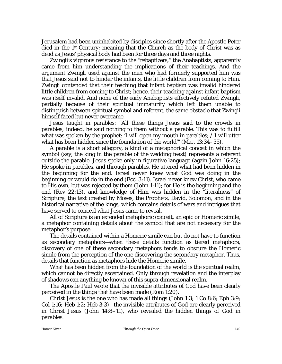Jerusalem had been uninhabited by disciples since shortly after the Apostle Peter died in the 1st-Century; meaning that the Church as the body of Christ was as dead as Jesus' physical body had been for three days and three nights.

Zwingli's vigorous resistance to the "rebaptizers," the Anabaptists, apparently came from him understanding the implications of their teachings. And the argument Zwingli used against the men who had formerly supported him was that Jesus said not to hinder the infants, the little children from coming to Him. Zwingli contended that their teaching that infant baptism was invalid hindered little children from coming to Christ; hence, their teaching against infant baptism was itself invalid. And none of the early Anabaptists effectively refuted Zwingli, partially because of their spiritual immaturity which left them unable to distinguish between spiritual symbol and referent, the same obstacle that Zwingli himself faced but never overcame.

Jesus taught in parables: "All these things Jesus said to the crowds in parables; indeed, he said nothing to them without a parable. This was to fulfill what was spoken by the prophet: 'I will open my mouth in parables; / I will utter what has been hidden since the foundation of the world'" (Matt 13:34*–*35).

A parable is a short allegory, a kind of a metaphorical conceit in which the symbol (say, the king in the parable of the wedding feast) represents a referent outside the parable. Jesus spoke only in figurative language (again John 16:25); He spoke in parables, and through parables, He uttered what had been hidden in the beginning for the end. Israel never knew what God was doing in the beginning or would do in the end (Eccl 3:11). Israel never knew Christ, who came to His own, but was rejected by them (John 1:11); for He is the beginning and the end (Rev 22:13), and knowledge of Him was hidden in the "literalness" of Scripture, the text created by Moses, the Prophets, David, Solomon, and in the historical narrative of the kings, which contains details of wars and intrigues that have served to conceal what Jesus came to reveal.

All of Scripture is an extended metaphoric conceit, an epic or Homeric simile, a metaphor containing details about the symbol that are not necessary for the metaphor's purpose.

The details contained within a Homeric simile can but do not have to function as secondary metaphors—when these details function as tiered metaphors, discovery of one of these secondary metaphors tends to obscure the Homeric simile from the perception of the one discovering the secondary metaphor. Thus, details that function as metaphors hide the Homeric simile.

What has been hidden from the foundation of the world is the spiritual realm, which cannot be directly ascertained. Only through revelation and the interplay of shadows can anything be known of this supra-dimensional realm.

The Apostle Paul wrote that the invisible attributes of God have been clearly perceived in the things that have been made (Rom 1:20).

Christ Jesus is the one who has made all things (John 1:3; 1 Co 8:6; Eph 3:9; Col 1:16; Heb 1:2; Heb 3:3)—the invisible attributes of God are clearly perceived in Christ Jesus (John 14:8*–*11), who revealed the hidden things of God in parables.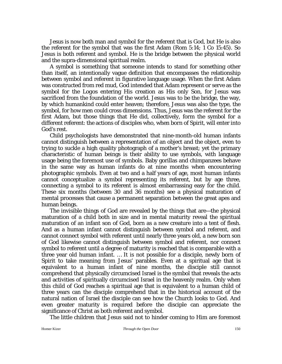Jesus is now both man and symbol for the referent that is God, but He is also the referent for the symbol that was the first Adam (Rom 5:14; 1 Co 15:45). So Jesus is both referent and symbol. He is the bridge between the physical world and the supra-dimensional spiritual realm.

A symbol is something that someone intends to stand for something other than itself, an intentionally vague definition that encompasses the relationship between symbol and referent in figurative language usage. When the first Adam was constructed from red mud, God intended that Adam represent or serve as the symbol for the *Logos* entering His creation as His only Son, for Jesus was sacrificed from the foundation of the world. Jesus was to be the bridge, the way, by which humankind could enter heaven; therefore, Jesus was also the type, the symbol, for how men could cross dimensions. Thus, Jesus was the referent for the first Adam, but those things that He did, collectively, form the symbol for a different referent: the actions of disciples who, when born of Spirit, will enter into God's rest.

Child psychologists have demonstrated that nine-month-old human infants cannot distinguish between a representation of an object and the object, even to trying to suckle a high quality photograph of a mother's breast; yet the primary characteristic of human beings is their ability to use symbols, with language usage being the foremost use of symbols. Baby gorillas and chimpanzees behave in the same way as human infants do at nine months when encountering photographic symbols. Even at two and a half years of age, most human infants cannot conceptualize a symbol representing its referent, but by age three, connecting a symbol to its referent is almost embarrassing easy for the child. These six months (between 30 and 36 months) see a physical maturation of mental processes that cause a permanent separation between the great apes and human beings.

The invisible things of God are revealed by the things that are—the physical maturation of a child both in size and in mental maturity reveal the spiritual maturation of an infant son of God, born as a new creature into a tent of flesh. And as a human infant cannot distinguish between symbol and referent, and cannot connect symbol with referent until nearly three years old, a new born son of God likewise cannot distinguish between symbol and referent, nor connect symbol to referent until a degree of maturity is reached that is comparable with a three year old human infant. … It is not possible for a disciple, newly born of Spirit to take meaning from Jesus' parables. Even at a spiritual age that is equivalent to a human infant of nine months, the disciple still cannot comprehend that physically circumcised Israel is the symbol that reveals the acts and activities of spiritually circumcised Israel in the heavenly realm. Only when this child of God reaches a spiritual age that is equivalent to a human child of three years can the disciple comprehend that in the historical account of the natural nation of Israel the disciple can see how the Church looks to God. And even greater maturity is required before the disciple can appreciate the significance of Christ as both referent and symbol.

The little children that Jesus said not to hinder coming to Him are foremost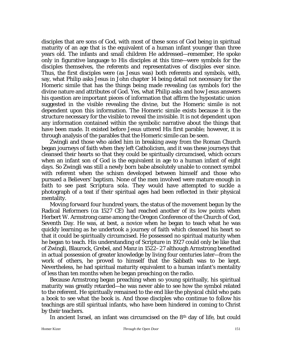disciples that are sons of God, with most of these sons of God being in spiritual maturity of an age that is the equivalent of a human infant younger than three years old. The infants and small children He addressed—remember, He spoke only in figurative language to His disciples at this time—were symbols for the disciples themselves, the referents and representatives of disciples ever since. Thus, the first disciples were (as Jesus was) both referents and symbols, with, say, what Philip asks Jesus in John chapter 14 being detail not necessary for the Homeric simile that has the things being made revealing (as symbols for) the divine nature and attributes of God. Yes, what Philip asks and how Jesus answers his question are important pieces of information that affirm the hypostatic union suggested in the visible revealing the divine, but the Homeric simile is not dependent upon this information. The Homeric simile exists because it is the structure necessary for the visible to reveal the invisible. It is not dependent upon any information contained within the symbolic narrative about the things that have been made. It existed before Jesus uttered His first parable; however, it is through analysis of the parables that the Homeric simile can be seen.

Zwingli and those who aided him in breaking away from the Roman Church began journeys of faith when they left Catholicism, and it was these journeys that cleansed their hearts so that they could be spiritually circumcised, which occurs when an infant son of God is the equivalent in age to a human infant of eight days. So Zwingli was still a newly born babe absolutely unable to connect symbol with referent when the schism developed between himself and those who pursued a Believers' baptism. None of the men involved were mature enough in faith to see past *Scriptura sola*. They would have attempted to suckle a photograph of a teat if their spiritual ages had been reflected in their physical mentality.

Moving forward four hundred years, the status of the movement begun by the Radical Reformers (ca 1527 CE) had reached another of its low points when Herbert W. Armstrong came among the Oregon Conference of the Church of God, Seventh Day. He was, at best, a novice when he began to teach what he was quickly learning as he undertook a journey of faith which cleansed his heart so that it could be spiritually circumcised. He possessed no spiritual maturity when he began to teach. His understanding of Scripture in 1927 could only be like that of Zwingli, Blaurock, Grebel, and Manz in 1522*–*27 although Armstrong benefited in actual possession of greater knowledge by living four centuries later—from the work of others, he proved to himself that the Sabbath was to be kept. Nevertheless, he had spiritual maturity equivalent to a human infant's mentality of less than ten months when he began preaching on the radio.

Because Armstrong began preaching when so young spiritually, his spiritual maturity was greatly retarded—he was never able to see how the symbol related to the referent. He spiritually remained to the end like the physical child who pats a book to see what the book is. And those disciples who continue to follow his teachings are still spiritual infants, who have been hindered in coming to Christ by their teachers.

In ancient Israel, an infant was circumcised on the 8th day of life, but could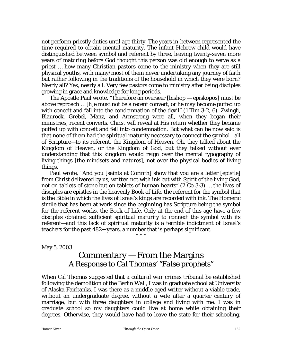not perform priestly duties until age thirty. The years in-between represented the time required to obtain mental maturity. The infant Hebrew child would have distinguished between symbol and referent by three, leaving twenty-seven more years of maturing before God thought this person was old enough to serve as a priest … how many Christian pastors come to the ministry when they are still physical youths, with many/most of them never undertaking any journey of faith but rather following in the traditions of the household in which they were born? Nearly all? Yes, nearly all. Very few pastors come to ministry after being disciples growing in grace and knowledge for long periods.

The Apostle Paul wrote, "Therefore an overseer [bishop — *episkopos*] must be above reproach … [h]e must not be a recent convert, or he may become puffed up with conceit and fall into the condemnation of the devil" (1 Tim 3:2, 6). Zwingli, Blaurock, Grebel, Manz, and Armstrong were all, when they began their ministries, recent converts. Christ will reveal at His return whether they became puffed up with conceit and fell into condemnation. But what can be now said is that none of them had the spiritual maturity necessary to connect the symbol—all of Scripture—to its referent, the Kingdom of Heaven. Oh, they talked about the Kingdom of Heaven, or the Kingdom of God, but they talked without ever understanding that this kingdom would reign over the mental typography of living things [the mindsets and natures], not over the physical bodies of living things.

Paul wrote, "And you [saints at Corinth] show that you are a letter [epistle] from Christ delivered by us, written not with ink but with Spirit of the living God, not on tablets of stone but on tablets of human hearts" (2 Co 3:3) … the lives of disciples are epistles in the heavenly Book of Life, the referent for the symbol that is the Bible in which the lives of Israel's kings are recorded with ink. The Homeric simile that has been at work since the beginning has Scripture being the symbol for the referent works, the Book of Life. Only at the end of this age have a few disciples obtained sufficient spiritual maturity to connect the symbol with its referent—and this lack of spiritual maturity is a terrible indictment of Israel's teachers for the past 482+ years, a number that is perhaps significant.

May 5, 2003

## Commentary — From the Margins *A Response to Cal Thomas' "False prophets"*

\* \* \*

When Cal Thomas suggested that *a cultural war crimes tribunal* be established following the demolition of the Berlin Wall, I was in graduate school at University of Alaska Fairbanks. I was there as a middle-aged writer without a viable trade, without an undergraduate degree, without a wife after a quarter century of marriage, but with three daughters in college and living with me. I was in graduate school so my daughters could live at home while obtaining their degrees. Otherwise, they would have had to leave the state for their schooling.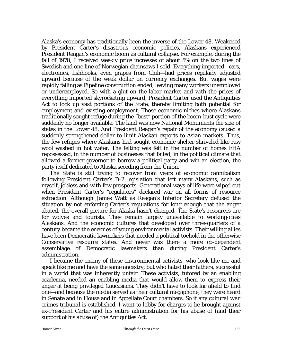Alaska's economy has traditionally been the inverse of the Lower 48. Weakened by President Carter's disastrous economic policies, Alaskans experienced President Reagan's economic boom as cultural collapse. For example, during the fall of 1978, I received weekly price increases of about 5% on the two lines of Swedish and one line of Norwegian chainsaws I sold. Everything imported—cars, electronics, fishhooks, even grapes from Chili—had prices regularly adjusted upward because of the weak dollar on currency exchanges. But wages were rapidly falling as Pipeline construction ended, leaving many workers unemployed or underemployed. So with a glut on the labor market and with the prices of everything imported skyrocketing upward, President Carter used the Antiquities Act to lock up vast portions of the State, thereby limiting both potential for employment and existing employment. Those economic niches where Alaskans traditionally sought refuge during the "bust" portion of the boom-bust cycle were suddenly no longer available. The land was now National Monuments the size of states in the Lower 48. And President Reagan's repair of the economy caused a suddenly strengthened dollar to limit Alaskan exports to Asian markets. Thus, the few refuges where Alaskans had sought economic shelter shriveled like raw wool washed in hot water. The felting was felt in the number of homes FHA repossessed, in the number of businesses that failed, in the political climate that allowed a former governor to borrow a political party and win an election, the party itself dedicated to Alaska seceding from the Union.

The State is still trying to recover from years of economic cannibalism following President Carter's D-2 legislation that left many Alaskans, such as myself, jobless and with few prospects. Generational ways of life were wiped out when President Carter's "regulators" declared war on all forms of resource extraction. Although James Watt as Reagan's Interior Secretary defused the situation by not enforcing Carter's regulations for long enough that the anger abated, the overall picture for Alaska hasn't changed. The State's resources are for wolves and tourists. They remain largely unavailable to working-class Alaskans. And the economic cultures that developed over three-quarters of a century became the enemies of young environmental activists. Their willing allies have been Democratic lawmakers that needed a political toehold in the otherwise Conservative resource states. And never was there a more co-dependent assemblage of Democratic lawmakers than during President Carter's administration.

I became the enemy of these environmental activists, who look like me and speak like me and have the same ancestry, but who hated their fathers, successful in a world that was inherently unfair. These activists, tutored by an enabling academia, needed an enabling media that would allow them to express their anger at being privileged Caucasians. They didn't have to look far afield to find one—and because the media served as their cultural megaphone, they were heard in Senate and in House and in Appellate Court chambers. So if any *cultural war crimes tribunal* is established, I want to lobby for charges to be brought against ex-President Carter and his entire administration for his abuse of (and their support of his abuse of) the Antiquities Act.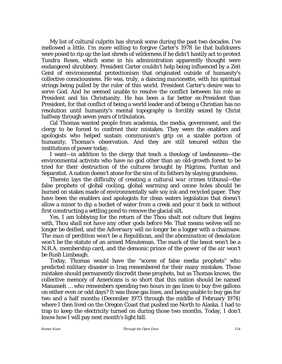My list of cultural culprits has shrunk some during the past two decades. I've mellowed a little. I'm more willing to forgive Carter's 1978 lie that bulldozers were posed to rip up the last shreds of wilderness if he didn't hastily act to protect *Tundra Roses*, which some in his administration apparently thought were endangered shrubbery. President Carter couldn't help being influenced by a *Zeit Geist* of environmental protectionism that originated outside of humanity's collective consciousness. He was, truly, a dancing *marionette*, with his spiritual strings being pulled by the ruler of this world. President Carter's desire was to serve God. And he seemed unable to resolve the conflict between his role as President and his Christianity. He has been a far better ex-President than President, for that conflict of being a world leader and of being a Christian has no resolution until humanity's mental topography is forcibly seized by Christ halfway through seven years of tribulation.

Cal Thomas wanted people from academia, the media, government, and the clergy to be forced to confront their mistakes. They were the enablers and apologists who helped sustain communism's grip on a sizable portion of humanity, Thomas's observation. And they are still tenured within the institutions of power today.

I want—in addition to the clergy that teach a theology of lawlessness—the environmental activists who have no god other than an old-growth forest to be tried for their destruction of the cultures brought by Pilgrims, Puritan and Separatist. A nation doesn't atone for the sins of its fathers by slaying grandsons.

Therein lays the difficulty of creating *a cultural war crimes tribunal*—the false prophets of global cooling, global warming and ozone holes should be burned on stakes made of environmentally safe soy ink and recycled paper. They have been the enablers and apologists for clean waters legislation that doesn't allow a miner to dip a bucket of water from a creek and pour it back in without first constructing a settling pond to remove the glacial silt.

Yes, I am lobbying for the return of the *Thou shalt not* culture that begins with, *Thou shall not have any other gods before Me*. That means wolves will no longer be deified, and the *Adversary* will no longer be a logger with a chainsaw. The *man of perdition* won't be a Republican, and *the abomination of desolation*  won't be the statute of an armed Minuteman. The *mark of the beast* won't be a N.R.A. membership card, and the demonic *prince of the power of the air* won't be Rush Limbaugh.

Today, Thomas would have the "scores of false media prophets" who predicted military disaster in Iraq remembered for their many mistakes. Those mistakes should permanently discredit these prophets, but as Thomas knows, the collective memory of Americans is so short that this nation should be named Manasseh … who remembers spending two hours in gas lines to buy five gallons on either even or odd days? It was those gas lines, and being unable to buy gas for two and a half months (December 1973 through the middle of February 1974) where I then lived on the Oregon Coast that pushed me North to Alaska. I had to trap to keep the electricity turned on during those two months. Today, I don't know how I will pay next month's light bill.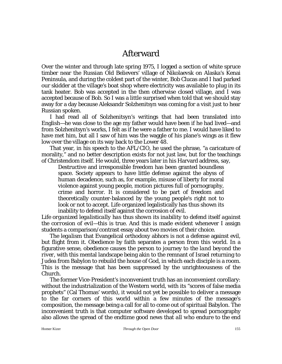## Afterward

Over the winter and through late spring 1975, I logged a section of white spruce timber near the Russian Old Believers' village of Nikolaevsk on Alaska's Kenai Peninsula, and during the coldest part of the winter, Bob Clucas and I had parked our skidder at the village's boat shop where electricity was available to plug in its tank heater. Bob was accepted in the then otherwise closed village, and I was accepted because of Bob. So I was a little surprised when told that we should stay away for a day because Aleksandr Solzhenitsyn was coming for a visit just to hear Russian spoken.

I had read all of Solzhenitsyn's writings that had been translated into English—he was close to the age my father would have been if he had lived—and from Solzhenitsyn's works, I felt as if he were a father to me. I would have liked to have met him, but all I saw of him was the waggle of his plane's wings as it flew low over the village on its way back to the Lower 48.

That year, in his speech to the AFL/CIO, he used the phrase, "a caricature of morality," and no better description exists for not just law, but for the teachings of Christendom itself. He would, three years later in his Harvard address, say,

Destructive and irresponsible freedom has been granted boundless space. Society appears to have little defense against the abyss of human decadence, such as, for example, misuse of liberty for moral violence against young people, motion pictures full of pornography, crime and horror. It is considered to be part of freedom and theoretically counter-balanced by the young people's right not to look or not to accept. Life organized legalistically has thus shown its inability to defend itself against the corrosion of evil.

*Life organized legalistically has thus shown its inability to defend itself against the corrosion of evil*—this is true. And this is made evident whenever I assign students a comparison/contrast essay about two movies of their choice.

The *legalism* that Evangelical orthodoxy abhors is not a defense against evil, but flight from it. Obedience by faith separates a person from this world. In a figurative sense, obedience causes the person to journey to *the land beyond the river*, with this mental landscape being akin to the remnant of Israel returning to Judea from Babylon to rebuild the house of God, in which each disciple is a room. This is the message that has been suppressed by the unrighteousness of the Church.

The former Vice-President's *inconvenient truth* has an inconvenient corollary: without the industrialization of the Western world, with its "scores of false media prophets" (Cal Thomas' words), it would not yet be possible to deliver a message to the far corners of this world within a few minutes of the message's composition, the message being a call for all to come out of spiritual Babylon. The *inconvenient truth* is that computer software developed to spread pornography also allows the spread of the endtime good news that *all who endure to the end*